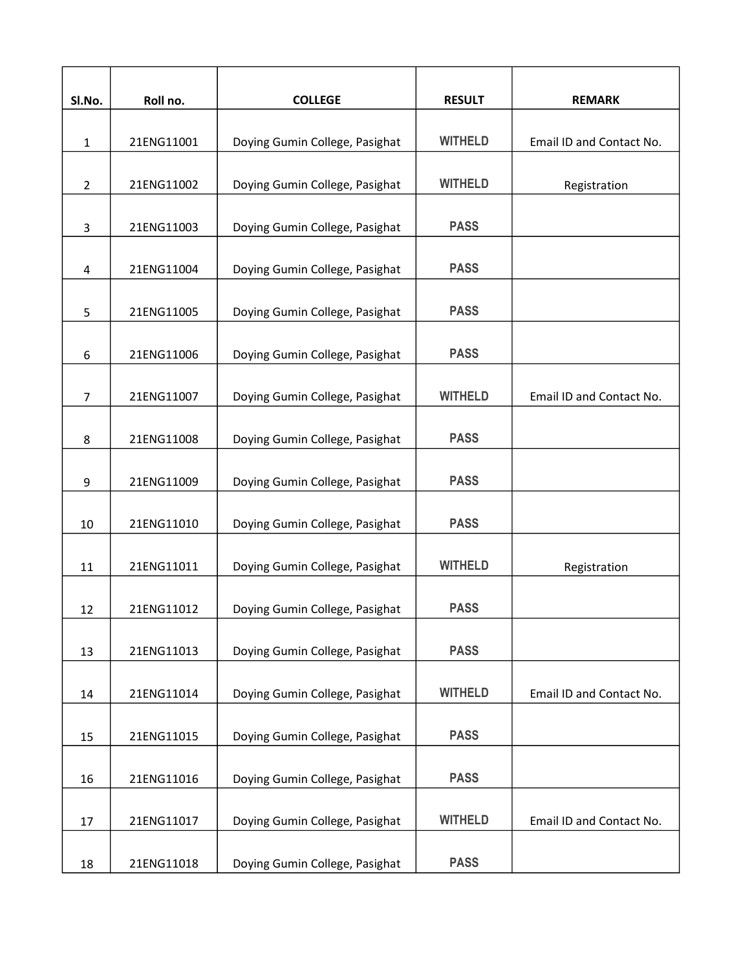| Sl.No.         | Roll no.   | <b>COLLEGE</b>                 | <b>RESULT</b>  | <b>REMARK</b>            |
|----------------|------------|--------------------------------|----------------|--------------------------|
|                |            |                                |                |                          |
| $\mathbf{1}$   | 21ENG11001 | Doying Gumin College, Pasighat | <b>WITHELD</b> | Email ID and Contact No. |
| $\overline{2}$ | 21ENG11002 | Doying Gumin College, Pasighat | <b>WITHELD</b> | Registration             |
| 3              | 21ENG11003 | Doying Gumin College, Pasighat | <b>PASS</b>    |                          |
| 4              | 21ENG11004 | Doying Gumin College, Pasighat | <b>PASS</b>    |                          |
| 5              | 21ENG11005 | Doying Gumin College, Pasighat | <b>PASS</b>    |                          |
| 6              | 21ENG11006 | Doying Gumin College, Pasighat | <b>PASS</b>    |                          |
| $\overline{7}$ | 21ENG11007 | Doying Gumin College, Pasighat | <b>WITHELD</b> | Email ID and Contact No. |
| 8              | 21ENG11008 | Doying Gumin College, Pasighat | <b>PASS</b>    |                          |
| 9              | 21ENG11009 | Doying Gumin College, Pasighat | <b>PASS</b>    |                          |
| 10             | 21ENG11010 | Doying Gumin College, Pasighat | <b>PASS</b>    |                          |
| 11             | 21ENG11011 | Doying Gumin College, Pasighat | <b>WITHELD</b> | Registration             |
| 12             | 21ENG11012 | Doying Gumin College, Pasighat | <b>PASS</b>    |                          |
| 13             | 21ENG11013 | Doying Gumin College, Pasighat | <b>PASS</b>    |                          |
| 14             | 21ENG11014 | Doying Gumin College, Pasighat | <b>WITHELD</b> | Email ID and Contact No. |
| 15             | 21ENG11015 | Doying Gumin College, Pasighat | <b>PASS</b>    |                          |
| 16             | 21ENG11016 | Doying Gumin College, Pasighat | <b>PASS</b>    |                          |
| 17             | 21ENG11017 | Doying Gumin College, Pasighat | <b>WITHELD</b> | Email ID and Contact No. |
| 18             | 21ENG11018 | Doying Gumin College, Pasighat | <b>PASS</b>    |                          |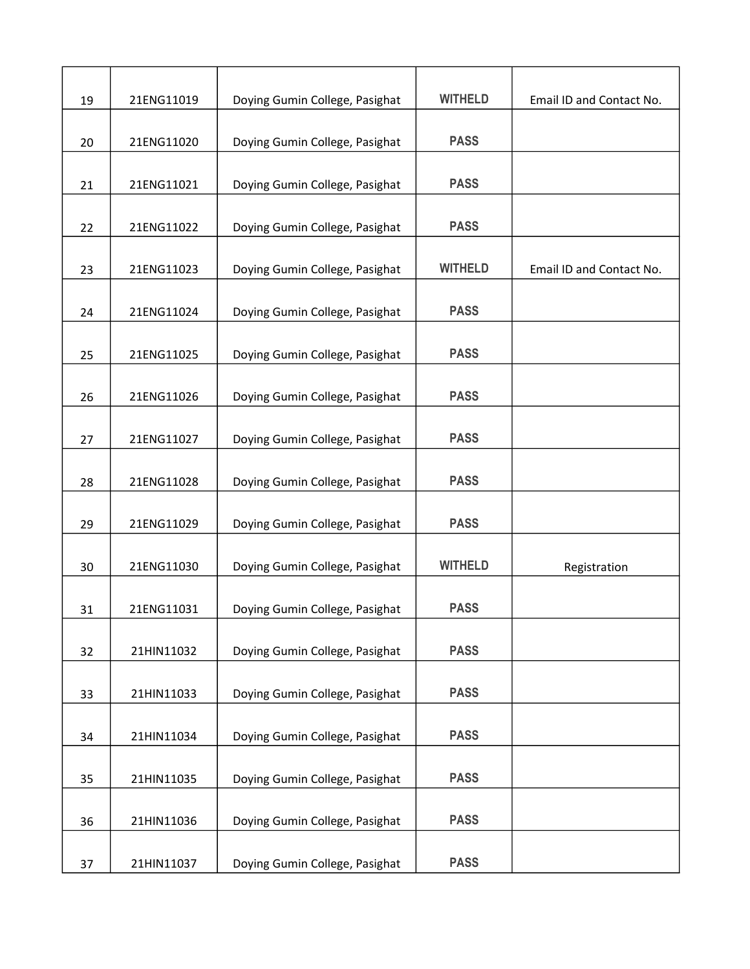| 19 | 21ENG11019 | Doying Gumin College, Pasighat | <b>WITHELD</b> | Email ID and Contact No. |
|----|------------|--------------------------------|----------------|--------------------------|
| 20 | 21ENG11020 | Doying Gumin College, Pasighat | <b>PASS</b>    |                          |
| 21 | 21ENG11021 | Doying Gumin College, Pasighat | <b>PASS</b>    |                          |
|    |            |                                |                |                          |
| 22 | 21ENG11022 | Doying Gumin College, Pasighat | <b>PASS</b>    |                          |
| 23 | 21ENG11023 | Doying Gumin College, Pasighat | <b>WITHELD</b> | Email ID and Contact No. |
| 24 | 21ENG11024 | Doying Gumin College, Pasighat | <b>PASS</b>    |                          |
| 25 | 21ENG11025 | Doying Gumin College, Pasighat | <b>PASS</b>    |                          |
| 26 | 21ENG11026 | Doying Gumin College, Pasighat | <b>PASS</b>    |                          |
| 27 | 21ENG11027 | Doying Gumin College, Pasighat | <b>PASS</b>    |                          |
| 28 | 21ENG11028 | Doying Gumin College, Pasighat | <b>PASS</b>    |                          |
| 29 | 21ENG11029 | Doying Gumin College, Pasighat | <b>PASS</b>    |                          |
| 30 | 21ENG11030 | Doying Gumin College, Pasighat | <b>WITHELD</b> | Registration             |
| 31 | 21ENG11031 | Doying Gumin College, Pasighat | <b>PASS</b>    |                          |
| 32 | 21HIN11032 | Doying Gumin College, Pasighat | <b>PASS</b>    |                          |
| 33 | 21HIN11033 | Doying Gumin College, Pasighat | <b>PASS</b>    |                          |
| 34 | 21HIN11034 | Doying Gumin College, Pasighat | <b>PASS</b>    |                          |
| 35 | 21HIN11035 | Doying Gumin College, Pasighat | <b>PASS</b>    |                          |
| 36 | 21HIN11036 | Doying Gumin College, Pasighat | <b>PASS</b>    |                          |
| 37 | 21HIN11037 | Doying Gumin College, Pasighat | <b>PASS</b>    |                          |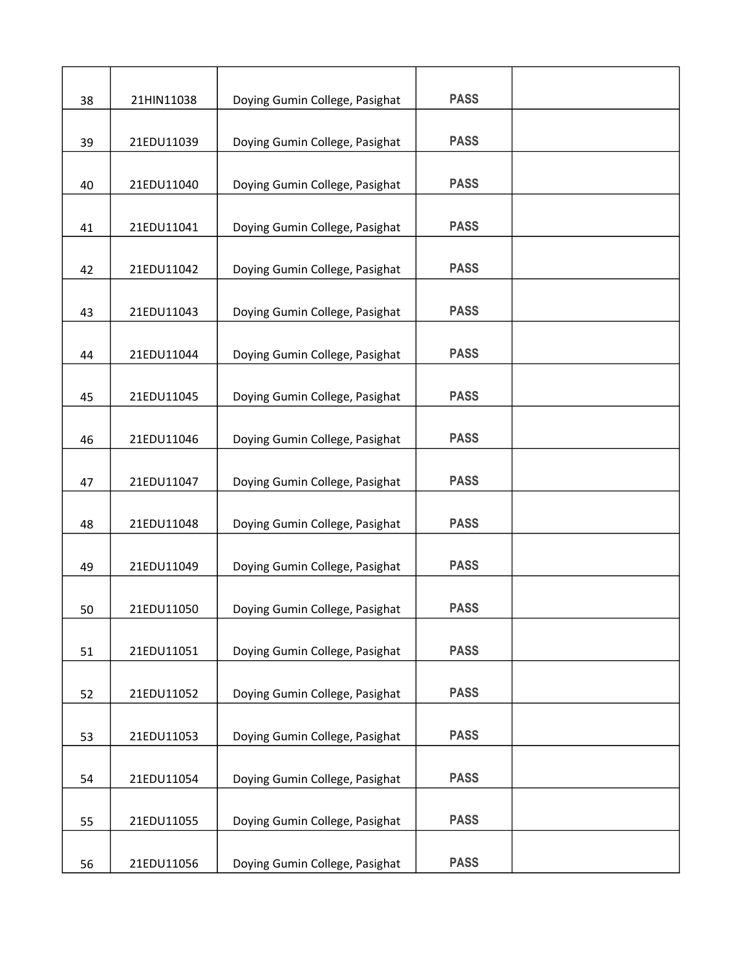| 38 | 21HIN11038 | Doying Gumin College, Pasighat | <b>PASS</b> |  |
|----|------------|--------------------------------|-------------|--|
| 39 | 21EDU11039 | Doying Gumin College, Pasighat | <b>PASS</b> |  |
| 40 | 21EDU11040 | Doying Gumin College, Pasighat | <b>PASS</b> |  |
| 41 | 21EDU11041 | Doying Gumin College, Pasighat | <b>PASS</b> |  |
| 42 | 21EDU11042 | Doying Gumin College, Pasighat | <b>PASS</b> |  |
| 43 | 21EDU11043 | Doying Gumin College, Pasighat | <b>PASS</b> |  |
| 44 | 21EDU11044 | Doying Gumin College, Pasighat | <b>PASS</b> |  |
| 45 | 21EDU11045 | Doying Gumin College, Pasighat | <b>PASS</b> |  |
| 46 | 21EDU11046 |                                | <b>PASS</b> |  |
|    |            | Doying Gumin College, Pasighat | <b>PASS</b> |  |
| 47 | 21EDU11047 | Doying Gumin College, Pasighat | <b>PASS</b> |  |
| 48 | 21EDU11048 | Doying Gumin College, Pasighat | <b>PASS</b> |  |
| 49 | 21EDU11049 | Doying Gumin College, Pasighat | <b>PASS</b> |  |
| 50 | 21EDU11050 | Doying Gumin College, Pasighat |             |  |
| 51 | 21EDU11051 | Doying Gumin College, Pasighat | <b>PASS</b> |  |
| 52 | 21EDU11052 | Doying Gumin College, Pasighat | <b>PASS</b> |  |
| 53 | 21EDU11053 | Doying Gumin College, Pasighat | <b>PASS</b> |  |
| 54 | 21EDU11054 | Doying Gumin College, Pasighat | <b>PASS</b> |  |
| 55 | 21EDU11055 | Doying Gumin College, Pasighat | <b>PASS</b> |  |
| 56 | 21EDU11056 | Doying Gumin College, Pasighat | <b>PASS</b> |  |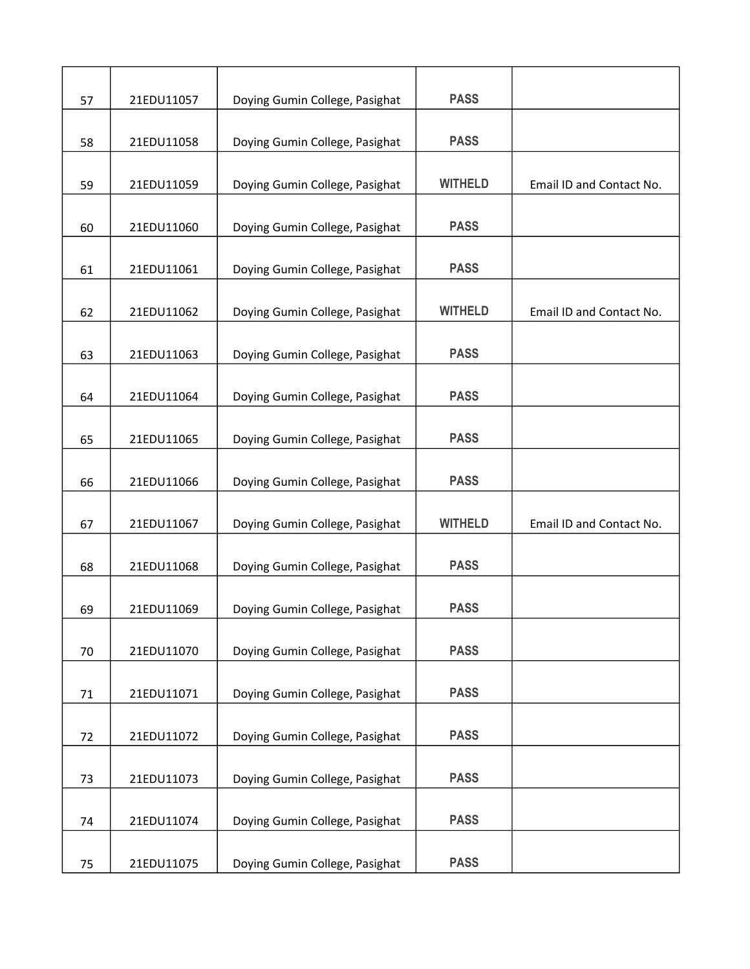| 57 | 21EDU11057 | Doying Gumin College, Pasighat | <b>PASS</b>    |                          |
|----|------------|--------------------------------|----------------|--------------------------|
| 58 | 21EDU11058 | Doying Gumin College, Pasighat | <b>PASS</b>    |                          |
| 59 | 21EDU11059 | Doying Gumin College, Pasighat | <b>WITHELD</b> | Email ID and Contact No. |
| 60 | 21EDU11060 | Doying Gumin College, Pasighat | <b>PASS</b>    |                          |
| 61 | 21EDU11061 | Doying Gumin College, Pasighat | <b>PASS</b>    |                          |
| 62 | 21EDU11062 | Doying Gumin College, Pasighat | <b>WITHELD</b> | Email ID and Contact No. |
| 63 | 21EDU11063 | Doying Gumin College, Pasighat | <b>PASS</b>    |                          |
| 64 | 21EDU11064 | Doying Gumin College, Pasighat | <b>PASS</b>    |                          |
| 65 | 21EDU11065 | Doying Gumin College, Pasighat | <b>PASS</b>    |                          |
| 66 | 21EDU11066 | Doying Gumin College, Pasighat | <b>PASS</b>    |                          |
| 67 | 21EDU11067 | Doying Gumin College, Pasighat | <b>WITHELD</b> | Email ID and Contact No. |
| 68 | 21EDU11068 | Doying Gumin College, Pasighat | <b>PASS</b>    |                          |
| 69 | 21EDU11069 | Doying Gumin College, Pasighat | <b>PASS</b>    |                          |
| 70 | 21EDU11070 | Doying Gumin College, Pasighat | <b>PASS</b>    |                          |
| 71 | 21EDU11071 | Doying Gumin College, Pasighat | <b>PASS</b>    |                          |
| 72 | 21EDU11072 | Doying Gumin College, Pasighat | <b>PASS</b>    |                          |
| 73 | 21EDU11073 | Doying Gumin College, Pasighat | <b>PASS</b>    |                          |
| 74 | 21EDU11074 | Doying Gumin College, Pasighat | <b>PASS</b>    |                          |
| 75 | 21EDU11075 | Doying Gumin College, Pasighat | <b>PASS</b>    |                          |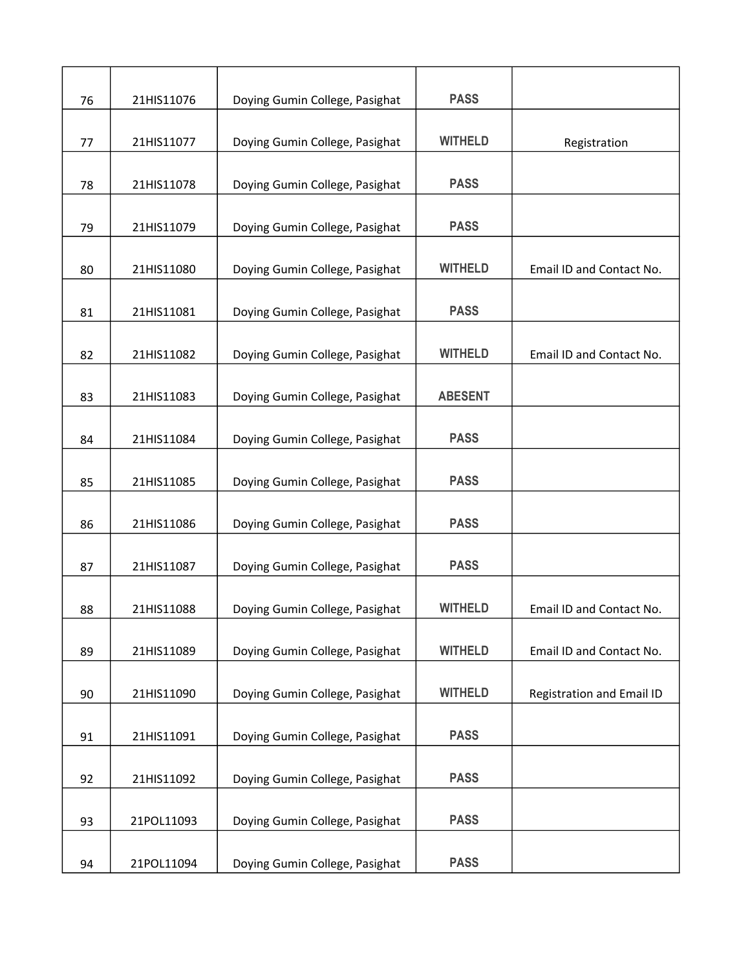| 76 | 21HIS11076 | Doying Gumin College, Pasighat | <b>PASS</b>    |                           |
|----|------------|--------------------------------|----------------|---------------------------|
| 77 | 21HIS11077 | Doying Gumin College, Pasighat | <b>WITHELD</b> | Registration              |
| 78 | 21HIS11078 | Doying Gumin College, Pasighat | <b>PASS</b>    |                           |
| 79 | 21HIS11079 | Doying Gumin College, Pasighat | <b>PASS</b>    |                           |
|    |            |                                |                |                           |
| 80 | 21HIS11080 | Doying Gumin College, Pasighat | <b>WITHELD</b> | Email ID and Contact No.  |
| 81 | 21HIS11081 | Doying Gumin College, Pasighat | <b>PASS</b>    |                           |
| 82 | 21HIS11082 | Doying Gumin College, Pasighat | <b>WITHELD</b> | Email ID and Contact No.  |
| 83 | 21HIS11083 | Doying Gumin College, Pasighat | <b>ABESENT</b> |                           |
| 84 | 21HIS11084 | Doying Gumin College, Pasighat | <b>PASS</b>    |                           |
| 85 | 21HIS11085 | Doying Gumin College, Pasighat | <b>PASS</b>    |                           |
| 86 | 21HIS11086 | Doying Gumin College, Pasighat | <b>PASS</b>    |                           |
| 87 | 21HIS11087 | Doying Gumin College, Pasighat | <b>PASS</b>    |                           |
| 88 | 21HIS11088 | Doying Gumin College, Pasighat | <b>WITHELD</b> | Email ID and Contact No.  |
| 89 | 21HIS11089 | Doying Gumin College, Pasighat | <b>WITHELD</b> | Email ID and Contact No.  |
|    | 21HIS11090 | Doying Gumin College, Pasighat | <b>WITHELD</b> |                           |
| 90 |            |                                |                | Registration and Email ID |
| 91 | 21HIS11091 | Doying Gumin College, Pasighat | <b>PASS</b>    |                           |
| 92 | 21HIS11092 | Doying Gumin College, Pasighat | <b>PASS</b>    |                           |
| 93 | 21POL11093 | Doying Gumin College, Pasighat | <b>PASS</b>    |                           |
| 94 | 21POL11094 | Doying Gumin College, Pasighat | <b>PASS</b>    |                           |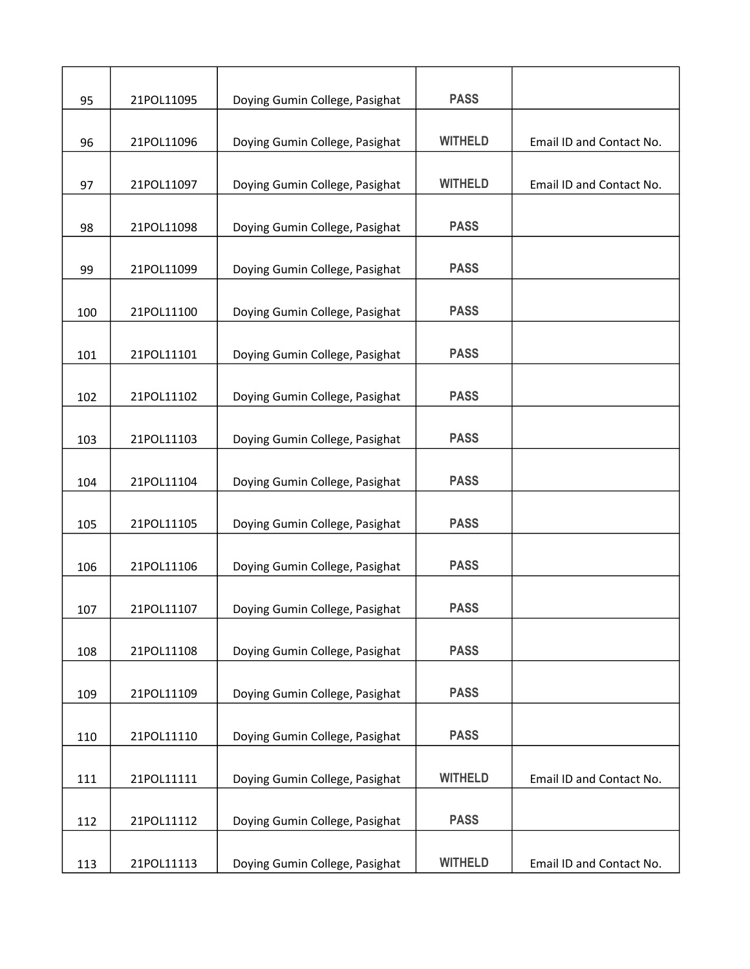| 95  | 21POL11095 | Doying Gumin College, Pasighat | <b>PASS</b>    |                          |
|-----|------------|--------------------------------|----------------|--------------------------|
| 96  | 21POL11096 | Doying Gumin College, Pasighat | <b>WITHELD</b> | Email ID and Contact No. |
| 97  | 21POL11097 | Doying Gumin College, Pasighat | <b>WITHELD</b> | Email ID and Contact No. |
| 98  | 21POL11098 | Doying Gumin College, Pasighat | <b>PASS</b>    |                          |
| 99  | 21POL11099 | Doying Gumin College, Pasighat | <b>PASS</b>    |                          |
| 100 | 21POL11100 | Doying Gumin College, Pasighat | <b>PASS</b>    |                          |
| 101 | 21POL11101 | Doying Gumin College, Pasighat | <b>PASS</b>    |                          |
| 102 | 21POL11102 | Doying Gumin College, Pasighat | <b>PASS</b>    |                          |
| 103 | 21POL11103 | Doying Gumin College, Pasighat | <b>PASS</b>    |                          |
| 104 | 21POL11104 | Doying Gumin College, Pasighat | <b>PASS</b>    |                          |
| 105 | 21POL11105 | Doying Gumin College, Pasighat | <b>PASS</b>    |                          |
| 106 | 21POL11106 | Doying Gumin College, Pasighat | <b>PASS</b>    |                          |
| 107 | 21POL11107 | Doying Gumin College, Pasighat | <b>PASS</b>    |                          |
| 108 | 21POL11108 | Doying Gumin College, Pasighat | <b>PASS</b>    |                          |
| 109 | 21POL11109 | Doying Gumin College, Pasighat | <b>PASS</b>    |                          |
| 110 | 21POL11110 | Doying Gumin College, Pasighat | <b>PASS</b>    |                          |
| 111 | 21POL11111 | Doying Gumin College, Pasighat | <b>WITHELD</b> | Email ID and Contact No. |
| 112 | 21POL11112 | Doying Gumin College, Pasighat | <b>PASS</b>    |                          |
| 113 | 21POL11113 | Doying Gumin College, Pasighat | <b>WITHELD</b> | Email ID and Contact No. |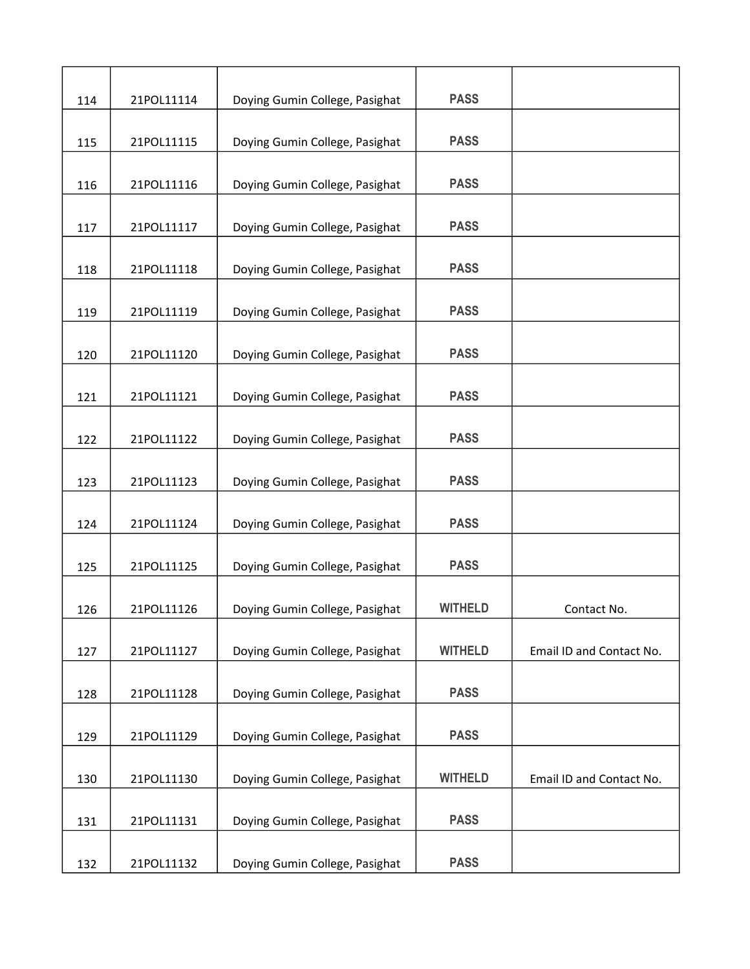| 114 | 21POL11114 | Doying Gumin College, Pasighat | <b>PASS</b>    |                          |
|-----|------------|--------------------------------|----------------|--------------------------|
| 115 | 21POL11115 | Doying Gumin College, Pasighat | <b>PASS</b>    |                          |
| 116 | 21POL11116 | Doying Gumin College, Pasighat | <b>PASS</b>    |                          |
| 117 | 21POL11117 | Doying Gumin College, Pasighat | <b>PASS</b>    |                          |
| 118 | 21POL11118 | Doying Gumin College, Pasighat | <b>PASS</b>    |                          |
| 119 | 21POL11119 | Doying Gumin College, Pasighat | <b>PASS</b>    |                          |
| 120 | 21POL11120 | Doying Gumin College, Pasighat | <b>PASS</b>    |                          |
| 121 | 21POL11121 | Doying Gumin College, Pasighat | <b>PASS</b>    |                          |
| 122 | 21POL11122 | Doying Gumin College, Pasighat | <b>PASS</b>    |                          |
| 123 | 21POL11123 | Doying Gumin College, Pasighat | <b>PASS</b>    |                          |
| 124 | 21POL11124 | Doying Gumin College, Pasighat | <b>PASS</b>    |                          |
| 125 | 21POL11125 | Doying Gumin College, Pasighat | <b>PASS</b>    |                          |
| 126 | 21POL11126 | Doying Gumin College, Pasighat | <b>WITHELD</b> | Contact No.              |
| 127 | 21POL11127 | Doying Gumin College, Pasighat | <b>WITHELD</b> | Email ID and Contact No. |
| 128 | 21POL11128 | Doying Gumin College, Pasighat | <b>PASS</b>    |                          |
| 129 | 21POL11129 | Doying Gumin College, Pasighat | <b>PASS</b>    |                          |
| 130 | 21POL11130 | Doying Gumin College, Pasighat | <b>WITHELD</b> | Email ID and Contact No. |
| 131 | 21POL11131 | Doying Gumin College, Pasighat | <b>PASS</b>    |                          |
| 132 | 21POL11132 | Doying Gumin College, Pasighat | <b>PASS</b>    |                          |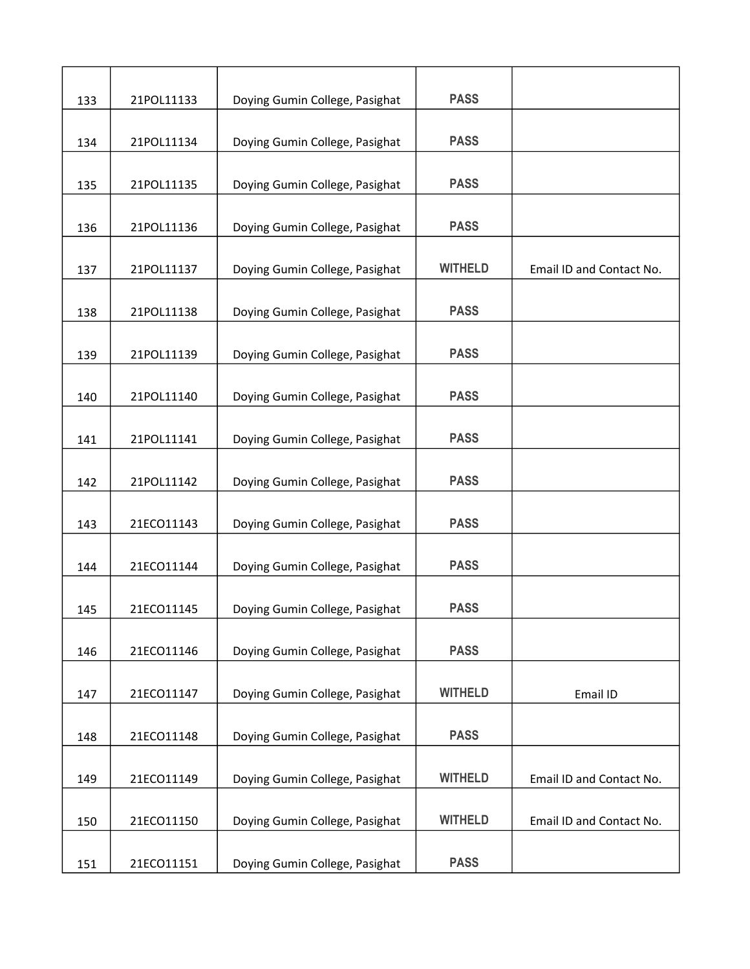| 133 | 21POL11133 | Doying Gumin College, Pasighat | <b>PASS</b>    |                          |
|-----|------------|--------------------------------|----------------|--------------------------|
| 134 | 21POL11134 | Doying Gumin College, Pasighat | <b>PASS</b>    |                          |
| 135 | 21POL11135 | Doying Gumin College, Pasighat | <b>PASS</b>    |                          |
| 136 | 21POL11136 | Doying Gumin College, Pasighat | <b>PASS</b>    |                          |
| 137 | 21POL11137 | Doying Gumin College, Pasighat | <b>WITHELD</b> | Email ID and Contact No. |
| 138 | 21POL11138 | Doying Gumin College, Pasighat | <b>PASS</b>    |                          |
| 139 | 21POL11139 | Doying Gumin College, Pasighat | <b>PASS</b>    |                          |
| 140 | 21POL11140 | Doying Gumin College, Pasighat | <b>PASS</b>    |                          |
| 141 | 21POL11141 | Doying Gumin College, Pasighat | <b>PASS</b>    |                          |
| 142 | 21POL11142 | Doying Gumin College, Pasighat | <b>PASS</b>    |                          |
| 143 | 21ECO11143 | Doying Gumin College, Pasighat | <b>PASS</b>    |                          |
| 144 | 21ECO11144 | Doying Gumin College, Pasighat | <b>PASS</b>    |                          |
| 145 | 21ECO11145 | Doying Gumin College, Pasighat | <b>PASS</b>    |                          |
| 146 | 21ECO11146 | Doying Gumin College, Pasighat | <b>PASS</b>    |                          |
| 147 | 21ECO11147 | Doying Gumin College, Pasighat | <b>WITHELD</b> | Email ID                 |
| 148 | 21ECO11148 | Doying Gumin College, Pasighat | <b>PASS</b>    |                          |
| 149 | 21ECO11149 | Doying Gumin College, Pasighat | <b>WITHELD</b> | Email ID and Contact No. |
| 150 | 21ECO11150 | Doying Gumin College, Pasighat | <b>WITHELD</b> | Email ID and Contact No. |
| 151 | 21ECO11151 | Doying Gumin College, Pasighat | <b>PASS</b>    |                          |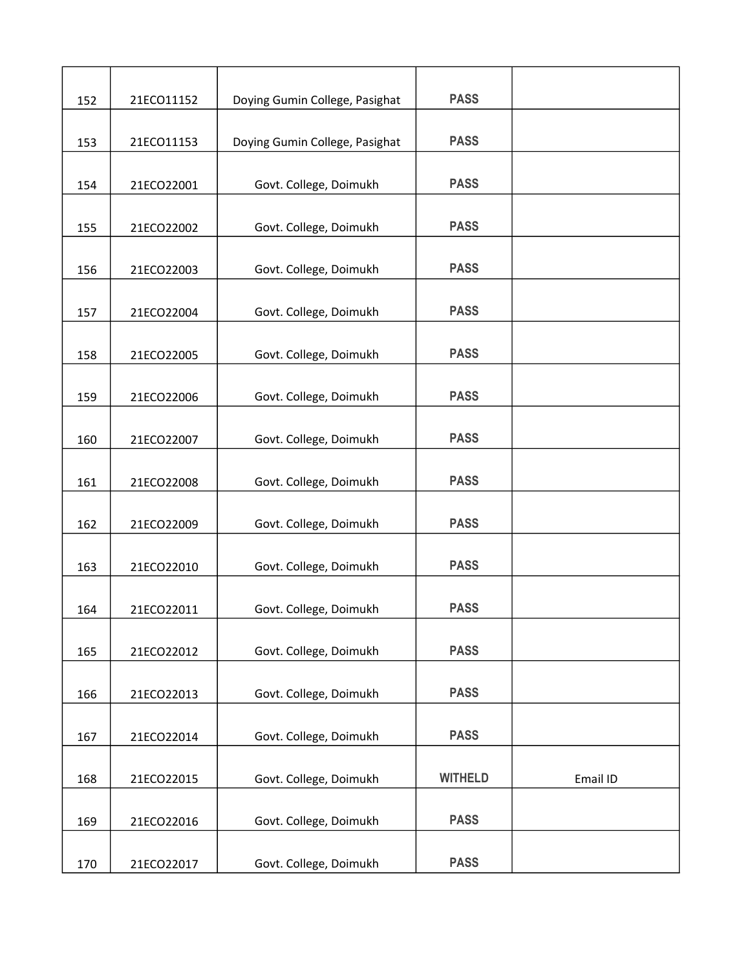| 152 | 21ECO11152 | Doying Gumin College, Pasighat | <b>PASS</b>    |          |
|-----|------------|--------------------------------|----------------|----------|
| 153 | 21ECO11153 | Doying Gumin College, Pasighat | <b>PASS</b>    |          |
| 154 | 21ECO22001 | Govt. College, Doimukh         | <b>PASS</b>    |          |
| 155 | 21ECO22002 | Govt. College, Doimukh         | <b>PASS</b>    |          |
| 156 | 21ECO22003 | Govt. College, Doimukh         | <b>PASS</b>    |          |
| 157 | 21ECO22004 | Govt. College, Doimukh         | <b>PASS</b>    |          |
| 158 | 21ECO22005 | Govt. College, Doimukh         | <b>PASS</b>    |          |
| 159 | 21ECO22006 | Govt. College, Doimukh         | <b>PASS</b>    |          |
| 160 | 21ECO22007 | Govt. College, Doimukh         | <b>PASS</b>    |          |
| 161 | 21ECO22008 | Govt. College, Doimukh         | <b>PASS</b>    |          |
| 162 | 21ECO22009 | Govt. College, Doimukh         | <b>PASS</b>    |          |
| 163 | 21ECO22010 | Govt. College, Doimukh         | <b>PASS</b>    |          |
| 164 | 21ECO22011 | Govt. College, Doimukh         | <b>PASS</b>    |          |
| 165 | 21ECO22012 | Govt. College, Doimukh         | <b>PASS</b>    |          |
| 166 | 21ECO22013 | Govt. College, Doimukh         | <b>PASS</b>    |          |
| 167 | 21ECO22014 | Govt. College, Doimukh         | <b>PASS</b>    |          |
| 168 | 21ECO22015 | Govt. College, Doimukh         | <b>WITHELD</b> | Email ID |
| 169 | 21ECO22016 | Govt. College, Doimukh         | <b>PASS</b>    |          |
| 170 | 21ECO22017 | Govt. College, Doimukh         | <b>PASS</b>    |          |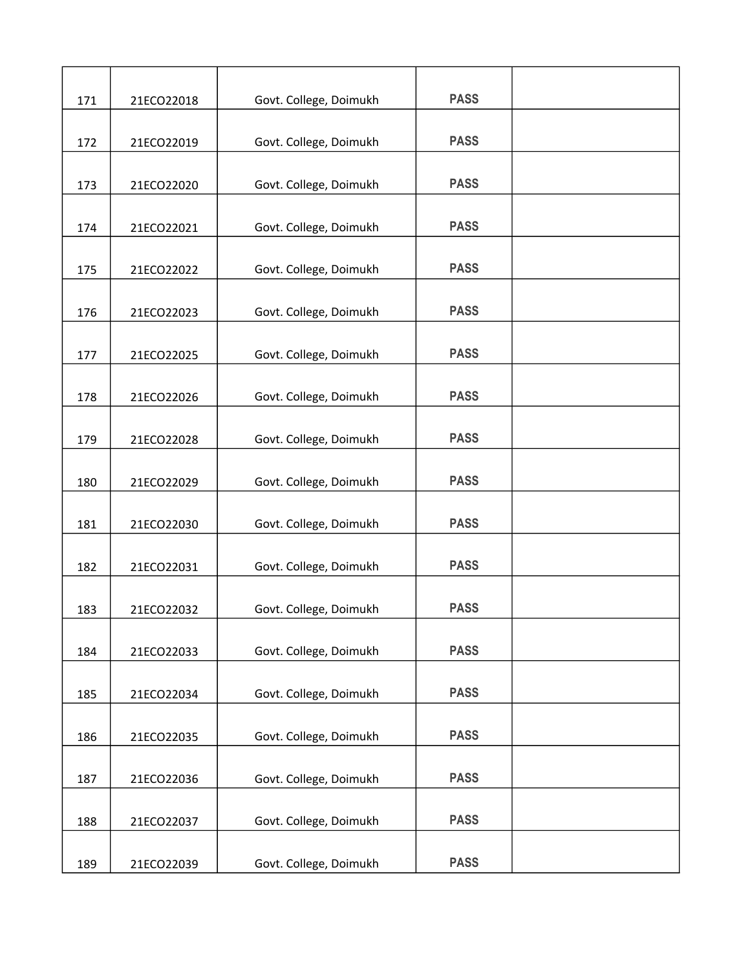| 171 | 21ECO22018 | Govt. College, Doimukh | <b>PASS</b> |  |
|-----|------------|------------------------|-------------|--|
|     |            |                        |             |  |
| 172 | 21ECO22019 | Govt. College, Doimukh | <b>PASS</b> |  |
| 173 | 21ECO22020 | Govt. College, Doimukh | <b>PASS</b> |  |
| 174 | 21ECO22021 | Govt. College, Doimukh | <b>PASS</b> |  |
| 175 | 21ECO22022 | Govt. College, Doimukh | <b>PASS</b> |  |
|     |            |                        |             |  |
| 176 | 21ECO22023 | Govt. College, Doimukh | <b>PASS</b> |  |
| 177 | 21ECO22025 | Govt. College, Doimukh | <b>PASS</b> |  |
| 178 | 21ECO22026 | Govt. College, Doimukh | <b>PASS</b> |  |
| 179 | 21ECO22028 | Govt. College, Doimukh | <b>PASS</b> |  |
|     |            |                        |             |  |
| 180 | 21ECO22029 | Govt. College, Doimukh | <b>PASS</b> |  |
| 181 | 21ECO22030 | Govt. College, Doimukh | <b>PASS</b> |  |
| 182 | 21ECO22031 | Govt. College, Doimukh | <b>PASS</b> |  |
| 183 | 21ECO22032 | Govt. College, Doimukh | <b>PASS</b> |  |
| 184 | 21ECO22033 | Govt. College, Doimukh | <b>PASS</b> |  |
| 185 | 21ECO22034 | Govt. College, Doimukh | <b>PASS</b> |  |
|     |            |                        |             |  |
| 186 | 21ECO22035 | Govt. College, Doimukh | <b>PASS</b> |  |
| 187 | 21ECO22036 | Govt. College, Doimukh | <b>PASS</b> |  |
| 188 | 21ECO22037 | Govt. College, Doimukh | <b>PASS</b> |  |
|     |            |                        |             |  |
| 189 | 21ECO22039 | Govt. College, Doimukh | <b>PASS</b> |  |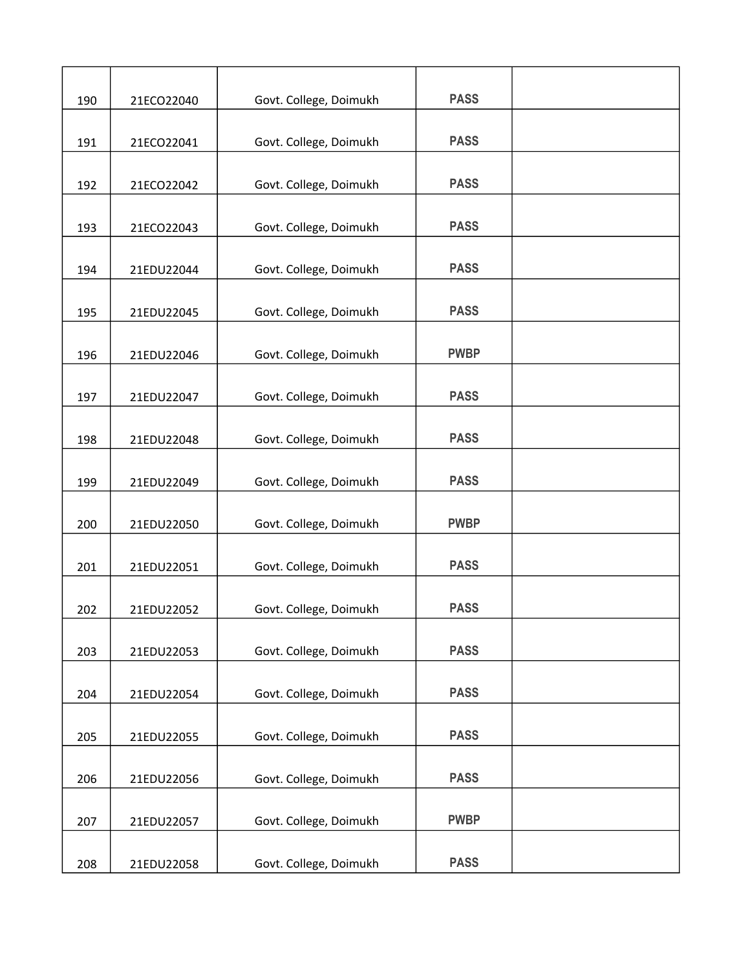| 190 | 21ECO22040 | Govt. College, Doimukh | <b>PASS</b> |  |
|-----|------------|------------------------|-------------|--|
| 191 | 21ECO22041 | Govt. College, Doimukh | <b>PASS</b> |  |
| 192 | 21ECO22042 | Govt. College, Doimukh | <b>PASS</b> |  |
| 193 | 21ECO22043 | Govt. College, Doimukh | <b>PASS</b> |  |
| 194 | 21EDU22044 | Govt. College, Doimukh | <b>PASS</b> |  |
| 195 | 21EDU22045 | Govt. College, Doimukh | <b>PASS</b> |  |
| 196 | 21EDU22046 | Govt. College, Doimukh | <b>PWBP</b> |  |
| 197 | 21EDU22047 | Govt. College, Doimukh | <b>PASS</b> |  |
| 198 | 21EDU22048 | Govt. College, Doimukh | <b>PASS</b> |  |
| 199 | 21EDU22049 | Govt. College, Doimukh | <b>PASS</b> |  |
| 200 | 21EDU22050 | Govt. College, Doimukh | <b>PWBP</b> |  |
| 201 | 21EDU22051 | Govt. College, Doimukh | <b>PASS</b> |  |
| 202 | 21EDU22052 | Govt. College, Doimukh | <b>PASS</b> |  |
| 203 | 21EDU22053 | Govt. College, Doimukh | <b>PASS</b> |  |
| 204 | 21EDU22054 | Govt. College, Doimukh | <b>PASS</b> |  |
| 205 | 21EDU22055 | Govt. College, Doimukh | <b>PASS</b> |  |
| 206 | 21EDU22056 | Govt. College, Doimukh | <b>PASS</b> |  |
| 207 | 21EDU22057 | Govt. College, Doimukh | <b>PWBP</b> |  |
| 208 | 21EDU22058 | Govt. College, Doimukh | <b>PASS</b> |  |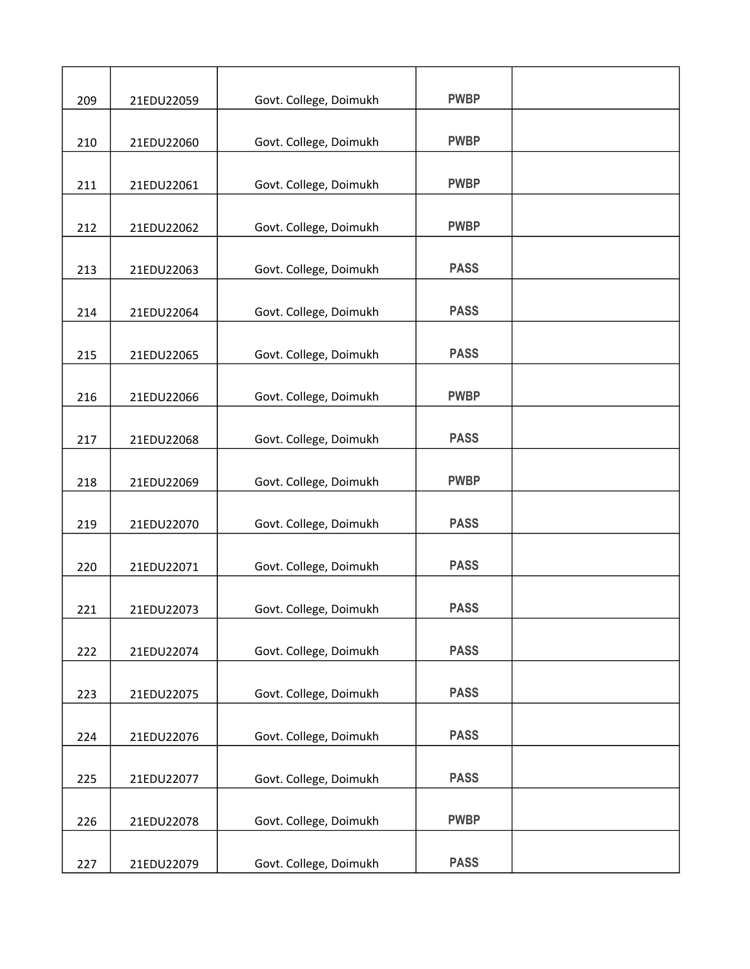| 209 | 21EDU22059 | Govt. College, Doimukh | <b>PWBP</b> |  |
|-----|------------|------------------------|-------------|--|
| 210 | 21EDU22060 | Govt. College, Doimukh | <b>PWBP</b> |  |
| 211 | 21EDU22061 | Govt. College, Doimukh | <b>PWBP</b> |  |
| 212 |            | Govt. College, Doimukh | <b>PWBP</b> |  |
|     | 21EDU22062 |                        |             |  |
| 213 | 21EDU22063 | Govt. College, Doimukh | <b>PASS</b> |  |
| 214 | 21EDU22064 | Govt. College, Doimukh | <b>PASS</b> |  |
| 215 | 21EDU22065 | Govt. College, Doimukh | <b>PASS</b> |  |
| 216 | 21EDU22066 | Govt. College, Doimukh | <b>PWBP</b> |  |
| 217 | 21EDU22068 | Govt. College, Doimukh | <b>PASS</b> |  |
| 218 | 21EDU22069 | Govt. College, Doimukh | <b>PWBP</b> |  |
| 219 | 21EDU22070 | Govt. College, Doimukh | <b>PASS</b> |  |
| 220 | 21EDU22071 | Govt. College, Doimukh | <b>PASS</b> |  |
|     |            |                        |             |  |
| 221 | 21EDU22073 | Govt. College, Doimukh | <b>PASS</b> |  |
| 222 | 21EDU22074 | Govt. College, Doimukh | <b>PASS</b> |  |
| 223 | 21EDU22075 | Govt. College, Doimukh | <b>PASS</b> |  |
| 224 | 21EDU22076 | Govt. College, Doimukh | <b>PASS</b> |  |
| 225 | 21EDU22077 | Govt. College, Doimukh | <b>PASS</b> |  |
| 226 | 21EDU22078 | Govt. College, Doimukh | <b>PWBP</b> |  |
| 227 | 21EDU22079 | Govt. College, Doimukh | <b>PASS</b> |  |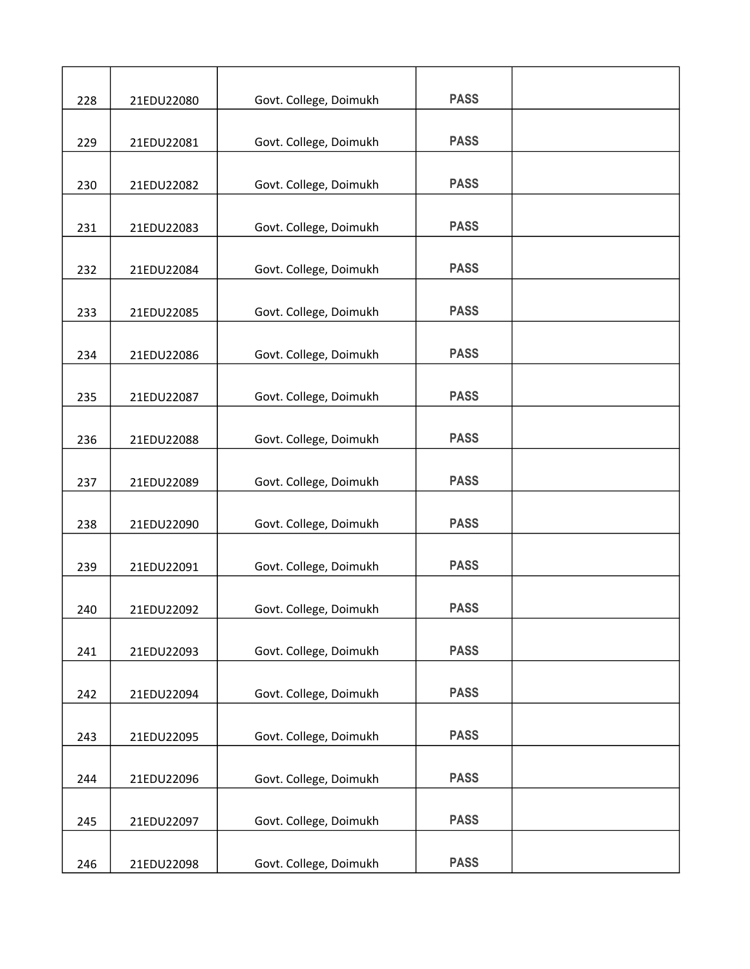| 228 | 21EDU22080 | Govt. College, Doimukh | <b>PASS</b> |  |
|-----|------------|------------------------|-------------|--|
|     |            |                        |             |  |
| 229 | 21EDU22081 | Govt. College, Doimukh | <b>PASS</b> |  |
| 230 | 21EDU22082 | Govt. College, Doimukh | <b>PASS</b> |  |
| 231 | 21EDU22083 | Govt. College, Doimukh | <b>PASS</b> |  |
| 232 | 21EDU22084 | Govt. College, Doimukh | <b>PASS</b> |  |
|     |            |                        |             |  |
| 233 | 21EDU22085 | Govt. College, Doimukh | <b>PASS</b> |  |
| 234 | 21EDU22086 | Govt. College, Doimukh | <b>PASS</b> |  |
| 235 | 21EDU22087 | Govt. College, Doimukh | <b>PASS</b> |  |
| 236 | 21EDU22088 | Govt. College, Doimukh | <b>PASS</b> |  |
|     |            |                        |             |  |
| 237 | 21EDU22089 | Govt. College, Doimukh | <b>PASS</b> |  |
| 238 | 21EDU22090 | Govt. College, Doimukh | <b>PASS</b> |  |
| 239 | 21EDU22091 | Govt. College, Doimukh | <b>PASS</b> |  |
|     |            |                        |             |  |
| 240 | 21EDU22092 | Govt. College, Doimukh | <b>PASS</b> |  |
| 241 | 21EDU22093 | Govt. College, Doimukh | <b>PASS</b> |  |
| 242 | 21EDU22094 | Govt. College, Doimukh | <b>PASS</b> |  |
| 243 | 21EDU22095 | Govt. College, Doimukh | <b>PASS</b> |  |
|     |            |                        |             |  |
| 244 | 21EDU22096 | Govt. College, Doimukh | <b>PASS</b> |  |
| 245 | 21EDU22097 | Govt. College, Doimukh | <b>PASS</b> |  |
| 246 | 21EDU22098 | Govt. College, Doimukh | <b>PASS</b> |  |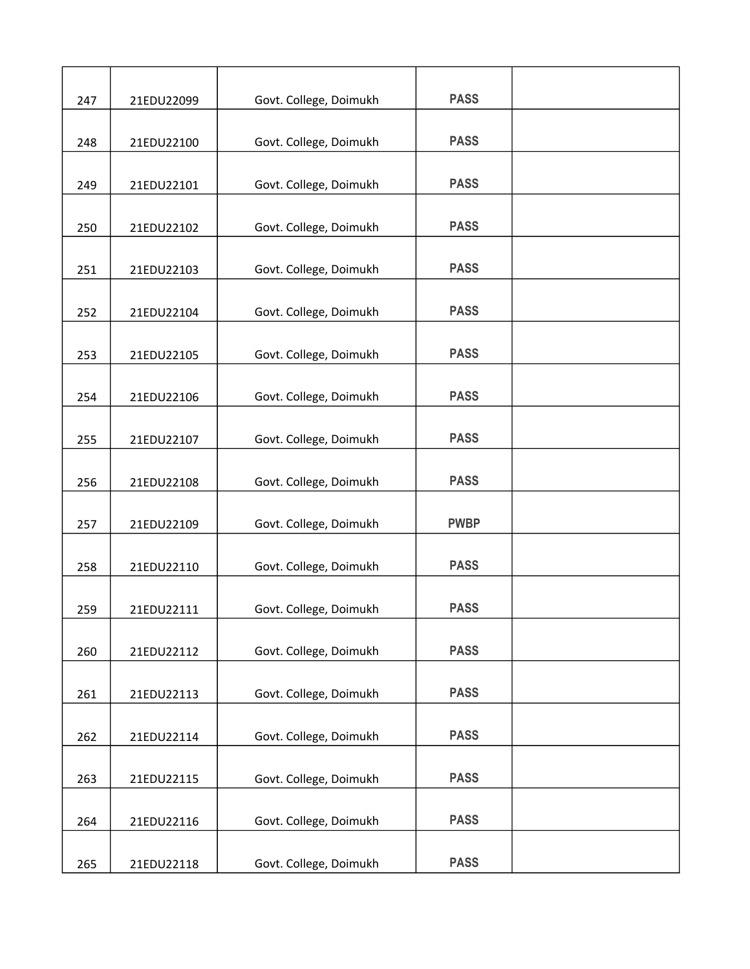| 247 | 21EDU22099 | Govt. College, Doimukh | <b>PASS</b> |  |
|-----|------------|------------------------|-------------|--|
|     |            |                        |             |  |
| 248 | 21EDU22100 | Govt. College, Doimukh | <b>PASS</b> |  |
| 249 | 21EDU22101 | Govt. College, Doimukh | <b>PASS</b> |  |
| 250 | 21EDU22102 | Govt. College, Doimukh | <b>PASS</b> |  |
| 251 | 21EDU22103 | Govt. College, Doimukh | <b>PASS</b> |  |
|     |            |                        | <b>PASS</b> |  |
| 252 | 21EDU22104 | Govt. College, Doimukh |             |  |
| 253 | 21EDU22105 | Govt. College, Doimukh | <b>PASS</b> |  |
| 254 | 21EDU22106 | Govt. College, Doimukh | <b>PASS</b> |  |
| 255 | 21EDU22107 | Govt. College, Doimukh | <b>PASS</b> |  |
|     |            |                        | <b>PASS</b> |  |
| 256 | 21EDU22108 | Govt. College, Doimukh |             |  |
| 257 | 21EDU22109 | Govt. College, Doimukh | <b>PWBP</b> |  |
| 258 | 21EDU22110 | Govt. College, Doimukh | <b>PASS</b> |  |
| 259 | 21EDU22111 | Govt. College, Doimukh | <b>PASS</b> |  |
| 260 | 21EDU22112 | Govt. College, Doimukh | <b>PASS</b> |  |
| 261 | 21EDU22113 | Govt. College, Doimukh | <b>PASS</b> |  |
| 262 | 21EDU22114 | Govt. College, Doimukh | <b>PASS</b> |  |
| 263 | 21EDU22115 | Govt. College, Doimukh | <b>PASS</b> |  |
|     |            |                        |             |  |
| 264 | 21EDU22116 | Govt. College, Doimukh | <b>PASS</b> |  |
| 265 | 21EDU22118 | Govt. College, Doimukh | <b>PASS</b> |  |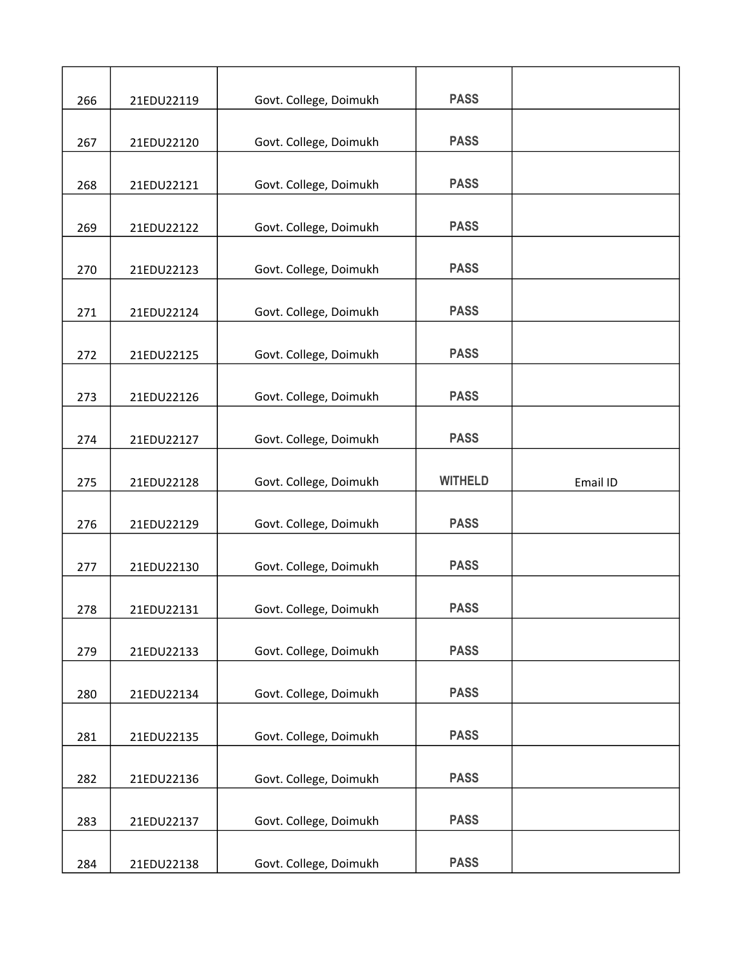|     |            |                        | <b>PASS</b>    |          |
|-----|------------|------------------------|----------------|----------|
| 266 | 21EDU22119 | Govt. College, Doimukh |                |          |
| 267 | 21EDU22120 | Govt. College, Doimukh | <b>PASS</b>    |          |
|     | 21EDU22121 |                        | <b>PASS</b>    |          |
| 268 |            | Govt. College, Doimukh |                |          |
| 269 | 21EDU22122 | Govt. College, Doimukh | <b>PASS</b>    |          |
| 270 | 21EDU22123 | Govt. College, Doimukh | <b>PASS</b>    |          |
| 271 | 21EDU22124 | Govt. College, Doimukh | <b>PASS</b>    |          |
| 272 | 21EDU22125 | Govt. College, Doimukh | <b>PASS</b>    |          |
| 273 | 21EDU22126 | Govt. College, Doimukh | <b>PASS</b>    |          |
| 274 | 21EDU22127 | Govt. College, Doimukh | <b>PASS</b>    |          |
| 275 | 21EDU22128 | Govt. College, Doimukh | <b>WITHELD</b> | Email ID |
| 276 | 21EDU22129 | Govt. College, Doimukh | <b>PASS</b>    |          |
| 277 | 21EDU22130 | Govt. College, Doimukh | <b>PASS</b>    |          |
| 278 | 21EDU22131 | Govt. College, Doimukh | <b>PASS</b>    |          |
| 279 | 21EDU22133 | Govt. College, Doimukh | <b>PASS</b>    |          |
| 280 | 21EDU22134 | Govt. College, Doimukh | <b>PASS</b>    |          |
| 281 | 21EDU22135 | Govt. College, Doimukh | <b>PASS</b>    |          |
| 282 | 21EDU22136 | Govt. College, Doimukh | <b>PASS</b>    |          |
| 283 | 21EDU22137 | Govt. College, Doimukh | <b>PASS</b>    |          |
| 284 | 21EDU22138 | Govt. College, Doimukh | <b>PASS</b>    |          |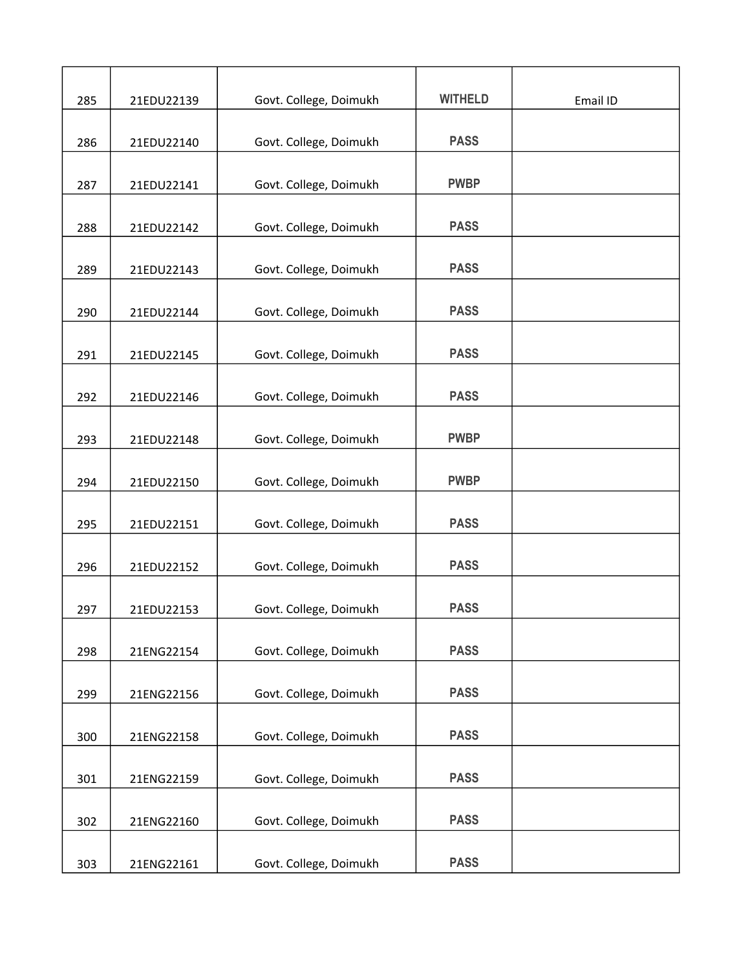| 285 | 21EDU22139 | Govt. College, Doimukh | <b>WITHELD</b> | Email ID |
|-----|------------|------------------------|----------------|----------|
| 286 | 21EDU22140 | Govt. College, Doimukh | <b>PASS</b>    |          |
|     |            |                        |                |          |
| 287 | 21EDU22141 | Govt. College, Doimukh | <b>PWBP</b>    |          |
| 288 | 21EDU22142 | Govt. College, Doimukh | <b>PASS</b>    |          |
| 289 | 21EDU22143 | Govt. College, Doimukh | <b>PASS</b>    |          |
|     |            |                        |                |          |
| 290 | 21EDU22144 | Govt. College, Doimukh | <b>PASS</b>    |          |
| 291 | 21EDU22145 | Govt. College, Doimukh | <b>PASS</b>    |          |
| 292 | 21EDU22146 | Govt. College, Doimukh | <b>PASS</b>    |          |
|     |            |                        |                |          |
| 293 | 21EDU22148 | Govt. College, Doimukh | <b>PWBP</b>    |          |
| 294 | 21EDU22150 | Govt. College, Doimukh | <b>PWBP</b>    |          |
| 295 | 21EDU22151 | Govt. College, Doimukh | <b>PASS</b>    |          |
| 296 | 21EDU22152 | Govt. College, Doimukh | <b>PASS</b>    |          |
|     |            |                        |                |          |
| 297 | 21EDU22153 | Govt. College, Doimukh | <b>PASS</b>    |          |
| 298 | 21ENG22154 | Govt. College, Doimukh | <b>PASS</b>    |          |
| 299 | 21ENG22156 | Govt. College, Doimukh | <b>PASS</b>    |          |
|     |            |                        |                |          |
| 300 | 21ENG22158 | Govt. College, Doimukh | <b>PASS</b>    |          |
| 301 | 21ENG22159 | Govt. College, Doimukh | <b>PASS</b>    |          |
|     |            |                        |                |          |
| 302 | 21ENG22160 | Govt. College, Doimukh | <b>PASS</b>    |          |
| 303 | 21ENG22161 | Govt. College, Doimukh | <b>PASS</b>    |          |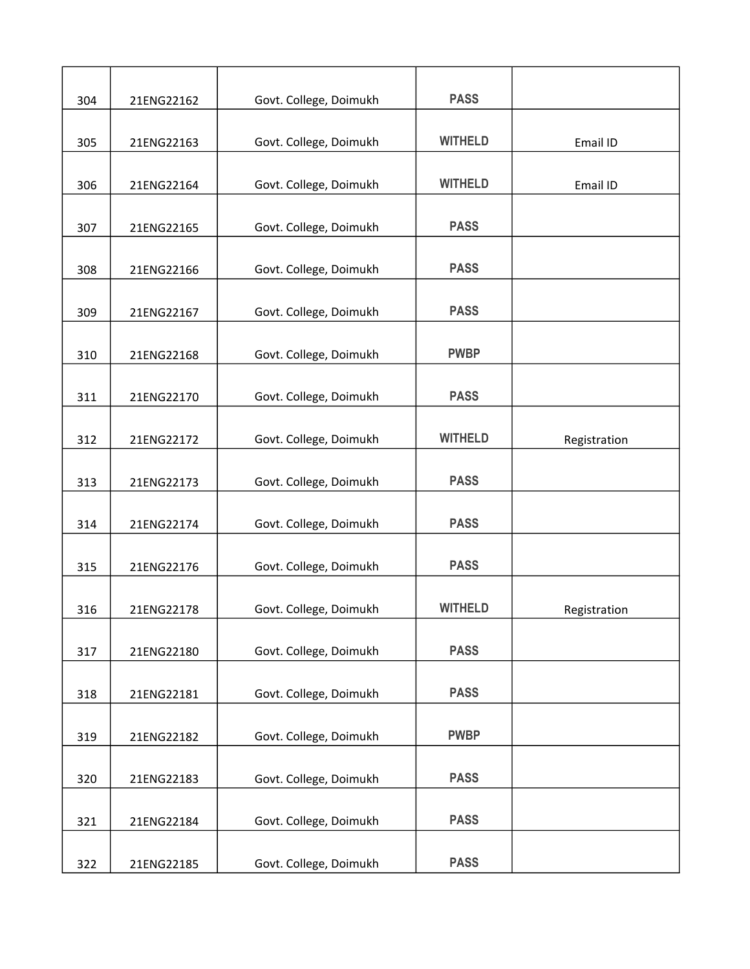| 304 | 21ENG22162 | Govt. College, Doimukh | <b>PASS</b>    |              |
|-----|------------|------------------------|----------------|--------------|
|     |            |                        |                |              |
| 305 | 21ENG22163 | Govt. College, Doimukh | <b>WITHELD</b> | Email ID     |
| 306 | 21ENG22164 | Govt. College, Doimukh | <b>WITHELD</b> | Email ID     |
| 307 | 21ENG22165 | Govt. College, Doimukh | <b>PASS</b>    |              |
| 308 | 21ENG22166 | Govt. College, Doimukh | <b>PASS</b>    |              |
|     |            |                        |                |              |
| 309 | 21ENG22167 | Govt. College, Doimukh | <b>PASS</b>    |              |
| 310 | 21ENG22168 | Govt. College, Doimukh | <b>PWBP</b>    |              |
| 311 | 21ENG22170 | Govt. College, Doimukh | <b>PASS</b>    |              |
| 312 | 21ENG22172 | Govt. College, Doimukh | <b>WITHELD</b> | Registration |
|     |            |                        |                |              |
| 313 | 21ENG22173 | Govt. College, Doimukh | <b>PASS</b>    |              |
| 314 | 21ENG22174 | Govt. College, Doimukh | <b>PASS</b>    |              |
| 315 | 21ENG22176 | Govt. College, Doimukh | <b>PASS</b>    |              |
| 316 | 21ENG22178 | Govt. College, Doimukh | <b>WITHELD</b> | Registration |
|     |            |                        |                |              |
| 317 | 21ENG22180 | Govt. College, Doimukh | <b>PASS</b>    |              |
| 318 | 21ENG22181 | Govt. College, Doimukh | <b>PASS</b>    |              |
| 319 | 21ENG22182 | Govt. College, Doimukh | <b>PWBP</b>    |              |
| 320 | 21ENG22183 | Govt. College, Doimukh | <b>PASS</b>    |              |
|     |            |                        | <b>PASS</b>    |              |
| 321 | 21ENG22184 | Govt. College, Doimukh |                |              |
| 322 | 21ENG22185 | Govt. College, Doimukh | <b>PASS</b>    |              |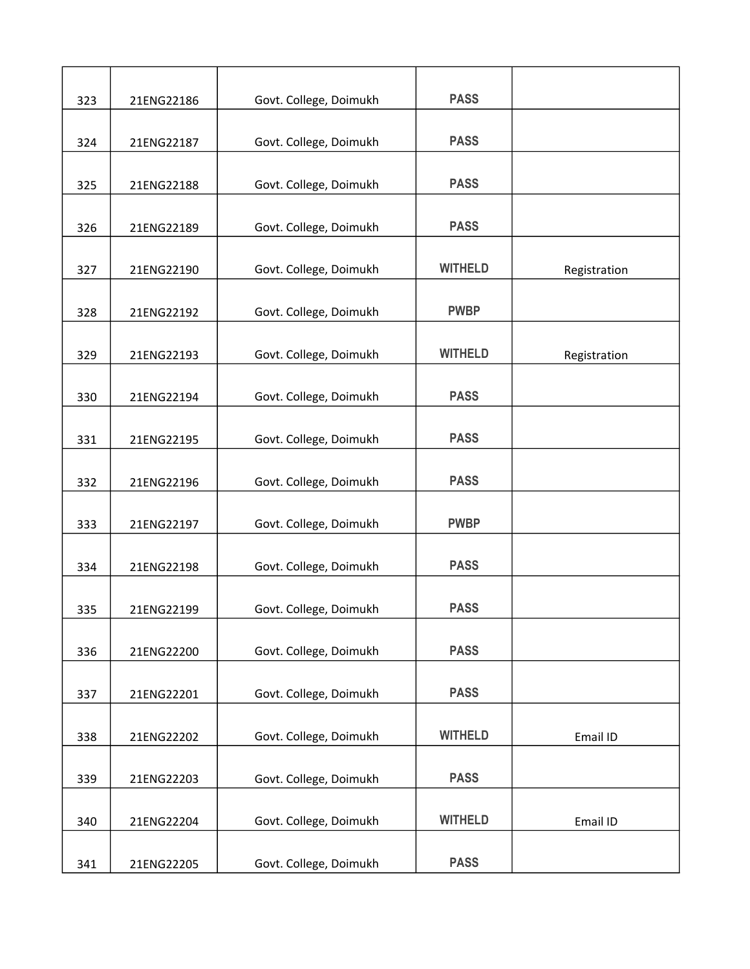|     |            |                        | <b>PASS</b>    |              |
|-----|------------|------------------------|----------------|--------------|
| 323 | 21ENG22186 | Govt. College, Doimukh |                |              |
| 324 | 21ENG22187 | Govt. College, Doimukh | <b>PASS</b>    |              |
|     |            |                        | <b>PASS</b>    |              |
| 325 | 21ENG22188 | Govt. College, Doimukh |                |              |
| 326 | 21ENG22189 | Govt. College, Doimukh | <b>PASS</b>    |              |
| 327 | 21ENG22190 | Govt. College, Doimukh | <b>WITHELD</b> | Registration |
|     |            |                        |                |              |
| 328 | 21ENG22192 | Govt. College, Doimukh | <b>PWBP</b>    |              |
| 329 | 21ENG22193 | Govt. College, Doimukh | <b>WITHELD</b> | Registration |
| 330 | 21ENG22194 | Govt. College, Doimukh | <b>PASS</b>    |              |
|     |            |                        |                |              |
| 331 | 21ENG22195 | Govt. College, Doimukh | <b>PASS</b>    |              |
| 332 | 21ENG22196 | Govt. College, Doimukh | <b>PASS</b>    |              |
| 333 | 21ENG22197 | Govt. College, Doimukh | <b>PWBP</b>    |              |
| 334 | 21ENG22198 | Govt. College, Doimukh | <b>PASS</b>    |              |
| 335 | 21ENG22199 | Govt. College, Doimukh | <b>PASS</b>    |              |
|     |            |                        |                |              |
| 336 | 21ENG22200 | Govt. College, Doimukh | <b>PASS</b>    |              |
| 337 | 21ENG22201 | Govt. College, Doimukh | <b>PASS</b>    |              |
| 338 | 21ENG22202 | Govt. College, Doimukh | <b>WITHELD</b> | Email ID     |
|     |            |                        |                |              |
| 339 | 21ENG22203 | Govt. College, Doimukh | <b>PASS</b>    |              |
| 340 | 21ENG22204 | Govt. College, Doimukh | <b>WITHELD</b> | Email ID     |
|     |            |                        |                |              |
| 341 | 21ENG22205 | Govt. College, Doimukh | <b>PASS</b>    |              |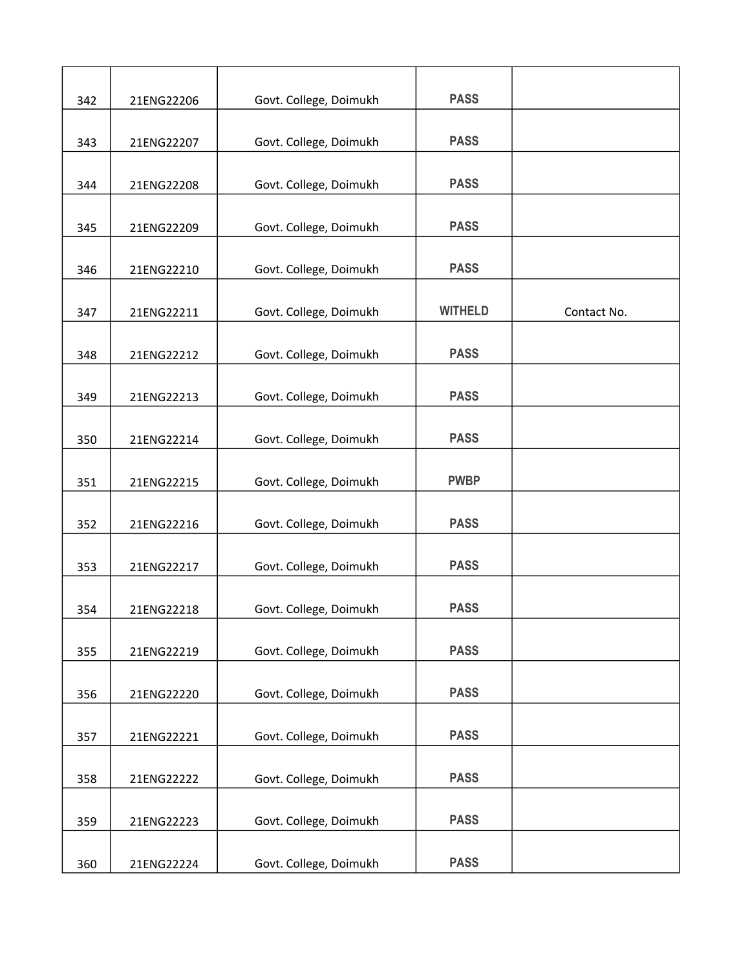| 342 | 21ENG22206 | Govt. College, Doimukh | <b>PASS</b>    |             |
|-----|------------|------------------------|----------------|-------------|
|     |            |                        |                |             |
| 343 | 21ENG22207 | Govt. College, Doimukh | <b>PASS</b>    |             |
| 344 | 21ENG22208 | Govt. College, Doimukh | <b>PASS</b>    |             |
| 345 | 21ENG22209 | Govt. College, Doimukh | <b>PASS</b>    |             |
| 346 | 21ENG22210 | Govt. College, Doimukh | <b>PASS</b>    |             |
|     |            |                        |                |             |
| 347 | 21ENG22211 | Govt. College, Doimukh | <b>WITHELD</b> | Contact No. |
| 348 | 21ENG22212 | Govt. College, Doimukh | <b>PASS</b>    |             |
| 349 | 21ENG22213 | Govt. College, Doimukh | <b>PASS</b>    |             |
| 350 | 21ENG22214 | Govt. College, Doimukh | <b>PASS</b>    |             |
|     |            |                        |                |             |
| 351 | 21ENG22215 | Govt. College, Doimukh | <b>PWBP</b>    |             |
| 352 | 21ENG22216 | Govt. College, Doimukh | <b>PASS</b>    |             |
| 353 | 21ENG22217 | Govt. College, Doimukh | <b>PASS</b>    |             |
| 354 | 21ENG22218 | Govt. College, Doimukh | <b>PASS</b>    |             |
|     |            |                        |                |             |
| 355 | 21ENG22219 | Govt. College, Doimukh | <b>PASS</b>    |             |
| 356 | 21ENG22220 | Govt. College, Doimukh | <b>PASS</b>    |             |
| 357 | 21ENG22221 | Govt. College, Doimukh | <b>PASS</b>    |             |
| 358 | 21ENG22222 | Govt. College, Doimukh | <b>PASS</b>    |             |
|     |            |                        |                |             |
| 359 | 21ENG22223 | Govt. College, Doimukh | <b>PASS</b>    |             |
| 360 | 21ENG22224 | Govt. College, Doimukh | <b>PASS</b>    |             |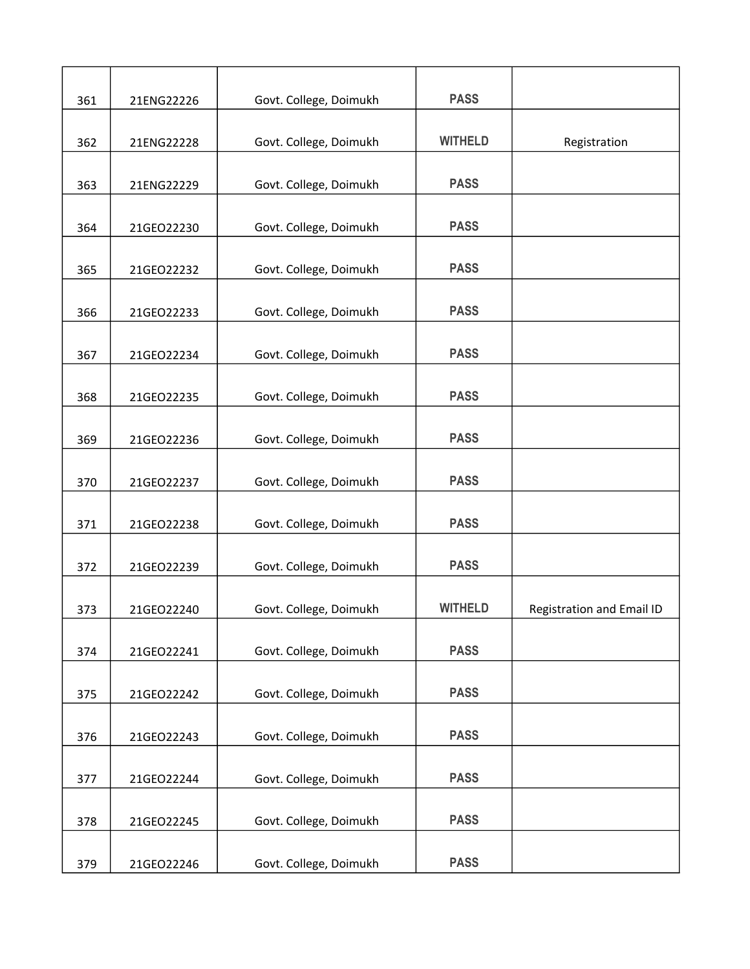| 361 | 21ENG22226 | Govt. College, Doimukh | <b>PASS</b>    |                           |
|-----|------------|------------------------|----------------|---------------------------|
|     |            |                        |                |                           |
| 362 | 21ENG22228 | Govt. College, Doimukh | <b>WITHELD</b> | Registration              |
|     |            |                        |                |                           |
| 363 | 21ENG22229 | Govt. College, Doimukh | <b>PASS</b>    |                           |
| 364 | 21GEO22230 | Govt. College, Doimukh | <b>PASS</b>    |                           |
| 365 | 21GEO22232 | Govt. College, Doimukh | <b>PASS</b>    |                           |
|     |            |                        |                |                           |
| 366 | 21GEO22233 | Govt. College, Doimukh | <b>PASS</b>    |                           |
| 367 | 21GEO22234 | Govt. College, Doimukh | <b>PASS</b>    |                           |
|     |            |                        |                |                           |
| 368 | 21GEO22235 | Govt. College, Doimukh | <b>PASS</b>    |                           |
| 369 | 21GEO22236 | Govt. College, Doimukh | <b>PASS</b>    |                           |
| 370 | 21GEO22237 | Govt. College, Doimukh | <b>PASS</b>    |                           |
|     |            |                        |                |                           |
| 371 | 21GEO22238 | Govt. College, Doimukh | <b>PASS</b>    |                           |
| 372 | 21GEO22239 | Govt. College, Doimukh | <b>PASS</b>    |                           |
| 373 | 21GEO22240 | Govt. College, Doimukh | <b>WITHELD</b> | Registration and Email ID |
|     |            |                        |                |                           |
| 374 | 21GEO22241 | Govt. College, Doimukh | <b>PASS</b>    |                           |
| 375 | 21GEO22242 | Govt. College, Doimukh | <b>PASS</b>    |                           |
| 376 | 21GEO22243 | Govt. College, Doimukh | <b>PASS</b>    |                           |
|     |            |                        |                |                           |
| 377 | 21GEO22244 | Govt. College, Doimukh | <b>PASS</b>    |                           |
| 378 | 21GEO22245 | Govt. College, Doimukh | <b>PASS</b>    |                           |
|     |            |                        |                |                           |
| 379 | 21GEO22246 | Govt. College, Doimukh | <b>PASS</b>    |                           |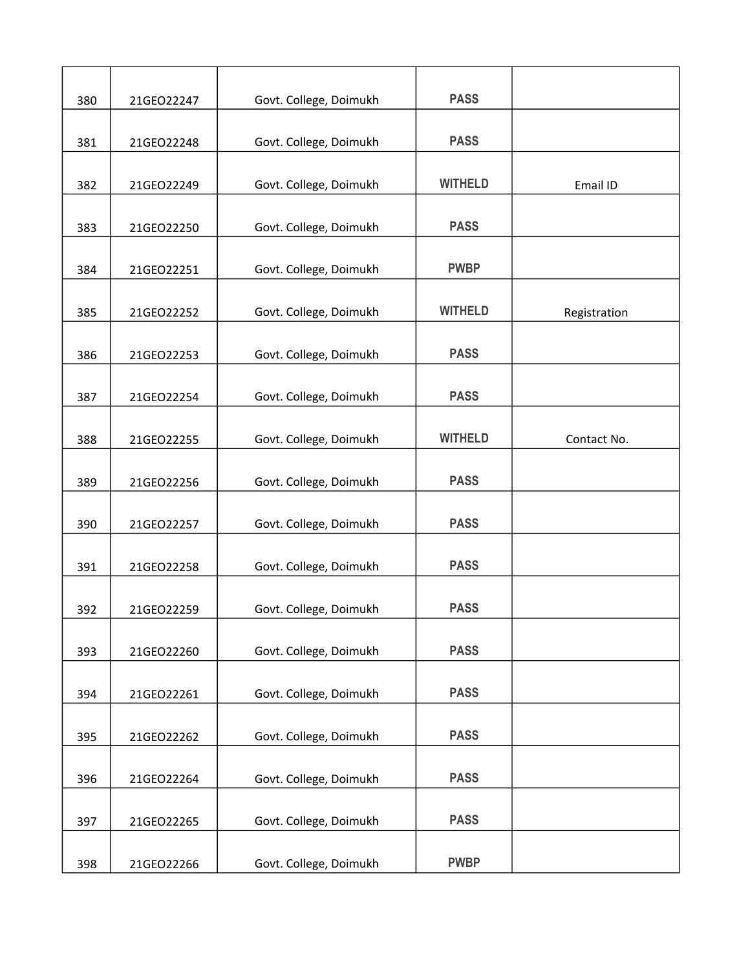| 380 | 21GEO22247 | Govt. College, Doimukh | <b>PASS</b>    |              |
|-----|------------|------------------------|----------------|--------------|
| 381 | 21GEO22248 | Govt. College, Doimukh | <b>PASS</b>    |              |
| 382 | 21GEO22249 | Govt. College, Doimukh | <b>WITHELD</b> | Email ID     |
|     |            |                        |                |              |
| 383 | 21GEO22250 | Govt. College, Doimukh | <b>PASS</b>    |              |
| 384 | 21GEO22251 | Govt. College, Doimukh | <b>PWBP</b>    |              |
| 385 | 21GEO22252 | Govt. College, Doimukh | <b>WITHELD</b> | Registration |
| 386 | 21GEO22253 | Govt. College, Doimukh | <b>PASS</b>    |              |
| 387 | 21GEO22254 | Govt. College, Doimukh | <b>PASS</b>    |              |
| 388 | 21GEO22255 | Govt. College, Doimukh | <b>WITHELD</b> | Contact No.  |
|     |            |                        |                |              |
| 389 | 21GEO22256 | Govt. College, Doimukh | <b>PASS</b>    |              |
| 390 | 21GEO22257 | Govt. College, Doimukh | <b>PASS</b>    |              |
| 391 | 21GEO22258 | Govt. College, Doimukh | <b>PASS</b>    |              |
| 392 | 21GEO22259 | Govt. College, Doimukh | <b>PASS</b>    |              |
| 393 | 21GEO22260 | Govt. College, Doimukh | <b>PASS</b>    |              |
| 394 | 21GEO22261 | Govt. College, Doimukh | <b>PASS</b>    |              |
| 395 | 21GEO22262 | Govt. College, Doimukh | <b>PASS</b>    |              |
| 396 | 21GEO22264 | Govt. College, Doimukh | <b>PASS</b>    |              |
| 397 | 21GEO22265 | Govt. College, Doimukh | <b>PASS</b>    |              |
| 398 | 21GEO22266 | Govt. College, Doimukh | <b>PWBP</b>    |              |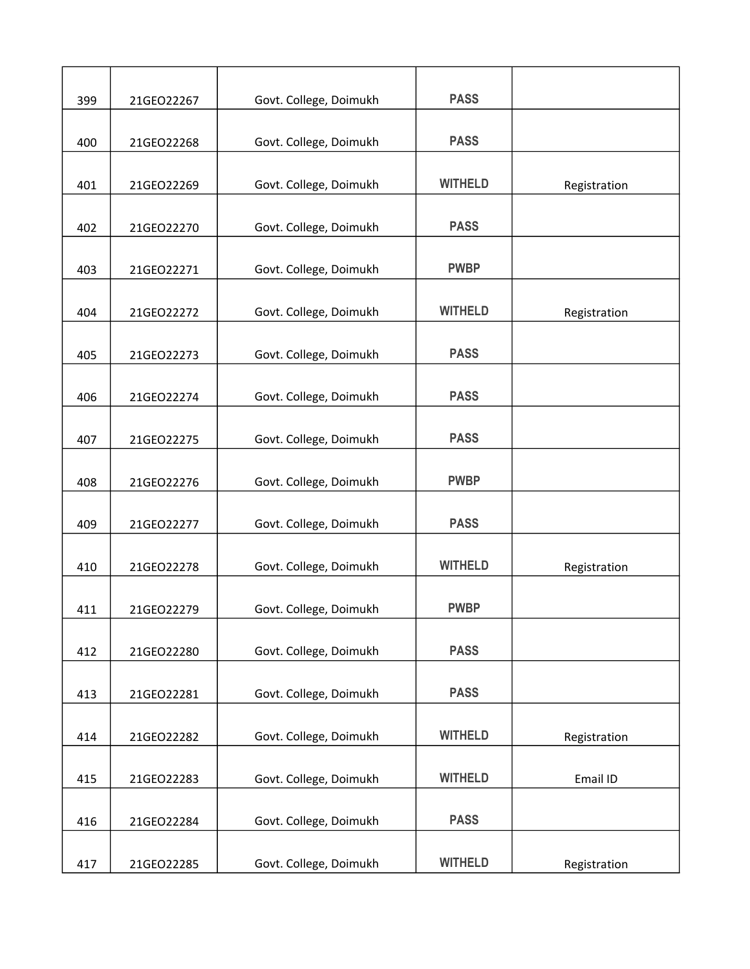| 399 | 21GEO22267 | Govt. College, Doimukh | <b>PASS</b>    |              |
|-----|------------|------------------------|----------------|--------------|
|     |            |                        |                |              |
| 400 | 21GEO22268 | Govt. College, Doimukh | <b>PASS</b>    |              |
| 401 | 21GEO22269 | Govt. College, Doimukh | <b>WITHELD</b> | Registration |
| 402 | 21GEO22270 | Govt. College, Doimukh | <b>PASS</b>    |              |
| 403 | 21GEO22271 | Govt. College, Doimukh | <b>PWBP</b>    |              |
|     |            |                        |                |              |
| 404 | 21GEO22272 | Govt. College, Doimukh | <b>WITHELD</b> | Registration |
| 405 | 21GEO22273 | Govt. College, Doimukh | <b>PASS</b>    |              |
| 406 | 21GEO22274 | Govt. College, Doimukh | <b>PASS</b>    |              |
| 407 | 21GEO22275 | Govt. College, Doimukh | <b>PASS</b>    |              |
|     |            |                        |                |              |
| 408 | 21GEO22276 | Govt. College, Doimukh | <b>PWBP</b>    |              |
| 409 | 21GEO22277 | Govt. College, Doimukh | <b>PASS</b>    |              |
| 410 | 21GEO22278 | Govt. College, Doimukh | <b>WITHELD</b> | Registration |
| 411 | 21GEO22279 | Govt. College, Doimukh | <b>PWBP</b>    |              |
|     |            |                        |                |              |
| 412 | 21GEO22280 | Govt. College, Doimukh | <b>PASS</b>    |              |
| 413 | 21GEO22281 | Govt. College, Doimukh | <b>PASS</b>    |              |
| 414 | 21GEO22282 | Govt. College, Doimukh | <b>WITHELD</b> | Registration |
| 415 | 21GEO22283 | Govt. College, Doimukh | <b>WITHELD</b> | Email ID     |
|     |            |                        |                |              |
| 416 | 21GEO22284 | Govt. College, Doimukh | <b>PASS</b>    |              |
| 417 | 21GEO22285 | Govt. College, Doimukh | <b>WITHELD</b> | Registration |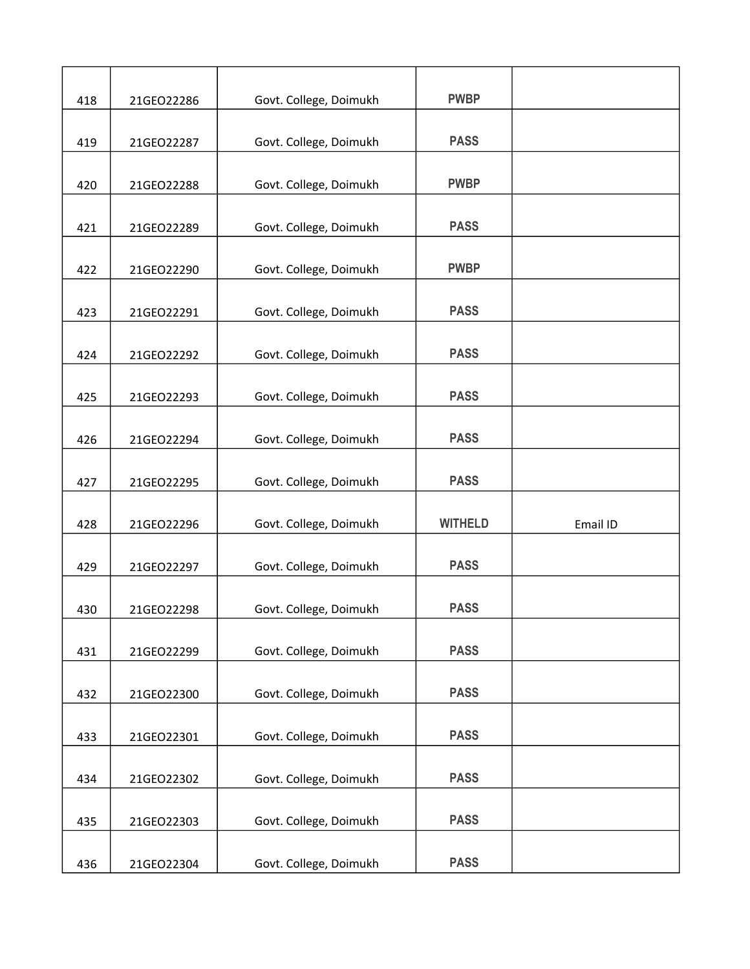| 418 | 21GEO22286 | Govt. College, Doimukh | <b>PWBP</b>    |          |
|-----|------------|------------------------|----------------|----------|
|     |            |                        |                |          |
| 419 | 21GEO22287 | Govt. College, Doimukh | <b>PASS</b>    |          |
| 420 | 21GEO22288 | Govt. College, Doimukh | <b>PWBP</b>    |          |
| 421 | 21GEO22289 | Govt. College, Doimukh | <b>PASS</b>    |          |
| 422 | 21GEO22290 | Govt. College, Doimukh | <b>PWBP</b>    |          |
| 423 | 21GEO22291 | Govt. College, Doimukh | <b>PASS</b>    |          |
|     |            |                        |                |          |
| 424 | 21GEO22292 | Govt. College, Doimukh | <b>PASS</b>    |          |
| 425 | 21GEO22293 | Govt. College, Doimukh | <b>PASS</b>    |          |
| 426 | 21GEO22294 | Govt. College, Doimukh | <b>PASS</b>    |          |
|     |            |                        | <b>PASS</b>    |          |
| 427 | 21GEO22295 | Govt. College, Doimukh |                |          |
| 428 | 21GEO22296 | Govt. College, Doimukh | <b>WITHELD</b> | Email ID |
| 429 | 21GEO22297 | Govt. College, Doimukh | <b>PASS</b>    |          |
| 430 | 21GEO22298 | Govt. College, Doimukh | <b>PASS</b>    |          |
| 431 | 21GEO22299 | Govt. College, Doimukh | <b>PASS</b>    |          |
| 432 | 21GEO22300 | Govt. College, Doimukh | <b>PASS</b>    |          |
|     |            |                        |                |          |
| 433 | 21GEO22301 | Govt. College, Doimukh | <b>PASS</b>    |          |
| 434 | 21GEO22302 | Govt. College, Doimukh | <b>PASS</b>    |          |
| 435 | 21GEO22303 | Govt. College, Doimukh | <b>PASS</b>    |          |
|     |            |                        |                |          |
| 436 | 21GEO22304 | Govt. College, Doimukh | <b>PASS</b>    |          |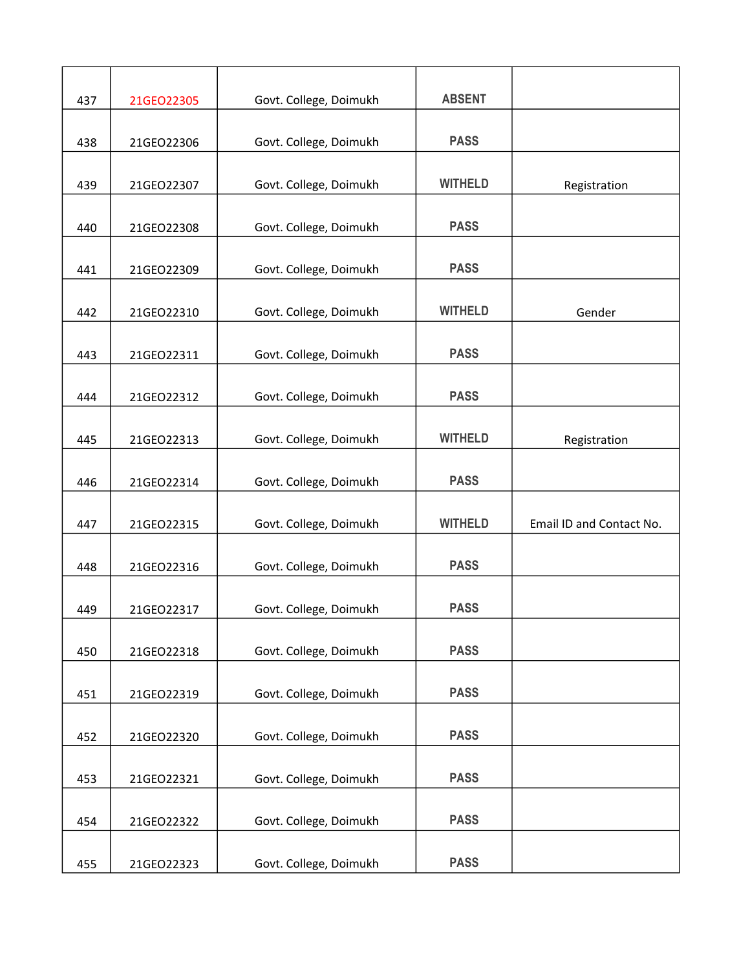| 437 | 21GEO22305 | Govt. College, Doimukh | <b>ABSENT</b>  |                          |
|-----|------------|------------------------|----------------|--------------------------|
|     |            |                        |                |                          |
| 438 | 21GEO22306 | Govt. College, Doimukh | <b>PASS</b>    |                          |
| 439 | 21GEO22307 | Govt. College, Doimukh | <b>WITHELD</b> | Registration             |
| 440 | 21GEO22308 | Govt. College, Doimukh | <b>PASS</b>    |                          |
| 441 | 21GEO22309 | Govt. College, Doimukh | <b>PASS</b>    |                          |
|     |            |                        |                |                          |
| 442 | 21GEO22310 | Govt. College, Doimukh | <b>WITHELD</b> | Gender                   |
| 443 | 21GEO22311 | Govt. College, Doimukh | <b>PASS</b>    |                          |
| 444 | 21GEO22312 | Govt. College, Doimukh | <b>PASS</b>    |                          |
| 445 | 21GEO22313 | Govt. College, Doimukh | <b>WITHELD</b> | Registration             |
|     |            |                        |                |                          |
| 446 | 21GEO22314 | Govt. College, Doimukh | <b>PASS</b>    |                          |
| 447 | 21GEO22315 | Govt. College, Doimukh | <b>WITHELD</b> | Email ID and Contact No. |
| 448 | 21GEO22316 | Govt. College, Doimukh | <b>PASS</b>    |                          |
| 449 | 21GEO22317 | Govt. College, Doimukh | <b>PASS</b>    |                          |
| 450 | 21GEO22318 | Govt. College, Doimukh | <b>PASS</b>    |                          |
|     |            |                        | <b>PASS</b>    |                          |
| 451 | 21GEO22319 | Govt. College, Doimukh |                |                          |
| 452 | 21GEO22320 | Govt. College, Doimukh | <b>PASS</b>    |                          |
| 453 | 21GEO22321 | Govt. College, Doimukh | <b>PASS</b>    |                          |
| 454 | 21GEO22322 | Govt. College, Doimukh | <b>PASS</b>    |                          |
| 455 | 21GEO22323 | Govt. College, Doimukh | <b>PASS</b>    |                          |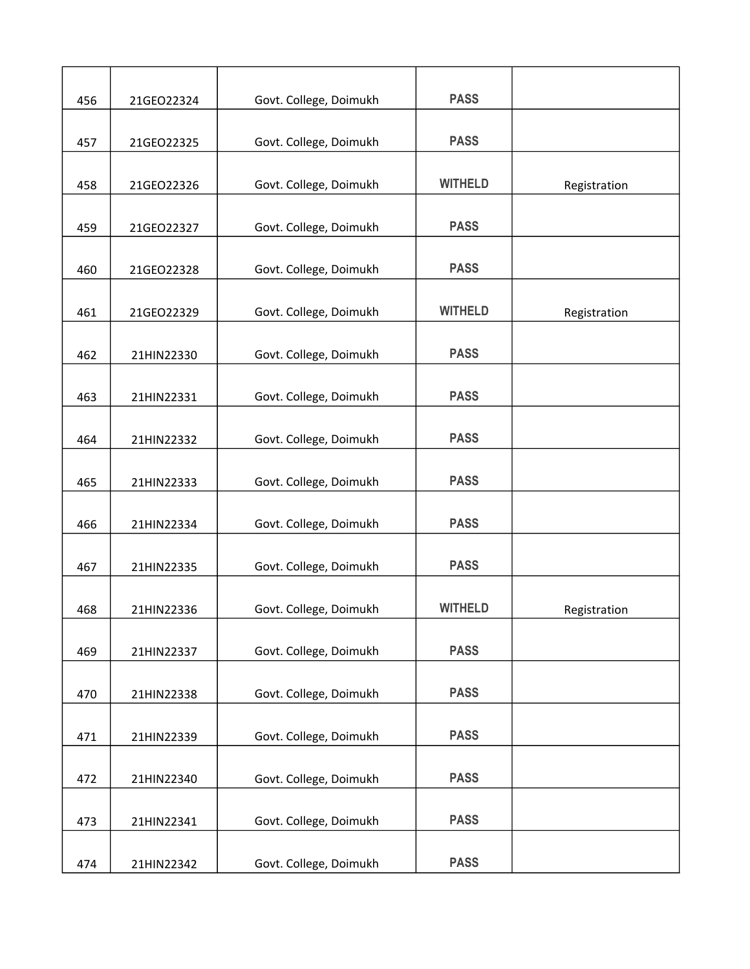| 456 | 21GEO22324 | Govt. College, Doimukh | <b>PASS</b>    |              |
|-----|------------|------------------------|----------------|--------------|
|     |            |                        |                |              |
| 457 | 21GEO22325 | Govt. College, Doimukh | <b>PASS</b>    |              |
| 458 | 21GEO22326 | Govt. College, Doimukh | <b>WITHELD</b> | Registration |
| 459 | 21GEO22327 | Govt. College, Doimukh | <b>PASS</b>    |              |
| 460 | 21GEO22328 | Govt. College, Doimukh | <b>PASS</b>    |              |
|     |            |                        |                |              |
| 461 | 21GEO22329 | Govt. College, Doimukh | <b>WITHELD</b> | Registration |
| 462 | 21HIN22330 | Govt. College, Doimukh | <b>PASS</b>    |              |
| 463 | 21HIN22331 | Govt. College, Doimukh | <b>PASS</b>    |              |
| 464 | 21HIN22332 | Govt. College, Doimukh | <b>PASS</b>    |              |
|     |            |                        |                |              |
| 465 | 21HIN22333 | Govt. College, Doimukh | <b>PASS</b>    |              |
| 466 | 21HIN22334 | Govt. College, Doimukh | <b>PASS</b>    |              |
| 467 | 21HIN22335 | Govt. College, Doimukh | <b>PASS</b>    |              |
| 468 | 21HIN22336 | Govt. College, Doimukh | <b>WITHELD</b> | Registration |
|     |            |                        |                |              |
| 469 | 21HIN22337 | Govt. College, Doimukh | <b>PASS</b>    |              |
| 470 | 21HIN22338 | Govt. College, Doimukh | <b>PASS</b>    |              |
| 471 | 21HIN22339 | Govt. College, Doimukh | <b>PASS</b>    |              |
| 472 | 21HIN22340 | Govt. College, Doimukh | <b>PASS</b>    |              |
|     |            |                        |                |              |
| 473 | 21HIN22341 | Govt. College, Doimukh | <b>PASS</b>    |              |
| 474 | 21HIN22342 | Govt. College, Doimukh | <b>PASS</b>    |              |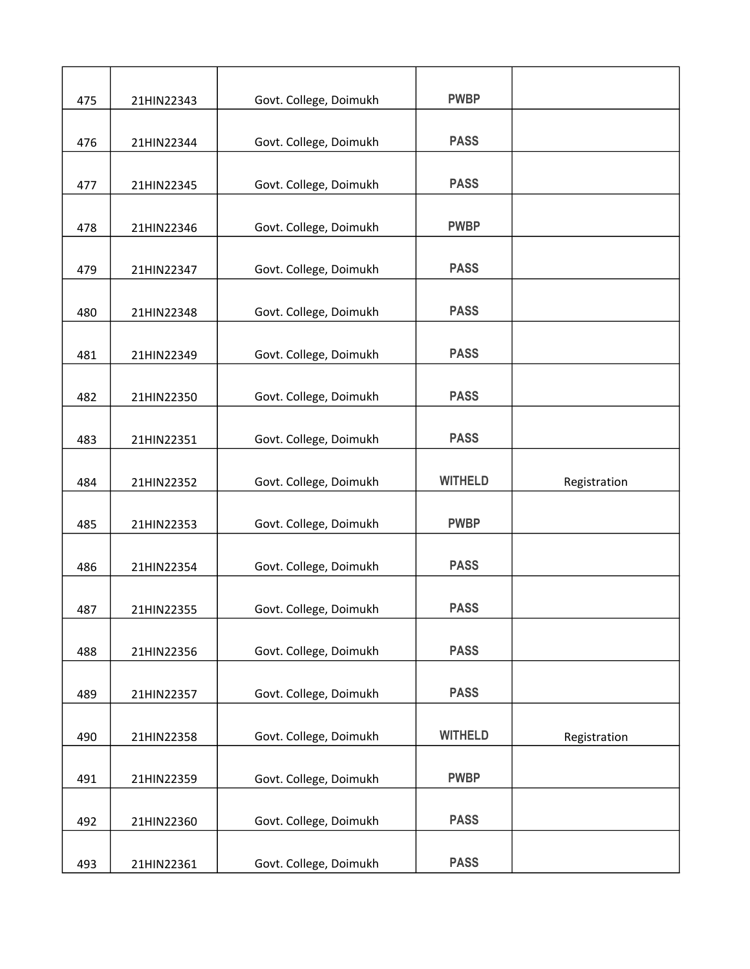| 475 | 21HIN22343 | Govt. College, Doimukh | <b>PWBP</b>    |              |
|-----|------------|------------------------|----------------|--------------|
|     |            |                        |                |              |
| 476 | 21HIN22344 | Govt. College, Doimukh | <b>PASS</b>    |              |
|     |            |                        |                |              |
| 477 | 21HIN22345 | Govt. College, Doimukh | <b>PASS</b>    |              |
| 478 | 21HIN22346 | Govt. College, Doimukh | <b>PWBP</b>    |              |
| 479 | 21HIN22347 | Govt. College, Doimukh | <b>PASS</b>    |              |
|     |            |                        |                |              |
| 480 | 21HIN22348 | Govt. College, Doimukh | <b>PASS</b>    |              |
| 481 | 21HIN22349 | Govt. College, Doimukh | <b>PASS</b>    |              |
|     |            |                        |                |              |
| 482 | 21HIN22350 | Govt. College, Doimukh | <b>PASS</b>    |              |
| 483 | 21HIN22351 | Govt. College, Doimukh | <b>PASS</b>    |              |
|     |            |                        |                |              |
| 484 | 21HIN22352 | Govt. College, Doimukh | <b>WITHELD</b> | Registration |
| 485 | 21HIN22353 | Govt. College, Doimukh | <b>PWBP</b>    |              |
|     |            |                        |                |              |
| 486 | 21HIN22354 | Govt. College, Doimukh | <b>PASS</b>    |              |
| 487 | 21HIN22355 | Govt. College, Doimukh | <b>PASS</b>    |              |
|     |            |                        |                |              |
| 488 | 21HIN22356 | Govt. College, Doimukh | <b>PASS</b>    |              |
| 489 | 21HIN22357 | Govt. College, Doimukh | <b>PASS</b>    |              |
| 490 | 21HIN22358 | Govt. College, Doimukh | <b>WITHELD</b> | Registration |
|     |            |                        |                |              |
| 491 | 21HIN22359 | Govt. College, Doimukh | <b>PWBP</b>    |              |
|     |            |                        |                |              |
| 492 | 21HIN22360 | Govt. College, Doimukh | <b>PASS</b>    |              |
| 493 | 21HIN22361 | Govt. College, Doimukh | <b>PASS</b>    |              |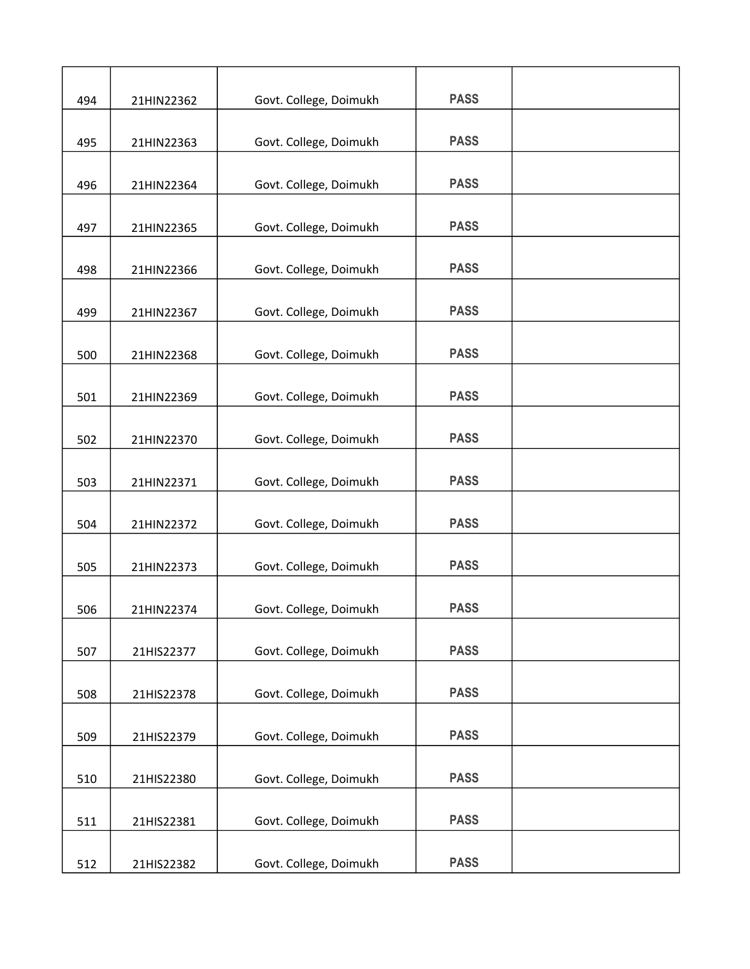| 494 | 21HIN22362 | Govt. College, Doimukh | <b>PASS</b> |  |
|-----|------------|------------------------|-------------|--|
|     |            |                        | <b>PASS</b> |  |
| 495 | 21HIN22363 | Govt. College, Doimukh |             |  |
| 496 | 21HIN22364 | Govt. College, Doimukh | <b>PASS</b> |  |
| 497 | 21HIN22365 | Govt. College, Doimukh | <b>PASS</b> |  |
| 498 | 21HIN22366 | Govt. College, Doimukh | <b>PASS</b> |  |
|     |            |                        |             |  |
| 499 | 21HIN22367 | Govt. College, Doimukh | <b>PASS</b> |  |
| 500 | 21HIN22368 | Govt. College, Doimukh | <b>PASS</b> |  |
| 501 | 21HIN22369 | Govt. College, Doimukh | <b>PASS</b> |  |
| 502 | 21HIN22370 | Govt. College, Doimukh | <b>PASS</b> |  |
| 503 | 21HIN22371 | Govt. College, Doimukh | <b>PASS</b> |  |
| 504 | 21HIN22372 | Govt. College, Doimukh | <b>PASS</b> |  |
| 505 | 21HIN22373 | Govt. College, Doimukh | <b>PASS</b> |  |
| 506 | 21HIN22374 | Govt. College, Doimukh | <b>PASS</b> |  |
| 507 | 21HIS22377 | Govt. College, Doimukh | <b>PASS</b> |  |
| 508 | 21HIS22378 | Govt. College, Doimukh | <b>PASS</b> |  |
| 509 | 21HIS22379 | Govt. College, Doimukh | <b>PASS</b> |  |
|     |            |                        |             |  |
| 510 | 21HIS22380 | Govt. College, Doimukh | <b>PASS</b> |  |
| 511 | 21HIS22381 | Govt. College, Doimukh | <b>PASS</b> |  |
| 512 | 21HIS22382 | Govt. College, Doimukh | <b>PASS</b> |  |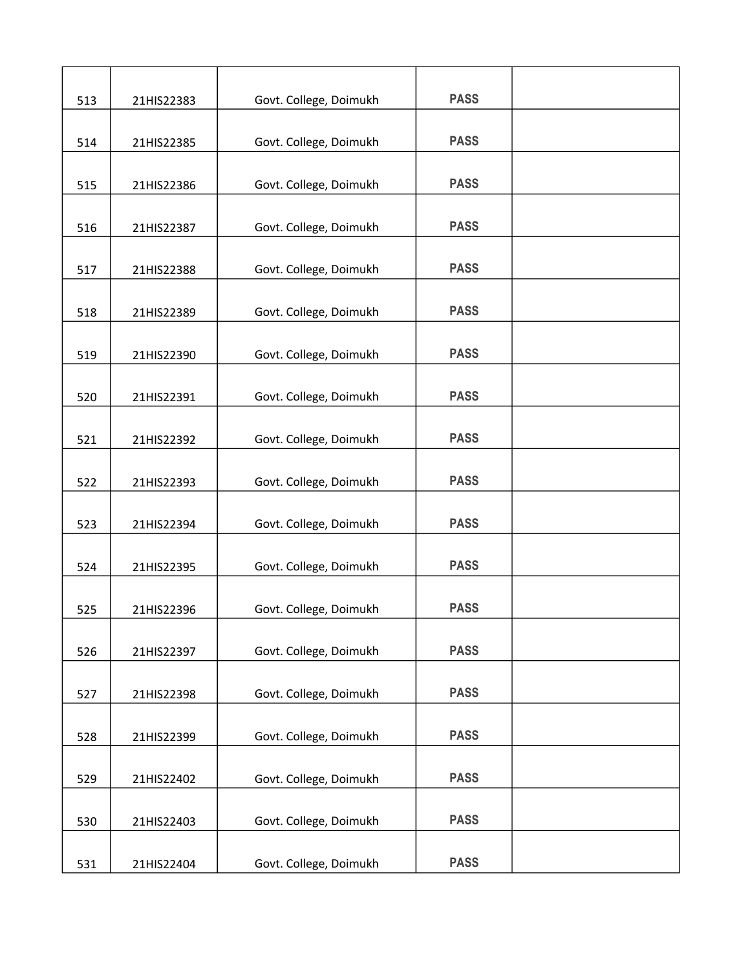| 513 | 21HIS22383 | Govt. College, Doimukh | <b>PASS</b> |  |
|-----|------------|------------------------|-------------|--|
| 514 | 21HIS22385 | Govt. College, Doimukh | <b>PASS</b> |  |
|     |            |                        |             |  |
| 515 | 21HIS22386 | Govt. College, Doimukh | <b>PASS</b> |  |
| 516 | 21HIS22387 | Govt. College, Doimukh | <b>PASS</b> |  |
| 517 | 21HIS22388 | Govt. College, Doimukh | <b>PASS</b> |  |
| 518 | 21HIS22389 | Govt. College, Doimukh | <b>PASS</b> |  |
| 519 | 21HIS22390 | Govt. College, Doimukh | <b>PASS</b> |  |
| 520 | 21HIS22391 | Govt. College, Doimukh | <b>PASS</b> |  |
| 521 | 21HIS22392 | Govt. College, Doimukh | <b>PASS</b> |  |
| 522 | 21HIS22393 | Govt. College, Doimukh | <b>PASS</b> |  |
| 523 | 21HIS22394 | Govt. College, Doimukh | <b>PASS</b> |  |
| 524 | 21HIS22395 | Govt. College, Doimukh | <b>PASS</b> |  |
| 525 | 21HIS22396 | Govt. College, Doimukh | <b>PASS</b> |  |
| 526 | 21HIS22397 | Govt. College, Doimukh | <b>PASS</b> |  |
| 527 | 21HIS22398 | Govt. College, Doimukh | <b>PASS</b> |  |
| 528 | 21HIS22399 | Govt. College, Doimukh | <b>PASS</b> |  |
| 529 | 21HIS22402 | Govt. College, Doimukh | <b>PASS</b> |  |
| 530 | 21HIS22403 | Govt. College, Doimukh | <b>PASS</b> |  |
| 531 | 21HIS22404 | Govt. College, Doimukh | <b>PASS</b> |  |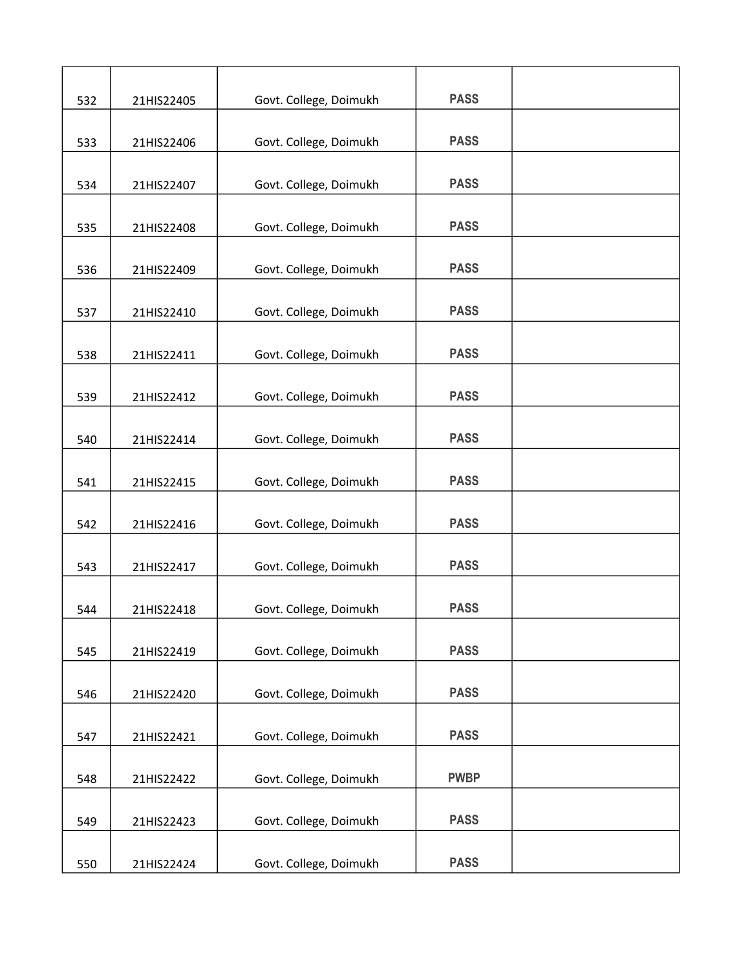| 532 | 21HIS22405 | Govt. College, Doimukh | <b>PASS</b> |  |
|-----|------------|------------------------|-------------|--|
|     |            |                        |             |  |
| 533 | 21HIS22406 | Govt. College, Doimukh | <b>PASS</b> |  |
| 534 | 21HIS22407 | Govt. College, Doimukh | <b>PASS</b> |  |
| 535 | 21HIS22408 | Govt. College, Doimukh | <b>PASS</b> |  |
| 536 | 21HIS22409 | Govt. College, Doimukh | <b>PASS</b> |  |
| 537 | 21HIS22410 | Govt. College, Doimukh | <b>PASS</b> |  |
| 538 | 21HIS22411 | Govt. College, Doimukh | <b>PASS</b> |  |
| 539 | 21HIS22412 | Govt. College, Doimukh | <b>PASS</b> |  |
| 540 | 21HIS22414 | Govt. College, Doimukh | <b>PASS</b> |  |
| 541 | 21HIS22415 | Govt. College, Doimukh | <b>PASS</b> |  |
| 542 | 21HIS22416 | Govt. College, Doimukh | <b>PASS</b> |  |
| 543 | 21HIS22417 | Govt. College, Doimukh | <b>PASS</b> |  |
| 544 | 21HIS22418 | Govt. College, Doimukh | <b>PASS</b> |  |
| 545 | 21HIS22419 | Govt. College, Doimukh | <b>PASS</b> |  |
| 546 | 21HIS22420 | Govt. College, Doimukh | <b>PASS</b> |  |
| 547 | 21HIS22421 | Govt. College, Doimukh | <b>PASS</b> |  |
| 548 | 21HIS22422 | Govt. College, Doimukh | <b>PWBP</b> |  |
| 549 | 21HIS22423 | Govt. College, Doimukh | <b>PASS</b> |  |
| 550 | 21HIS22424 | Govt. College, Doimukh | <b>PASS</b> |  |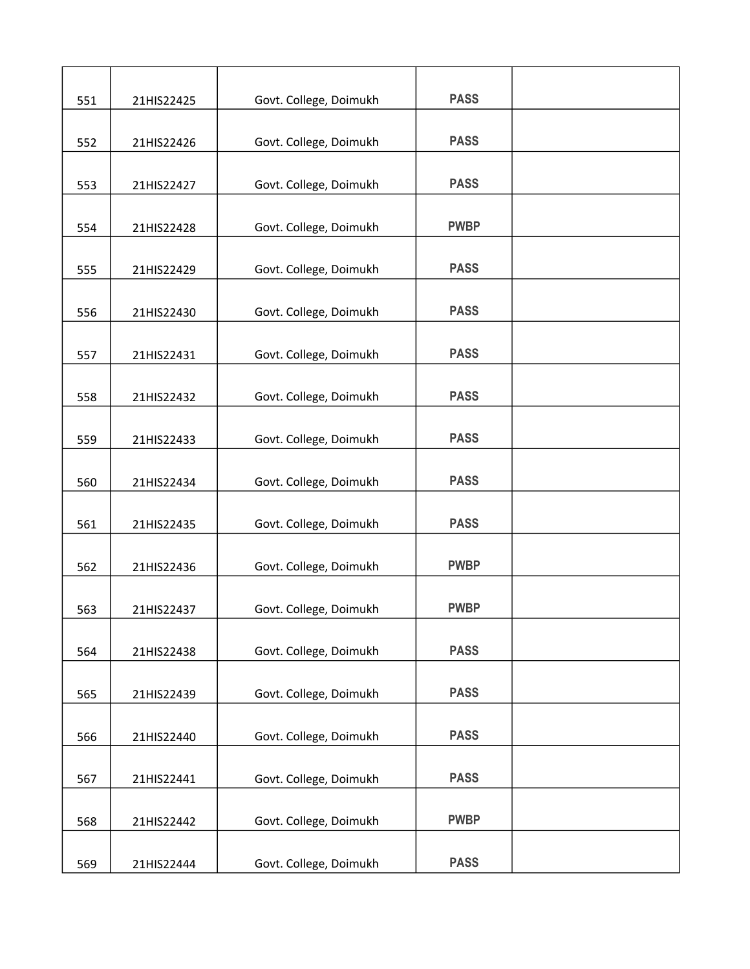| 551 | 21HIS22425 | Govt. College, Doimukh | <b>PASS</b> |  |
|-----|------------|------------------------|-------------|--|
| 552 | 21HIS22426 | Govt. College, Doimukh | <b>PASS</b> |  |
|     |            |                        | <b>PASS</b> |  |
| 553 | 21HIS22427 | Govt. College, Doimukh |             |  |
| 554 | 21HIS22428 | Govt. College, Doimukh | <b>PWBP</b> |  |
| 555 | 21HIS22429 | Govt. College, Doimukh | <b>PASS</b> |  |
| 556 | 21HIS22430 | Govt. College, Doimukh | <b>PASS</b> |  |
| 557 | 21HIS22431 | Govt. College, Doimukh | <b>PASS</b> |  |
| 558 | 21HIS22432 | Govt. College, Doimukh | <b>PASS</b> |  |
| 559 | 21HIS22433 | Govt. College, Doimukh | <b>PASS</b> |  |
| 560 | 21HIS22434 | Govt. College, Doimukh | <b>PASS</b> |  |
| 561 | 21HIS22435 | Govt. College, Doimukh | <b>PASS</b> |  |
| 562 | 21HIS22436 | Govt. College, Doimukh | <b>PWBP</b> |  |
| 563 | 21HIS22437 | Govt. College, Doimukh | <b>PWBP</b> |  |
| 564 | 21HIS22438 | Govt. College, Doimukh | <b>PASS</b> |  |
| 565 | 21HIS22439 | Govt. College, Doimukh | <b>PASS</b> |  |
| 566 | 21HIS22440 | Govt. College, Doimukh | <b>PASS</b> |  |
| 567 | 21HIS22441 | Govt. College, Doimukh | <b>PASS</b> |  |
| 568 | 21HIS22442 | Govt. College, Doimukh | <b>PWBP</b> |  |
| 569 | 21HIS22444 | Govt. College, Doimukh | <b>PASS</b> |  |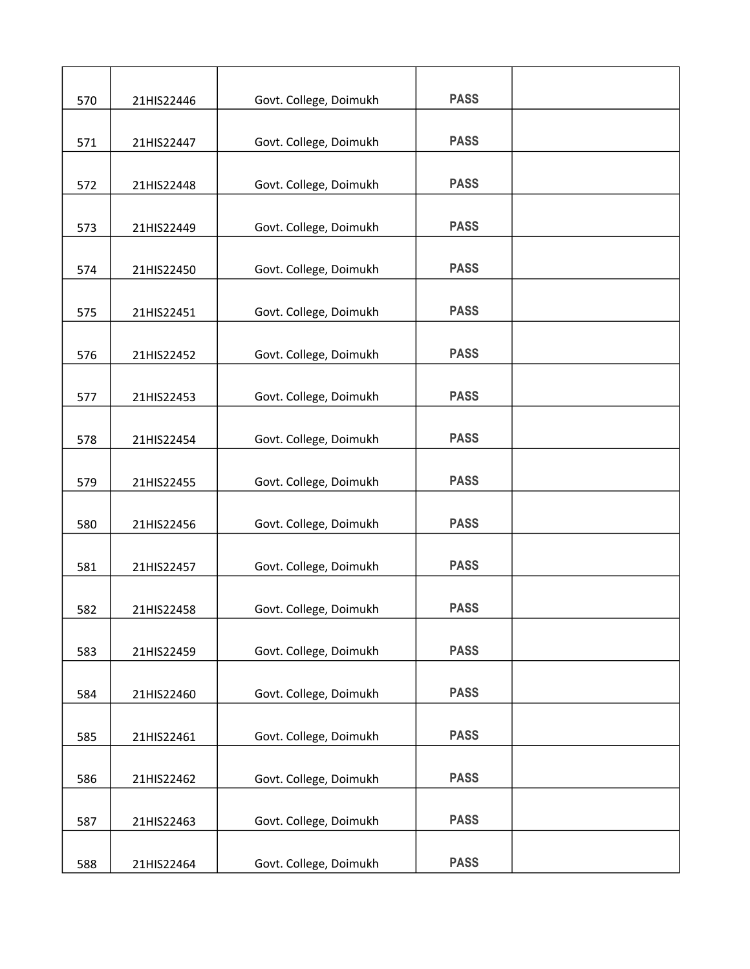| 570 | 21HIS22446 | Govt. College, Doimukh | <b>PASS</b> |  |
|-----|------------|------------------------|-------------|--|
|     |            |                        |             |  |
| 571 | 21HIS22447 | Govt. College, Doimukh | <b>PASS</b> |  |
| 572 | 21HIS22448 | Govt. College, Doimukh | <b>PASS</b> |  |
| 573 | 21HIS22449 | Govt. College, Doimukh | <b>PASS</b> |  |
| 574 | 21HIS22450 | Govt. College, Doimukh | <b>PASS</b> |  |
|     |            |                        |             |  |
| 575 | 21HIS22451 | Govt. College, Doimukh | <b>PASS</b> |  |
| 576 | 21HIS22452 | Govt. College, Doimukh | <b>PASS</b> |  |
| 577 | 21HIS22453 | Govt. College, Doimukh | <b>PASS</b> |  |
| 578 | 21HIS22454 | Govt. College, Doimukh | <b>PASS</b> |  |
|     |            |                        |             |  |
| 579 | 21HIS22455 | Govt. College, Doimukh | <b>PASS</b> |  |
| 580 | 21HIS22456 | Govt. College, Doimukh | <b>PASS</b> |  |
| 581 | 21HIS22457 | Govt. College, Doimukh | <b>PASS</b> |  |
|     |            |                        |             |  |
| 582 | 21HIS22458 | Govt. College, Doimukh | <b>PASS</b> |  |
| 583 | 21HIS22459 | Govt. College, Doimukh | <b>PASS</b> |  |
| 584 | 21HIS22460 | Govt. College, Doimukh | <b>PASS</b> |  |
| 585 | 21HIS22461 | Govt. College, Doimukh | <b>PASS</b> |  |
|     |            |                        |             |  |
| 586 | 21HIS22462 | Govt. College, Doimukh | <b>PASS</b> |  |
| 587 | 21HIS22463 | Govt. College, Doimukh | <b>PASS</b> |  |
| 588 | 21HIS22464 | Govt. College, Doimukh | <b>PASS</b> |  |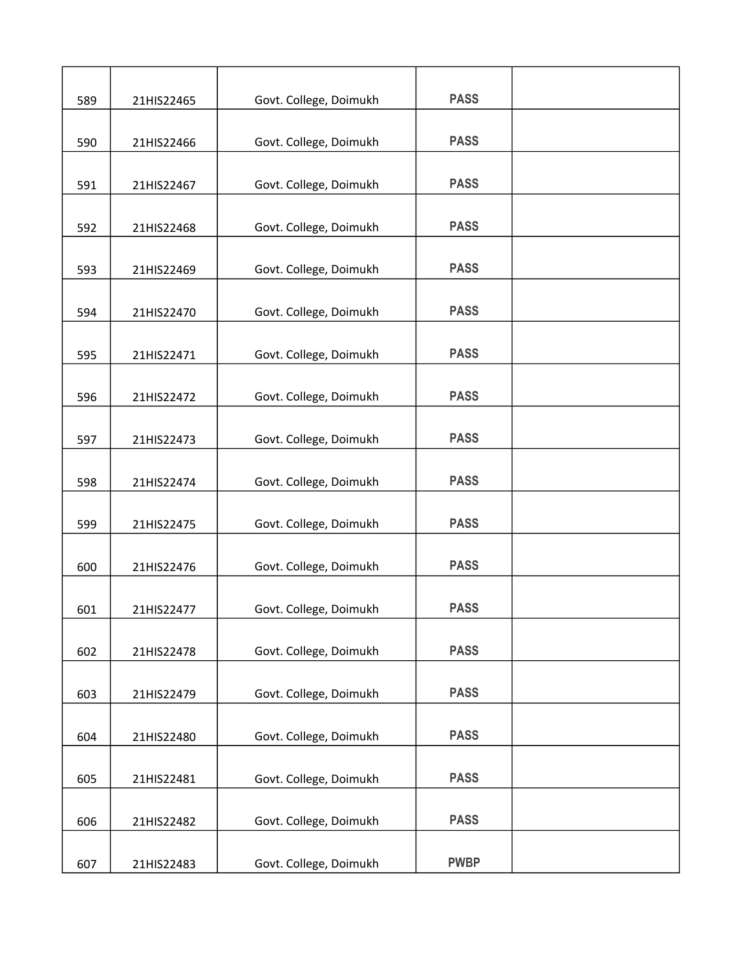| 589 | 21HIS22465 | Govt. College, Doimukh | <b>PASS</b> |  |
|-----|------------|------------------------|-------------|--|
| 590 | 21HIS22466 | Govt. College, Doimukh | <b>PASS</b> |  |
| 591 | 21HIS22467 | Govt. College, Doimukh | <b>PASS</b> |  |
|     |            |                        |             |  |
| 592 | 21HIS22468 | Govt. College, Doimukh | <b>PASS</b> |  |
| 593 | 21HIS22469 | Govt. College, Doimukh | <b>PASS</b> |  |
| 594 | 21HIS22470 | Govt. College, Doimukh | <b>PASS</b> |  |
| 595 | 21HIS22471 | Govt. College, Doimukh | <b>PASS</b> |  |
| 596 | 21HIS22472 | Govt. College, Doimukh | <b>PASS</b> |  |
| 597 | 21HIS22473 | Govt. College, Doimukh | <b>PASS</b> |  |
|     |            |                        |             |  |
| 598 | 21HIS22474 | Govt. College, Doimukh | <b>PASS</b> |  |
| 599 | 21HIS22475 | Govt. College, Doimukh | <b>PASS</b> |  |
| 600 | 21HIS22476 | Govt. College, Doimukh | <b>PASS</b> |  |
| 601 | 21HIS22477 | Govt. College, Doimukh | <b>PASS</b> |  |
| 602 | 21HIS22478 | Govt. College, Doimukh | <b>PASS</b> |  |
|     |            |                        |             |  |
| 603 | 21HIS22479 | Govt. College, Doimukh | <b>PASS</b> |  |
| 604 | 21HIS22480 | Govt. College, Doimukh | <b>PASS</b> |  |
| 605 | 21HIS22481 | Govt. College, Doimukh | <b>PASS</b> |  |
| 606 | 21HIS22482 | Govt. College, Doimukh | <b>PASS</b> |  |
| 607 | 21HIS22483 | Govt. College, Doimukh | <b>PWBP</b> |  |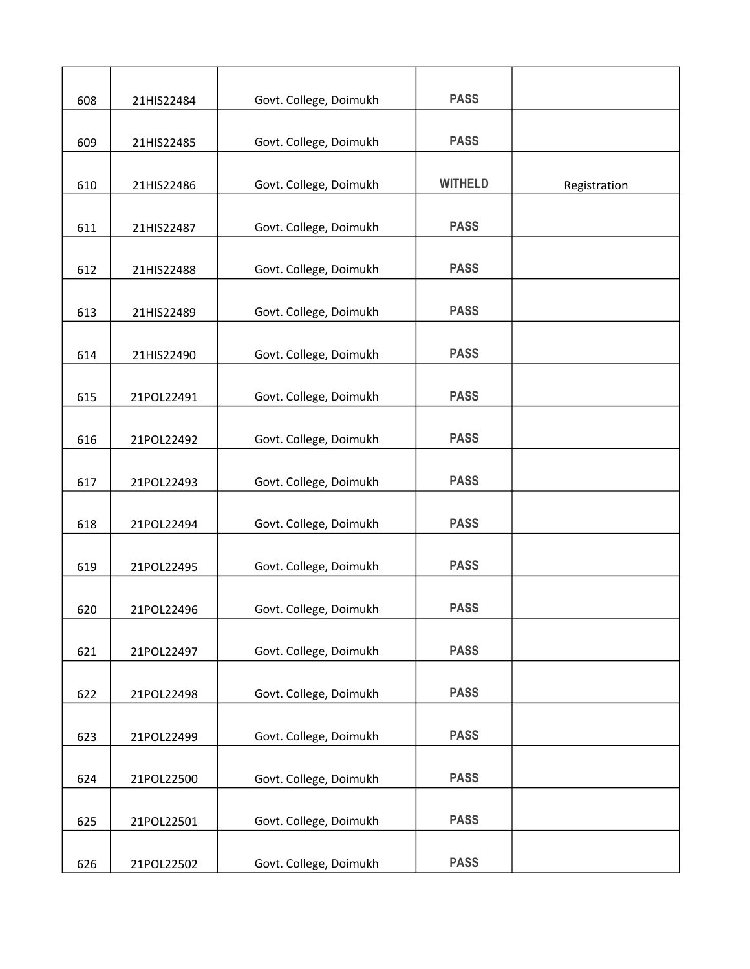| 608 | 21HIS22484 | Govt. College, Doimukh | <b>PASS</b>    |              |
|-----|------------|------------------------|----------------|--------------|
|     |            |                        |                |              |
| 609 | 21HIS22485 | Govt. College, Doimukh | <b>PASS</b>    |              |
| 610 | 21HIS22486 | Govt. College, Doimukh | <b>WITHELD</b> | Registration |
| 611 | 21HIS22487 | Govt. College, Doimukh | <b>PASS</b>    |              |
| 612 | 21HIS22488 | Govt. College, Doimukh | <b>PASS</b>    |              |
| 613 | 21HIS22489 | Govt. College, Doimukh | <b>PASS</b>    |              |
| 614 | 21HIS22490 | Govt. College, Doimukh | <b>PASS</b>    |              |
| 615 | 21POL22491 | Govt. College, Doimukh | <b>PASS</b>    |              |
| 616 | 21POL22492 | Govt. College, Doimukh | <b>PASS</b>    |              |
| 617 | 21POL22493 | Govt. College, Doimukh | <b>PASS</b>    |              |
| 618 | 21POL22494 | Govt. College, Doimukh | <b>PASS</b>    |              |
| 619 | 21POL22495 | Govt. College, Doimukh | <b>PASS</b>    |              |
| 620 | 21POL22496 | Govt. College, Doimukh | <b>PASS</b>    |              |
| 621 | 21POL22497 | Govt. College, Doimukh | <b>PASS</b>    |              |
| 622 | 21POL22498 | Govt. College, Doimukh | <b>PASS</b>    |              |
| 623 | 21POL22499 | Govt. College, Doimukh | <b>PASS</b>    |              |
|     |            |                        | <b>PASS</b>    |              |
| 624 | 21POL22500 | Govt. College, Doimukh |                |              |
| 625 | 21POL22501 | Govt. College, Doimukh | <b>PASS</b>    |              |
| 626 | 21POL22502 | Govt. College, Doimukh | <b>PASS</b>    |              |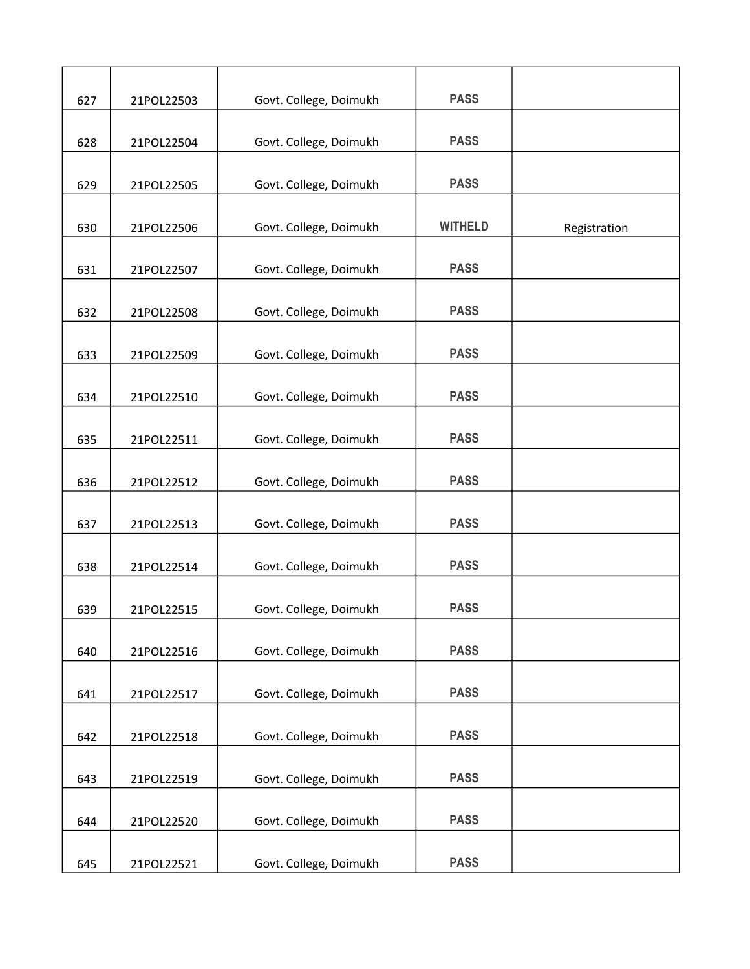| 627 | 21POL22503 | Govt. College, Doimukh | <b>PASS</b>    |              |
|-----|------------|------------------------|----------------|--------------|
| 628 | 21POL22504 | Govt. College, Doimukh | <b>PASS</b>    |              |
|     |            |                        |                |              |
| 629 | 21POL22505 | Govt. College, Doimukh | <b>PASS</b>    |              |
| 630 | 21POL22506 | Govt. College, Doimukh | <b>WITHELD</b> | Registration |
| 631 | 21POL22507 | Govt. College, Doimukh | <b>PASS</b>    |              |
| 632 | 21POL22508 | Govt. College, Doimukh | <b>PASS</b>    |              |
| 633 | 21POL22509 | Govt. College, Doimukh | <b>PASS</b>    |              |
| 634 | 21POL22510 | Govt. College, Doimukh | <b>PASS</b>    |              |
| 635 | 21POL22511 | Govt. College, Doimukh | <b>PASS</b>    |              |
| 636 | 21POL22512 | Govt. College, Doimukh | <b>PASS</b>    |              |
| 637 | 21POL22513 | Govt. College, Doimukh | <b>PASS</b>    |              |
| 638 | 21POL22514 | Govt. College, Doimukh | <b>PASS</b>    |              |
| 639 | 21POL22515 | Govt. College, Doimukh | <b>PASS</b>    |              |
| 640 | 21POL22516 | Govt. College, Doimukh | <b>PASS</b>    |              |
| 641 | 21POL22517 | Govt. College, Doimukh | <b>PASS</b>    |              |
| 642 | 21POL22518 | Govt. College, Doimukh | <b>PASS</b>    |              |
| 643 | 21POL22519 | Govt. College, Doimukh | <b>PASS</b>    |              |
| 644 | 21POL22520 | Govt. College, Doimukh | <b>PASS</b>    |              |
| 645 | 21POL22521 | Govt. College, Doimukh | <b>PASS</b>    |              |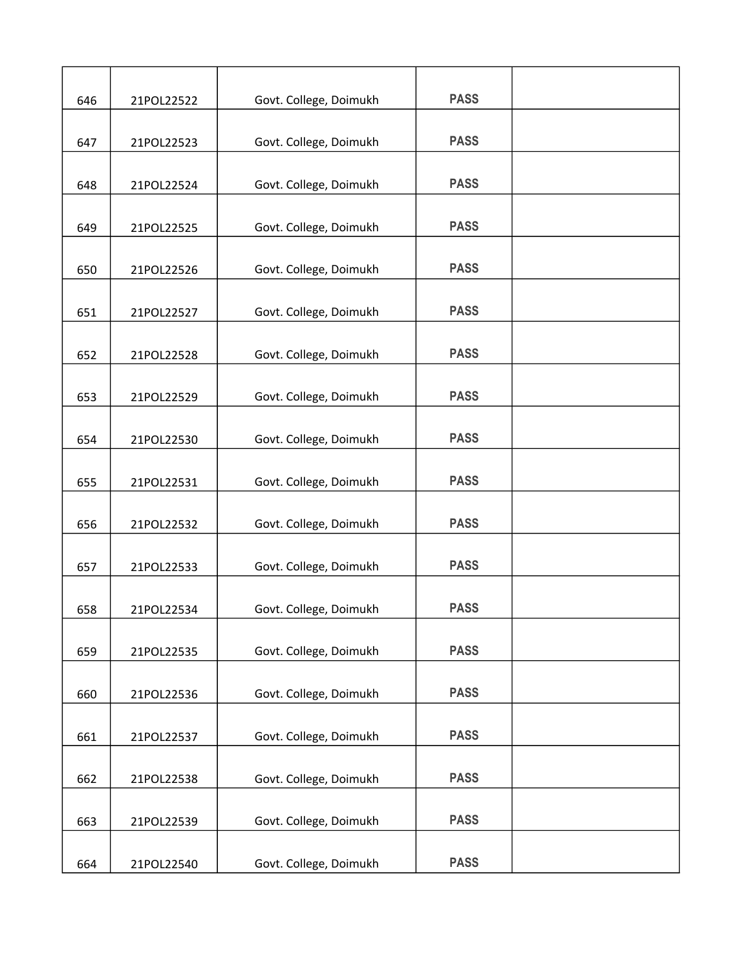| 646 | 21POL22522 | Govt. College, Doimukh | <b>PASS</b> |  |
|-----|------------|------------------------|-------------|--|
|     |            |                        | <b>PASS</b> |  |
| 647 | 21POL22523 | Govt. College, Doimukh |             |  |
| 648 | 21POL22524 | Govt. College, Doimukh | <b>PASS</b> |  |
| 649 | 21POL22525 | Govt. College, Doimukh | <b>PASS</b> |  |
| 650 | 21POL22526 | Govt. College, Doimukh | <b>PASS</b> |  |
| 651 | 21POL22527 | Govt. College, Doimukh | <b>PASS</b> |  |
| 652 | 21POL22528 | Govt. College, Doimukh | <b>PASS</b> |  |
| 653 | 21POL22529 | Govt. College, Doimukh | <b>PASS</b> |  |
| 654 | 21POL22530 | Govt. College, Doimukh | <b>PASS</b> |  |
| 655 | 21POL22531 | Govt. College, Doimukh | <b>PASS</b> |  |
| 656 | 21POL22532 | Govt. College, Doimukh | <b>PASS</b> |  |
|     |            |                        |             |  |
| 657 | 21POL22533 | Govt. College, Doimukh | <b>PASS</b> |  |
| 658 | 21POL22534 | Govt. College, Doimukh | <b>PASS</b> |  |
| 659 | 21POL22535 | Govt. College, Doimukh | <b>PASS</b> |  |
| 660 | 21POL22536 | Govt. College, Doimukh | <b>PASS</b> |  |
| 661 | 21POL22537 | Govt. College, Doimukh | <b>PASS</b> |  |
| 662 | 21POL22538 | Govt. College, Doimukh | <b>PASS</b> |  |
| 663 | 21POL22539 | Govt. College, Doimukh | <b>PASS</b> |  |
| 664 | 21POL22540 | Govt. College, Doimukh | <b>PASS</b> |  |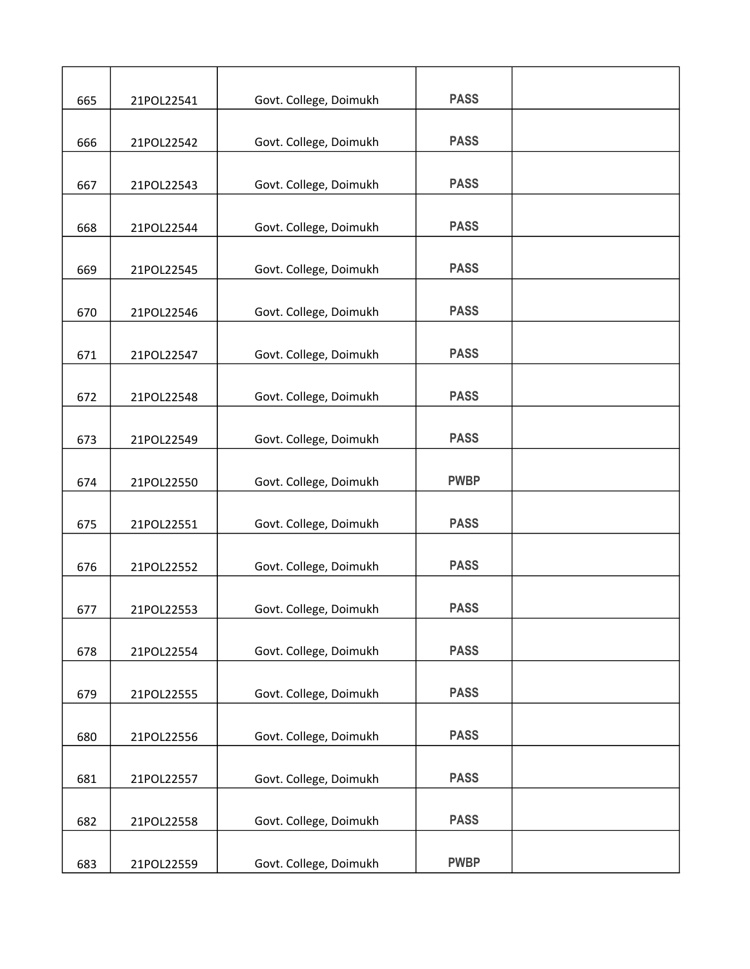| 665 | 21POL22541 | Govt. College, Doimukh | <b>PASS</b> |  |
|-----|------------|------------------------|-------------|--|
|     |            |                        | <b>PASS</b> |  |
| 666 | 21POL22542 | Govt. College, Doimukh |             |  |
| 667 | 21POL22543 | Govt. College, Doimukh | <b>PASS</b> |  |
| 668 | 21POL22544 | Govt. College, Doimukh | <b>PASS</b> |  |
| 669 | 21POL22545 | Govt. College, Doimukh | <b>PASS</b> |  |
| 670 | 21POL22546 | Govt. College, Doimukh | <b>PASS</b> |  |
| 671 | 21POL22547 | Govt. College, Doimukh | <b>PASS</b> |  |
| 672 | 21POL22548 | Govt. College, Doimukh | <b>PASS</b> |  |
| 673 | 21POL22549 | Govt. College, Doimukh | <b>PASS</b> |  |
|     |            |                        |             |  |
| 674 | 21POL22550 | Govt. College, Doimukh | <b>PWBP</b> |  |
| 675 | 21POL22551 | Govt. College, Doimukh | <b>PASS</b> |  |
| 676 | 21POL22552 | Govt. College, Doimukh | <b>PASS</b> |  |
| 677 | 21POL22553 | Govt. College, Doimukh | <b>PASS</b> |  |
| 678 | 21POL22554 | Govt. College, Doimukh | <b>PASS</b> |  |
| 679 | 21POL22555 | Govt. College, Doimukh | <b>PASS</b> |  |
| 680 | 21POL22556 | Govt. College, Doimukh | <b>PASS</b> |  |
| 681 | 21POL22557 | Govt. College, Doimukh | <b>PASS</b> |  |
| 682 | 21POL22558 | Govt. College, Doimukh | <b>PASS</b> |  |
| 683 | 21POL22559 | Govt. College, Doimukh | <b>PWBP</b> |  |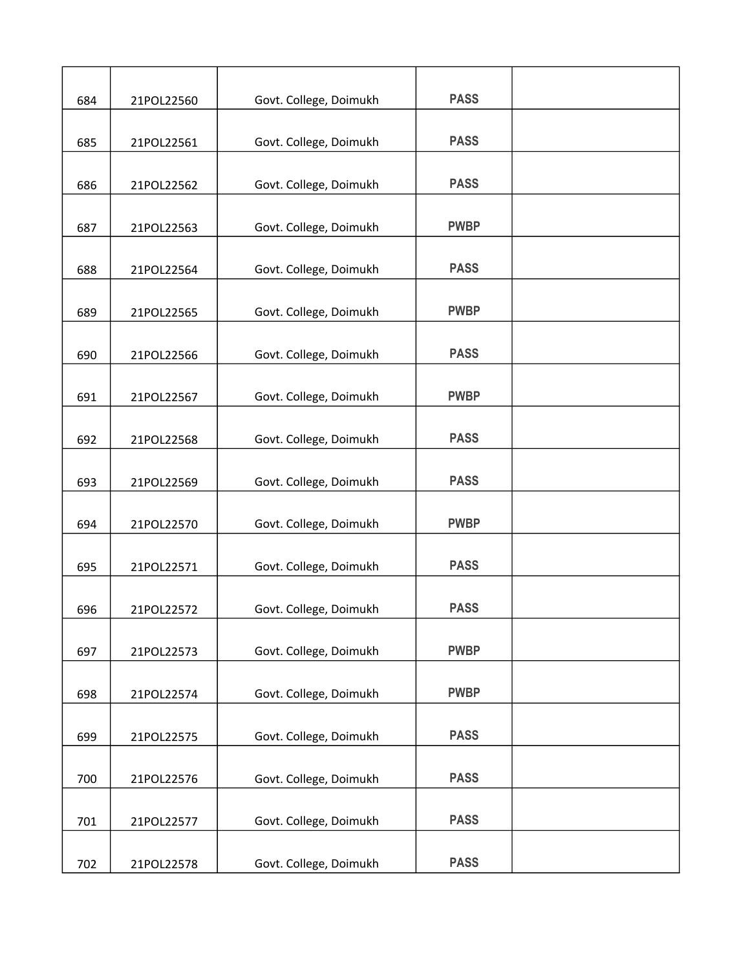| 684 | 21POL22560 | Govt. College, Doimukh | <b>PASS</b> |  |
|-----|------------|------------------------|-------------|--|
| 685 | 21POL22561 | Govt. College, Doimukh | <b>PASS</b> |  |
|     |            |                        |             |  |
| 686 | 21POL22562 | Govt. College, Doimukh | <b>PASS</b> |  |
| 687 | 21POL22563 | Govt. College, Doimukh | <b>PWBP</b> |  |
| 688 | 21POL22564 | Govt. College, Doimukh | <b>PASS</b> |  |
| 689 | 21POL22565 | Govt. College, Doimukh | <b>PWBP</b> |  |
| 690 | 21POL22566 | Govt. College, Doimukh | <b>PASS</b> |  |
| 691 | 21POL22567 | Govt. College, Doimukh | <b>PWBP</b> |  |
| 692 | 21POL22568 | Govt. College, Doimukh | <b>PASS</b> |  |
| 693 | 21POL22569 | Govt. College, Doimukh | <b>PASS</b> |  |
| 694 | 21POL22570 | Govt. College, Doimukh | <b>PWBP</b> |  |
| 695 | 21POL22571 | Govt. College, Doimukh | <b>PASS</b> |  |
| 696 | 21POL22572 | Govt. College, Doimukh | <b>PASS</b> |  |
| 697 | 21POL22573 | Govt. College, Doimukh | <b>PWBP</b> |  |
| 698 | 21POL22574 | Govt. College, Doimukh | <b>PWBP</b> |  |
| 699 | 21POL22575 | Govt. College, Doimukh | <b>PASS</b> |  |
| 700 | 21POL22576 | Govt. College, Doimukh | <b>PASS</b> |  |
| 701 | 21POL22577 | Govt. College, Doimukh | <b>PASS</b> |  |
| 702 | 21POL22578 | Govt. College, Doimukh | <b>PASS</b> |  |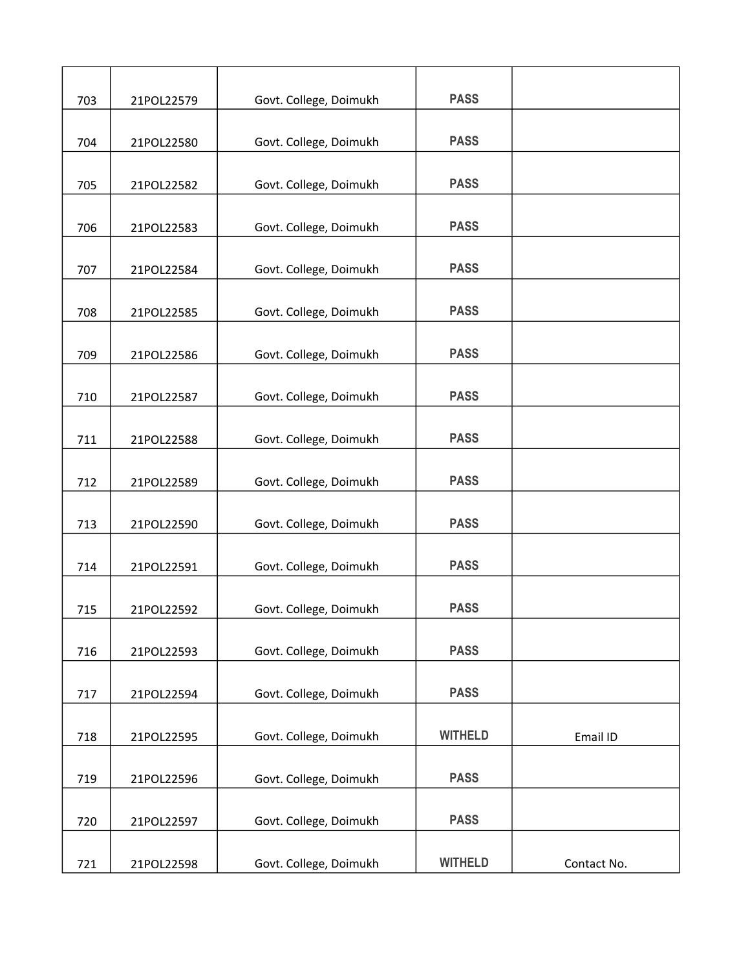| 703 | 21POL22579 | Govt. College, Doimukh | <b>PASS</b>    |             |
|-----|------------|------------------------|----------------|-------------|
|     |            |                        | <b>PASS</b>    |             |
| 704 | 21POL22580 | Govt. College, Doimukh |                |             |
| 705 | 21POL22582 | Govt. College, Doimukh | <b>PASS</b>    |             |
| 706 | 21POL22583 | Govt. College, Doimukh | <b>PASS</b>    |             |
| 707 | 21POL22584 | Govt. College, Doimukh | <b>PASS</b>    |             |
| 708 | 21POL22585 | Govt. College, Doimukh | <b>PASS</b>    |             |
| 709 | 21POL22586 | Govt. College, Doimukh | <b>PASS</b>    |             |
| 710 | 21POL22587 | Govt. College, Doimukh | <b>PASS</b>    |             |
| 711 | 21POL22588 | Govt. College, Doimukh | <b>PASS</b>    |             |
| 712 | 21POL22589 | Govt. College, Doimukh | <b>PASS</b>    |             |
| 713 | 21POL22590 | Govt. College, Doimukh | <b>PASS</b>    |             |
| 714 | 21POL22591 | Govt. College, Doimukh | <b>PASS</b>    |             |
| 715 | 21POL22592 | Govt. College, Doimukh | <b>PASS</b>    |             |
| 716 | 21POL22593 | Govt. College, Doimukh | <b>PASS</b>    |             |
| 717 | 21POL22594 | Govt. College, Doimukh | <b>PASS</b>    |             |
| 718 | 21POL22595 | Govt. College, Doimukh | <b>WITHELD</b> | Email ID    |
| 719 | 21POL22596 | Govt. College, Doimukh | <b>PASS</b>    |             |
| 720 | 21POL22597 | Govt. College, Doimukh | <b>PASS</b>    |             |
| 721 | 21POL22598 | Govt. College, Doimukh | <b>WITHELD</b> | Contact No. |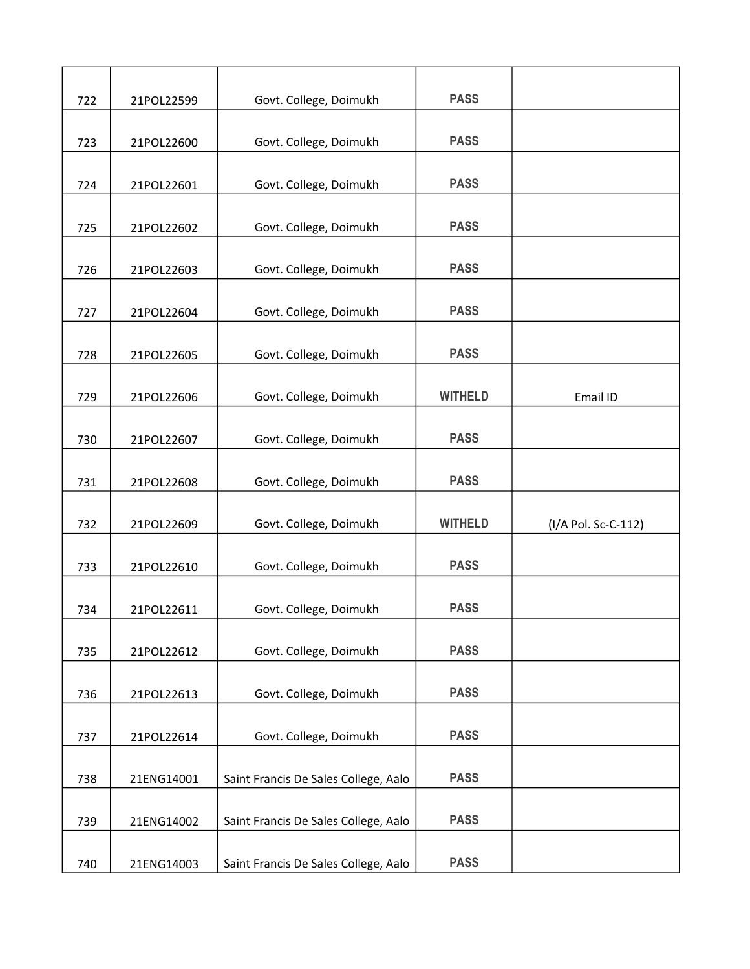| 722 | 21POL22599 | Govt. College, Doimukh               | <b>PASS</b>    |                     |
|-----|------------|--------------------------------------|----------------|---------------------|
| 723 | 21POL22600 | Govt. College, Doimukh               | <b>PASS</b>    |                     |
| 724 | 21POL22601 | Govt. College, Doimukh               | <b>PASS</b>    |                     |
|     |            |                                      |                |                     |
| 725 | 21POL22602 | Govt. College, Doimukh               | <b>PASS</b>    |                     |
| 726 | 21POL22603 | Govt. College, Doimukh               | <b>PASS</b>    |                     |
| 727 | 21POL22604 | Govt. College, Doimukh               | <b>PASS</b>    |                     |
| 728 | 21POL22605 | Govt. College, Doimukh               | <b>PASS</b>    |                     |
| 729 | 21POL22606 | Govt. College, Doimukh               | <b>WITHELD</b> | Email ID            |
| 730 | 21POL22607 | Govt. College, Doimukh               | <b>PASS</b>    |                     |
|     |            |                                      |                |                     |
| 731 | 21POL22608 | Govt. College, Doimukh               | <b>PASS</b>    |                     |
| 732 | 21POL22609 | Govt. College, Doimukh               | <b>WITHELD</b> | (I/A Pol. Sc-C-112) |
| 733 | 21POL22610 | Govt. College, Doimukh               | <b>PASS</b>    |                     |
| 734 | 21POL22611 | Govt. College, Doimukh               | <b>PASS</b>    |                     |
|     |            |                                      |                |                     |
| 735 | 21POL22612 | Govt. College, Doimukh               | <b>PASS</b>    |                     |
| 736 | 21POL22613 | Govt. College, Doimukh               | <b>PASS</b>    |                     |
| 737 | 21POL22614 | Govt. College, Doimukh               | <b>PASS</b>    |                     |
| 738 | 21ENG14001 | Saint Francis De Sales College, Aalo | <b>PASS</b>    |                     |
|     |            |                                      |                |                     |
| 739 | 21ENG14002 | Saint Francis De Sales College, Aalo | <b>PASS</b>    |                     |
| 740 | 21ENG14003 | Saint Francis De Sales College, Aalo | <b>PASS</b>    |                     |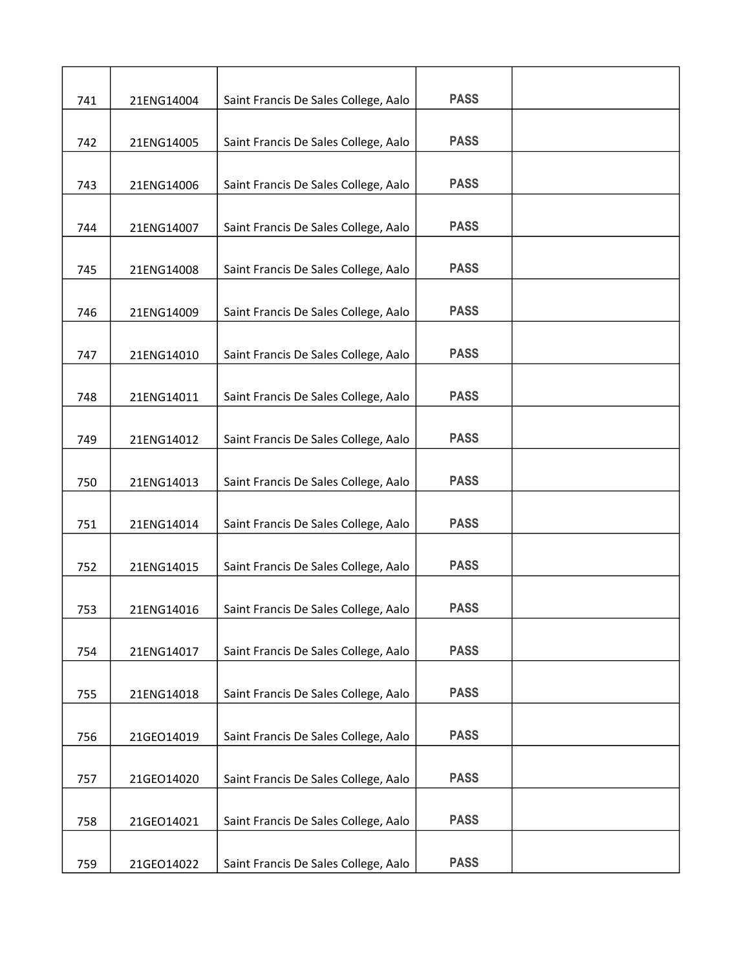| 741 | 21ENG14004 | Saint Francis De Sales College, Aalo | <b>PASS</b> |  |
|-----|------------|--------------------------------------|-------------|--|
|     |            |                                      |             |  |
| 742 | 21ENG14005 | Saint Francis De Sales College, Aalo | <b>PASS</b> |  |
| 743 | 21ENG14006 | Saint Francis De Sales College, Aalo | <b>PASS</b> |  |
|     |            |                                      |             |  |
| 744 | 21ENG14007 | Saint Francis De Sales College, Aalo | <b>PASS</b> |  |
| 745 | 21ENG14008 | Saint Francis De Sales College, Aalo | <b>PASS</b> |  |
|     |            |                                      |             |  |
| 746 | 21ENG14009 | Saint Francis De Sales College, Aalo | <b>PASS</b> |  |
| 747 | 21ENG14010 | Saint Francis De Sales College, Aalo | <b>PASS</b> |  |
| 748 | 21ENG14011 | Saint Francis De Sales College, Aalo | <b>PASS</b> |  |
|     |            |                                      |             |  |
| 749 | 21ENG14012 | Saint Francis De Sales College, Aalo | <b>PASS</b> |  |
| 750 | 21ENG14013 | Saint Francis De Sales College, Aalo | <b>PASS</b> |  |
| 751 | 21ENG14014 | Saint Francis De Sales College, Aalo | <b>PASS</b> |  |
|     |            |                                      |             |  |
| 752 | 21ENG14015 | Saint Francis De Sales College, Aalo | <b>PASS</b> |  |
| 753 | 21ENG14016 | Saint Francis De Sales College, Aalo | <b>PASS</b> |  |
|     |            |                                      |             |  |
| 754 | 21ENG14017 | Saint Francis De Sales College, Aalo | <b>PASS</b> |  |
| 755 | 21ENG14018 | Saint Francis De Sales College, Aalo | <b>PASS</b> |  |
| 756 | 21GEO14019 | Saint Francis De Sales College, Aalo | <b>PASS</b> |  |
|     |            |                                      |             |  |
| 757 | 21GEO14020 | Saint Francis De Sales College, Aalo | <b>PASS</b> |  |
| 758 | 21GEO14021 | Saint Francis De Sales College, Aalo | <b>PASS</b> |  |
|     |            |                                      |             |  |
| 759 | 21GEO14022 | Saint Francis De Sales College, Aalo | <b>PASS</b> |  |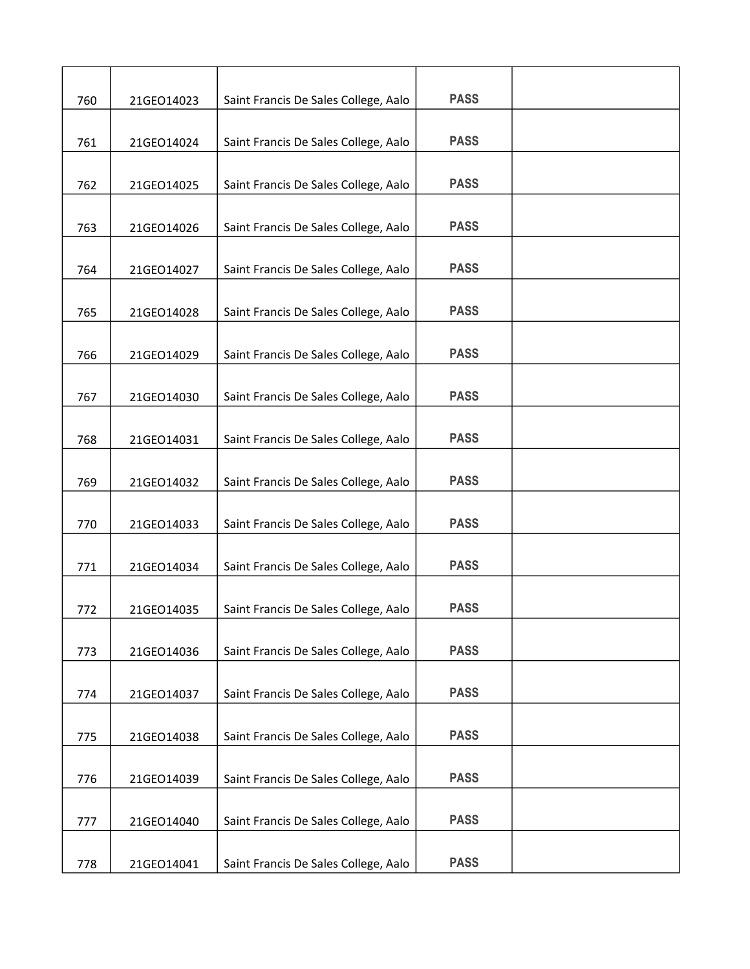| 760 | 21GEO14023 | Saint Francis De Sales College, Aalo | <b>PASS</b> |  |
|-----|------------|--------------------------------------|-------------|--|
| 761 | 21GEO14024 | Saint Francis De Sales College, Aalo | <b>PASS</b> |  |
| 762 | 21GEO14025 | Saint Francis De Sales College, Aalo | <b>PASS</b> |  |
| 763 | 21GEO14026 | Saint Francis De Sales College, Aalo | <b>PASS</b> |  |
| 764 | 21GEO14027 | Saint Francis De Sales College, Aalo | <b>PASS</b> |  |
| 765 | 21GEO14028 | Saint Francis De Sales College, Aalo | <b>PASS</b> |  |
| 766 | 21GEO14029 | Saint Francis De Sales College, Aalo | <b>PASS</b> |  |
| 767 | 21GEO14030 | Saint Francis De Sales College, Aalo | <b>PASS</b> |  |
| 768 | 21GEO14031 | Saint Francis De Sales College, Aalo | <b>PASS</b> |  |
| 769 | 21GEO14032 | Saint Francis De Sales College, Aalo | <b>PASS</b> |  |
| 770 | 21GEO14033 | Saint Francis De Sales College, Aalo | <b>PASS</b> |  |
| 771 | 21GEO14034 | Saint Francis De Sales College, Aalo | <b>PASS</b> |  |
| 772 | 21GEO14035 | Saint Francis De Sales College, Aalo | <b>PASS</b> |  |
| 773 | 21GEO14036 | Saint Francis De Sales College, Aalo | <b>PASS</b> |  |
| 774 | 21GEO14037 | Saint Francis De Sales College, Aalo | <b>PASS</b> |  |
| 775 | 21GEO14038 | Saint Francis De Sales College, Aalo | <b>PASS</b> |  |
| 776 | 21GEO14039 | Saint Francis De Sales College, Aalo | <b>PASS</b> |  |
| 777 | 21GEO14040 | Saint Francis De Sales College, Aalo | <b>PASS</b> |  |
| 778 | 21GEO14041 | Saint Francis De Sales College, Aalo | <b>PASS</b> |  |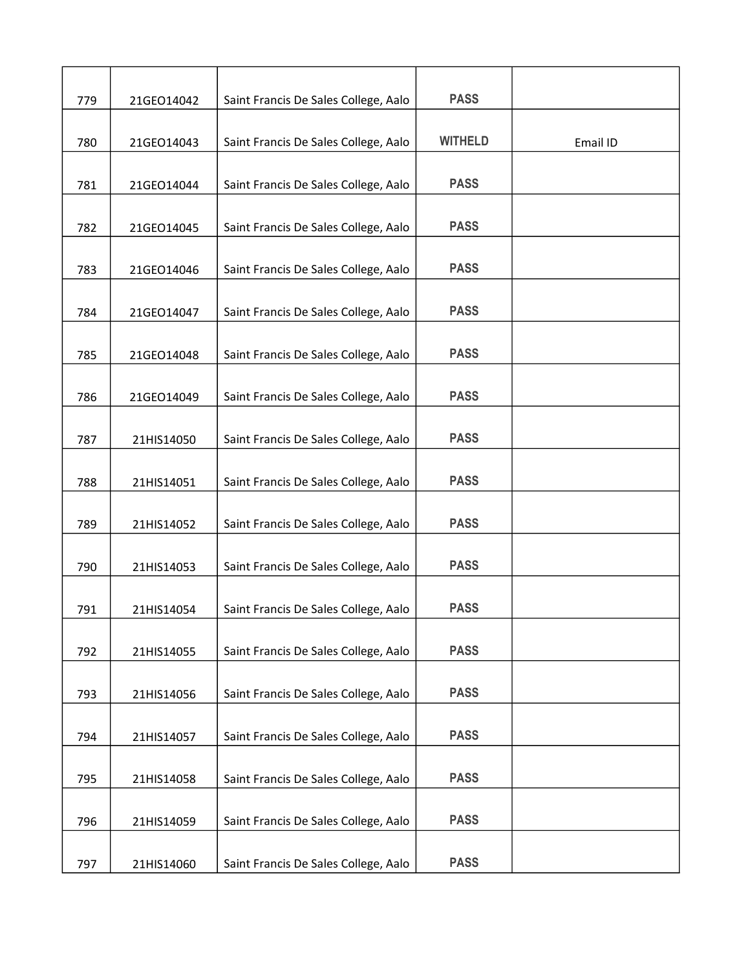| 779 | 21GEO14042 | Saint Francis De Sales College, Aalo | <b>PASS</b>    |          |
|-----|------------|--------------------------------------|----------------|----------|
| 780 | 21GEO14043 | Saint Francis De Sales College, Aalo | <b>WITHELD</b> | Email ID |
| 781 | 21GEO14044 | Saint Francis De Sales College, Aalo | <b>PASS</b>    |          |
| 782 | 21GEO14045 | Saint Francis De Sales College, Aalo | <b>PASS</b>    |          |
| 783 | 21GEO14046 | Saint Francis De Sales College, Aalo | <b>PASS</b>    |          |
| 784 | 21GEO14047 | Saint Francis De Sales College, Aalo | <b>PASS</b>    |          |
| 785 | 21GEO14048 | Saint Francis De Sales College, Aalo | <b>PASS</b>    |          |
| 786 | 21GEO14049 | Saint Francis De Sales College, Aalo | <b>PASS</b>    |          |
| 787 | 21HIS14050 | Saint Francis De Sales College, Aalo | <b>PASS</b>    |          |
| 788 | 21HIS14051 | Saint Francis De Sales College, Aalo | <b>PASS</b>    |          |
| 789 | 21HIS14052 | Saint Francis De Sales College, Aalo | <b>PASS</b>    |          |
| 790 | 21HIS14053 | Saint Francis De Sales College, Aalo | <b>PASS</b>    |          |
| 791 | 21HIS14054 | Saint Francis De Sales College, Aalo | <b>PASS</b>    |          |
| 792 | 21HIS14055 | Saint Francis De Sales College, Aalo | <b>PASS</b>    |          |
| 793 | 21HIS14056 | Saint Francis De Sales College, Aalo | <b>PASS</b>    |          |
| 794 | 21HIS14057 | Saint Francis De Sales College, Aalo | <b>PASS</b>    |          |
| 795 | 21HIS14058 | Saint Francis De Sales College, Aalo | <b>PASS</b>    |          |
| 796 | 21HIS14059 | Saint Francis De Sales College, Aalo | <b>PASS</b>    |          |
| 797 | 21HIS14060 | Saint Francis De Sales College, Aalo | <b>PASS</b>    |          |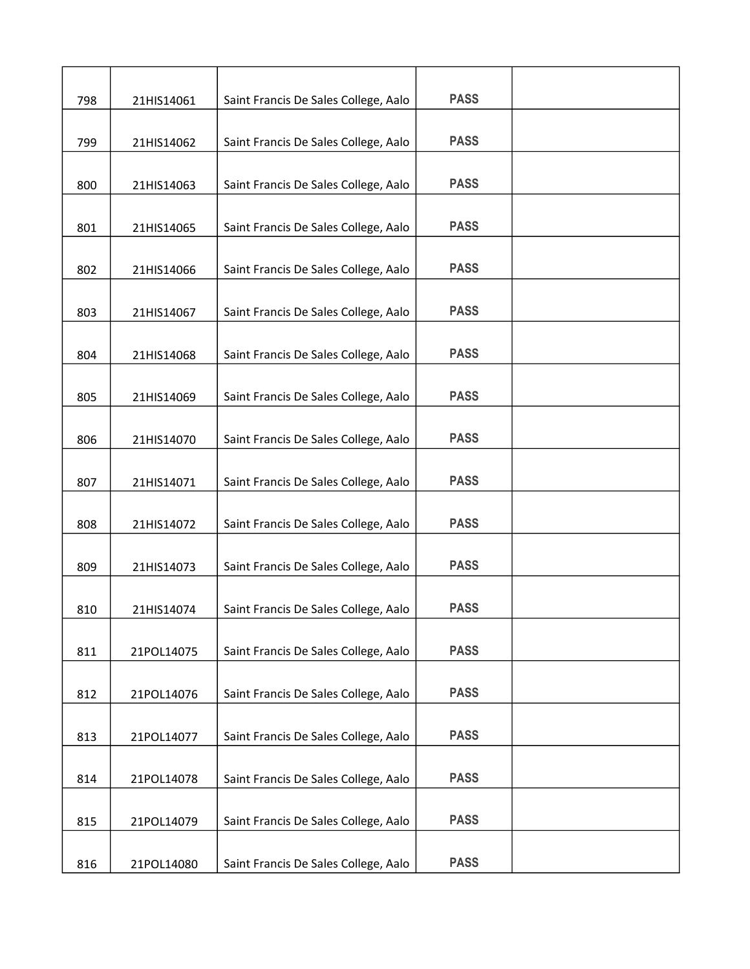| 798 | 21HIS14061 | Saint Francis De Sales College, Aalo | <b>PASS</b> |  |
|-----|------------|--------------------------------------|-------------|--|
| 799 | 21HIS14062 | Saint Francis De Sales College, Aalo | <b>PASS</b> |  |
| 800 | 21HIS14063 | Saint Francis De Sales College, Aalo | <b>PASS</b> |  |
| 801 | 21HIS14065 | Saint Francis De Sales College, Aalo | <b>PASS</b> |  |
| 802 | 21HIS14066 | Saint Francis De Sales College, Aalo | <b>PASS</b> |  |
| 803 | 21HIS14067 | Saint Francis De Sales College, Aalo | <b>PASS</b> |  |
| 804 | 21HIS14068 | Saint Francis De Sales College, Aalo | <b>PASS</b> |  |
| 805 | 21HIS14069 | Saint Francis De Sales College, Aalo | <b>PASS</b> |  |
| 806 | 21HIS14070 | Saint Francis De Sales College, Aalo | <b>PASS</b> |  |
| 807 | 21HIS14071 | Saint Francis De Sales College, Aalo | <b>PASS</b> |  |
| 808 | 21HIS14072 | Saint Francis De Sales College, Aalo | <b>PASS</b> |  |
| 809 | 21HIS14073 | Saint Francis De Sales College, Aalo | <b>PASS</b> |  |
| 810 | 21HIS14074 | Saint Francis De Sales College, Aalo | <b>PASS</b> |  |
| 811 | 21POL14075 | Saint Francis De Sales College, Aalo | <b>PASS</b> |  |
| 812 | 21POL14076 | Saint Francis De Sales College, Aalo | <b>PASS</b> |  |
| 813 | 21POL14077 | Saint Francis De Sales College, Aalo | <b>PASS</b> |  |
| 814 | 21POL14078 | Saint Francis De Sales College, Aalo | <b>PASS</b> |  |
| 815 | 21POL14079 | Saint Francis De Sales College, Aalo | <b>PASS</b> |  |
| 816 | 21POL14080 | Saint Francis De Sales College, Aalo | <b>PASS</b> |  |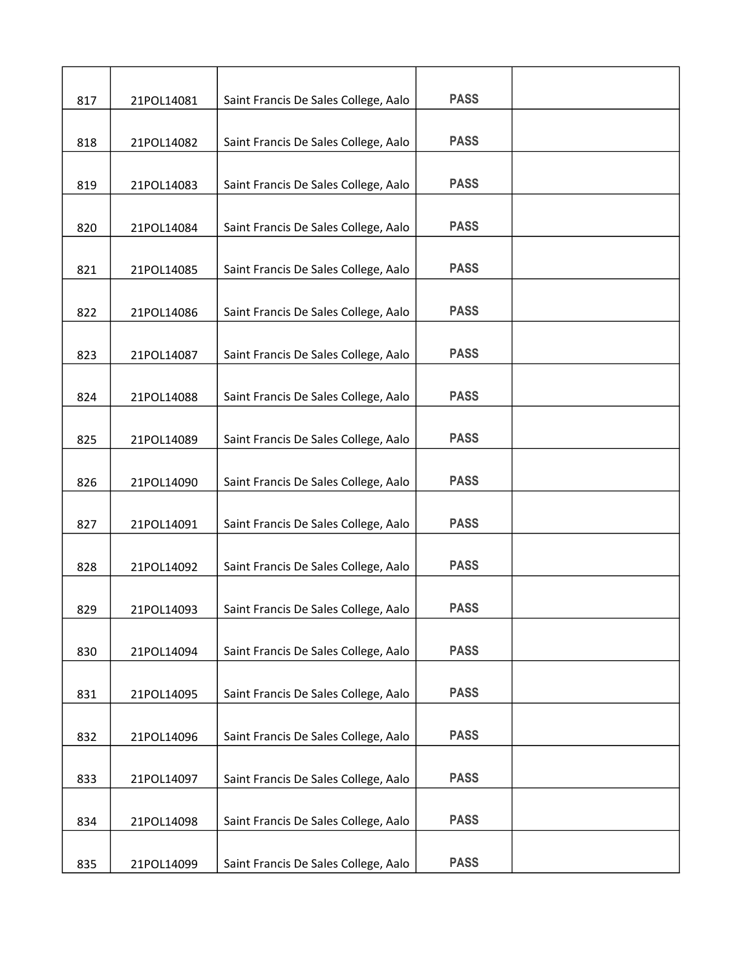| 817 | 21POL14081 | Saint Francis De Sales College, Aalo | <b>PASS</b> |  |
|-----|------------|--------------------------------------|-------------|--|
| 818 | 21POL14082 | Saint Francis De Sales College, Aalo | <b>PASS</b> |  |
| 819 | 21POL14083 | Saint Francis De Sales College, Aalo | <b>PASS</b> |  |
| 820 | 21POL14084 | Saint Francis De Sales College, Aalo | <b>PASS</b> |  |
|     |            |                                      | <b>PASS</b> |  |
| 821 | 21POL14085 | Saint Francis De Sales College, Aalo |             |  |
| 822 | 21POL14086 | Saint Francis De Sales College, Aalo | <b>PASS</b> |  |
| 823 | 21POL14087 | Saint Francis De Sales College, Aalo | <b>PASS</b> |  |
| 824 | 21POL14088 | Saint Francis De Sales College, Aalo | <b>PASS</b> |  |
| 825 | 21POL14089 | Saint Francis De Sales College, Aalo | <b>PASS</b> |  |
| 826 | 21POL14090 | Saint Francis De Sales College, Aalo | <b>PASS</b> |  |
| 827 | 21POL14091 | Saint Francis De Sales College, Aalo | <b>PASS</b> |  |
| 828 | 21POL14092 | Saint Francis De Sales College, Aalo | <b>PASS</b> |  |
| 829 | 21POL14093 | Saint Francis De Sales College, Aalo | <b>PASS</b> |  |
| 830 | 21POL14094 | Saint Francis De Sales College, Aalo | <b>PASS</b> |  |
| 831 | 21POL14095 | Saint Francis De Sales College, Aalo | <b>PASS</b> |  |
| 832 | 21POL14096 | Saint Francis De Sales College, Aalo | <b>PASS</b> |  |
| 833 | 21POL14097 | Saint Francis De Sales College, Aalo | <b>PASS</b> |  |
| 834 | 21POL14098 | Saint Francis De Sales College, Aalo | <b>PASS</b> |  |
| 835 | 21POL14099 | Saint Francis De Sales College, Aalo | <b>PASS</b> |  |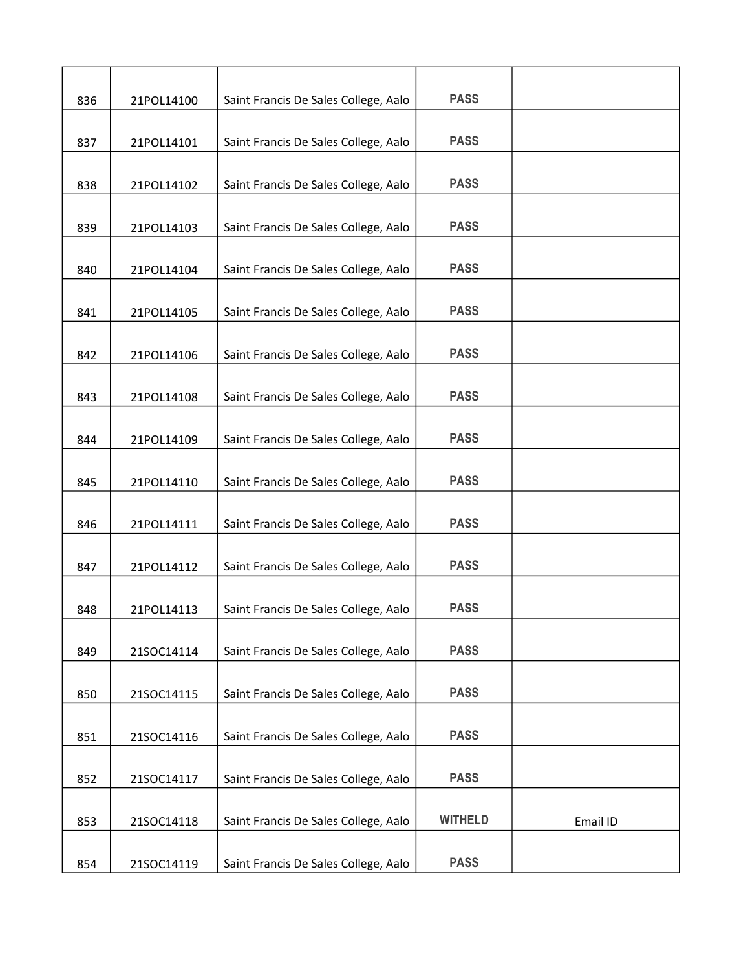| 836 | 21POL14100 | Saint Francis De Sales College, Aalo | <b>PASS</b>    |          |
|-----|------------|--------------------------------------|----------------|----------|
| 837 | 21POL14101 | Saint Francis De Sales College, Aalo | <b>PASS</b>    |          |
| 838 | 21POL14102 | Saint Francis De Sales College, Aalo | <b>PASS</b>    |          |
| 839 | 21POL14103 | Saint Francis De Sales College, Aalo | <b>PASS</b>    |          |
| 840 | 21POL14104 | Saint Francis De Sales College, Aalo | <b>PASS</b>    |          |
| 841 | 21POL14105 | Saint Francis De Sales College, Aalo | <b>PASS</b>    |          |
| 842 | 21POL14106 | Saint Francis De Sales College, Aalo | <b>PASS</b>    |          |
| 843 | 21POL14108 | Saint Francis De Sales College, Aalo | <b>PASS</b>    |          |
| 844 | 21POL14109 | Saint Francis De Sales College, Aalo | <b>PASS</b>    |          |
| 845 | 21POL14110 | Saint Francis De Sales College, Aalo | <b>PASS</b>    |          |
| 846 | 21POL14111 | Saint Francis De Sales College, Aalo | <b>PASS</b>    |          |
| 847 | 21POL14112 | Saint Francis De Sales College, Aalo | <b>PASS</b>    |          |
| 848 | 21POL14113 | Saint Francis De Sales College, Aalo | <b>PASS</b>    |          |
| 849 | 21SOC14114 | Saint Francis De Sales College, Aalo | <b>PASS</b>    |          |
| 850 | 21SOC14115 | Saint Francis De Sales College, Aalo | <b>PASS</b>    |          |
| 851 | 21SOC14116 | Saint Francis De Sales College, Aalo | <b>PASS</b>    |          |
| 852 | 21SOC14117 | Saint Francis De Sales College, Aalo | <b>PASS</b>    |          |
| 853 | 21SOC14118 | Saint Francis De Sales College, Aalo | <b>WITHELD</b> | Email ID |
| 854 | 21SOC14119 | Saint Francis De Sales College, Aalo | <b>PASS</b>    |          |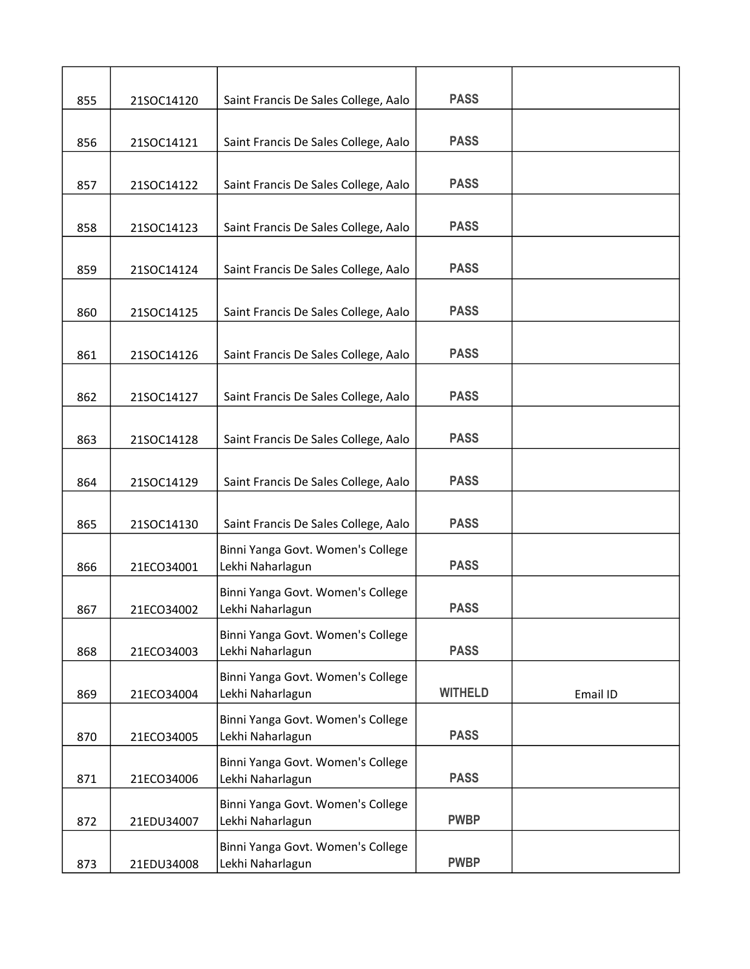| 855 | 21SOC14120 | Saint Francis De Sales College, Aalo                  | <b>PASS</b>    |          |
|-----|------------|-------------------------------------------------------|----------------|----------|
| 856 | 21SOC14121 | Saint Francis De Sales College, Aalo                  | <b>PASS</b>    |          |
| 857 | 21SOC14122 | Saint Francis De Sales College, Aalo                  | <b>PASS</b>    |          |
| 858 | 21SOC14123 | Saint Francis De Sales College, Aalo                  | <b>PASS</b>    |          |
| 859 | 21SOC14124 | Saint Francis De Sales College, Aalo                  | <b>PASS</b>    |          |
| 860 | 21SOC14125 | Saint Francis De Sales College, Aalo                  | <b>PASS</b>    |          |
| 861 | 21SOC14126 | Saint Francis De Sales College, Aalo                  | <b>PASS</b>    |          |
| 862 | 21SOC14127 | Saint Francis De Sales College, Aalo                  | <b>PASS</b>    |          |
| 863 | 21SOC14128 | Saint Francis De Sales College, Aalo                  | <b>PASS</b>    |          |
| 864 | 21SOC14129 | Saint Francis De Sales College, Aalo                  | <b>PASS</b>    |          |
| 865 | 21SOC14130 | Saint Francis De Sales College, Aalo                  | <b>PASS</b>    |          |
| 866 | 21ECO34001 | Binni Yanga Govt. Women's College<br>Lekhi Naharlagun | <b>PASS</b>    |          |
| 867 | 21ECO34002 | Binni Yanga Govt. Women's College<br>Lekhi Naharlagun | <b>PASS</b>    |          |
| 868 | 21ECO34003 | Binni Yanga Govt. Women's College<br>Lekhi Naharlagun | <b>PASS</b>    |          |
| 869 | 21ECO34004 | Binni Yanga Govt. Women's College<br>Lekhi Naharlagun | <b>WITHELD</b> | Email ID |
| 870 | 21ECO34005 | Binni Yanga Govt. Women's College<br>Lekhi Naharlagun | <b>PASS</b>    |          |
| 871 | 21ECO34006 | Binni Yanga Govt. Women's College<br>Lekhi Naharlagun | <b>PASS</b>    |          |
| 872 | 21EDU34007 | Binni Yanga Govt. Women's College<br>Lekhi Naharlagun | <b>PWBP</b>    |          |
| 873 | 21EDU34008 | Binni Yanga Govt. Women's College<br>Lekhi Naharlagun | <b>PWBP</b>    |          |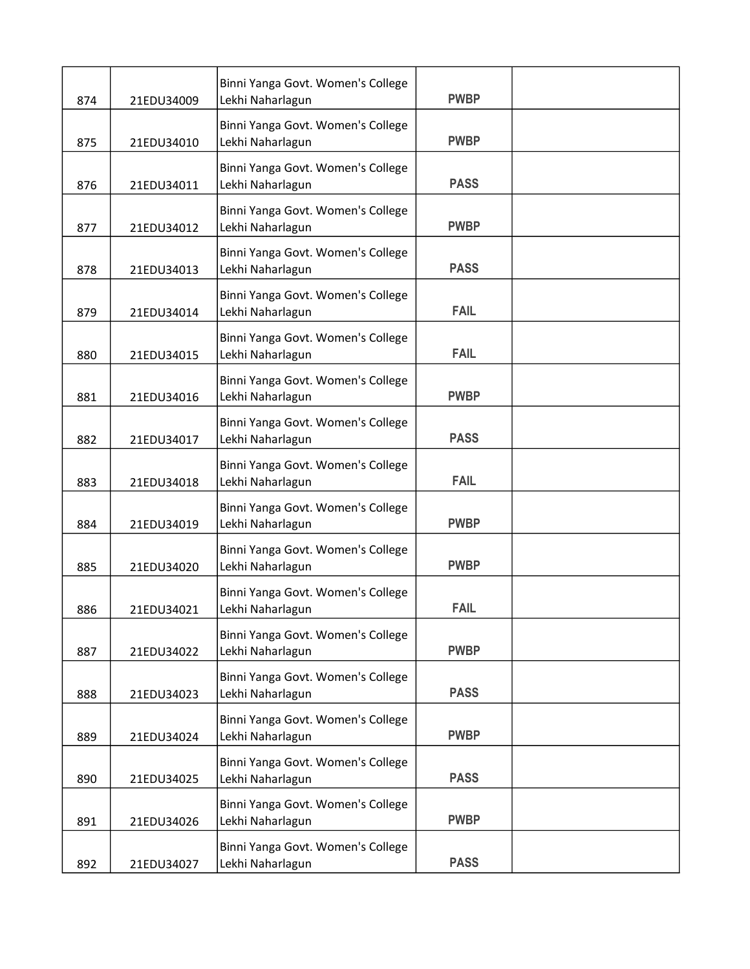| 874 | 21EDU34009 | Binni Yanga Govt. Women's College<br>Lekhi Naharlagun | <b>PWBP</b> |  |
|-----|------------|-------------------------------------------------------|-------------|--|
| 875 | 21EDU34010 | Binni Yanga Govt. Women's College<br>Lekhi Naharlagun | <b>PWBP</b> |  |
| 876 | 21EDU34011 | Binni Yanga Govt. Women's College<br>Lekhi Naharlagun | <b>PASS</b> |  |
| 877 | 21EDU34012 | Binni Yanga Govt. Women's College<br>Lekhi Naharlagun | <b>PWBP</b> |  |
| 878 | 21EDU34013 | Binni Yanga Govt. Women's College<br>Lekhi Naharlagun | <b>PASS</b> |  |
| 879 | 21EDU34014 | Binni Yanga Govt. Women's College<br>Lekhi Naharlagun | <b>FAIL</b> |  |
| 880 | 21EDU34015 | Binni Yanga Govt. Women's College<br>Lekhi Naharlagun | <b>FAIL</b> |  |
| 881 | 21EDU34016 | Binni Yanga Govt. Women's College<br>Lekhi Naharlagun | <b>PWBP</b> |  |
| 882 | 21EDU34017 | Binni Yanga Govt. Women's College<br>Lekhi Naharlagun | <b>PASS</b> |  |
| 883 | 21EDU34018 | Binni Yanga Govt. Women's College<br>Lekhi Naharlagun | <b>FAIL</b> |  |
| 884 | 21EDU34019 | Binni Yanga Govt. Women's College<br>Lekhi Naharlagun | <b>PWBP</b> |  |
| 885 | 21EDU34020 | Binni Yanga Govt. Women's College<br>Lekhi Naharlagun | <b>PWBP</b> |  |
| 886 | 21EDU34021 | Binni Yanga Govt. Women's College<br>Lekhi Naharlagun | <b>FAIL</b> |  |
| 887 | 21EDU34022 | Binni Yanga Govt. Women's College<br>Lekhi Naharlagun | <b>PWBP</b> |  |
| 888 | 21EDU34023 | Binni Yanga Govt. Women's College<br>Lekhi Naharlagun | <b>PASS</b> |  |
| 889 | 21EDU34024 | Binni Yanga Govt. Women's College<br>Lekhi Naharlagun | <b>PWBP</b> |  |
| 890 | 21EDU34025 | Binni Yanga Govt. Women's College<br>Lekhi Naharlagun | <b>PASS</b> |  |
| 891 | 21EDU34026 | Binni Yanga Govt. Women's College<br>Lekhi Naharlagun | <b>PWBP</b> |  |
| 892 | 21EDU34027 | Binni Yanga Govt. Women's College<br>Lekhi Naharlagun | <b>PASS</b> |  |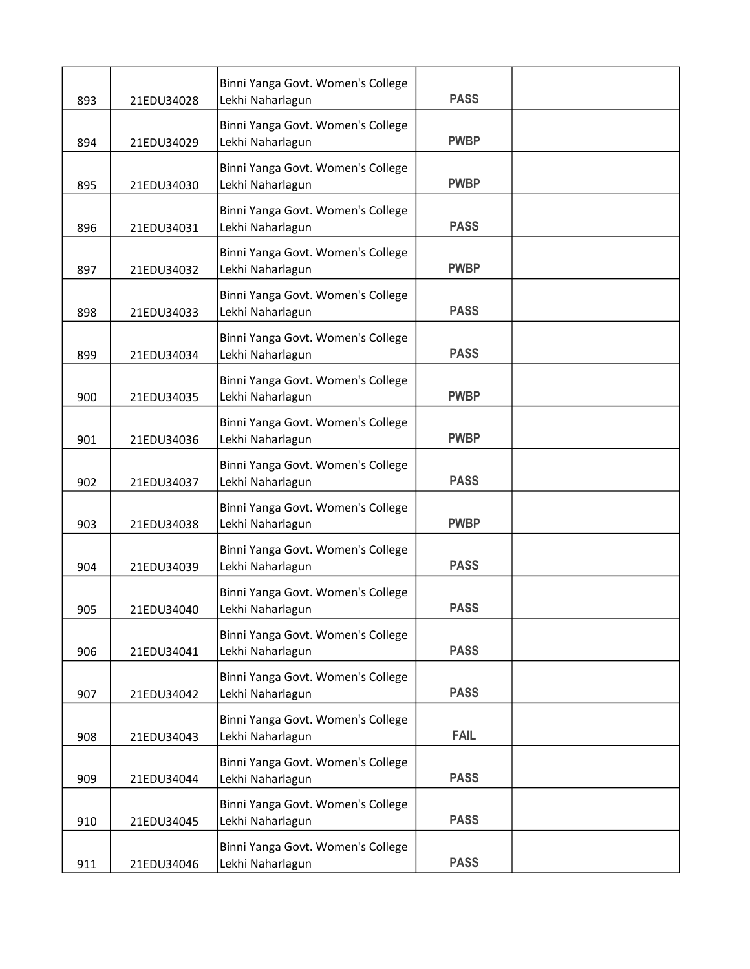| 893 | 21EDU34028 | Binni Yanga Govt. Women's College<br>Lekhi Naharlagun | <b>PASS</b> |  |
|-----|------------|-------------------------------------------------------|-------------|--|
| 894 | 21EDU34029 | Binni Yanga Govt. Women's College<br>Lekhi Naharlagun | <b>PWBP</b> |  |
| 895 | 21EDU34030 | Binni Yanga Govt. Women's College<br>Lekhi Naharlagun | <b>PWBP</b> |  |
| 896 | 21EDU34031 | Binni Yanga Govt. Women's College<br>Lekhi Naharlagun | <b>PASS</b> |  |
| 897 | 21EDU34032 | Binni Yanga Govt. Women's College<br>Lekhi Naharlagun | <b>PWBP</b> |  |
| 898 | 21EDU34033 | Binni Yanga Govt. Women's College<br>Lekhi Naharlagun | <b>PASS</b> |  |
| 899 | 21EDU34034 | Binni Yanga Govt. Women's College<br>Lekhi Naharlagun | <b>PASS</b> |  |
| 900 | 21EDU34035 | Binni Yanga Govt. Women's College<br>Lekhi Naharlagun | <b>PWBP</b> |  |
| 901 | 21EDU34036 | Binni Yanga Govt. Women's College<br>Lekhi Naharlagun | <b>PWBP</b> |  |
| 902 | 21EDU34037 | Binni Yanga Govt. Women's College<br>Lekhi Naharlagun | <b>PASS</b> |  |
| 903 | 21EDU34038 | Binni Yanga Govt. Women's College<br>Lekhi Naharlagun | <b>PWBP</b> |  |
| 904 | 21EDU34039 | Binni Yanga Govt. Women's College<br>Lekhi Naharlagun | <b>PASS</b> |  |
| 905 | 21EDU34040 | Binni Yanga Govt. Women's College<br>Lekhi Naharlagun | <b>PASS</b> |  |
| 906 | 21EDU34041 | Binni Yanga Govt. Women's College<br>Lekhi Naharlagun | <b>PASS</b> |  |
| 907 | 21EDU34042 | Binni Yanga Govt. Women's College<br>Lekhi Naharlagun | <b>PASS</b> |  |
| 908 | 21EDU34043 | Binni Yanga Govt. Women's College<br>Lekhi Naharlagun | <b>FAIL</b> |  |
| 909 | 21EDU34044 | Binni Yanga Govt. Women's College<br>Lekhi Naharlagun | <b>PASS</b> |  |
| 910 | 21EDU34045 | Binni Yanga Govt. Women's College<br>Lekhi Naharlagun | <b>PASS</b> |  |
| 911 | 21EDU34046 | Binni Yanga Govt. Women's College<br>Lekhi Naharlagun | <b>PASS</b> |  |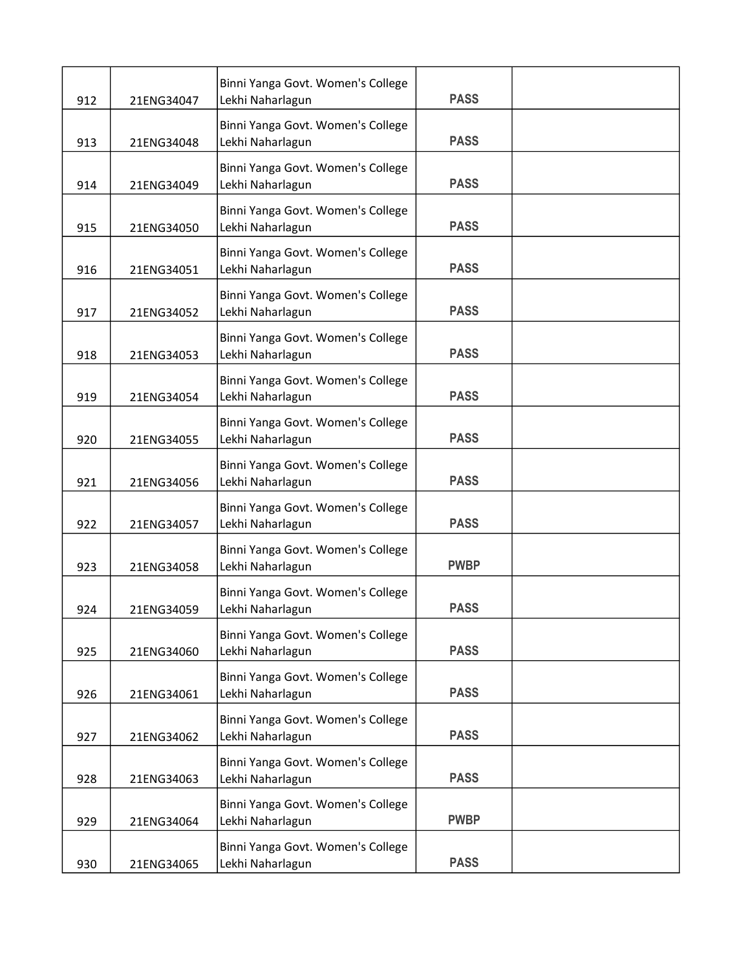| 912 | 21ENG34047 | Binni Yanga Govt. Women's College<br>Lekhi Naharlagun | <b>PASS</b> |  |
|-----|------------|-------------------------------------------------------|-------------|--|
| 913 | 21ENG34048 | Binni Yanga Govt. Women's College<br>Lekhi Naharlagun | <b>PASS</b> |  |
| 914 | 21ENG34049 | Binni Yanga Govt. Women's College<br>Lekhi Naharlagun | <b>PASS</b> |  |
| 915 | 21ENG34050 | Binni Yanga Govt. Women's College<br>Lekhi Naharlagun | <b>PASS</b> |  |
| 916 | 21ENG34051 | Binni Yanga Govt. Women's College<br>Lekhi Naharlagun | <b>PASS</b> |  |
| 917 | 21ENG34052 | Binni Yanga Govt. Women's College<br>Lekhi Naharlagun | <b>PASS</b> |  |
| 918 | 21ENG34053 | Binni Yanga Govt. Women's College<br>Lekhi Naharlagun | <b>PASS</b> |  |
| 919 | 21ENG34054 | Binni Yanga Govt. Women's College<br>Lekhi Naharlagun | <b>PASS</b> |  |
| 920 | 21ENG34055 | Binni Yanga Govt. Women's College<br>Lekhi Naharlagun | <b>PASS</b> |  |
| 921 | 21ENG34056 | Binni Yanga Govt. Women's College<br>Lekhi Naharlagun | <b>PASS</b> |  |
| 922 | 21ENG34057 | Binni Yanga Govt. Women's College<br>Lekhi Naharlagun | <b>PASS</b> |  |
| 923 | 21ENG34058 | Binni Yanga Govt. Women's College<br>Lekhi Naharlagun | <b>PWBP</b> |  |
| 924 | 21ENG34059 | Binni Yanga Govt. Women's College<br>Lekhi Naharlagun | <b>PASS</b> |  |
| 925 | 21ENG34060 | Binni Yanga Govt. Women's College<br>Lekhi Naharlagun | <b>PASS</b> |  |
| 926 | 21ENG34061 | Binni Yanga Govt. Women's College<br>Lekhi Naharlagun | <b>PASS</b> |  |
| 927 | 21ENG34062 | Binni Yanga Govt. Women's College<br>Lekhi Naharlagun | <b>PASS</b> |  |
| 928 | 21ENG34063 | Binni Yanga Govt. Women's College<br>Lekhi Naharlagun | <b>PASS</b> |  |
| 929 | 21ENG34064 | Binni Yanga Govt. Women's College<br>Lekhi Naharlagun | <b>PWBP</b> |  |
| 930 | 21ENG34065 | Binni Yanga Govt. Women's College<br>Lekhi Naharlagun | <b>PASS</b> |  |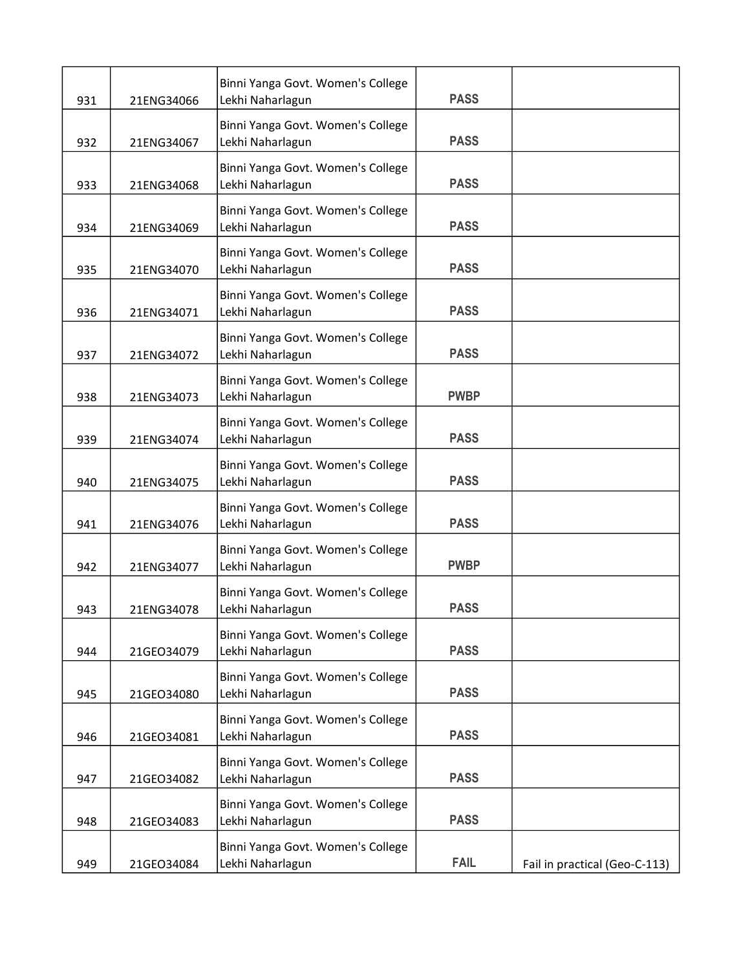|     |            | Binni Yanga Govt. Women's College                     |             |                               |
|-----|------------|-------------------------------------------------------|-------------|-------------------------------|
| 931 | 21ENG34066 | Lekhi Naharlagun                                      | <b>PASS</b> |                               |
| 932 | 21ENG34067 | Binni Yanga Govt. Women's College<br>Lekhi Naharlagun | <b>PASS</b> |                               |
| 933 | 21ENG34068 | Binni Yanga Govt. Women's College<br>Lekhi Naharlagun | <b>PASS</b> |                               |
| 934 | 21ENG34069 | Binni Yanga Govt. Women's College<br>Lekhi Naharlagun | <b>PASS</b> |                               |
| 935 | 21ENG34070 | Binni Yanga Govt. Women's College<br>Lekhi Naharlagun | <b>PASS</b> |                               |
| 936 | 21ENG34071 | Binni Yanga Govt. Women's College<br>Lekhi Naharlagun | <b>PASS</b> |                               |
| 937 | 21ENG34072 | Binni Yanga Govt. Women's College<br>Lekhi Naharlagun | <b>PASS</b> |                               |
| 938 | 21ENG34073 | Binni Yanga Govt. Women's College<br>Lekhi Naharlagun | <b>PWBP</b> |                               |
| 939 | 21ENG34074 | Binni Yanga Govt. Women's College<br>Lekhi Naharlagun | <b>PASS</b> |                               |
| 940 | 21ENG34075 | Binni Yanga Govt. Women's College<br>Lekhi Naharlagun | <b>PASS</b> |                               |
| 941 | 21ENG34076 | Binni Yanga Govt. Women's College<br>Lekhi Naharlagun | <b>PASS</b> |                               |
| 942 | 21ENG34077 | Binni Yanga Govt. Women's College<br>Lekhi Naharlagun | <b>PWBP</b> |                               |
| 943 | 21ENG34078 | Binni Yanga Govt. Women's College<br>Lekhi Naharlagun | <b>PASS</b> |                               |
| 944 | 21GEO34079 | Binni Yanga Govt. Women's College<br>Lekhi Naharlagun | <b>PASS</b> |                               |
| 945 | 21GEO34080 | Binni Yanga Govt. Women's College<br>Lekhi Naharlagun | <b>PASS</b> |                               |
| 946 | 21GEO34081 | Binni Yanga Govt. Women's College<br>Lekhi Naharlagun | <b>PASS</b> |                               |
| 947 | 21GEO34082 | Binni Yanga Govt. Women's College<br>Lekhi Naharlagun | <b>PASS</b> |                               |
| 948 | 21GEO34083 | Binni Yanga Govt. Women's College<br>Lekhi Naharlagun | <b>PASS</b> |                               |
| 949 | 21GEO34084 | Binni Yanga Govt. Women's College<br>Lekhi Naharlagun | <b>FAIL</b> | Fail in practical (Geo-C-113) |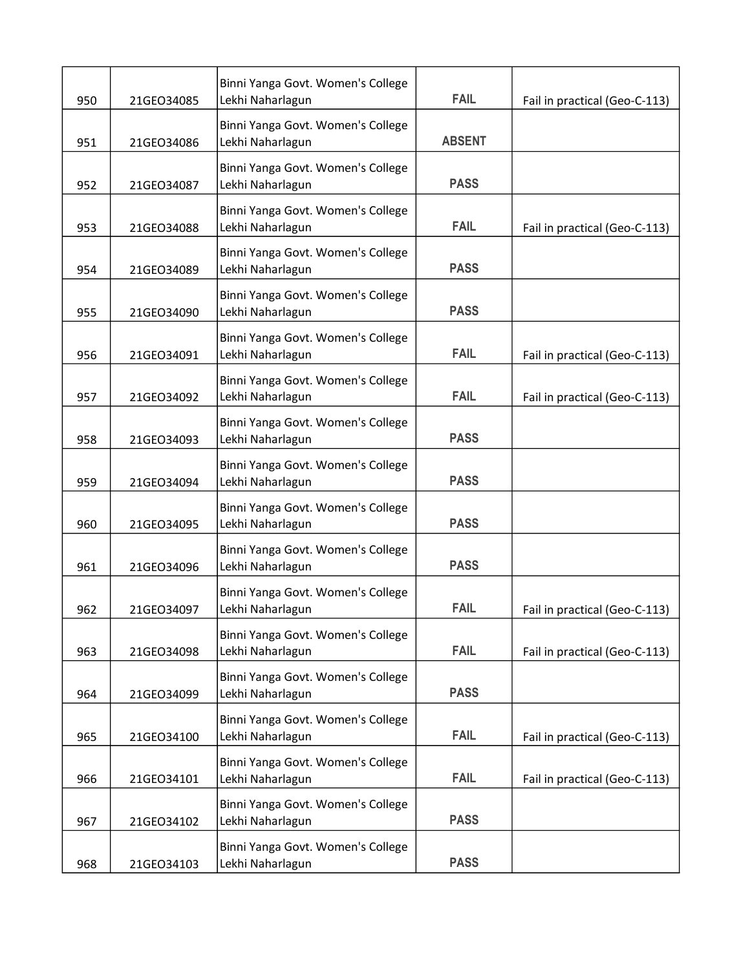| 950 | 21GEO34085 | Binni Yanga Govt. Women's College<br>Lekhi Naharlagun | <b>FAIL</b>   | Fail in practical (Geo-C-113) |
|-----|------------|-------------------------------------------------------|---------------|-------------------------------|
| 951 | 21GEO34086 | Binni Yanga Govt. Women's College<br>Lekhi Naharlagun | <b>ABSENT</b> |                               |
| 952 | 21GEO34087 | Binni Yanga Govt. Women's College<br>Lekhi Naharlagun | <b>PASS</b>   |                               |
| 953 | 21GEO34088 | Binni Yanga Govt. Women's College<br>Lekhi Naharlagun | <b>FAIL</b>   | Fail in practical (Geo-C-113) |
| 954 | 21GEO34089 | Binni Yanga Govt. Women's College<br>Lekhi Naharlagun | <b>PASS</b>   |                               |
| 955 | 21GEO34090 | Binni Yanga Govt. Women's College<br>Lekhi Naharlagun | <b>PASS</b>   |                               |
| 956 | 21GEO34091 | Binni Yanga Govt. Women's College<br>Lekhi Naharlagun | <b>FAIL</b>   | Fail in practical (Geo-C-113) |
| 957 | 21GEO34092 | Binni Yanga Govt. Women's College<br>Lekhi Naharlagun | <b>FAIL</b>   | Fail in practical (Geo-C-113) |
| 958 | 21GEO34093 | Binni Yanga Govt. Women's College<br>Lekhi Naharlagun | <b>PASS</b>   |                               |
| 959 | 21GEO34094 | Binni Yanga Govt. Women's College<br>Lekhi Naharlagun | <b>PASS</b>   |                               |
| 960 | 21GEO34095 | Binni Yanga Govt. Women's College<br>Lekhi Naharlagun | <b>PASS</b>   |                               |
| 961 | 21GEO34096 | Binni Yanga Govt. Women's College<br>Lekhi Naharlagun | <b>PASS</b>   |                               |
| 962 | 21GEO34097 | Binni Yanga Govt. Women's College<br>Lekhi Naharlagun | <b>FAIL</b>   | Fail in practical (Geo-C-113) |
| 963 | 21GEO34098 | Binni Yanga Govt. Women's College<br>Lekhi Naharlagun | <b>FAIL</b>   | Fail in practical (Geo-C-113) |
| 964 | 21GEO34099 | Binni Yanga Govt. Women's College<br>Lekhi Naharlagun | <b>PASS</b>   |                               |
| 965 | 21GEO34100 | Binni Yanga Govt. Women's College<br>Lekhi Naharlagun | <b>FAIL</b>   | Fail in practical (Geo-C-113) |
| 966 | 21GEO34101 | Binni Yanga Govt. Women's College<br>Lekhi Naharlagun | <b>FAIL</b>   | Fail in practical (Geo-C-113) |
| 967 | 21GEO34102 | Binni Yanga Govt. Women's College<br>Lekhi Naharlagun | <b>PASS</b>   |                               |
| 968 | 21GEO34103 | Binni Yanga Govt. Women's College<br>Lekhi Naharlagun | <b>PASS</b>   |                               |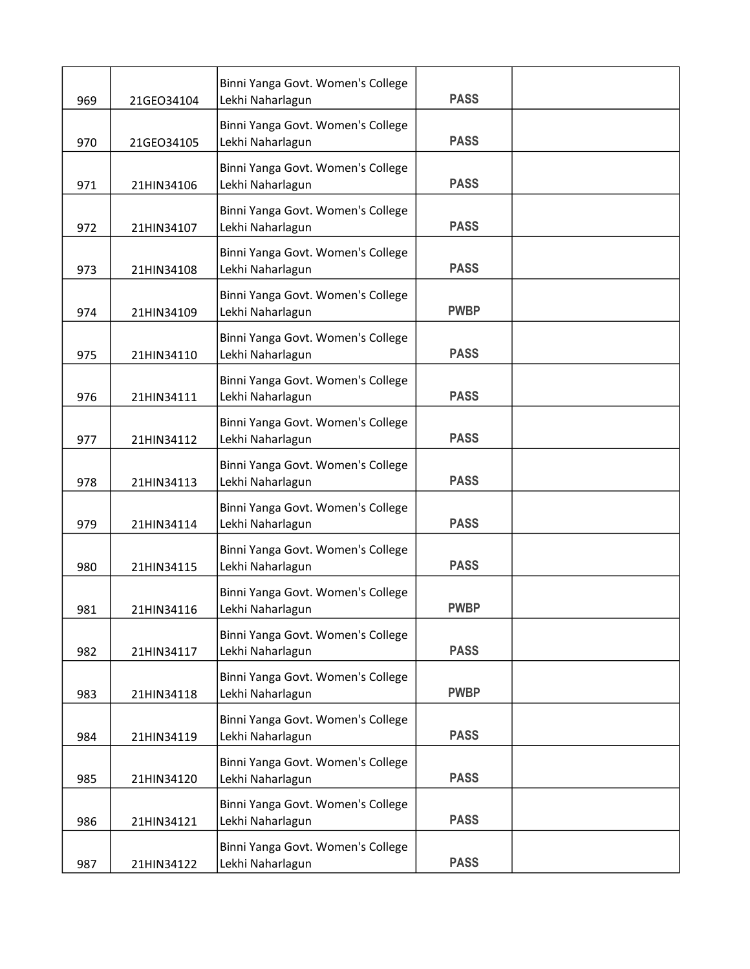| 969 | 21GEO34104 | Binni Yanga Govt. Women's College<br>Lekhi Naharlagun | <b>PASS</b> |  |
|-----|------------|-------------------------------------------------------|-------------|--|
| 970 | 21GEO34105 | Binni Yanga Govt. Women's College<br>Lekhi Naharlagun | <b>PASS</b> |  |
| 971 | 21HIN34106 | Binni Yanga Govt. Women's College<br>Lekhi Naharlagun | <b>PASS</b> |  |
| 972 | 21HIN34107 | Binni Yanga Govt. Women's College<br>Lekhi Naharlagun | <b>PASS</b> |  |
| 973 | 21HIN34108 | Binni Yanga Govt. Women's College<br>Lekhi Naharlagun | <b>PASS</b> |  |
| 974 | 21HIN34109 | Binni Yanga Govt. Women's College<br>Lekhi Naharlagun | <b>PWBP</b> |  |
| 975 | 21HIN34110 | Binni Yanga Govt. Women's College<br>Lekhi Naharlagun | <b>PASS</b> |  |
| 976 | 21HIN34111 | Binni Yanga Govt. Women's College<br>Lekhi Naharlagun | <b>PASS</b> |  |
| 977 | 21HIN34112 | Binni Yanga Govt. Women's College<br>Lekhi Naharlagun | <b>PASS</b> |  |
| 978 | 21HIN34113 | Binni Yanga Govt. Women's College<br>Lekhi Naharlagun | <b>PASS</b> |  |
| 979 | 21HIN34114 | Binni Yanga Govt. Women's College<br>Lekhi Naharlagun | <b>PASS</b> |  |
| 980 | 21HIN34115 | Binni Yanga Govt. Women's College<br>Lekhi Naharlagun | <b>PASS</b> |  |
| 981 | 21HIN34116 | Binni Yanga Govt. Women's College<br>Lekhi Naharlagun | <b>PWBP</b> |  |
| 982 | 21HIN34117 | Binni Yanga Govt. Women's College<br>Lekhi Naharlagun | <b>PASS</b> |  |
| 983 | 21HIN34118 | Binni Yanga Govt. Women's College<br>Lekhi Naharlagun | <b>PWBP</b> |  |
| 984 | 21HIN34119 | Binni Yanga Govt. Women's College<br>Lekhi Naharlagun | <b>PASS</b> |  |
| 985 | 21HIN34120 | Binni Yanga Govt. Women's College<br>Lekhi Naharlagun | <b>PASS</b> |  |
| 986 | 21HIN34121 | Binni Yanga Govt. Women's College<br>Lekhi Naharlagun | <b>PASS</b> |  |
| 987 | 21HIN34122 | Binni Yanga Govt. Women's College<br>Lekhi Naharlagun | <b>PASS</b> |  |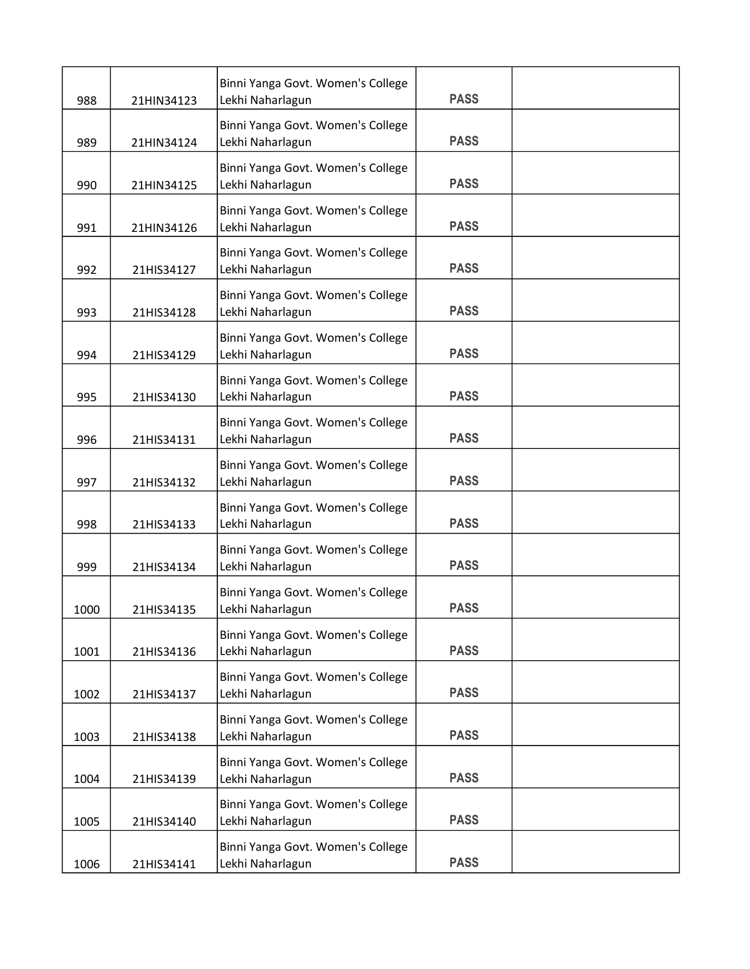| 988  | 21HIN34123 | Binni Yanga Govt. Women's College<br>Lekhi Naharlagun | <b>PASS</b> |  |
|------|------------|-------------------------------------------------------|-------------|--|
| 989  | 21HIN34124 | Binni Yanga Govt. Women's College<br>Lekhi Naharlagun | <b>PASS</b> |  |
| 990  | 21HIN34125 | Binni Yanga Govt. Women's College<br>Lekhi Naharlagun | <b>PASS</b> |  |
| 991  | 21HIN34126 | Binni Yanga Govt. Women's College<br>Lekhi Naharlagun | <b>PASS</b> |  |
| 992  | 21HIS34127 | Binni Yanga Govt. Women's College<br>Lekhi Naharlagun | <b>PASS</b> |  |
| 993  | 21HIS34128 | Binni Yanga Govt. Women's College<br>Lekhi Naharlagun | <b>PASS</b> |  |
| 994  | 21HIS34129 | Binni Yanga Govt. Women's College<br>Lekhi Naharlagun | <b>PASS</b> |  |
| 995  | 21HIS34130 | Binni Yanga Govt. Women's College<br>Lekhi Naharlagun | <b>PASS</b> |  |
| 996  | 21HIS34131 | Binni Yanga Govt. Women's College<br>Lekhi Naharlagun | <b>PASS</b> |  |
| 997  | 21HIS34132 | Binni Yanga Govt. Women's College<br>Lekhi Naharlagun | <b>PASS</b> |  |
| 998  | 21HIS34133 | Binni Yanga Govt. Women's College<br>Lekhi Naharlagun | <b>PASS</b> |  |
| 999  | 21HIS34134 | Binni Yanga Govt. Women's College<br>Lekhi Naharlagun | <b>PASS</b> |  |
| 1000 | 21HIS34135 | Binni Yanga Govt. Women's College<br>Lekhi Naharlagun | <b>PASS</b> |  |
| 1001 | 21HIS34136 | Binni Yanga Govt. Women's College<br>Lekhi Naharlagun | <b>PASS</b> |  |
| 1002 | 21HIS34137 | Binni Yanga Govt. Women's College<br>Lekhi Naharlagun | <b>PASS</b> |  |
| 1003 | 21HIS34138 | Binni Yanga Govt. Women's College<br>Lekhi Naharlagun | <b>PASS</b> |  |
| 1004 | 21HIS34139 | Binni Yanga Govt. Women's College<br>Lekhi Naharlagun | <b>PASS</b> |  |
| 1005 | 21HIS34140 | Binni Yanga Govt. Women's College<br>Lekhi Naharlagun | <b>PASS</b> |  |
| 1006 | 21HIS34141 | Binni Yanga Govt. Women's College<br>Lekhi Naharlagun | <b>PASS</b> |  |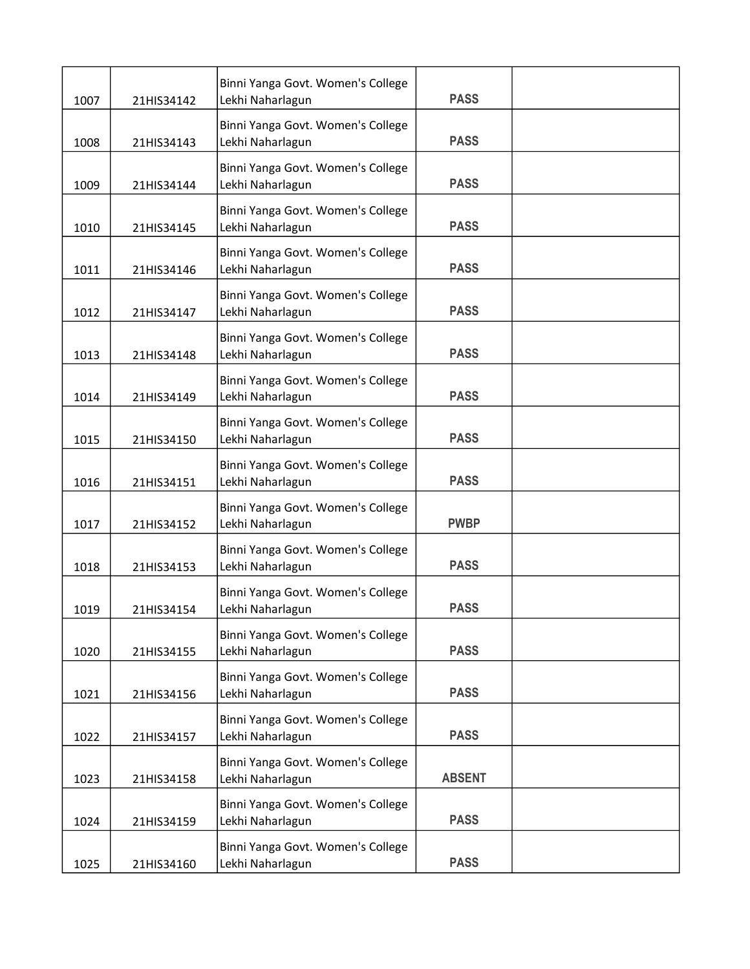| 1007 | 21HIS34142 | Binni Yanga Govt. Women's College<br>Lekhi Naharlagun | <b>PASS</b>   |  |
|------|------------|-------------------------------------------------------|---------------|--|
| 1008 | 21HIS34143 | Binni Yanga Govt. Women's College<br>Lekhi Naharlagun | <b>PASS</b>   |  |
| 1009 | 21HIS34144 | Binni Yanga Govt. Women's College<br>Lekhi Naharlagun | <b>PASS</b>   |  |
| 1010 | 21HIS34145 | Binni Yanga Govt. Women's College<br>Lekhi Naharlagun | <b>PASS</b>   |  |
| 1011 | 21HIS34146 | Binni Yanga Govt. Women's College<br>Lekhi Naharlagun | <b>PASS</b>   |  |
| 1012 | 21HIS34147 | Binni Yanga Govt. Women's College<br>Lekhi Naharlagun | <b>PASS</b>   |  |
| 1013 | 21HIS34148 | Binni Yanga Govt. Women's College<br>Lekhi Naharlagun | <b>PASS</b>   |  |
| 1014 | 21HIS34149 | Binni Yanga Govt. Women's College<br>Lekhi Naharlagun | <b>PASS</b>   |  |
| 1015 | 21HIS34150 | Binni Yanga Govt. Women's College<br>Lekhi Naharlagun | <b>PASS</b>   |  |
| 1016 | 21HIS34151 | Binni Yanga Govt. Women's College<br>Lekhi Naharlagun | <b>PASS</b>   |  |
| 1017 | 21HIS34152 | Binni Yanga Govt. Women's College<br>Lekhi Naharlagun | <b>PWBP</b>   |  |
| 1018 | 21HIS34153 | Binni Yanga Govt. Women's College<br>Lekhi Naharlagun | <b>PASS</b>   |  |
| 1019 | 21HIS34154 | Binni Yanga Govt. Women's College<br>Lekhi Naharlagun | <b>PASS</b>   |  |
| 1020 | 21HIS34155 | Binni Yanga Govt. Women's College<br>Lekhi Naharlagun | <b>PASS</b>   |  |
| 1021 | 21HIS34156 | Binni Yanga Govt. Women's College<br>Lekhi Naharlagun | <b>PASS</b>   |  |
| 1022 | 21HIS34157 | Binni Yanga Govt. Women's College<br>Lekhi Naharlagun | <b>PASS</b>   |  |
| 1023 | 21HIS34158 | Binni Yanga Govt. Women's College<br>Lekhi Naharlagun | <b>ABSENT</b> |  |
| 1024 | 21HIS34159 | Binni Yanga Govt. Women's College<br>Lekhi Naharlagun | <b>PASS</b>   |  |
| 1025 | 21HIS34160 | Binni Yanga Govt. Women's College<br>Lekhi Naharlagun | <b>PASS</b>   |  |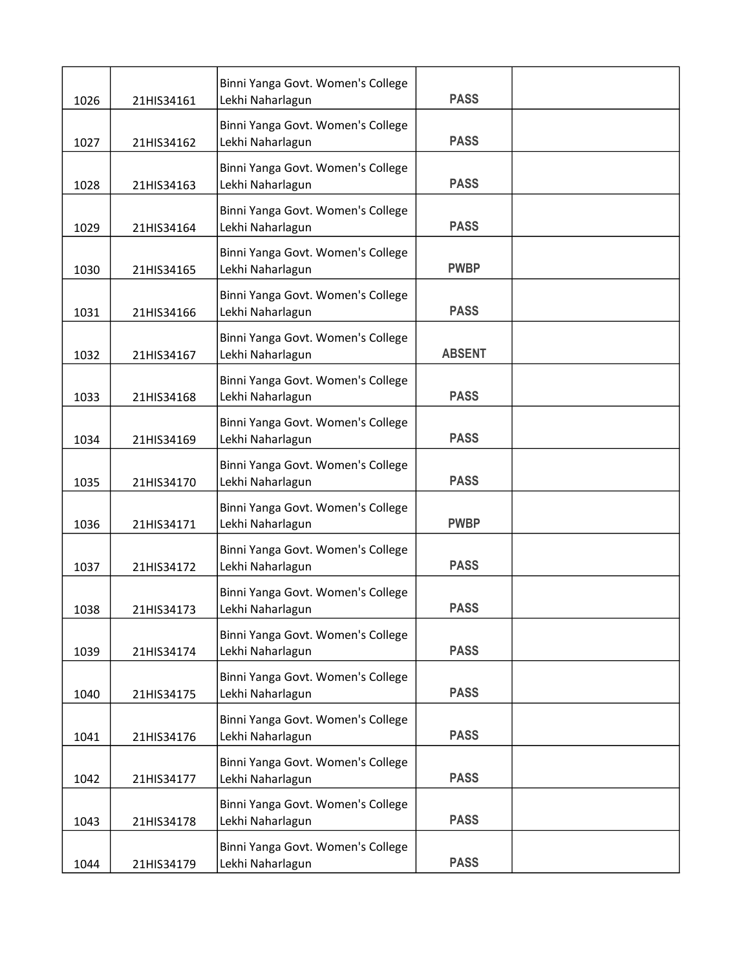| 1026 | 21HIS34161 | Binni Yanga Govt. Women's College<br>Lekhi Naharlagun | <b>PASS</b>   |  |
|------|------------|-------------------------------------------------------|---------------|--|
| 1027 | 21HIS34162 | Binni Yanga Govt. Women's College<br>Lekhi Naharlagun | <b>PASS</b>   |  |
| 1028 | 21HIS34163 | Binni Yanga Govt. Women's College<br>Lekhi Naharlagun | <b>PASS</b>   |  |
| 1029 | 21HIS34164 | Binni Yanga Govt. Women's College<br>Lekhi Naharlagun | <b>PASS</b>   |  |
| 1030 | 21HIS34165 | Binni Yanga Govt. Women's College<br>Lekhi Naharlagun | <b>PWBP</b>   |  |
| 1031 | 21HIS34166 | Binni Yanga Govt. Women's College<br>Lekhi Naharlagun | <b>PASS</b>   |  |
| 1032 | 21HIS34167 | Binni Yanga Govt. Women's College<br>Lekhi Naharlagun | <b>ABSENT</b> |  |
| 1033 | 21HIS34168 | Binni Yanga Govt. Women's College<br>Lekhi Naharlagun | <b>PASS</b>   |  |
| 1034 | 21HIS34169 | Binni Yanga Govt. Women's College<br>Lekhi Naharlagun | <b>PASS</b>   |  |
| 1035 | 21HIS34170 | Binni Yanga Govt. Women's College<br>Lekhi Naharlagun | <b>PASS</b>   |  |
| 1036 | 21HIS34171 | Binni Yanga Govt. Women's College<br>Lekhi Naharlagun | <b>PWBP</b>   |  |
| 1037 | 21HIS34172 | Binni Yanga Govt. Women's College<br>Lekhi Naharlagun | <b>PASS</b>   |  |
| 1038 | 21HIS34173 | Binni Yanga Govt. Women's College<br>Lekhi Naharlagun | <b>PASS</b>   |  |
| 1039 | 21HIS34174 | Binni Yanga Govt. Women's College<br>Lekhi Naharlagun | <b>PASS</b>   |  |
| 1040 | 21HIS34175 | Binni Yanga Govt. Women's College<br>Lekhi Naharlagun | <b>PASS</b>   |  |
| 1041 | 21HIS34176 | Binni Yanga Govt. Women's College<br>Lekhi Naharlagun | <b>PASS</b>   |  |
| 1042 | 21HIS34177 | Binni Yanga Govt. Women's College<br>Lekhi Naharlagun | <b>PASS</b>   |  |
| 1043 | 21HIS34178 | Binni Yanga Govt. Women's College<br>Lekhi Naharlagun | <b>PASS</b>   |  |
| 1044 | 21HIS34179 | Binni Yanga Govt. Women's College<br>Lekhi Naharlagun | <b>PASS</b>   |  |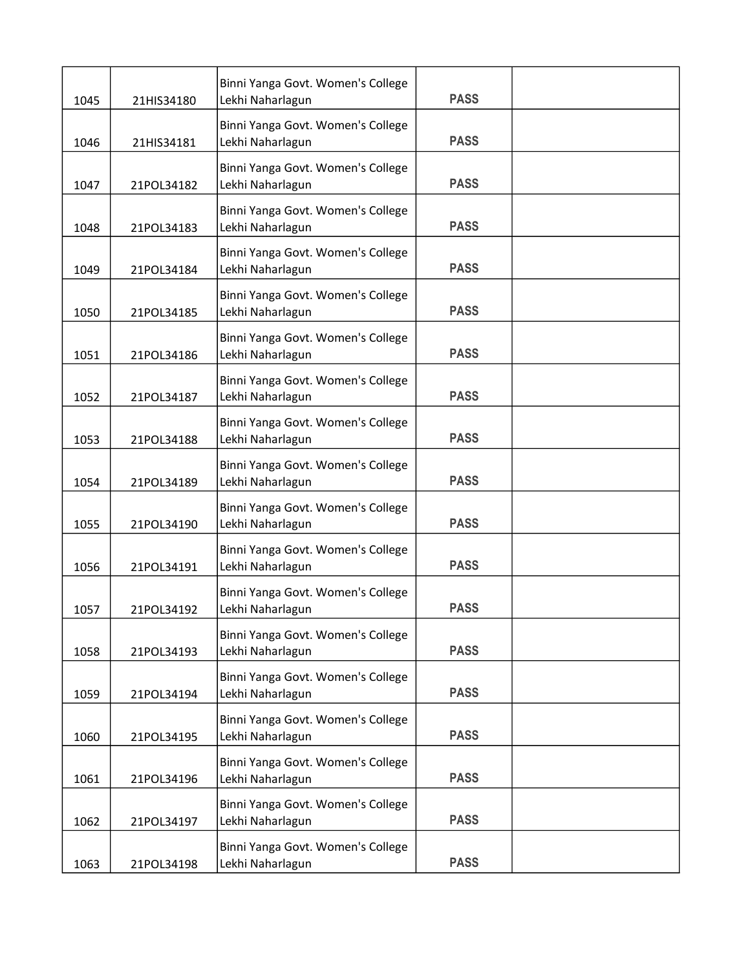| 1045 | 21HIS34180 | Binni Yanga Govt. Women's College<br>Lekhi Naharlagun | <b>PASS</b> |  |
|------|------------|-------------------------------------------------------|-------------|--|
| 1046 | 21HIS34181 | Binni Yanga Govt. Women's College<br>Lekhi Naharlagun | <b>PASS</b> |  |
| 1047 | 21POL34182 | Binni Yanga Govt. Women's College<br>Lekhi Naharlagun | <b>PASS</b> |  |
| 1048 | 21POL34183 | Binni Yanga Govt. Women's College<br>Lekhi Naharlagun | <b>PASS</b> |  |
| 1049 | 21POL34184 | Binni Yanga Govt. Women's College<br>Lekhi Naharlagun | <b>PASS</b> |  |
| 1050 | 21POL34185 | Binni Yanga Govt. Women's College<br>Lekhi Naharlagun | <b>PASS</b> |  |
| 1051 | 21POL34186 | Binni Yanga Govt. Women's College<br>Lekhi Naharlagun | <b>PASS</b> |  |
| 1052 | 21POL34187 | Binni Yanga Govt. Women's College<br>Lekhi Naharlagun | <b>PASS</b> |  |
| 1053 | 21POL34188 | Binni Yanga Govt. Women's College<br>Lekhi Naharlagun | <b>PASS</b> |  |
| 1054 | 21POL34189 | Binni Yanga Govt. Women's College<br>Lekhi Naharlagun | <b>PASS</b> |  |
| 1055 | 21POL34190 | Binni Yanga Govt. Women's College<br>Lekhi Naharlagun | <b>PASS</b> |  |
| 1056 | 21POL34191 | Binni Yanga Govt. Women's College<br>Lekhi Naharlagun | <b>PASS</b> |  |
| 1057 | 21POL34192 | Binni Yanga Govt. Women's College<br>Lekhi Naharlagun | <b>PASS</b> |  |
| 1058 | 21POL34193 | Binni Yanga Govt. Women's College<br>Lekhi Naharlagun | <b>PASS</b> |  |
| 1059 | 21POL34194 | Binni Yanga Govt. Women's College<br>Lekhi Naharlagun | <b>PASS</b> |  |
| 1060 | 21POL34195 | Binni Yanga Govt. Women's College<br>Lekhi Naharlagun | <b>PASS</b> |  |
| 1061 | 21POL34196 | Binni Yanga Govt. Women's College<br>Lekhi Naharlagun | <b>PASS</b> |  |
| 1062 | 21POL34197 | Binni Yanga Govt. Women's College<br>Lekhi Naharlagun | <b>PASS</b> |  |
| 1063 | 21POL34198 | Binni Yanga Govt. Women's College<br>Lekhi Naharlagun | <b>PASS</b> |  |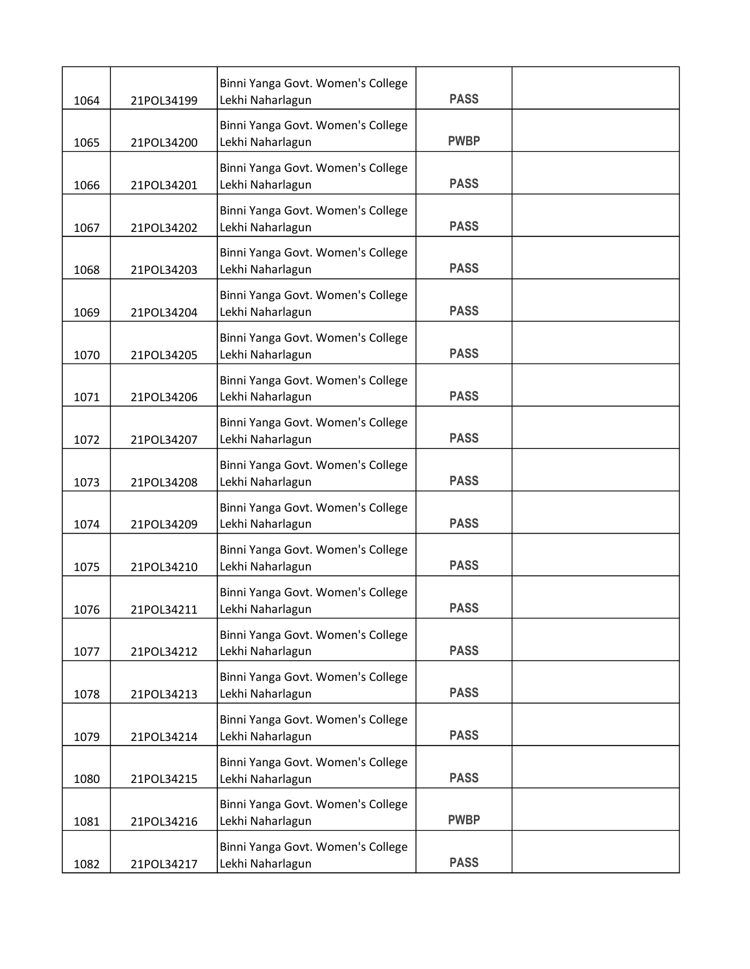| 1064 | 21POL34199 | Binni Yanga Govt. Women's College<br>Lekhi Naharlagun | <b>PASS</b> |  |
|------|------------|-------------------------------------------------------|-------------|--|
| 1065 | 21POL34200 | Binni Yanga Govt. Women's College<br>Lekhi Naharlagun | <b>PWBP</b> |  |
| 1066 | 21POL34201 | Binni Yanga Govt. Women's College<br>Lekhi Naharlagun | <b>PASS</b> |  |
| 1067 | 21POL34202 | Binni Yanga Govt. Women's College<br>Lekhi Naharlagun | <b>PASS</b> |  |
| 1068 | 21POL34203 | Binni Yanga Govt. Women's College<br>Lekhi Naharlagun | <b>PASS</b> |  |
| 1069 | 21POL34204 | Binni Yanga Govt. Women's College<br>Lekhi Naharlagun | <b>PASS</b> |  |
| 1070 | 21POL34205 | Binni Yanga Govt. Women's College<br>Lekhi Naharlagun | <b>PASS</b> |  |
| 1071 | 21POL34206 | Binni Yanga Govt. Women's College<br>Lekhi Naharlagun | <b>PASS</b> |  |
| 1072 | 21POL34207 | Binni Yanga Govt. Women's College<br>Lekhi Naharlagun | <b>PASS</b> |  |
| 1073 | 21POL34208 | Binni Yanga Govt. Women's College<br>Lekhi Naharlagun | <b>PASS</b> |  |
| 1074 | 21POL34209 | Binni Yanga Govt. Women's College<br>Lekhi Naharlagun | <b>PASS</b> |  |
| 1075 | 21POL34210 | Binni Yanga Govt. Women's College<br>Lekhi Naharlagun | <b>PASS</b> |  |
| 1076 | 21POL34211 | Binni Yanga Govt. Women's College<br>Lekhi Naharlagun | <b>PASS</b> |  |
| 1077 | 21POL34212 | Binni Yanga Govt. Women's College<br>Lekhi Naharlagun | <b>PASS</b> |  |
| 1078 | 21POL34213 | Binni Yanga Govt. Women's College<br>Lekhi Naharlagun | <b>PASS</b> |  |
| 1079 | 21POL34214 | Binni Yanga Govt. Women's College<br>Lekhi Naharlagun | <b>PASS</b> |  |
| 1080 | 21POL34215 | Binni Yanga Govt. Women's College<br>Lekhi Naharlagun | <b>PASS</b> |  |
| 1081 | 21POL34216 | Binni Yanga Govt. Women's College<br>Lekhi Naharlagun | <b>PWBP</b> |  |
| 1082 | 21POL34217 | Binni Yanga Govt. Women's College<br>Lekhi Naharlagun | <b>PASS</b> |  |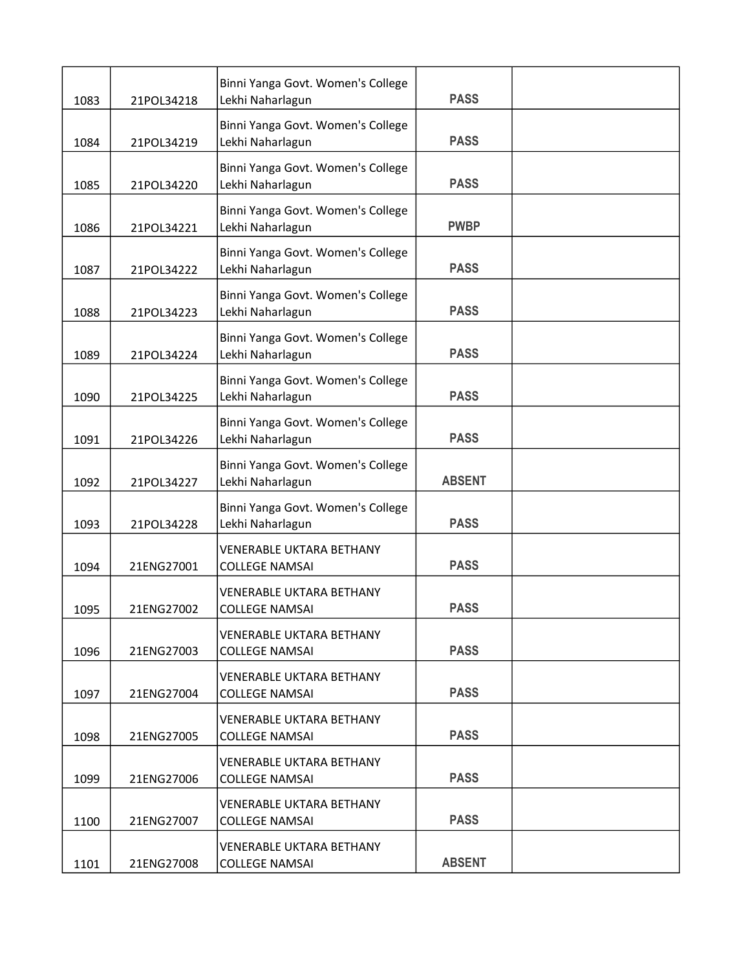| 1083 | 21POL34218 | Binni Yanga Govt. Women's College<br>Lekhi Naharlagun    | <b>PASS</b>   |  |
|------|------------|----------------------------------------------------------|---------------|--|
|      |            | Binni Yanga Govt. Women's College                        |               |  |
| 1084 | 21POL34219 | Lekhi Naharlagun                                         | <b>PASS</b>   |  |
| 1085 | 21POL34220 | Binni Yanga Govt. Women's College<br>Lekhi Naharlagun    | <b>PASS</b>   |  |
| 1086 | 21POL34221 | Binni Yanga Govt. Women's College<br>Lekhi Naharlagun    | <b>PWBP</b>   |  |
| 1087 | 21POL34222 | Binni Yanga Govt. Women's College<br>Lekhi Naharlagun    | <b>PASS</b>   |  |
| 1088 | 21POL34223 | Binni Yanga Govt. Women's College<br>Lekhi Naharlagun    | <b>PASS</b>   |  |
| 1089 | 21POL34224 | Binni Yanga Govt. Women's College<br>Lekhi Naharlagun    | <b>PASS</b>   |  |
| 1090 | 21POL34225 | Binni Yanga Govt. Women's College<br>Lekhi Naharlagun    | <b>PASS</b>   |  |
| 1091 | 21POL34226 | Binni Yanga Govt. Women's College<br>Lekhi Naharlagun    | <b>PASS</b>   |  |
| 1092 | 21POL34227 | Binni Yanga Govt. Women's College<br>Lekhi Naharlagun    | <b>ABSENT</b> |  |
| 1093 | 21POL34228 | Binni Yanga Govt. Women's College<br>Lekhi Naharlagun    | <b>PASS</b>   |  |
| 1094 | 21ENG27001 | <b>VENERABLE UKTARA BETHANY</b><br><b>COLLEGE NAMSAI</b> | <b>PASS</b>   |  |
| 1095 | 21ENG27002 | <b>VENERABLE UKTARA BETHANY</b><br><b>COLLEGE NAMSAI</b> | <b>PASS</b>   |  |
| 1096 | 21ENG27003 | <b>VENERABLE UKTARA BETHANY</b><br><b>COLLEGE NAMSAI</b> | <b>PASS</b>   |  |
| 1097 | 21ENG27004 | <b>VENERABLE UKTARA BETHANY</b><br><b>COLLEGE NAMSAI</b> | <b>PASS</b>   |  |
| 1098 | 21ENG27005 | <b>VENERABLE UKTARA BETHANY</b><br><b>COLLEGE NAMSAI</b> | <b>PASS</b>   |  |
| 1099 | 21ENG27006 | <b>VENERABLE UKTARA BETHANY</b><br><b>COLLEGE NAMSAI</b> | <b>PASS</b>   |  |
| 1100 | 21ENG27007 | <b>VENERABLE UKTARA BETHANY</b><br><b>COLLEGE NAMSAI</b> | <b>PASS</b>   |  |
| 1101 | 21ENG27008 | <b>VENERABLE UKTARA BETHANY</b><br><b>COLLEGE NAMSAI</b> | <b>ABSENT</b> |  |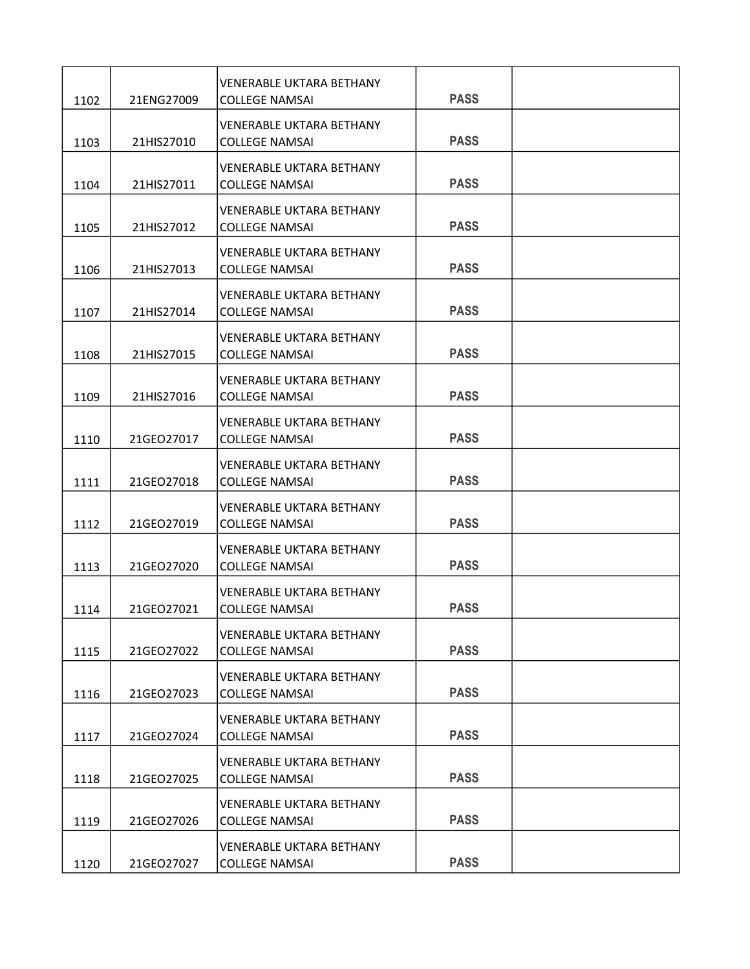| 1102 | 21ENG27009 | <b>VENERABLE UKTARA BETHANY</b><br><b>COLLEGE NAMSAI</b> | <b>PASS</b> |  |
|------|------------|----------------------------------------------------------|-------------|--|
|      |            | <b>VENERABLE UKTARA BETHANY</b>                          |             |  |
| 1103 | 21HIS27010 | <b>COLLEGE NAMSAI</b>                                    | <b>PASS</b> |  |
| 1104 | 21HIS27011 | <b>VENERABLE UKTARA BETHANY</b><br><b>COLLEGE NAMSAI</b> | <b>PASS</b> |  |
| 1105 | 21HIS27012 | <b>VENERABLE UKTARA BETHANY</b><br><b>COLLEGE NAMSAI</b> | <b>PASS</b> |  |
| 1106 | 21HIS27013 | <b>VENERABLE UKTARA BETHANY</b><br><b>COLLEGE NAMSAI</b> | <b>PASS</b> |  |
| 1107 | 21HIS27014 | <b>VENERABLE UKTARA BETHANY</b><br><b>COLLEGE NAMSAI</b> | <b>PASS</b> |  |
| 1108 | 21HIS27015 | <b>VENERABLE UKTARA BETHANY</b><br><b>COLLEGE NAMSAI</b> | <b>PASS</b> |  |
| 1109 | 21HIS27016 | <b>VENERABLE UKTARA BETHANY</b><br><b>COLLEGE NAMSAI</b> | <b>PASS</b> |  |
| 1110 | 21GEO27017 | <b>VENERABLE UKTARA BETHANY</b><br><b>COLLEGE NAMSAI</b> | <b>PASS</b> |  |
| 1111 | 21GEO27018 | <b>VENERABLE UKTARA BETHANY</b><br><b>COLLEGE NAMSAI</b> | <b>PASS</b> |  |
| 1112 | 21GEO27019 | <b>VENERABLE UKTARA BETHANY</b><br><b>COLLEGE NAMSAI</b> | <b>PASS</b> |  |
| 1113 | 21GEO27020 | <b>VENERABLE UKTARA BETHANY</b><br><b>COLLEGE NAMSAI</b> | <b>PASS</b> |  |
| 1114 | 21GEO27021 | <b>VENERABLE UKTARA BETHANY</b><br><b>COLLEGE NAMSAI</b> | <b>PASS</b> |  |
| 1115 | 21GEO27022 | <b>VENERABLE UKTARA BETHANY</b><br><b>COLLEGE NAMSAI</b> | <b>PASS</b> |  |
| 1116 | 21GEO27023 | <b>VENERABLE UKTARA BETHANY</b><br><b>COLLEGE NAMSAI</b> | <b>PASS</b> |  |
| 1117 | 21GEO27024 | <b>VENERABLE UKTARA BETHANY</b><br><b>COLLEGE NAMSAI</b> | <b>PASS</b> |  |
| 1118 | 21GEO27025 | <b>VENERABLE UKTARA BETHANY</b><br><b>COLLEGE NAMSAI</b> | <b>PASS</b> |  |
| 1119 | 21GEO27026 | <b>VENERABLE UKTARA BETHANY</b><br><b>COLLEGE NAMSAI</b> | <b>PASS</b> |  |
| 1120 | 21GEO27027 | <b>VENERABLE UKTARA BETHANY</b><br><b>COLLEGE NAMSAI</b> | <b>PASS</b> |  |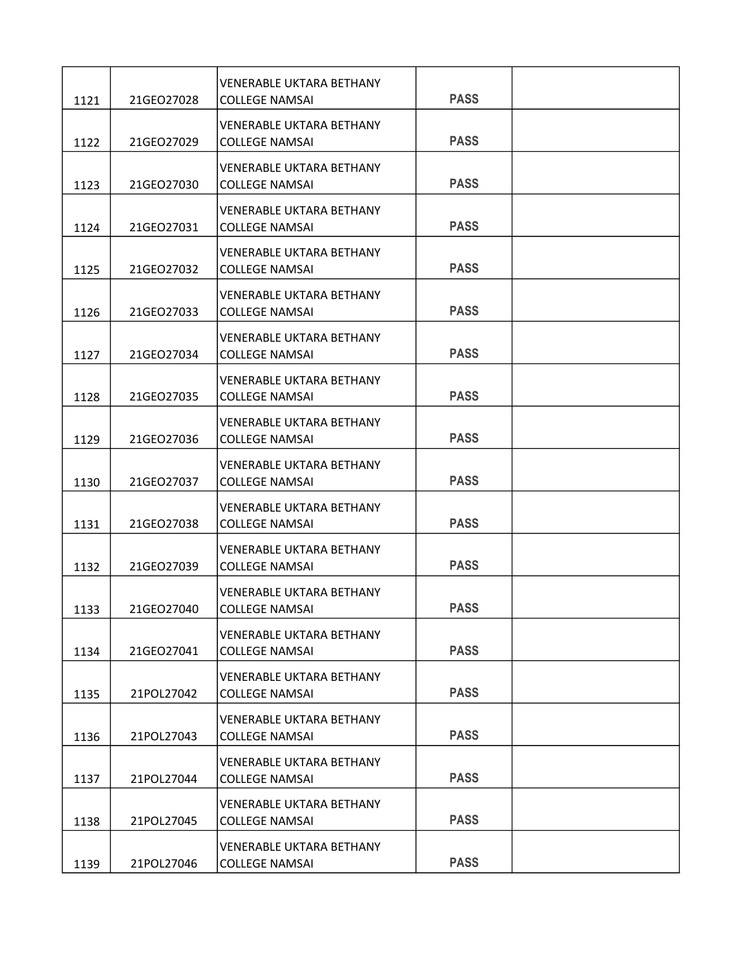| 1121 | 21GEO27028 | <b>VENERABLE UKTARA BETHANY</b><br><b>COLLEGE NAMSAI</b> | <b>PASS</b> |  |
|------|------------|----------------------------------------------------------|-------------|--|
| 1122 | 21GEO27029 | <b>VENERABLE UKTARA BETHANY</b><br><b>COLLEGE NAMSAI</b> | <b>PASS</b> |  |
| 1123 | 21GEO27030 | <b>VENERABLE UKTARA BETHANY</b><br><b>COLLEGE NAMSAI</b> | <b>PASS</b> |  |
| 1124 | 21GEO27031 | <b>VENERABLE UKTARA BETHANY</b><br><b>COLLEGE NAMSAI</b> | <b>PASS</b> |  |
| 1125 | 21GEO27032 | VENERABLE UKTARA BETHANY<br><b>COLLEGE NAMSAI</b>        | <b>PASS</b> |  |
| 1126 | 21GEO27033 | <b>VENERABLE UKTARA BETHANY</b><br><b>COLLEGE NAMSAI</b> | <b>PASS</b> |  |
| 1127 | 21GEO27034 | <b>VENERABLE UKTARA BETHANY</b><br><b>COLLEGE NAMSAI</b> | <b>PASS</b> |  |
| 1128 | 21GEO27035 | <b>VENERABLE UKTARA BETHANY</b><br><b>COLLEGE NAMSAI</b> | <b>PASS</b> |  |
| 1129 | 21GEO27036 | <b>VENERABLE UKTARA BETHANY</b><br><b>COLLEGE NAMSAI</b> | <b>PASS</b> |  |
| 1130 | 21GEO27037 | <b>VENERABLE UKTARA BETHANY</b><br><b>COLLEGE NAMSAI</b> | <b>PASS</b> |  |
| 1131 | 21GEO27038 | <b>VENERABLE UKTARA BETHANY</b><br><b>COLLEGE NAMSAI</b> | <b>PASS</b> |  |
| 1132 | 21GEO27039 | <b>VENERABLE UKTARA BETHANY</b><br><b>COLLEGE NAMSAI</b> | <b>PASS</b> |  |
| 1133 | 21GEO27040 | <b>VENERABLE UKTARA BETHANY</b><br><b>COLLEGE NAMSAI</b> | <b>PASS</b> |  |
| 1134 | 21GEO27041 | <b>VENERABLE UKTARA BETHANY</b><br><b>COLLEGE NAMSAI</b> | <b>PASS</b> |  |
| 1135 | 21POL27042 | <b>VENERABLE UKTARA BETHANY</b><br><b>COLLEGE NAMSAI</b> | <b>PASS</b> |  |
| 1136 | 21POL27043 | <b>VENERABLE UKTARA BETHANY</b><br><b>COLLEGE NAMSAI</b> | <b>PASS</b> |  |
| 1137 | 21POL27044 | <b>VENERABLE UKTARA BETHANY</b><br><b>COLLEGE NAMSAI</b> | <b>PASS</b> |  |
| 1138 | 21POL27045 | <b>VENERABLE UKTARA BETHANY</b><br><b>COLLEGE NAMSAI</b> | <b>PASS</b> |  |
| 1139 | 21POL27046 | <b>VENERABLE UKTARA BETHANY</b><br><b>COLLEGE NAMSAI</b> | <b>PASS</b> |  |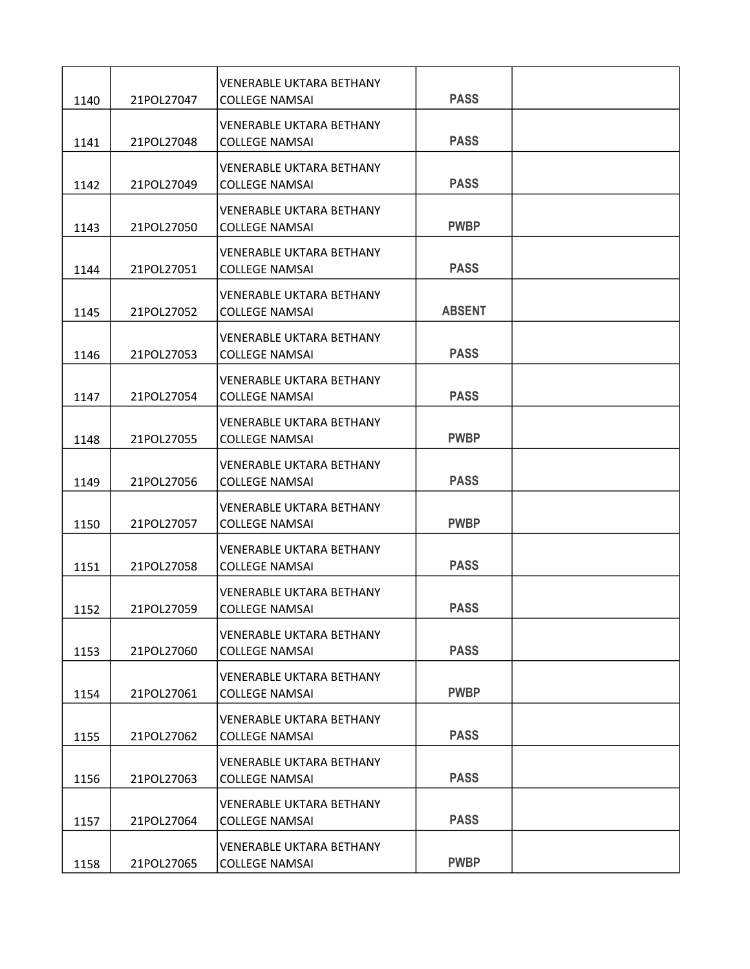| 1140 | 21POL27047 | <b>VENERABLE UKTARA BETHANY</b><br><b>COLLEGE NAMSAI</b> | <b>PASS</b>   |  |
|------|------------|----------------------------------------------------------|---------------|--|
| 1141 | 21POL27048 | <b>VENERABLE UKTARA BETHANY</b><br><b>COLLEGE NAMSAI</b> | <b>PASS</b>   |  |
| 1142 | 21POL27049 | <b>VENERABLE UKTARA BETHANY</b><br><b>COLLEGE NAMSAI</b> | <b>PASS</b>   |  |
| 1143 | 21POL27050 | <b>VENERABLE UKTARA BETHANY</b><br><b>COLLEGE NAMSAI</b> | <b>PWBP</b>   |  |
| 1144 | 21POL27051 | <b>VENERABLE UKTARA BETHANY</b><br><b>COLLEGE NAMSAI</b> | <b>PASS</b>   |  |
| 1145 | 21POL27052 | VENERABLE UKTARA BETHANY<br><b>COLLEGE NAMSAI</b>        | <b>ABSENT</b> |  |
| 1146 | 21POL27053 | <b>VENERABLE UKTARA BETHANY</b><br><b>COLLEGE NAMSAI</b> | <b>PASS</b>   |  |
| 1147 | 21POL27054 | <b>VENERABLE UKTARA BETHANY</b><br><b>COLLEGE NAMSAI</b> | <b>PASS</b>   |  |
| 1148 | 21POL27055 | <b>VENERABLE UKTARA BETHANY</b><br><b>COLLEGE NAMSAI</b> | <b>PWBP</b>   |  |
| 1149 | 21POL27056 | <b>VENERABLE UKTARA BETHANY</b><br><b>COLLEGE NAMSAI</b> | <b>PASS</b>   |  |
| 1150 | 21POL27057 | <b>VENERABLE UKTARA BETHANY</b><br><b>COLLEGE NAMSAI</b> | <b>PWBP</b>   |  |
| 1151 | 21POL27058 | <b>VENERABLE UKTARA BETHANY</b><br><b>COLLEGE NAMSAI</b> | <b>PASS</b>   |  |
| 1152 | 21POL27059 | <b>VENERABLE UKTARA BETHANY</b><br><b>COLLEGE NAMSAI</b> | <b>PASS</b>   |  |
| 1153 | 21POL27060 | <b>VENERABLE UKTARA BETHANY</b><br><b>COLLEGE NAMSAI</b> | <b>PASS</b>   |  |
| 1154 | 21POL27061 | <b>VENERABLE UKTARA BETHANY</b><br><b>COLLEGE NAMSAI</b> | <b>PWBP</b>   |  |
| 1155 | 21POL27062 | <b>VENERABLE UKTARA BETHANY</b><br><b>COLLEGE NAMSAI</b> | <b>PASS</b>   |  |
| 1156 | 21POL27063 | <b>VENERABLE UKTARA BETHANY</b><br><b>COLLEGE NAMSAI</b> | <b>PASS</b>   |  |
| 1157 | 21POL27064 | <b>VENERABLE UKTARA BETHANY</b><br><b>COLLEGE NAMSAI</b> | <b>PASS</b>   |  |
| 1158 | 21POL27065 | <b>VENERABLE UKTARA BETHANY</b><br><b>COLLEGE NAMSAI</b> | <b>PWBP</b>   |  |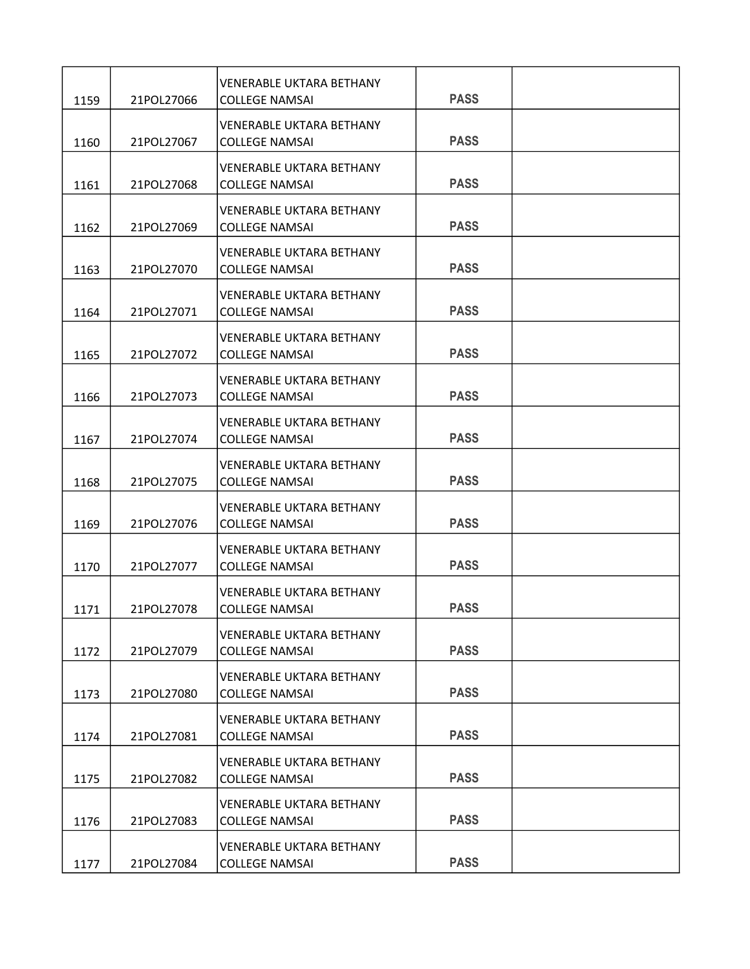| 1159         | 21POL27066               | VENERABLE UKTARA BETHANY<br><b>COLLEGE NAMSAI</b>                                 | <b>PASS</b> |  |
|--------------|--------------------------|-----------------------------------------------------------------------------------|-------------|--|
| 1160         | 21POL27067               | <b>VENERABLE UKTARA BETHANY</b><br><b>COLLEGE NAMSAI</b>                          | <b>PASS</b> |  |
| 1161         | 21POL27068               | <b>VENERABLE UKTARA BETHANY</b><br><b>COLLEGE NAMSAI</b>                          | <b>PASS</b> |  |
| 1162         | 21POL27069               | <b>VENERABLE UKTARA BETHANY</b><br><b>COLLEGE NAMSAI</b>                          | <b>PASS</b> |  |
| 1163         | 21POL27070               | VENERABLE UKTARA BETHANY<br><b>COLLEGE NAMSAI</b>                                 | <b>PASS</b> |  |
|              |                          | <b>VENERABLE UKTARA BETHANY</b>                                                   | <b>PASS</b> |  |
| 1164         | 21POL27071               | <b>COLLEGE NAMSAI</b><br><b>VENERABLE UKTARA BETHANY</b>                          | <b>PASS</b> |  |
| 1165         | 21POL27072<br>21POL27073 | <b>COLLEGE NAMSAI</b><br><b>VENERABLE UKTARA BETHANY</b><br><b>COLLEGE NAMSAI</b> | <b>PASS</b> |  |
| 1166         |                          | <b>VENERABLE UKTARA BETHANY</b>                                                   | <b>PASS</b> |  |
| 1167         | 21POL27074               | <b>COLLEGE NAMSAI</b><br><b>VENERABLE UKTARA BETHANY</b>                          | <b>PASS</b> |  |
| 1168         | 21POL27075               | <b>COLLEGE NAMSAI</b><br><b>VENERABLE UKTARA BETHANY</b>                          | <b>PASS</b> |  |
| 1169<br>1170 | 21POL27076<br>21POL27077 | <b>COLLEGE NAMSAI</b><br><b>VENERABLE UKTARA BETHANY</b><br><b>COLLEGE NAMSAI</b> | <b>PASS</b> |  |
| 1171         | 21POL27078               | <b>VENERABLE UKTARA BETHANY</b><br><b>COLLEGE NAMSAI</b>                          | <b>PASS</b> |  |
| 1172         | 21POL27079               | <b>VENERABLE UKTARA BETHANY</b><br><b>COLLEGE NAMSAI</b>                          | <b>PASS</b> |  |
| 1173         | 21POL27080               | <b>VENERABLE UKTARA BETHANY</b><br><b>COLLEGE NAMSAI</b>                          | <b>PASS</b> |  |
| 1174         | 21POL27081               | <b>VENERABLE UKTARA BETHANY</b><br><b>COLLEGE NAMSAI</b>                          | <b>PASS</b> |  |
| 1175         | 21POL27082               | <b>VENERABLE UKTARA BETHANY</b><br><b>COLLEGE NAMSAI</b>                          | <b>PASS</b> |  |
| 1176         | 21POL27083               | <b>VENERABLE UKTARA BETHANY</b><br><b>COLLEGE NAMSAI</b>                          | <b>PASS</b> |  |
| 1177         | 21POL27084               | <b>VENERABLE UKTARA BETHANY</b><br><b>COLLEGE NAMSAI</b>                          | <b>PASS</b> |  |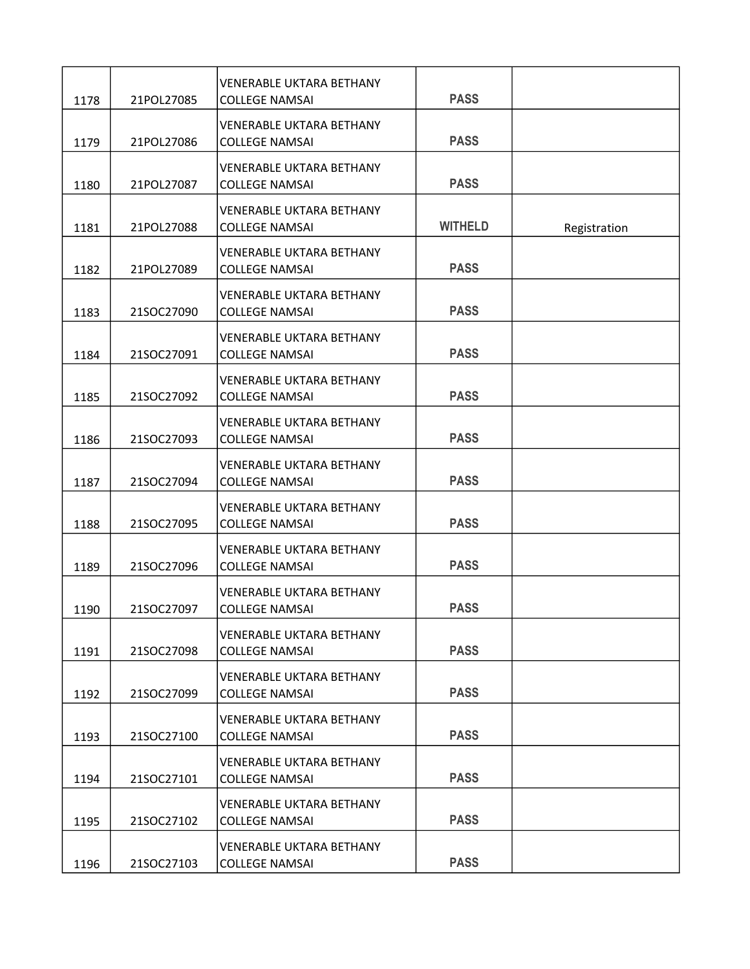| 1178 | 21POL27085 | <b>VENERABLE UKTARA BETHANY</b><br><b>COLLEGE NAMSAI</b> | <b>PASS</b>    |              |
|------|------------|----------------------------------------------------------|----------------|--------------|
| 1179 | 21POL27086 | <b>VENERABLE UKTARA BETHANY</b><br><b>COLLEGE NAMSAI</b> | <b>PASS</b>    |              |
| 1180 | 21POL27087 | <b>VENERABLE UKTARA BETHANY</b><br><b>COLLEGE NAMSAI</b> | <b>PASS</b>    |              |
| 1181 | 21POL27088 | <b>VENERABLE UKTARA BETHANY</b><br><b>COLLEGE NAMSAI</b> | <b>WITHELD</b> | Registration |
| 1182 | 21POL27089 | <b>VENERABLE UKTARA BETHANY</b><br><b>COLLEGE NAMSAI</b> | <b>PASS</b>    |              |
| 1183 | 21SOC27090 | <b>VENERABLE UKTARA BETHANY</b><br><b>COLLEGE NAMSAI</b> | <b>PASS</b>    |              |
| 1184 | 21SOC27091 | <b>VENERABLE UKTARA BETHANY</b><br><b>COLLEGE NAMSAI</b> | <b>PASS</b>    |              |
| 1185 | 21SOC27092 | <b>VENERABLE UKTARA BETHANY</b><br><b>COLLEGE NAMSAI</b> | <b>PASS</b>    |              |
| 1186 | 21SOC27093 | <b>VENERABLE UKTARA BETHANY</b><br><b>COLLEGE NAMSAI</b> | <b>PASS</b>    |              |
| 1187 | 21SOC27094 | <b>VENERABLE UKTARA BETHANY</b><br><b>COLLEGE NAMSAI</b> | <b>PASS</b>    |              |
| 1188 | 21SOC27095 | <b>VENERABLE UKTARA BETHANY</b><br><b>COLLEGE NAMSAI</b> | <b>PASS</b>    |              |
| 1189 | 21SOC27096 | <b>VENERABLE UKTARA BETHANY</b><br><b>COLLEGE NAMSAI</b> | <b>PASS</b>    |              |
| 1190 | 21SOC27097 | <b>VENERABLE UKTARA BETHANY</b><br><b>COLLEGE NAMSAI</b> | <b>PASS</b>    |              |
| 1191 | 21SOC27098 | <b>VENERABLE UKTARA BETHANY</b><br><b>COLLEGE NAMSAI</b> | <b>PASS</b>    |              |
| 1192 | 21SOC27099 | <b>VENERABLE UKTARA BETHANY</b><br><b>COLLEGE NAMSAI</b> | <b>PASS</b>    |              |
| 1193 | 21SOC27100 | <b>VENERABLE UKTARA BETHANY</b><br><b>COLLEGE NAMSAI</b> | <b>PASS</b>    |              |
| 1194 | 21SOC27101 | <b>VENERABLE UKTARA BETHANY</b><br><b>COLLEGE NAMSAI</b> | <b>PASS</b>    |              |
| 1195 | 21SOC27102 | <b>VENERABLE UKTARA BETHANY</b><br><b>COLLEGE NAMSAI</b> | <b>PASS</b>    |              |
| 1196 | 21SOC27103 | <b>VENERABLE UKTARA BETHANY</b><br><b>COLLEGE NAMSAI</b> | <b>PASS</b>    |              |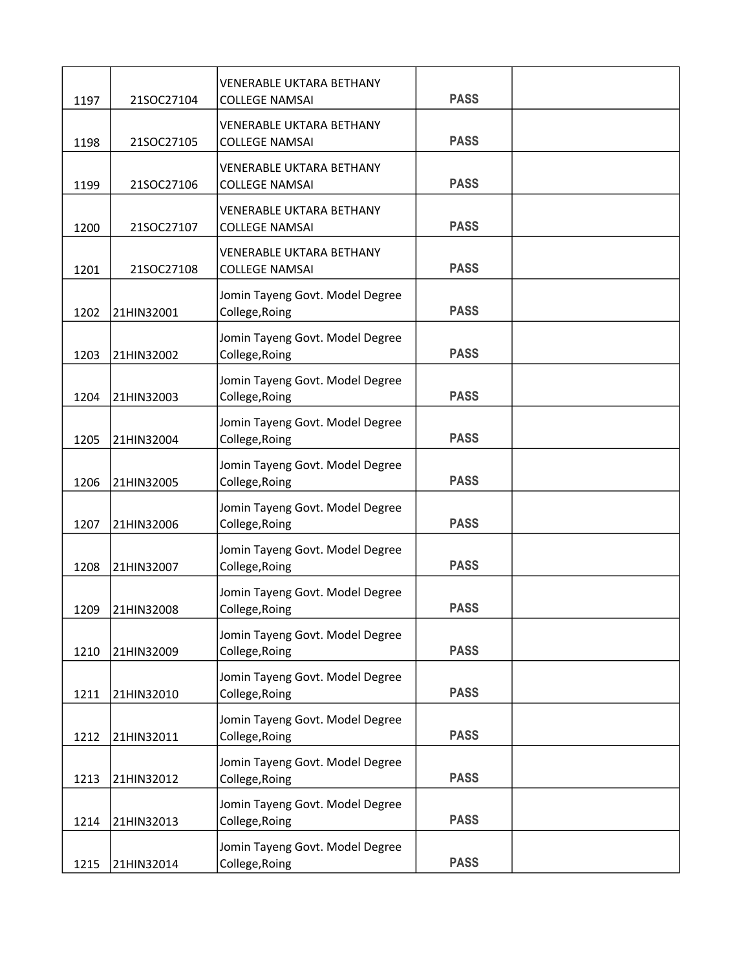| 1197 | 21SOC27104 | <b>VENERABLE UKTARA BETHANY</b><br><b>COLLEGE NAMSAI</b> | <b>PASS</b> |  |
|------|------------|----------------------------------------------------------|-------------|--|
| 1198 | 21SOC27105 | <b>VENERABLE UKTARA BETHANY</b><br><b>COLLEGE NAMSAI</b> | <b>PASS</b> |  |
| 1199 | 21SOC27106 | <b>VENERABLE UKTARA BETHANY</b><br><b>COLLEGE NAMSAI</b> | <b>PASS</b> |  |
| 1200 | 21SOC27107 | <b>VENERABLE UKTARA BETHANY</b><br><b>COLLEGE NAMSAI</b> | <b>PASS</b> |  |
| 1201 | 21SOC27108 | <b>VENERABLE UKTARA BETHANY</b><br><b>COLLEGE NAMSAI</b> | <b>PASS</b> |  |
| 1202 | 21HIN32001 | Jomin Tayeng Govt. Model Degree<br>College, Roing        | <b>PASS</b> |  |
| 1203 | 21HIN32002 | Jomin Tayeng Govt. Model Degree<br>College, Roing        | <b>PASS</b> |  |
| 1204 | 21HIN32003 | Jomin Tayeng Govt. Model Degree<br>College, Roing        | <b>PASS</b> |  |
| 1205 | 21HIN32004 | Jomin Tayeng Govt. Model Degree<br>College, Roing        | <b>PASS</b> |  |
| 1206 | 21HIN32005 | Jomin Tayeng Govt. Model Degree<br>College, Roing        | <b>PASS</b> |  |
| 1207 | 21HIN32006 | Jomin Tayeng Govt. Model Degree<br>College, Roing        | <b>PASS</b> |  |
| 1208 | 21HIN32007 | Jomin Tayeng Govt. Model Degree<br>College, Roing        | <b>PASS</b> |  |
| 1209 | 21HIN32008 | Jomin Tayeng Govt. Model Degree<br>College, Roing        | <b>PASS</b> |  |
| 1210 | 21HIN32009 | Jomin Tayeng Govt. Model Degree<br>College, Roing        | <b>PASS</b> |  |
| 1211 | 21HIN32010 | Jomin Tayeng Govt. Model Degree<br>College, Roing        | <b>PASS</b> |  |
| 1212 | 21HIN32011 | Jomin Tayeng Govt. Model Degree<br>College, Roing        | <b>PASS</b> |  |
| 1213 | 21HIN32012 | Jomin Tayeng Govt. Model Degree<br>College, Roing        | <b>PASS</b> |  |
| 1214 | 21HIN32013 | Jomin Tayeng Govt. Model Degree<br>College, Roing        | <b>PASS</b> |  |
| 1215 | 21HIN32014 | Jomin Tayeng Govt. Model Degree<br>College, Roing        | <b>PASS</b> |  |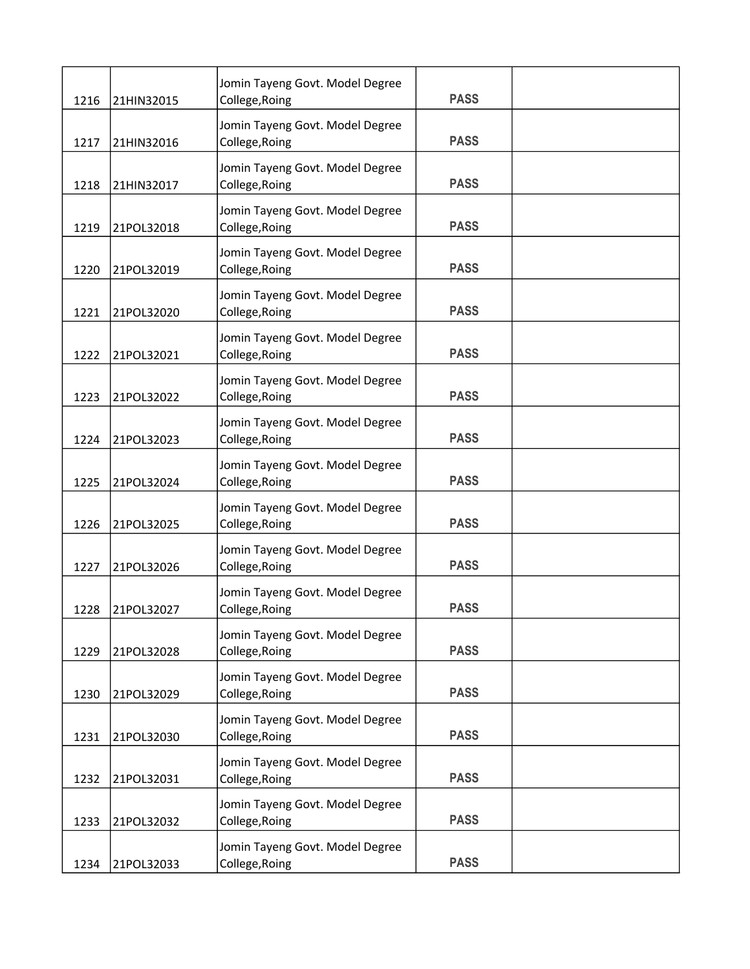| 1216 | 21HIN32015 | Jomin Tayeng Govt. Model Degree<br>College, Roing | <b>PASS</b> |  |
|------|------------|---------------------------------------------------|-------------|--|
|      |            | Jomin Tayeng Govt. Model Degree                   |             |  |
| 1217 | 21HIN32016 | College, Roing                                    | <b>PASS</b> |  |
| 1218 | 21HIN32017 | Jomin Tayeng Govt. Model Degree<br>College, Roing | <b>PASS</b> |  |
| 1219 | 21POL32018 | Jomin Tayeng Govt. Model Degree<br>College, Roing | <b>PASS</b> |  |
| 1220 | 21POL32019 | Jomin Tayeng Govt. Model Degree<br>College, Roing | <b>PASS</b> |  |
| 1221 | 21POL32020 | Jomin Tayeng Govt. Model Degree<br>College, Roing | <b>PASS</b> |  |
| 1222 | 21POL32021 | Jomin Tayeng Govt. Model Degree<br>College, Roing | <b>PASS</b> |  |
| 1223 | 21POL32022 | Jomin Tayeng Govt. Model Degree<br>College, Roing | <b>PASS</b> |  |
| 1224 | 21POL32023 | Jomin Tayeng Govt. Model Degree<br>College, Roing | <b>PASS</b> |  |
| 1225 | 21POL32024 | Jomin Tayeng Govt. Model Degree<br>College, Roing | <b>PASS</b> |  |
| 1226 | 21POL32025 | Jomin Tayeng Govt. Model Degree<br>College, Roing | <b>PASS</b> |  |
| 1227 | 21POL32026 | Jomin Tayeng Govt. Model Degree<br>College, Roing | <b>PASS</b> |  |
| 1228 | 21POL32027 | Jomin Tayeng Govt. Model Degree<br>College, Roing | <b>PASS</b> |  |
| 1229 | 21POL32028 | Jomin Tayeng Govt. Model Degree<br>College, Roing | <b>PASS</b> |  |
| 1230 | 21POL32029 | Jomin Tayeng Govt. Model Degree<br>College, Roing | <b>PASS</b> |  |
| 1231 | 21POL32030 | Jomin Tayeng Govt. Model Degree<br>College, Roing | <b>PASS</b> |  |
| 1232 | 21POL32031 | Jomin Tayeng Govt. Model Degree<br>College, Roing | <b>PASS</b> |  |
| 1233 | 21POL32032 | Jomin Tayeng Govt. Model Degree<br>College, Roing | <b>PASS</b> |  |
| 1234 | 21POL32033 | Jomin Tayeng Govt. Model Degree<br>College, Roing | <b>PASS</b> |  |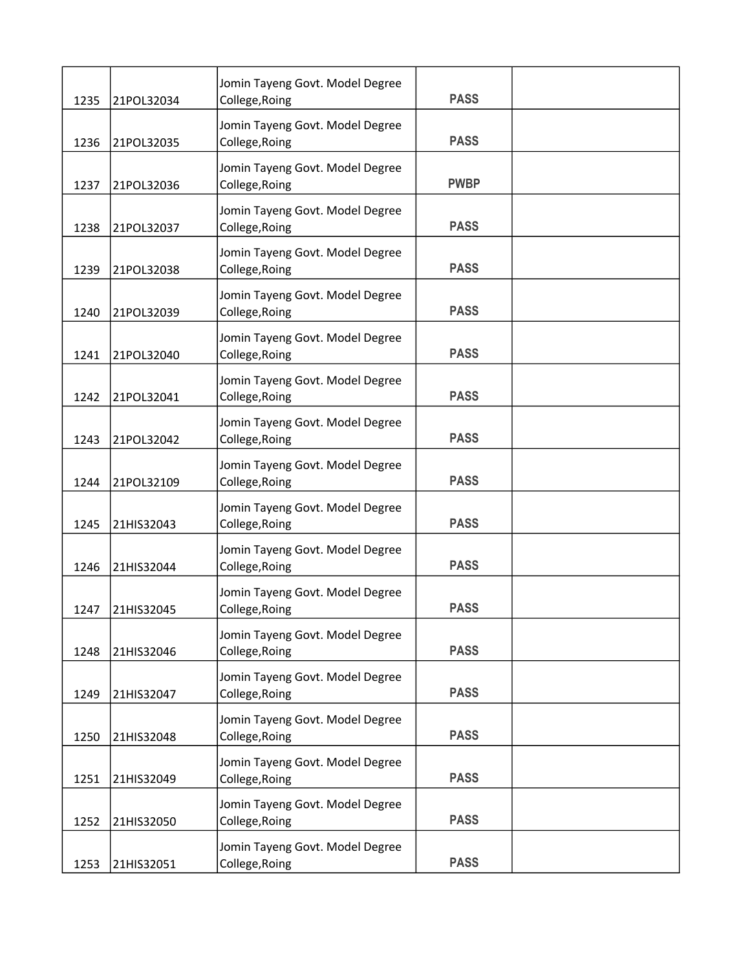| 1235 | 21POL32034 | Jomin Tayeng Govt. Model Degree<br>College, Roing | <b>PASS</b> |  |
|------|------------|---------------------------------------------------|-------------|--|
| 1236 | 21POL32035 | Jomin Tayeng Govt. Model Degree<br>College, Roing | <b>PASS</b> |  |
| 1237 | 21POL32036 | Jomin Tayeng Govt. Model Degree<br>College, Roing | <b>PWBP</b> |  |
| 1238 | 21POL32037 | Jomin Tayeng Govt. Model Degree<br>College, Roing | <b>PASS</b> |  |
| 1239 | 21POL32038 | Jomin Tayeng Govt. Model Degree<br>College, Roing | <b>PASS</b> |  |
| 1240 | 21POL32039 | Jomin Tayeng Govt. Model Degree<br>College, Roing | <b>PASS</b> |  |
| 1241 | 21POL32040 | Jomin Tayeng Govt. Model Degree<br>College, Roing | <b>PASS</b> |  |
| 1242 | 21POL32041 | Jomin Tayeng Govt. Model Degree<br>College, Roing | <b>PASS</b> |  |
| 1243 | 21POL32042 | Jomin Tayeng Govt. Model Degree<br>College, Roing | <b>PASS</b> |  |
| 1244 | 21POL32109 | Jomin Tayeng Govt. Model Degree<br>College, Roing | <b>PASS</b> |  |
| 1245 | 21HIS32043 | Jomin Tayeng Govt. Model Degree<br>College, Roing | <b>PASS</b> |  |
| 1246 | 21HIS32044 | Jomin Tayeng Govt. Model Degree<br>College, Roing | <b>PASS</b> |  |
| 1247 | 21HIS32045 | Jomin Tayeng Govt. Model Degree<br>College, Roing | <b>PASS</b> |  |
| 1248 | 21HIS32046 | Jomin Tayeng Govt. Model Degree<br>College, Roing | <b>PASS</b> |  |
| 1249 | 21HIS32047 | Jomin Tayeng Govt. Model Degree<br>College, Roing | <b>PASS</b> |  |
| 1250 | 21HIS32048 | Jomin Tayeng Govt. Model Degree<br>College, Roing | <b>PASS</b> |  |
| 1251 | 21HIS32049 | Jomin Tayeng Govt. Model Degree<br>College, Roing | <b>PASS</b> |  |
| 1252 | 21HIS32050 | Jomin Tayeng Govt. Model Degree<br>College, Roing | <b>PASS</b> |  |
| 1253 | 21HIS32051 | Jomin Tayeng Govt. Model Degree<br>College, Roing | <b>PASS</b> |  |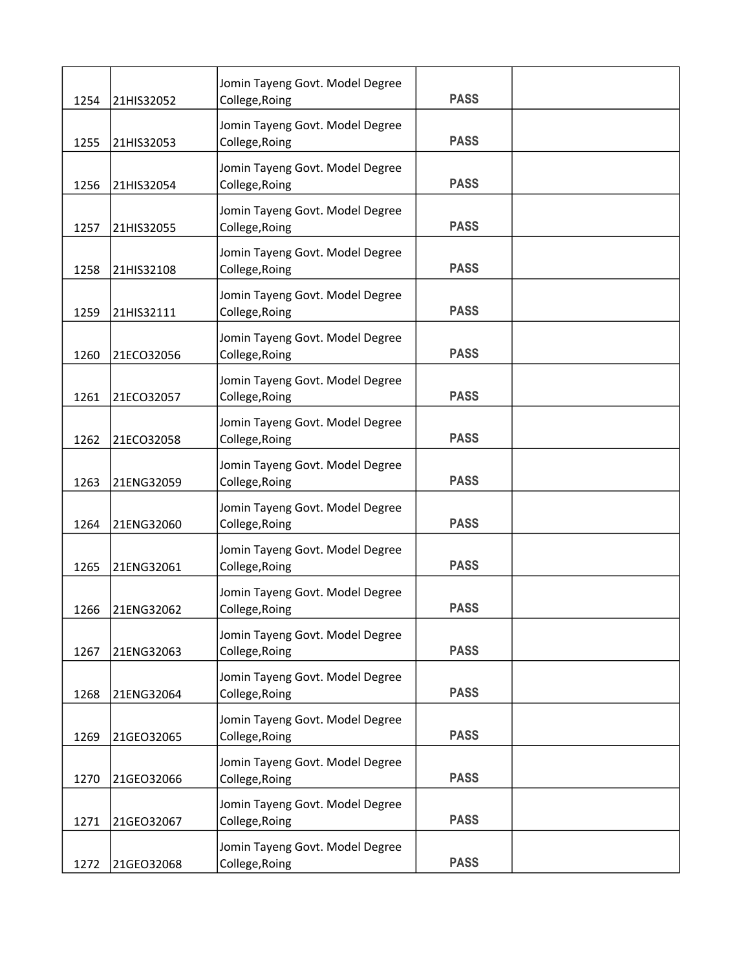| 1254 | 21HIS32052 | Jomin Tayeng Govt. Model Degree<br>College, Roing | <b>PASS</b> |  |
|------|------------|---------------------------------------------------|-------------|--|
|      |            | Jomin Tayeng Govt. Model Degree                   |             |  |
| 1255 | 21HIS32053 | College, Roing                                    | <b>PASS</b> |  |
| 1256 | 21HIS32054 | Jomin Tayeng Govt. Model Degree<br>College, Roing | <b>PASS</b> |  |
| 1257 | 21HIS32055 | Jomin Tayeng Govt. Model Degree<br>College, Roing | <b>PASS</b> |  |
| 1258 | 21HIS32108 | Jomin Tayeng Govt. Model Degree<br>College, Roing | <b>PASS</b> |  |
| 1259 | 21HIS32111 | Jomin Tayeng Govt. Model Degree<br>College, Roing | <b>PASS</b> |  |
| 1260 | 21ECO32056 | Jomin Tayeng Govt. Model Degree<br>College, Roing | <b>PASS</b> |  |
| 1261 | 21ECO32057 | Jomin Tayeng Govt. Model Degree<br>College, Roing | <b>PASS</b> |  |
| 1262 | 21ECO32058 | Jomin Tayeng Govt. Model Degree<br>College, Roing | <b>PASS</b> |  |
| 1263 | 21ENG32059 | Jomin Tayeng Govt. Model Degree<br>College, Roing | <b>PASS</b> |  |
| 1264 | 21ENG32060 | Jomin Tayeng Govt. Model Degree<br>College, Roing | <b>PASS</b> |  |
| 1265 | 21ENG32061 | Jomin Tayeng Govt. Model Degree<br>College, Roing | <b>PASS</b> |  |
| 1266 | 21ENG32062 | Jomin Tayeng Govt. Model Degree<br>College, Roing | <b>PASS</b> |  |
| 1267 | 21ENG32063 | Jomin Tayeng Govt. Model Degree<br>College, Roing | <b>PASS</b> |  |
| 1268 | 21ENG32064 | Jomin Tayeng Govt. Model Degree<br>College, Roing | <b>PASS</b> |  |
| 1269 | 21GEO32065 | Jomin Tayeng Govt. Model Degree<br>College, Roing | <b>PASS</b> |  |
| 1270 | 21GEO32066 | Jomin Tayeng Govt. Model Degree<br>College, Roing | <b>PASS</b> |  |
| 1271 | 21GEO32067 | Jomin Tayeng Govt. Model Degree<br>College, Roing | <b>PASS</b> |  |
| 1272 | 21GEO32068 | Jomin Tayeng Govt. Model Degree<br>College, Roing | <b>PASS</b> |  |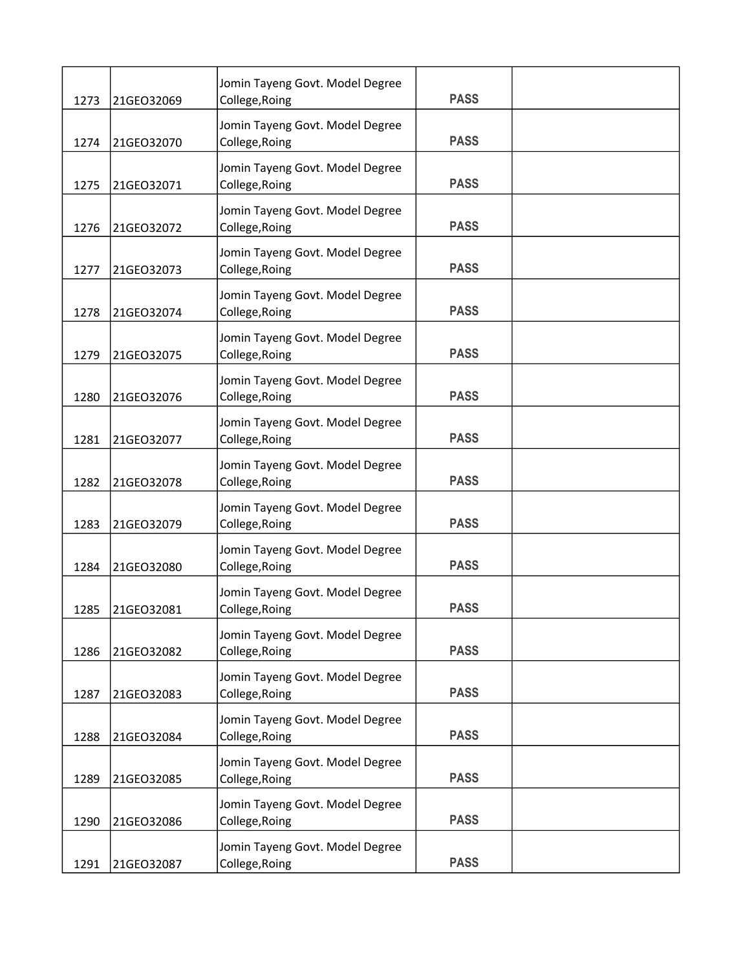| 1273 | 21GEO32069 | Jomin Tayeng Govt. Model Degree<br>College, Roing | <b>PASS</b> |  |
|------|------------|---------------------------------------------------|-------------|--|
|      |            | Jomin Tayeng Govt. Model Degree                   |             |  |
| 1274 | 21GEO32070 | College, Roing                                    | <b>PASS</b> |  |
| 1275 | 21GEO32071 | Jomin Tayeng Govt. Model Degree<br>College, Roing | <b>PASS</b> |  |
| 1276 | 21GEO32072 | Jomin Tayeng Govt. Model Degree<br>College, Roing | <b>PASS</b> |  |
| 1277 | 21GEO32073 | Jomin Tayeng Govt. Model Degree<br>College, Roing | <b>PASS</b> |  |
| 1278 | 21GEO32074 | Jomin Tayeng Govt. Model Degree<br>College, Roing | <b>PASS</b> |  |
| 1279 | 21GEO32075 | Jomin Tayeng Govt. Model Degree<br>College, Roing | <b>PASS</b> |  |
| 1280 | 21GEO32076 | Jomin Tayeng Govt. Model Degree<br>College, Roing | <b>PASS</b> |  |
| 1281 | 21GEO32077 | Jomin Tayeng Govt. Model Degree<br>College, Roing | <b>PASS</b> |  |
| 1282 | 21GEO32078 | Jomin Tayeng Govt. Model Degree<br>College, Roing | <b>PASS</b> |  |
| 1283 | 21GEO32079 | Jomin Tayeng Govt. Model Degree<br>College, Roing | <b>PASS</b> |  |
| 1284 | 21GEO32080 | Jomin Tayeng Govt. Model Degree<br>College, Roing | <b>PASS</b> |  |
| 1285 | 21GEO32081 | Jomin Tayeng Govt. Model Degree<br>College, Roing | <b>PASS</b> |  |
| 1286 | 21GEO32082 | Jomin Tayeng Govt. Model Degree<br>College, Roing | <b>PASS</b> |  |
| 1287 | 21GEO32083 | Jomin Tayeng Govt. Model Degree<br>College, Roing | <b>PASS</b> |  |
| 1288 | 21GEO32084 | Jomin Tayeng Govt. Model Degree<br>College, Roing | <b>PASS</b> |  |
| 1289 | 21GEO32085 | Jomin Tayeng Govt. Model Degree<br>College, Roing | <b>PASS</b> |  |
| 1290 | 21GEO32086 | Jomin Tayeng Govt. Model Degree<br>College, Roing | <b>PASS</b> |  |
| 1291 | 21GEO32087 | Jomin Tayeng Govt. Model Degree<br>College, Roing | <b>PASS</b> |  |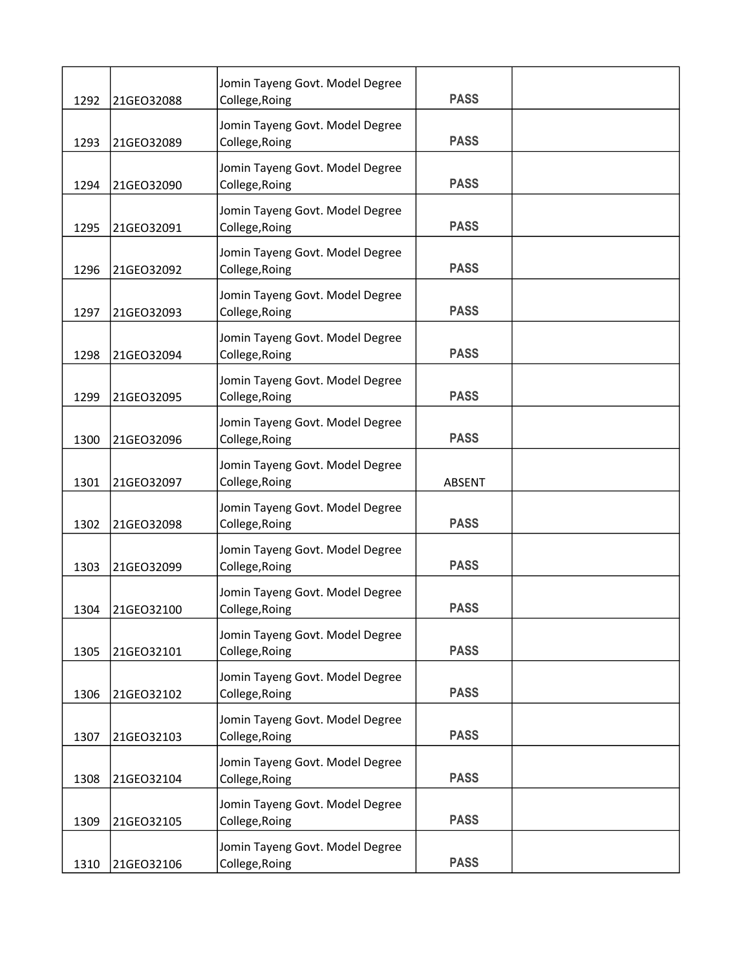| 1292 | 21GEO32088 | Jomin Tayeng Govt. Model Degree<br>College, Roing | <b>PASS</b>   |  |
|------|------------|---------------------------------------------------|---------------|--|
| 1293 | 21GEO32089 | Jomin Tayeng Govt. Model Degree<br>College, Roing | <b>PASS</b>   |  |
| 1294 | 21GEO32090 | Jomin Tayeng Govt. Model Degree<br>College, Roing | <b>PASS</b>   |  |
| 1295 | 21GEO32091 | Jomin Tayeng Govt. Model Degree<br>College, Roing | <b>PASS</b>   |  |
| 1296 | 21GEO32092 | Jomin Tayeng Govt. Model Degree<br>College, Roing | <b>PASS</b>   |  |
| 1297 | 21GEO32093 | Jomin Tayeng Govt. Model Degree<br>College, Roing | <b>PASS</b>   |  |
| 1298 | 21GEO32094 | Jomin Tayeng Govt. Model Degree<br>College, Roing | <b>PASS</b>   |  |
| 1299 | 21GEO32095 | Jomin Tayeng Govt. Model Degree<br>College, Roing | <b>PASS</b>   |  |
| 1300 | 21GEO32096 | Jomin Tayeng Govt. Model Degree<br>College, Roing | <b>PASS</b>   |  |
| 1301 | 21GEO32097 | Jomin Tayeng Govt. Model Degree<br>College, Roing | <b>ABSENT</b> |  |
| 1302 | 21GEO32098 | Jomin Tayeng Govt. Model Degree<br>College, Roing | <b>PASS</b>   |  |
| 1303 | 21GEO32099 | Jomin Tayeng Govt. Model Degree<br>College, Roing | <b>PASS</b>   |  |
| 1304 | 21GEO32100 | Jomin Tayeng Govt. Model Degree<br>College, Roing | <b>PASS</b>   |  |
| 1305 | 21GEO32101 | Jomin Tayeng Govt. Model Degree<br>College, Roing | <b>PASS</b>   |  |
| 1306 | 21GEO32102 | Jomin Tayeng Govt. Model Degree<br>College, Roing | <b>PASS</b>   |  |
| 1307 | 21GEO32103 | Jomin Tayeng Govt. Model Degree<br>College, Roing | <b>PASS</b>   |  |
| 1308 | 21GEO32104 | Jomin Tayeng Govt. Model Degree<br>College, Roing | <b>PASS</b>   |  |
| 1309 | 21GEO32105 | Jomin Tayeng Govt. Model Degree<br>College, Roing | <b>PASS</b>   |  |
| 1310 | 21GEO32106 | Jomin Tayeng Govt. Model Degree<br>College, Roing | <b>PASS</b>   |  |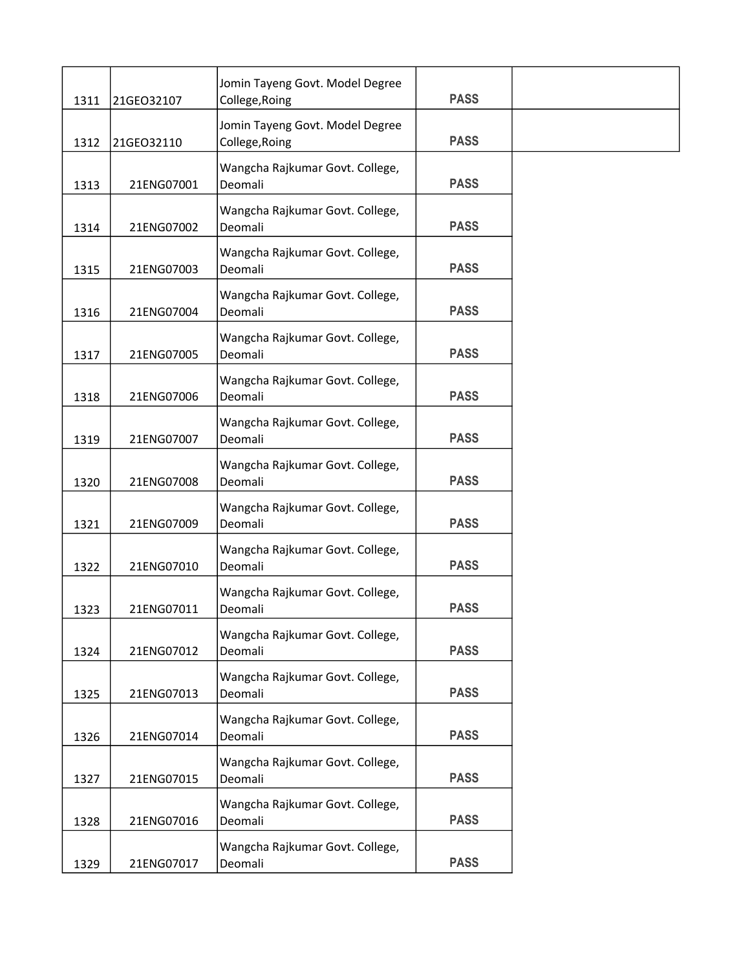| 1311 | 21GEO32107 | Jomin Tayeng Govt. Model Degree<br>College, Roing | <b>PASS</b> |  |
|------|------------|---------------------------------------------------|-------------|--|
| 1312 | 21GEO32110 | Jomin Tayeng Govt. Model Degree<br>College, Roing | <b>PASS</b> |  |
| 1313 | 21ENG07001 | Wangcha Rajkumar Govt. College,<br>Deomali        | <b>PASS</b> |  |
| 1314 | 21ENG07002 | Wangcha Rajkumar Govt. College,<br>Deomali        | <b>PASS</b> |  |
| 1315 | 21ENG07003 | Wangcha Rajkumar Govt. College,<br>Deomali        | <b>PASS</b> |  |
| 1316 | 21ENG07004 | Wangcha Rajkumar Govt. College,<br>Deomali        | <b>PASS</b> |  |
| 1317 | 21ENG07005 | Wangcha Rajkumar Govt. College,<br>Deomali        | <b>PASS</b> |  |
| 1318 | 21ENG07006 | Wangcha Rajkumar Govt. College,<br>Deomali        | <b>PASS</b> |  |
| 1319 | 21ENG07007 | Wangcha Rajkumar Govt. College,<br>Deomali        | <b>PASS</b> |  |
| 1320 | 21ENG07008 | Wangcha Rajkumar Govt. College,<br>Deomali        | <b>PASS</b> |  |
| 1321 | 21ENG07009 | Wangcha Rajkumar Govt. College,<br>Deomali        | <b>PASS</b> |  |
| 1322 | 21ENG07010 | Wangcha Rajkumar Govt. College,<br>Deomali        | <b>PASS</b> |  |
| 1323 | 21ENG07011 | Wangcha Rajkumar Govt. College,<br>Deomali        | <b>PASS</b> |  |
| 1324 | 21ENG07012 | Wangcha Rajkumar Govt. College,<br>Deomali        | <b>PASS</b> |  |
| 1325 | 21ENG07013 | Wangcha Rajkumar Govt. College,<br>Deomali        | <b>PASS</b> |  |
| 1326 | 21ENG07014 | Wangcha Rajkumar Govt. College,<br>Deomali        | <b>PASS</b> |  |
| 1327 | 21ENG07015 | Wangcha Rajkumar Govt. College,<br>Deomali        | <b>PASS</b> |  |
| 1328 | 21ENG07016 | Wangcha Rajkumar Govt. College,<br>Deomali        | <b>PASS</b> |  |
| 1329 | 21ENG07017 | Wangcha Rajkumar Govt. College,<br>Deomali        | <b>PASS</b> |  |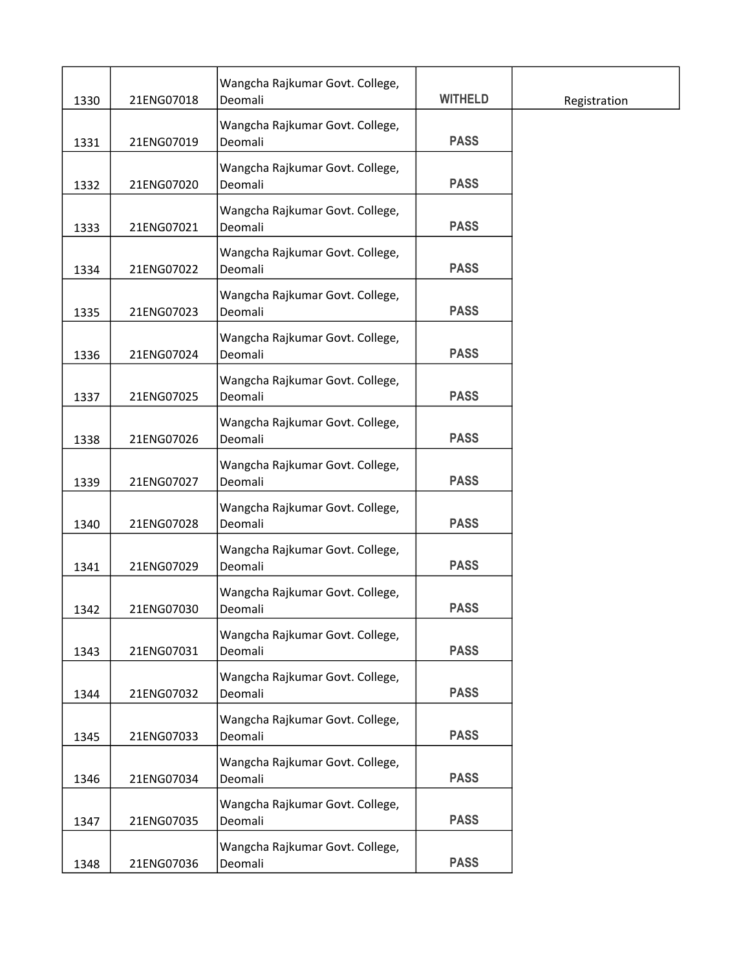| 1330 | 21ENG07018 | Wangcha Rajkumar Govt. College,<br>Deomali | <b>WITHELD</b> | Registration |
|------|------------|--------------------------------------------|----------------|--------------|
| 1331 | 21ENG07019 | Wangcha Rajkumar Govt. College,<br>Deomali | <b>PASS</b>    |              |
| 1332 | 21ENG07020 | Wangcha Rajkumar Govt. College,<br>Deomali | <b>PASS</b>    |              |
| 1333 | 21ENG07021 | Wangcha Rajkumar Govt. College,<br>Deomali | <b>PASS</b>    |              |
| 1334 | 21ENG07022 | Wangcha Rajkumar Govt. College,<br>Deomali | <b>PASS</b>    |              |
| 1335 | 21ENG07023 | Wangcha Rajkumar Govt. College,<br>Deomali | <b>PASS</b>    |              |
| 1336 | 21ENG07024 | Wangcha Rajkumar Govt. College,<br>Deomali | <b>PASS</b>    |              |
| 1337 | 21ENG07025 | Wangcha Rajkumar Govt. College,<br>Deomali | <b>PASS</b>    |              |
| 1338 | 21ENG07026 | Wangcha Rajkumar Govt. College,<br>Deomali | <b>PASS</b>    |              |
| 1339 | 21ENG07027 | Wangcha Rajkumar Govt. College,<br>Deomali | <b>PASS</b>    |              |
| 1340 | 21ENG07028 | Wangcha Rajkumar Govt. College,<br>Deomali | <b>PASS</b>    |              |
| 1341 | 21ENG07029 | Wangcha Rajkumar Govt. College,<br>Deomali | <b>PASS</b>    |              |
| 1342 | 21ENG07030 | Wangcha Rajkumar Govt. College,<br>Deomali | <b>PASS</b>    |              |
| 1343 | 21ENG07031 | Wangcha Rajkumar Govt. College,<br>Deomali | <b>PASS</b>    |              |
| 1344 | 21ENG07032 | Wangcha Rajkumar Govt. College,<br>Deomali | <b>PASS</b>    |              |
| 1345 | 21ENG07033 | Wangcha Rajkumar Govt. College,<br>Deomali | <b>PASS</b>    |              |
| 1346 | 21ENG07034 | Wangcha Rajkumar Govt. College,<br>Deomali | <b>PASS</b>    |              |
| 1347 | 21ENG07035 | Wangcha Rajkumar Govt. College,<br>Deomali | <b>PASS</b>    |              |
| 1348 | 21ENG07036 | Wangcha Rajkumar Govt. College,<br>Deomali | <b>PASS</b>    |              |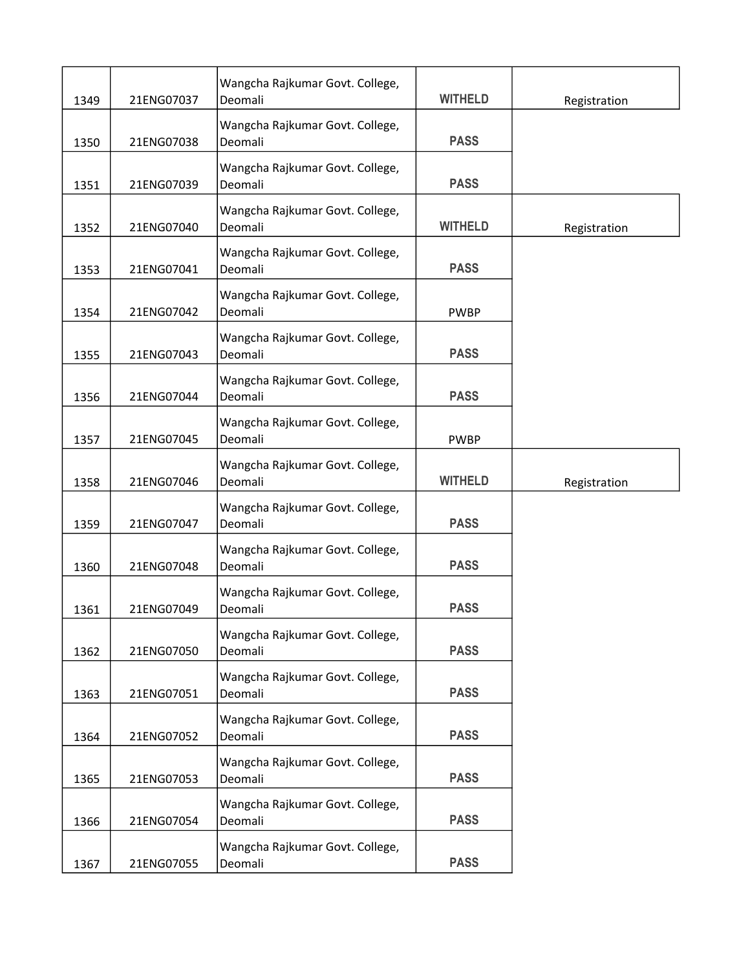| 1349 | 21ENG07037 | Wangcha Rajkumar Govt. College,<br>Deomali | <b>WITHELD</b> | Registration |
|------|------------|--------------------------------------------|----------------|--------------|
| 1350 | 21ENG07038 | Wangcha Rajkumar Govt. College,<br>Deomali | <b>PASS</b>    |              |
| 1351 | 21ENG07039 | Wangcha Rajkumar Govt. College,<br>Deomali | <b>PASS</b>    |              |
|      |            |                                            |                |              |
| 1352 | 21ENG07040 | Wangcha Rajkumar Govt. College,<br>Deomali | <b>WITHELD</b> | Registration |
| 1353 | 21ENG07041 | Wangcha Rajkumar Govt. College,<br>Deomali | <b>PASS</b>    |              |
| 1354 | 21ENG07042 | Wangcha Rajkumar Govt. College,<br>Deomali | <b>PWBP</b>    |              |
| 1355 | 21ENG07043 | Wangcha Rajkumar Govt. College,<br>Deomali | <b>PASS</b>    |              |
|      |            |                                            |                |              |
| 1356 | 21ENG07044 | Wangcha Rajkumar Govt. College,<br>Deomali | <b>PASS</b>    |              |
| 1357 | 21ENG07045 | Wangcha Rajkumar Govt. College,<br>Deomali | <b>PWBP</b>    |              |
|      |            |                                            |                |              |
| 1358 | 21ENG07046 | Wangcha Rajkumar Govt. College,<br>Deomali | <b>WITHELD</b> | Registration |
| 1359 | 21ENG07047 | Wangcha Rajkumar Govt. College,<br>Deomali | <b>PASS</b>    |              |
| 1360 | 21ENG07048 | Wangcha Rajkumar Govt. College,<br>Deomali | <b>PASS</b>    |              |
| 1361 | 21ENG07049 | Wangcha Rajkumar Govt. College,<br>Deomali | <b>PASS</b>    |              |
|      |            | Wangcha Rajkumar Govt. College,            |                |              |
| 1362 | 21ENG07050 | Deomali                                    | <b>PASS</b>    |              |
|      |            | Wangcha Rajkumar Govt. College,            |                |              |
| 1363 | 21ENG07051 | Deomali                                    | <b>PASS</b>    |              |
| 1364 | 21ENG07052 | Wangcha Rajkumar Govt. College,<br>Deomali | <b>PASS</b>    |              |
|      |            | Wangcha Rajkumar Govt. College,            |                |              |
| 1365 | 21ENG07053 | Deomali                                    | <b>PASS</b>    |              |
| 1366 | 21ENG07054 | Wangcha Rajkumar Govt. College,<br>Deomali | <b>PASS</b>    |              |
| 1367 | 21ENG07055 | Wangcha Rajkumar Govt. College,<br>Deomali | <b>PASS</b>    |              |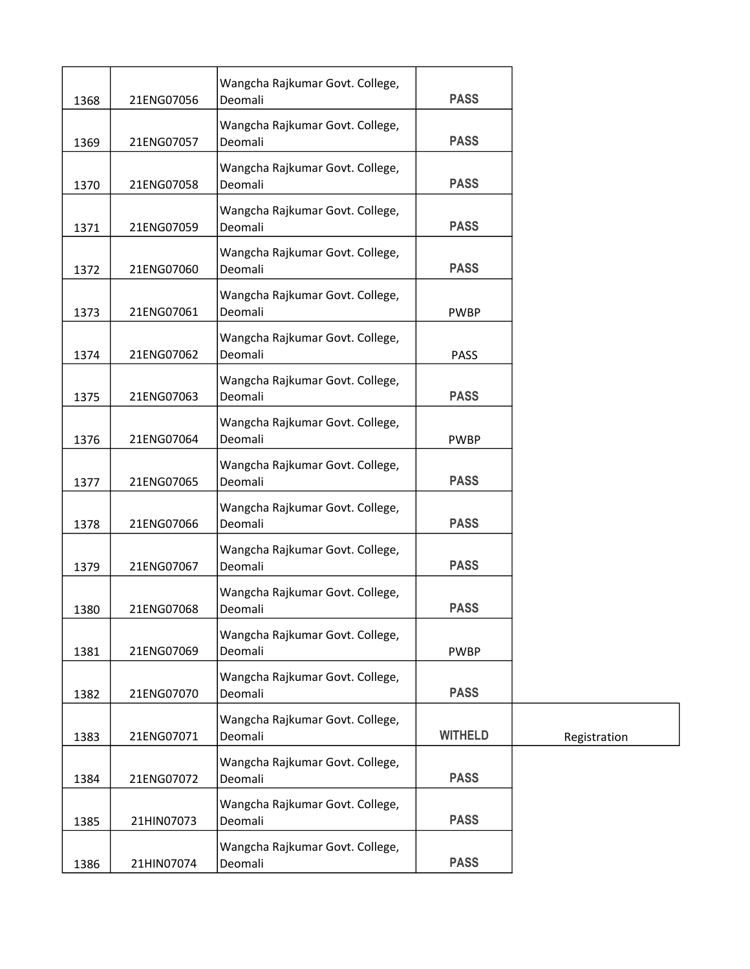| 1368 | 21ENG07056 | Wangcha Rajkumar Govt. College,<br>Deomali | <b>PASS</b>    |              |
|------|------------|--------------------------------------------|----------------|--------------|
| 1369 | 21ENG07057 | Wangcha Rajkumar Govt. College,<br>Deomali | <b>PASS</b>    |              |
| 1370 | 21ENG07058 | Wangcha Rajkumar Govt. College,<br>Deomali | <b>PASS</b>    |              |
| 1371 | 21ENG07059 | Wangcha Rajkumar Govt. College,<br>Deomali | <b>PASS</b>    |              |
| 1372 | 21ENG07060 | Wangcha Rajkumar Govt. College,<br>Deomali | <b>PASS</b>    |              |
| 1373 | 21ENG07061 | Wangcha Rajkumar Govt. College,<br>Deomali | <b>PWBP</b>    |              |
| 1374 | 21ENG07062 | Wangcha Rajkumar Govt. College,<br>Deomali | <b>PASS</b>    |              |
| 1375 | 21ENG07063 | Wangcha Rajkumar Govt. College,<br>Deomali | <b>PASS</b>    |              |
| 1376 | 21ENG07064 | Wangcha Rajkumar Govt. College,<br>Deomali | <b>PWBP</b>    |              |
| 1377 | 21ENG07065 | Wangcha Rajkumar Govt. College,<br>Deomali | <b>PASS</b>    |              |
| 1378 | 21ENG07066 | Wangcha Rajkumar Govt. College,<br>Deomali | <b>PASS</b>    |              |
| 1379 | 21ENG07067 | Wangcha Rajkumar Govt. College,<br>Deomali | <b>PASS</b>    |              |
| 1380 | 21ENG07068 | Wangcha Rajkumar Govt. College,<br>Deomali | <b>PASS</b>    |              |
| 1381 | 21ENG07069 | Wangcha Rajkumar Govt. College,<br>Deomali | <b>PWBP</b>    |              |
| 1382 | 21ENG07070 | Wangcha Rajkumar Govt. College,<br>Deomali | <b>PASS</b>    |              |
| 1383 | 21ENG07071 | Wangcha Rajkumar Govt. College,<br>Deomali | <b>WITHELD</b> | Registration |
| 1384 | 21ENG07072 | Wangcha Rajkumar Govt. College,<br>Deomali | <b>PASS</b>    |              |
| 1385 | 21HIN07073 | Wangcha Rajkumar Govt. College,<br>Deomali | <b>PASS</b>    |              |
| 1386 | 21HIN07074 | Wangcha Rajkumar Govt. College,<br>Deomali | <b>PASS</b>    |              |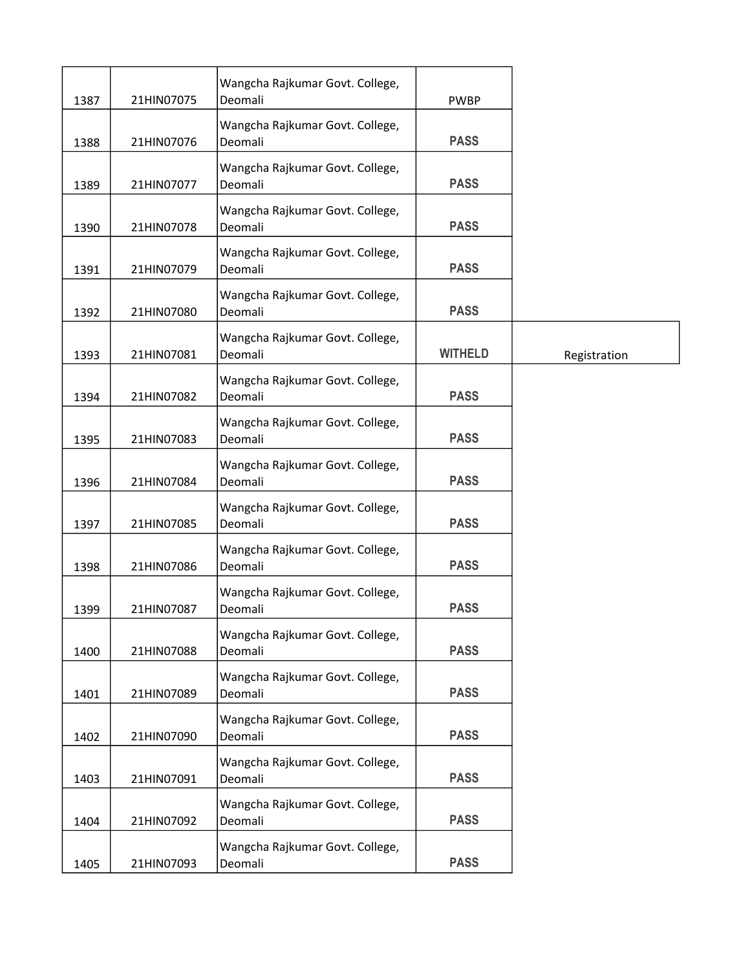| 1387 | 21HIN07075 | Wangcha Rajkumar Govt. College,<br>Deomali | <b>PWBP</b>    |              |
|------|------------|--------------------------------------------|----------------|--------------|
| 1388 | 21HIN07076 | Wangcha Rajkumar Govt. College,<br>Deomali | <b>PASS</b>    |              |
| 1389 | 21HIN07077 | Wangcha Rajkumar Govt. College,<br>Deomali | <b>PASS</b>    |              |
| 1390 | 21HIN07078 | Wangcha Rajkumar Govt. College,<br>Deomali | <b>PASS</b>    |              |
| 1391 | 21HIN07079 | Wangcha Rajkumar Govt. College,<br>Deomali | <b>PASS</b>    |              |
| 1392 | 21HIN07080 | Wangcha Rajkumar Govt. College,<br>Deomali | <b>PASS</b>    |              |
| 1393 | 21HIN07081 | Wangcha Rajkumar Govt. College,<br>Deomali | <b>WITHELD</b> | Registration |
| 1394 | 21HIN07082 | Wangcha Rajkumar Govt. College,<br>Deomali | <b>PASS</b>    |              |
| 1395 | 21HIN07083 | Wangcha Rajkumar Govt. College,<br>Deomali | <b>PASS</b>    |              |
| 1396 | 21HIN07084 | Wangcha Rajkumar Govt. College,<br>Deomali | <b>PASS</b>    |              |
| 1397 | 21HIN07085 | Wangcha Rajkumar Govt. College,<br>Deomali | <b>PASS</b>    |              |
| 1398 | 21HIN07086 | Wangcha Rajkumar Govt. College,<br>Deomali | <b>PASS</b>    |              |
| 1399 | 21HIN07087 | Wangcha Rajkumar Govt. College,<br>Deomali | <b>PASS</b>    |              |
| 1400 | 21HIN07088 | Wangcha Rajkumar Govt. College,<br>Deomali | <b>PASS</b>    |              |
| 1401 | 21HIN07089 | Wangcha Rajkumar Govt. College,<br>Deomali | <b>PASS</b>    |              |
| 1402 | 21HIN07090 | Wangcha Rajkumar Govt. College,<br>Deomali | <b>PASS</b>    |              |
| 1403 | 21HIN07091 | Wangcha Rajkumar Govt. College,<br>Deomali | <b>PASS</b>    |              |
| 1404 | 21HIN07092 | Wangcha Rajkumar Govt. College,<br>Deomali | <b>PASS</b>    |              |
| 1405 | 21HIN07093 | Wangcha Rajkumar Govt. College,<br>Deomali | <b>PASS</b>    |              |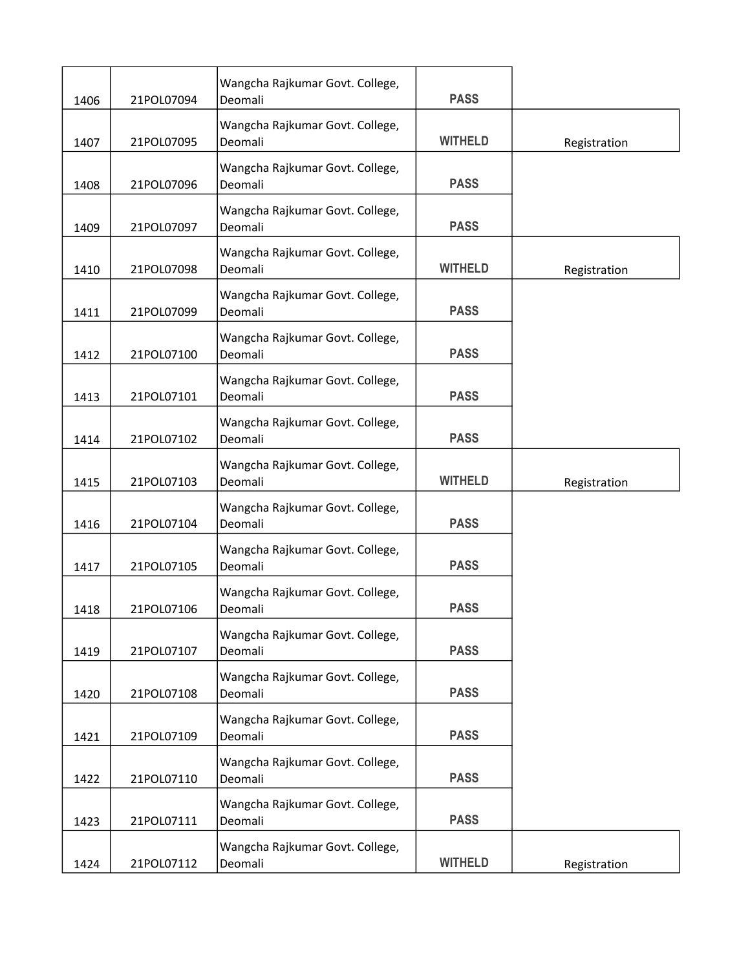| 1406 | 21POL07094 | Wangcha Rajkumar Govt. College,<br>Deomali | <b>PASS</b>    |              |
|------|------------|--------------------------------------------|----------------|--------------|
| 1407 | 21POL07095 | Wangcha Rajkumar Govt. College,<br>Deomali | <b>WITHELD</b> | Registration |
| 1408 | 21POL07096 | Wangcha Rajkumar Govt. College,<br>Deomali | <b>PASS</b>    |              |
| 1409 | 21POL07097 | Wangcha Rajkumar Govt. College,<br>Deomali | <b>PASS</b>    |              |
| 1410 | 21POL07098 | Wangcha Rajkumar Govt. College,<br>Deomali | <b>WITHELD</b> | Registration |
| 1411 | 21POL07099 | Wangcha Rajkumar Govt. College,<br>Deomali | <b>PASS</b>    |              |
| 1412 | 21POL07100 | Wangcha Rajkumar Govt. College,<br>Deomali | <b>PASS</b>    |              |
| 1413 | 21POL07101 | Wangcha Rajkumar Govt. College,<br>Deomali | <b>PASS</b>    |              |
| 1414 | 21POL07102 | Wangcha Rajkumar Govt. College,<br>Deomali | <b>PASS</b>    |              |
| 1415 | 21POL07103 | Wangcha Rajkumar Govt. College,<br>Deomali | <b>WITHELD</b> | Registration |
| 1416 | 21POL07104 | Wangcha Rajkumar Govt. College,<br>Deomali | <b>PASS</b>    |              |
| 1417 | 21POL07105 | Wangcha Rajkumar Govt. College,<br>Deomali | <b>PASS</b>    |              |
| 1418 | 21POL07106 | Wangcha Rajkumar Govt. College,<br>Deomali | <b>PASS</b>    |              |
| 1419 | 21POL07107 | Wangcha Rajkumar Govt. College,<br>Deomali | <b>PASS</b>    |              |
| 1420 | 21POL07108 | Wangcha Rajkumar Govt. College,<br>Deomali | <b>PASS</b>    |              |
| 1421 | 21POL07109 | Wangcha Rajkumar Govt. College,<br>Deomali | <b>PASS</b>    |              |
| 1422 | 21POL07110 | Wangcha Rajkumar Govt. College,<br>Deomali | <b>PASS</b>    |              |
| 1423 | 21POL07111 | Wangcha Rajkumar Govt. College,<br>Deomali | <b>PASS</b>    |              |
| 1424 | 21POL07112 | Wangcha Rajkumar Govt. College,<br>Deomali | <b>WITHELD</b> | Registration |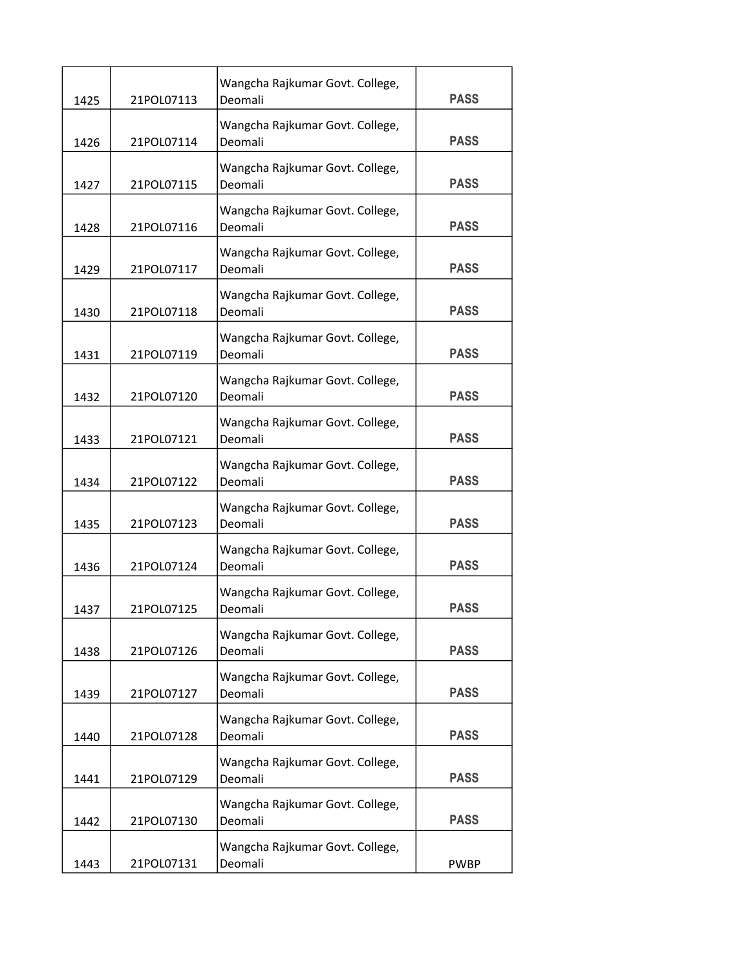| 1425 | 21POL07113 | Wangcha Rajkumar Govt. College,<br>Deomali | <b>PASS</b> |
|------|------------|--------------------------------------------|-------------|
| 1426 | 21POL07114 | Wangcha Rajkumar Govt. College,<br>Deomali | <b>PASS</b> |
| 1427 | 21POL07115 | Wangcha Rajkumar Govt. College,<br>Deomali | <b>PASS</b> |
| 1428 | 21POL07116 | Wangcha Rajkumar Govt. College,<br>Deomali | <b>PASS</b> |
| 1429 | 21POL07117 | Wangcha Rajkumar Govt. College,<br>Deomali | <b>PASS</b> |
| 1430 | 21POL07118 | Wangcha Rajkumar Govt. College,<br>Deomali | <b>PASS</b> |
| 1431 | 21POL07119 | Wangcha Rajkumar Govt. College,<br>Deomali | <b>PASS</b> |
| 1432 | 21POL07120 | Wangcha Rajkumar Govt. College,<br>Deomali | <b>PASS</b> |
| 1433 | 21POL07121 | Wangcha Rajkumar Govt. College,<br>Deomali | <b>PASS</b> |
| 1434 | 21POL07122 | Wangcha Rajkumar Govt. College,<br>Deomali | <b>PASS</b> |
| 1435 | 21POL07123 | Wangcha Rajkumar Govt. College,<br>Deomali | <b>PASS</b> |
| 1436 | 21POL07124 | Wangcha Rajkumar Govt. College,<br>Deomali | <b>PASS</b> |
| 1437 | 21POL07125 | Wangcha Rajkumar Govt. College,<br>Deomali | <b>PASS</b> |
| 1438 | 21POL07126 | Wangcha Rajkumar Govt. College,<br>Deomali | <b>PASS</b> |
| 1439 | 21POL07127 | Wangcha Rajkumar Govt. College,<br>Deomali | <b>PASS</b> |
| 1440 | 21POL07128 | Wangcha Rajkumar Govt. College,<br>Deomali | <b>PASS</b> |
| 1441 | 21POL07129 | Wangcha Rajkumar Govt. College,<br>Deomali | <b>PASS</b> |
| 1442 | 21POL07130 | Wangcha Rajkumar Govt. College,<br>Deomali | <b>PASS</b> |
| 1443 | 21POL07131 | Wangcha Rajkumar Govt. College,<br>Deomali | <b>PWBP</b> |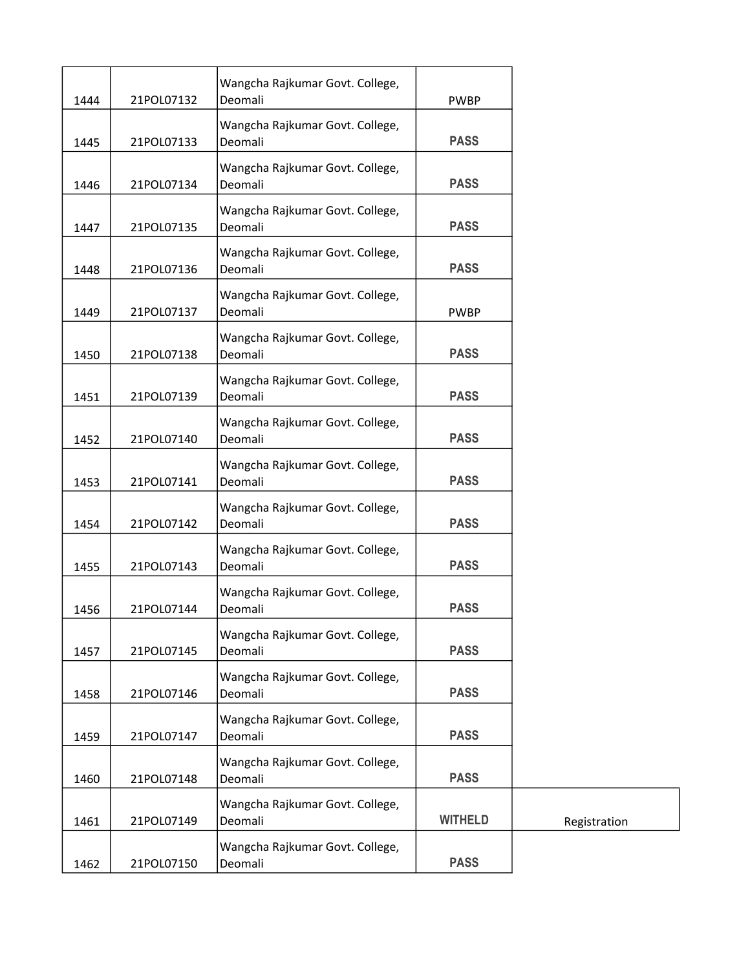| 1444 | 21POL07132 | Wangcha Rajkumar Govt. College,<br>Deomali | <b>PWBP</b>    |
|------|------------|--------------------------------------------|----------------|
| 1445 | 21POL07133 | Wangcha Rajkumar Govt. College,<br>Deomali | <b>PASS</b>    |
| 1446 | 21POL07134 | Wangcha Rajkumar Govt. College,<br>Deomali | <b>PASS</b>    |
| 1447 | 21POL07135 | Wangcha Rajkumar Govt. College,<br>Deomali | <b>PASS</b>    |
| 1448 | 21POL07136 | Wangcha Rajkumar Govt. College,<br>Deomali | <b>PASS</b>    |
| 1449 | 21POL07137 | Wangcha Rajkumar Govt. College,<br>Deomali | <b>PWBP</b>    |
| 1450 | 21POL07138 | Wangcha Rajkumar Govt. College,<br>Deomali | <b>PASS</b>    |
| 1451 | 21POL07139 | Wangcha Rajkumar Govt. College,<br>Deomali | <b>PASS</b>    |
| 1452 | 21POL07140 | Wangcha Rajkumar Govt. College,<br>Deomali | <b>PASS</b>    |
| 1453 | 21POL07141 | Wangcha Rajkumar Govt. College,<br>Deomali | <b>PASS</b>    |
| 1454 | 21POL07142 | Wangcha Rajkumar Govt. College,<br>Deomali | <b>PASS</b>    |
| 1455 | 21POL07143 | Wangcha Rajkumar Govt. College,<br>Deomali | <b>PASS</b>    |
| 1456 | 21POL07144 | Wangcha Rajkumar Govt. College,<br>Deomali | <b>PASS</b>    |
| 1457 | 21POL07145 | Wangcha Rajkumar Govt. College,<br>Deomali | <b>PASS</b>    |
| 1458 | 21POL07146 | Wangcha Rajkumar Govt. College,<br>Deomali | <b>PASS</b>    |
| 1459 | 21POL07147 | Wangcha Rajkumar Govt. College,<br>Deomali | <b>PASS</b>    |
| 1460 | 21POL07148 | Wangcha Rajkumar Govt. College,<br>Deomali | <b>PASS</b>    |
| 1461 | 21POL07149 | Wangcha Rajkumar Govt. College,<br>Deomali | <b>WITHELD</b> |
| 1462 | 21POL07150 | Wangcha Rajkumar Govt. College,<br>Deomali | <b>PASS</b>    |
|      |            |                                            |                |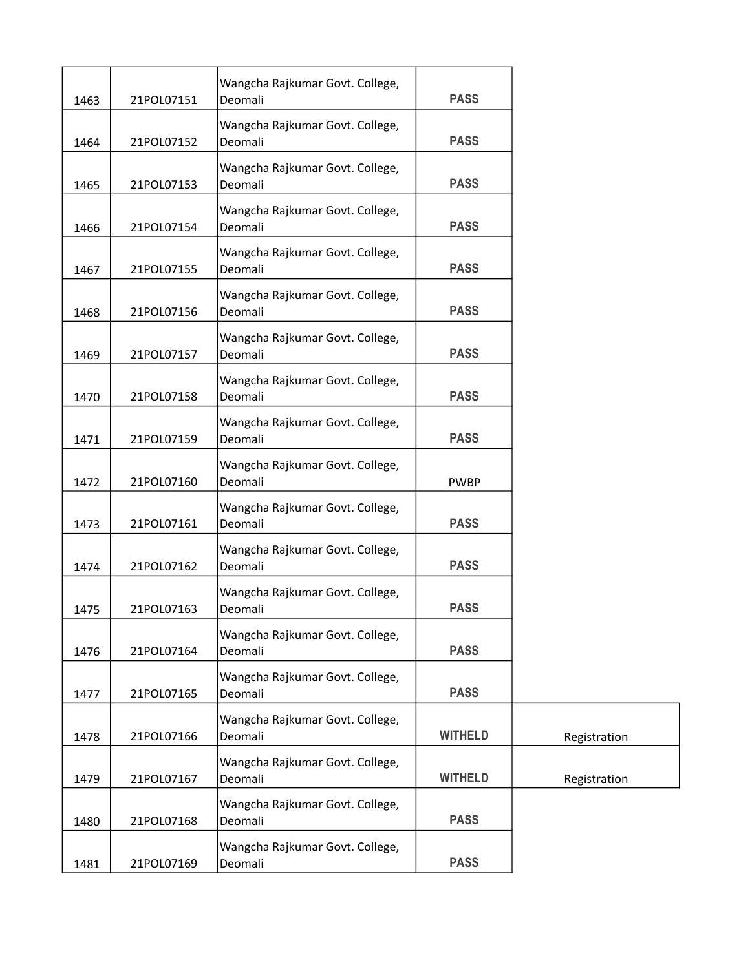| 1463 | 21POL07151 | Wangcha Rajkumar Govt. College,<br>Deomali | <b>PASS</b>    |              |
|------|------------|--------------------------------------------|----------------|--------------|
| 1464 | 21POL07152 | Wangcha Rajkumar Govt. College,<br>Deomali | <b>PASS</b>    |              |
| 1465 | 21POL07153 | Wangcha Rajkumar Govt. College,<br>Deomali | <b>PASS</b>    |              |
| 1466 | 21POL07154 | Wangcha Rajkumar Govt. College,<br>Deomali | <b>PASS</b>    |              |
| 1467 | 21POL07155 | Wangcha Rajkumar Govt. College,<br>Deomali | <b>PASS</b>    |              |
| 1468 | 21POL07156 | Wangcha Rajkumar Govt. College,<br>Deomali | <b>PASS</b>    |              |
| 1469 | 21POL07157 | Wangcha Rajkumar Govt. College,<br>Deomali | <b>PASS</b>    |              |
| 1470 | 21POL07158 | Wangcha Rajkumar Govt. College,<br>Deomali | <b>PASS</b>    |              |
| 1471 | 21POL07159 | Wangcha Rajkumar Govt. College,<br>Deomali | <b>PASS</b>    |              |
| 1472 | 21POL07160 | Wangcha Rajkumar Govt. College,<br>Deomali | <b>PWBP</b>    |              |
| 1473 | 21POL07161 | Wangcha Rajkumar Govt. College,<br>Deomali | <b>PASS</b>    |              |
| 1474 | 21POL07162 | Wangcha Rajkumar Govt. College,<br>Deomali | <b>PASS</b>    |              |
| 1475 | 21POL07163 | Wangcha Rajkumar Govt. College,<br>Deomali | <b>PASS</b>    |              |
| 1476 | 21POL07164 | Wangcha Rajkumar Govt. College,<br>Deomali | <b>PASS</b>    |              |
| 1477 | 21POL07165 | Wangcha Rajkumar Govt. College,<br>Deomali | <b>PASS</b>    |              |
| 1478 | 21POL07166 | Wangcha Rajkumar Govt. College,<br>Deomali | <b>WITHELD</b> | Registration |
| 1479 | 21POL07167 | Wangcha Rajkumar Govt. College,<br>Deomali | <b>WITHELD</b> | Registration |
| 1480 | 21POL07168 | Wangcha Rajkumar Govt. College,<br>Deomali | <b>PASS</b>    |              |
| 1481 | 21POL07169 | Wangcha Rajkumar Govt. College,<br>Deomali | <b>PASS</b>    |              |
|      |            |                                            |                |              |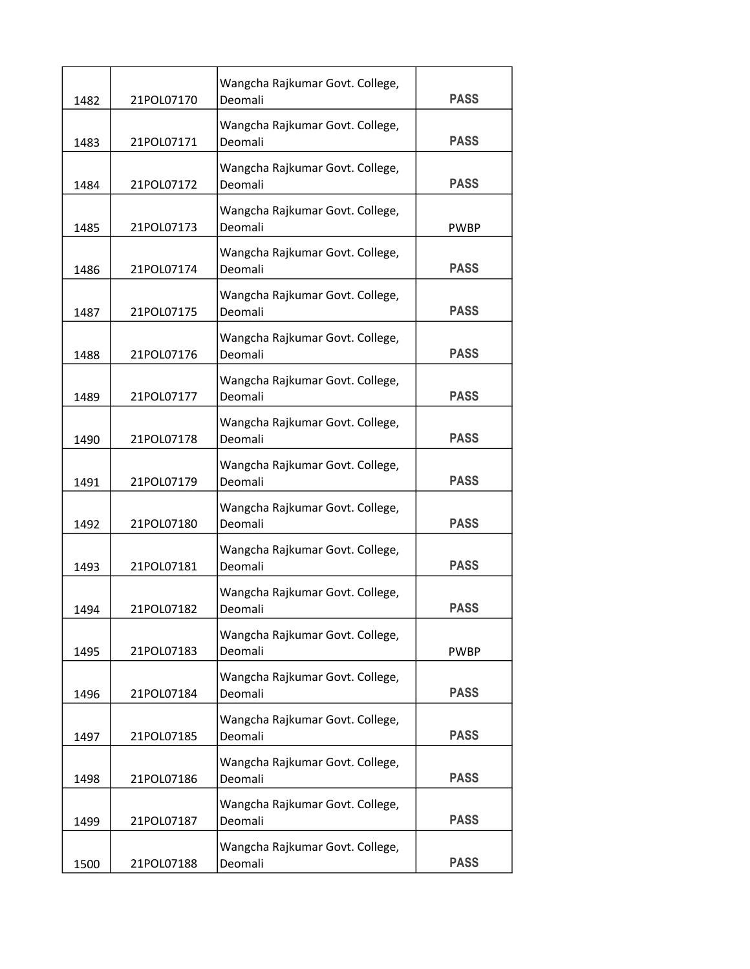| 1482 | 21POL07170 | Wangcha Rajkumar Govt. College,<br>Deomali | <b>PASS</b> |
|------|------------|--------------------------------------------|-------------|
| 1483 | 21POL07171 | Wangcha Rajkumar Govt. College,<br>Deomali | <b>PASS</b> |
| 1484 | 21POL07172 | Wangcha Rajkumar Govt. College,<br>Deomali | <b>PASS</b> |
| 1485 | 21POL07173 | Wangcha Rajkumar Govt. College,<br>Deomali | <b>PWBP</b> |
| 1486 | 21POL07174 | Wangcha Rajkumar Govt. College,<br>Deomali | <b>PASS</b> |
| 1487 | 21POL07175 | Wangcha Rajkumar Govt. College,<br>Deomali | <b>PASS</b> |
| 1488 | 21POL07176 | Wangcha Rajkumar Govt. College,<br>Deomali | <b>PASS</b> |
| 1489 | 21POL07177 | Wangcha Rajkumar Govt. College,<br>Deomali | <b>PASS</b> |
| 1490 | 21POL07178 | Wangcha Rajkumar Govt. College,<br>Deomali | <b>PASS</b> |
| 1491 | 21POL07179 | Wangcha Rajkumar Govt. College,<br>Deomali | <b>PASS</b> |
| 1492 | 21POL07180 | Wangcha Rajkumar Govt. College,<br>Deomali | <b>PASS</b> |
| 1493 | 21POL07181 | Wangcha Rajkumar Govt. College,<br>Deomali | <b>PASS</b> |
| 1494 | 21POL07182 | Wangcha Rajkumar Govt. College,<br>Deomali | <b>PASS</b> |
| 1495 | 21POL07183 | Wangcha Rajkumar Govt. College,<br>Deomali | <b>PWBP</b> |
| 1496 | 21POL07184 | Wangcha Rajkumar Govt. College,<br>Deomali | <b>PASS</b> |
| 1497 | 21POL07185 | Wangcha Rajkumar Govt. College,<br>Deomali | <b>PASS</b> |
| 1498 | 21POL07186 | Wangcha Rajkumar Govt. College,<br>Deomali | <b>PASS</b> |
| 1499 | 21POL07187 | Wangcha Rajkumar Govt. College,<br>Deomali | <b>PASS</b> |
| 1500 | 21POL07188 | Wangcha Rajkumar Govt. College,<br>Deomali | <b>PASS</b> |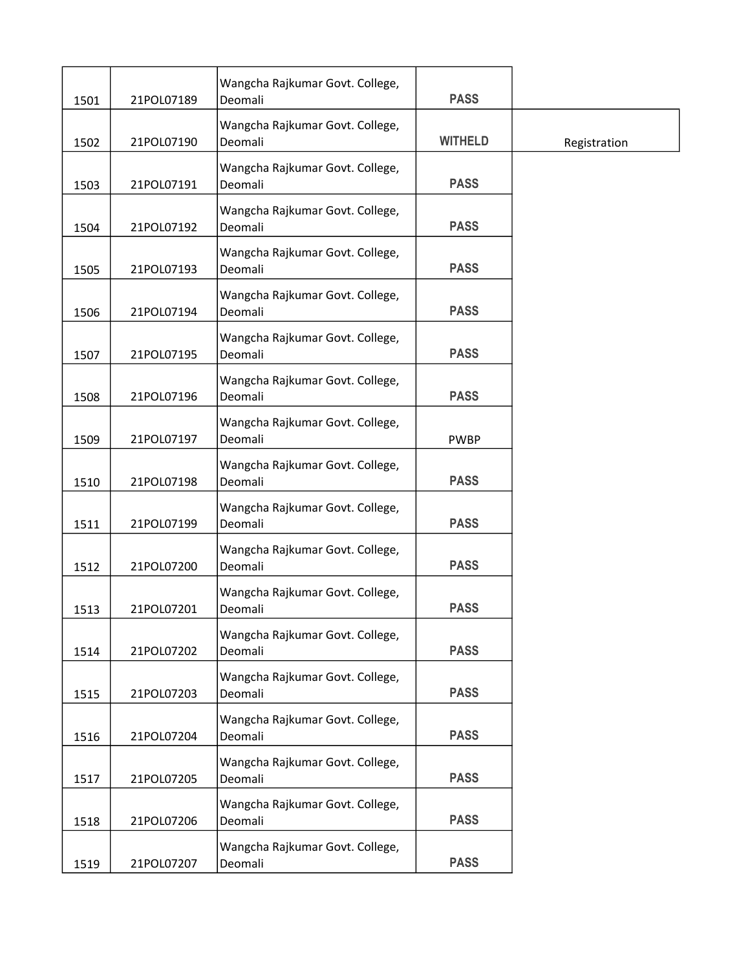| 1501 | 21POL07189 | Wangcha Rajkumar Govt. College,<br>Deomali | <b>PASS</b>    |              |
|------|------------|--------------------------------------------|----------------|--------------|
| 1502 | 21POL07190 | Wangcha Rajkumar Govt. College,<br>Deomali | <b>WITHELD</b> | Registration |
| 1503 | 21POL07191 | Wangcha Rajkumar Govt. College,<br>Deomali | <b>PASS</b>    |              |
| 1504 | 21POL07192 | Wangcha Rajkumar Govt. College,<br>Deomali | <b>PASS</b>    |              |
| 1505 | 21POL07193 | Wangcha Rajkumar Govt. College,<br>Deomali | <b>PASS</b>    |              |
| 1506 | 21POL07194 | Wangcha Rajkumar Govt. College,<br>Deomali | <b>PASS</b>    |              |
| 1507 | 21POL07195 | Wangcha Rajkumar Govt. College,<br>Deomali | <b>PASS</b>    |              |
| 1508 | 21POL07196 | Wangcha Rajkumar Govt. College,<br>Deomali | <b>PASS</b>    |              |
| 1509 | 21POL07197 | Wangcha Rajkumar Govt. College,<br>Deomali | <b>PWBP</b>    |              |
| 1510 | 21POL07198 | Wangcha Rajkumar Govt. College,<br>Deomali | <b>PASS</b>    |              |
| 1511 | 21POL07199 | Wangcha Rajkumar Govt. College,<br>Deomali | <b>PASS</b>    |              |
| 1512 | 21POL07200 | Wangcha Rajkumar Govt. College,<br>Deomali | <b>PASS</b>    |              |
| 1513 | 21POL07201 | Wangcha Rajkumar Govt. College,<br>Deomali | <b>PASS</b>    |              |
| 1514 | 21POL07202 | Wangcha Rajkumar Govt. College,<br>Deomali | <b>PASS</b>    |              |
| 1515 | 21POL07203 | Wangcha Rajkumar Govt. College,<br>Deomali | <b>PASS</b>    |              |
| 1516 | 21POL07204 | Wangcha Rajkumar Govt. College,<br>Deomali | <b>PASS</b>    |              |
| 1517 | 21POL07205 | Wangcha Rajkumar Govt. College,<br>Deomali | <b>PASS</b>    |              |
| 1518 | 21POL07206 | Wangcha Rajkumar Govt. College,<br>Deomali | <b>PASS</b>    |              |
| 1519 | 21POL07207 | Wangcha Rajkumar Govt. College,<br>Deomali | <b>PASS</b>    |              |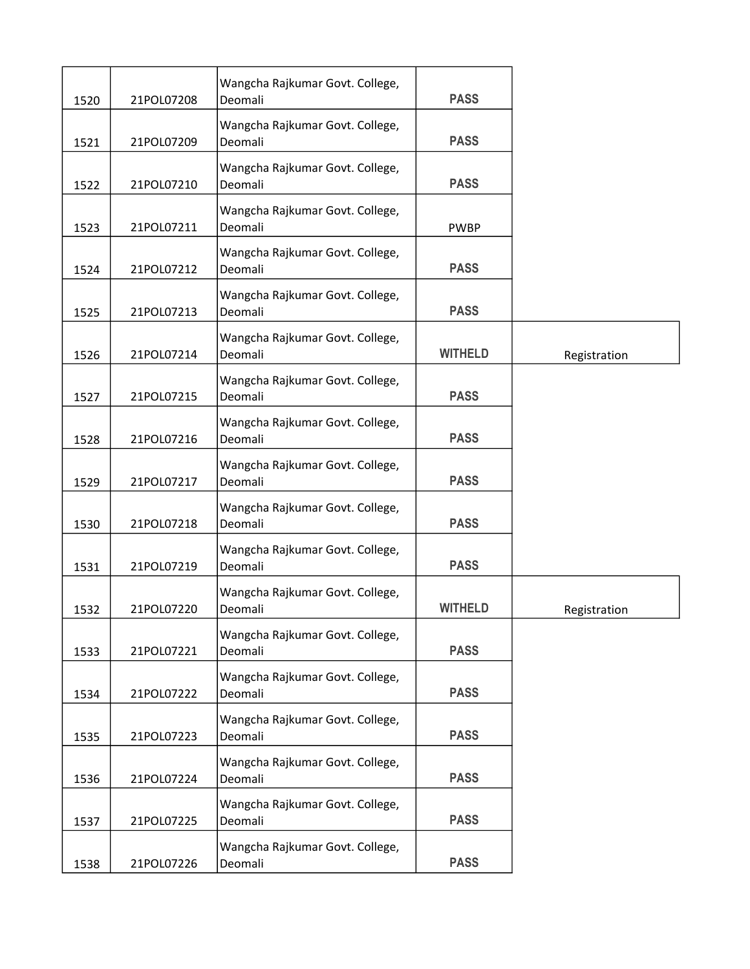| 1520 | 21POL07208 | Wangcha Rajkumar Govt. College,<br>Deomali | <b>PASS</b>    |              |
|------|------------|--------------------------------------------|----------------|--------------|
| 1521 | 21POL07209 | Wangcha Rajkumar Govt. College,<br>Deomali | <b>PASS</b>    |              |
| 1522 | 21POL07210 | Wangcha Rajkumar Govt. College,<br>Deomali | <b>PASS</b>    |              |
| 1523 | 21POL07211 | Wangcha Rajkumar Govt. College,<br>Deomali | <b>PWBP</b>    |              |
| 1524 | 21POL07212 | Wangcha Rajkumar Govt. College,<br>Deomali | <b>PASS</b>    |              |
| 1525 | 21POL07213 | Wangcha Rajkumar Govt. College,<br>Deomali | <b>PASS</b>    |              |
| 1526 | 21POL07214 | Wangcha Rajkumar Govt. College,<br>Deomali | <b>WITHELD</b> | Registration |
| 1527 | 21POL07215 | Wangcha Rajkumar Govt. College,<br>Deomali | <b>PASS</b>    |              |
| 1528 | 21POL07216 | Wangcha Rajkumar Govt. College,<br>Deomali | <b>PASS</b>    |              |
| 1529 | 21POL07217 | Wangcha Rajkumar Govt. College,<br>Deomali | <b>PASS</b>    |              |
| 1530 | 21POL07218 | Wangcha Rajkumar Govt. College,<br>Deomali | <b>PASS</b>    |              |
| 1531 | 21POL07219 | Wangcha Rajkumar Govt. College,<br>Deomali | <b>PASS</b>    |              |
| 1532 | 21POL07220 | Wangcha Rajkumar Govt. College,<br>Deomali | <b>WITHELD</b> | Registration |
| 1533 | 21POL07221 | Wangcha Rajkumar Govt. College,<br>Deomali | <b>PASS</b>    |              |
| 1534 | 21POL07222 | Wangcha Rajkumar Govt. College,<br>Deomali | <b>PASS</b>    |              |
| 1535 | 21POL07223 | Wangcha Rajkumar Govt. College,<br>Deomali | <b>PASS</b>    |              |
| 1536 | 21POL07224 | Wangcha Rajkumar Govt. College,<br>Deomali | <b>PASS</b>    |              |
| 1537 | 21POL07225 | Wangcha Rajkumar Govt. College,<br>Deomali | <b>PASS</b>    |              |
| 1538 | 21POL07226 | Wangcha Rajkumar Govt. College,<br>Deomali | <b>PASS</b>    |              |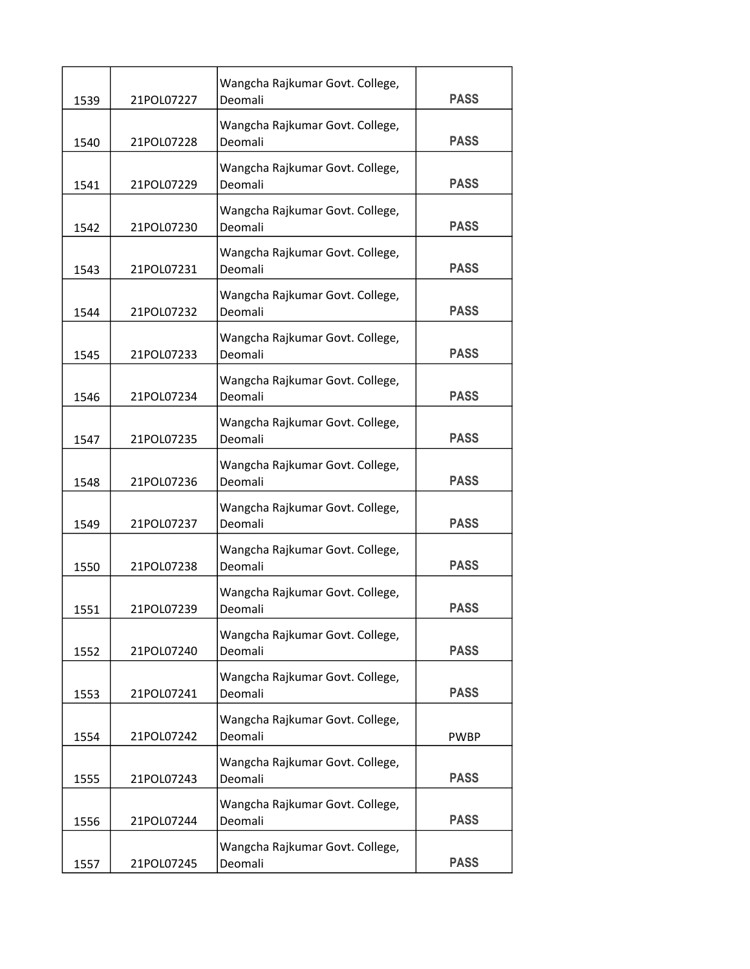| 1539 | 21POL07227 | Wangcha Rajkumar Govt. College,<br>Deomali | <b>PASS</b> |
|------|------------|--------------------------------------------|-------------|
| 1540 | 21POL07228 | Wangcha Rajkumar Govt. College,<br>Deomali | <b>PASS</b> |
| 1541 | 21POL07229 | Wangcha Rajkumar Govt. College,<br>Deomali | <b>PASS</b> |
| 1542 | 21POL07230 | Wangcha Rajkumar Govt. College,<br>Deomali | <b>PASS</b> |
| 1543 | 21POL07231 | Wangcha Rajkumar Govt. College,<br>Deomali | <b>PASS</b> |
| 1544 | 21POL07232 | Wangcha Rajkumar Govt. College,<br>Deomali | <b>PASS</b> |
| 1545 | 21POL07233 | Wangcha Rajkumar Govt. College,<br>Deomali | <b>PASS</b> |
| 1546 | 21POL07234 | Wangcha Rajkumar Govt. College,<br>Deomali | <b>PASS</b> |
| 1547 | 21POL07235 | Wangcha Rajkumar Govt. College,<br>Deomali | <b>PASS</b> |
| 1548 | 21POL07236 | Wangcha Rajkumar Govt. College,<br>Deomali | <b>PASS</b> |
| 1549 | 21POL07237 | Wangcha Rajkumar Govt. College,<br>Deomali | <b>PASS</b> |
| 1550 | 21POL07238 | Wangcha Rajkumar Govt. College,<br>Deomali | <b>PASS</b> |
| 1551 | 21POL07239 | Wangcha Rajkumar Govt. College,<br>Deomali | <b>PASS</b> |
| 1552 | 21POL07240 | Wangcha Rajkumar Govt. College,<br>Deomali | <b>PASS</b> |
| 1553 | 21POL07241 | Wangcha Rajkumar Govt. College,<br>Deomali | <b>PASS</b> |
| 1554 | 21POL07242 | Wangcha Rajkumar Govt. College,<br>Deomali | <b>PWBP</b> |
| 1555 | 21POL07243 | Wangcha Rajkumar Govt. College,<br>Deomali | <b>PASS</b> |
| 1556 | 21POL07244 | Wangcha Rajkumar Govt. College,<br>Deomali | <b>PASS</b> |
| 1557 | 21POL07245 | Wangcha Rajkumar Govt. College,<br>Deomali | <b>PASS</b> |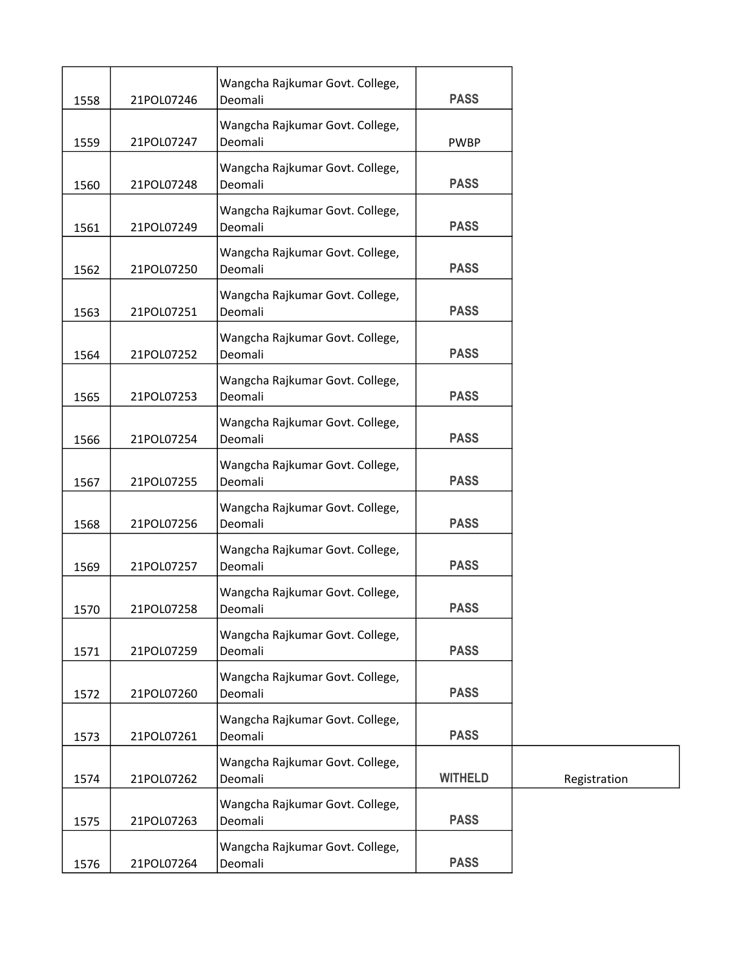|      |            | Wangcha Rajkumar Govt. College,            |                |              |
|------|------------|--------------------------------------------|----------------|--------------|
| 1558 | 21POL07246 | Deomali                                    | <b>PASS</b>    |              |
| 1559 | 21POL07247 | Wangcha Rajkumar Govt. College,<br>Deomali | <b>PWBP</b>    |              |
| 1560 | 21POL07248 | Wangcha Rajkumar Govt. College,<br>Deomali | <b>PASS</b>    |              |
| 1561 | 21POL07249 | Wangcha Rajkumar Govt. College,<br>Deomali | <b>PASS</b>    |              |
| 1562 | 21POL07250 | Wangcha Rajkumar Govt. College,<br>Deomali | <b>PASS</b>    |              |
| 1563 | 21POL07251 | Wangcha Rajkumar Govt. College,<br>Deomali | <b>PASS</b>    |              |
| 1564 | 21POL07252 | Wangcha Rajkumar Govt. College,<br>Deomali | <b>PASS</b>    |              |
| 1565 | 21POL07253 | Wangcha Rajkumar Govt. College,<br>Deomali | <b>PASS</b>    |              |
| 1566 | 21POL07254 | Wangcha Rajkumar Govt. College,<br>Deomali | <b>PASS</b>    |              |
| 1567 | 21POL07255 | Wangcha Rajkumar Govt. College,<br>Deomali | <b>PASS</b>    |              |
| 1568 | 21POL07256 | Wangcha Rajkumar Govt. College,<br>Deomali | <b>PASS</b>    |              |
| 1569 | 21POL07257 | Wangcha Rajkumar Govt. College,<br>Deomali | <b>PASS</b>    |              |
| 1570 | 21POL07258 | Wangcha Rajkumar Govt. College,<br>Deomali | <b>PASS</b>    |              |
| 1571 | 21POL07259 | Wangcha Rajkumar Govt. College,<br>Deomali | <b>PASS</b>    |              |
| 1572 | 21POL07260 | Wangcha Rajkumar Govt. College,<br>Deomali | <b>PASS</b>    |              |
| 1573 | 21POL07261 | Wangcha Rajkumar Govt. College,<br>Deomali | <b>PASS</b>    |              |
| 1574 | 21POL07262 | Wangcha Rajkumar Govt. College,<br>Deomali | <b>WITHELD</b> | Registration |
| 1575 | 21POL07263 | Wangcha Rajkumar Govt. College,<br>Deomali | <b>PASS</b>    |              |
| 1576 | 21POL07264 | Wangcha Rajkumar Govt. College,<br>Deomali | <b>PASS</b>    |              |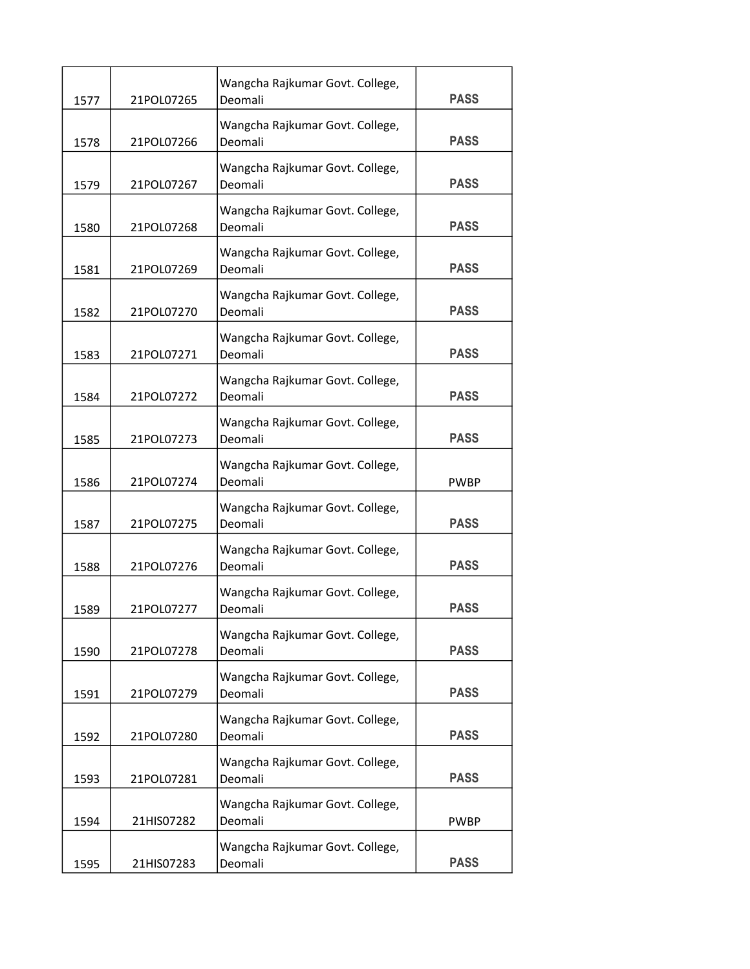| 1577 | 21POL07265 | Wangcha Rajkumar Govt. College,<br>Deomali | <b>PASS</b> |
|------|------------|--------------------------------------------|-------------|
| 1578 | 21POL07266 | Wangcha Rajkumar Govt. College,<br>Deomali | <b>PASS</b> |
| 1579 | 21POL07267 | Wangcha Rajkumar Govt. College,<br>Deomali | <b>PASS</b> |
| 1580 | 21POL07268 | Wangcha Rajkumar Govt. College,<br>Deomali | <b>PASS</b> |
| 1581 | 21POL07269 | Wangcha Rajkumar Govt. College,<br>Deomali | <b>PASS</b> |
| 1582 | 21POL07270 | Wangcha Rajkumar Govt. College,<br>Deomali | <b>PASS</b> |
| 1583 | 21POL07271 | Wangcha Rajkumar Govt. College,<br>Deomali | <b>PASS</b> |
| 1584 | 21POL07272 | Wangcha Rajkumar Govt. College,<br>Deomali | <b>PASS</b> |
| 1585 | 21POL07273 | Wangcha Rajkumar Govt. College,<br>Deomali | <b>PASS</b> |
| 1586 | 21POL07274 | Wangcha Rajkumar Govt. College,<br>Deomali | <b>PWBP</b> |
| 1587 | 21POL07275 | Wangcha Rajkumar Govt. College,<br>Deomali | <b>PASS</b> |
| 1588 | 21POL07276 | Wangcha Rajkumar Govt. College,<br>Deomali | <b>PASS</b> |
| 1589 | 21POL07277 | Wangcha Rajkumar Govt. College,<br>Deomali | <b>PASS</b> |
| 1590 | 21POL07278 | Wangcha Rajkumar Govt. College,<br>Deomali | <b>PASS</b> |
| 1591 | 21POL07279 | Wangcha Rajkumar Govt. College,<br>Deomali | <b>PASS</b> |
| 1592 | 21POL07280 | Wangcha Rajkumar Govt. College,<br>Deomali | <b>PASS</b> |
| 1593 | 21POL07281 | Wangcha Rajkumar Govt. College,<br>Deomali | <b>PASS</b> |
| 1594 | 21HIS07282 | Wangcha Rajkumar Govt. College,<br>Deomali | <b>PWBP</b> |
| 1595 | 21HIS07283 | Wangcha Rajkumar Govt. College,<br>Deomali | <b>PASS</b> |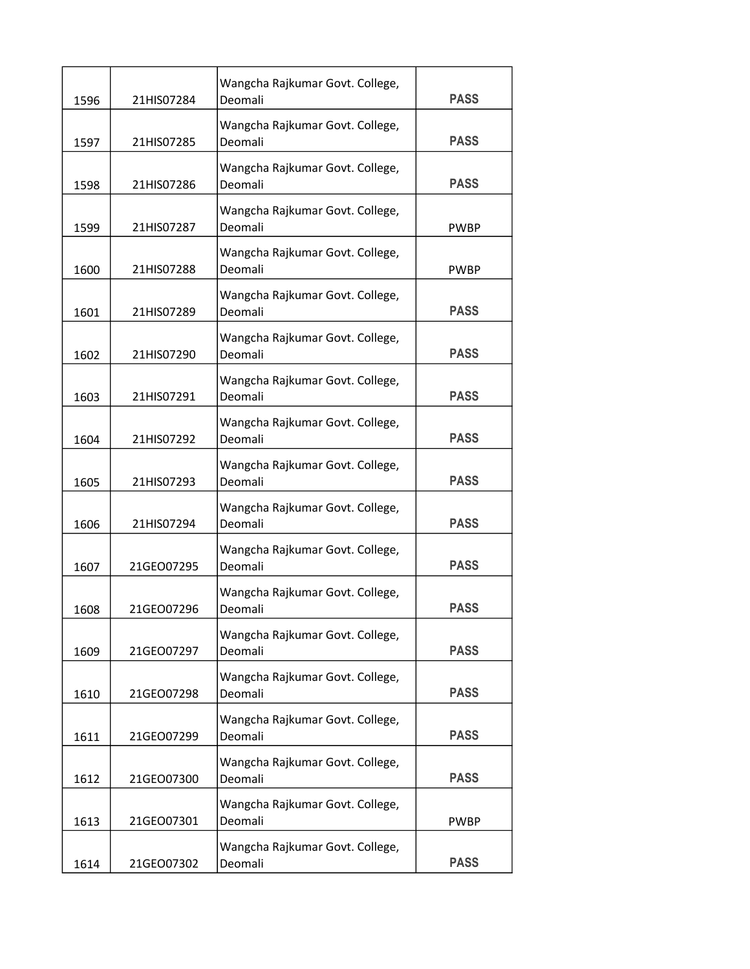| 1596 | 21HIS07284 | Wangcha Rajkumar Govt. College,<br>Deomali | <b>PASS</b> |
|------|------------|--------------------------------------------|-------------|
| 1597 | 21HIS07285 | Wangcha Rajkumar Govt. College,<br>Deomali | <b>PASS</b> |
| 1598 | 21HIS07286 | Wangcha Rajkumar Govt. College,<br>Deomali | <b>PASS</b> |
| 1599 | 21HIS07287 | Wangcha Rajkumar Govt. College,<br>Deomali | <b>PWBP</b> |
| 1600 | 21HIS07288 | Wangcha Rajkumar Govt. College,<br>Deomali | <b>PWBP</b> |
| 1601 | 21HIS07289 | Wangcha Rajkumar Govt. College,<br>Deomali | <b>PASS</b> |
| 1602 | 21HIS07290 | Wangcha Rajkumar Govt. College,<br>Deomali | <b>PASS</b> |
| 1603 | 21HIS07291 | Wangcha Rajkumar Govt. College,<br>Deomali | <b>PASS</b> |
| 1604 | 21HIS07292 | Wangcha Rajkumar Govt. College,<br>Deomali | <b>PASS</b> |
| 1605 | 21HIS07293 | Wangcha Rajkumar Govt. College,<br>Deomali | <b>PASS</b> |
| 1606 | 21HIS07294 | Wangcha Rajkumar Govt. College,<br>Deomali | <b>PASS</b> |
| 1607 | 21GEO07295 | Wangcha Rajkumar Govt. College,<br>Deomali | <b>PASS</b> |
| 1608 | 21GEO07296 | Wangcha Rajkumar Govt. College,<br>Deomali | <b>PASS</b> |
| 1609 | 21GEO07297 | Wangcha Rajkumar Govt. College,<br>Deomali | <b>PASS</b> |
| 1610 | 21GEO07298 | Wangcha Rajkumar Govt. College,<br>Deomali | <b>PASS</b> |
| 1611 | 21GEO07299 | Wangcha Rajkumar Govt. College,<br>Deomali | <b>PASS</b> |
| 1612 | 21GEO07300 | Wangcha Rajkumar Govt. College,<br>Deomali | <b>PASS</b> |
| 1613 | 21GEO07301 | Wangcha Rajkumar Govt. College,<br>Deomali | <b>PWBP</b> |
| 1614 | 21GEO07302 | Wangcha Rajkumar Govt. College,<br>Deomali | <b>PASS</b> |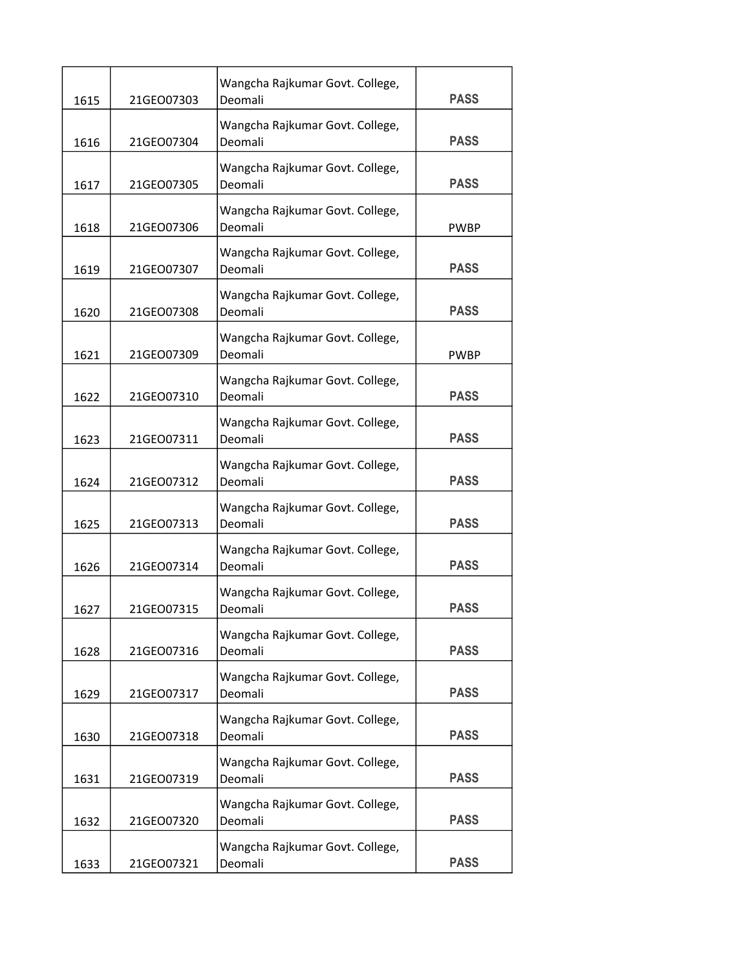| 1615 | 21GEO07303 | Wangcha Rajkumar Govt. College,<br>Deomali | <b>PASS</b> |
|------|------------|--------------------------------------------|-------------|
| 1616 | 21GEO07304 | Wangcha Rajkumar Govt. College,<br>Deomali | <b>PASS</b> |
| 1617 | 21GEO07305 | Wangcha Rajkumar Govt. College,<br>Deomali | <b>PASS</b> |
| 1618 | 21GEO07306 | Wangcha Rajkumar Govt. College,<br>Deomali | <b>PWBP</b> |
| 1619 | 21GEO07307 | Wangcha Rajkumar Govt. College,<br>Deomali | <b>PASS</b> |
| 1620 | 21GEO07308 | Wangcha Rajkumar Govt. College,<br>Deomali | <b>PASS</b> |
| 1621 | 21GEO07309 | Wangcha Rajkumar Govt. College,<br>Deomali | <b>PWBP</b> |
| 1622 | 21GEO07310 | Wangcha Rajkumar Govt. College,<br>Deomali | <b>PASS</b> |
| 1623 | 21GEO07311 | Wangcha Rajkumar Govt. College,<br>Deomali | <b>PASS</b> |
| 1624 | 21GEO07312 | Wangcha Rajkumar Govt. College,<br>Deomali | <b>PASS</b> |
| 1625 | 21GEO07313 | Wangcha Rajkumar Govt. College,<br>Deomali | <b>PASS</b> |
| 1626 | 21GEO07314 | Wangcha Rajkumar Govt. College,<br>Deomali | <b>PASS</b> |
| 1627 | 21GEO07315 | Wangcha Rajkumar Govt. College,<br>Deomali | <b>PASS</b> |
| 1628 | 21GEO07316 | Wangcha Rajkumar Govt. College,<br>Deomali | <b>PASS</b> |
| 1629 | 21GEO07317 | Wangcha Rajkumar Govt. College,<br>Deomali | <b>PASS</b> |
| 1630 | 21GEO07318 | Wangcha Rajkumar Govt. College,<br>Deomali | <b>PASS</b> |
| 1631 | 21GEO07319 | Wangcha Rajkumar Govt. College,<br>Deomali | <b>PASS</b> |
| 1632 | 21GEO07320 | Wangcha Rajkumar Govt. College,<br>Deomali | <b>PASS</b> |
| 1633 | 21GEO07321 | Wangcha Rajkumar Govt. College,<br>Deomali | <b>PASS</b> |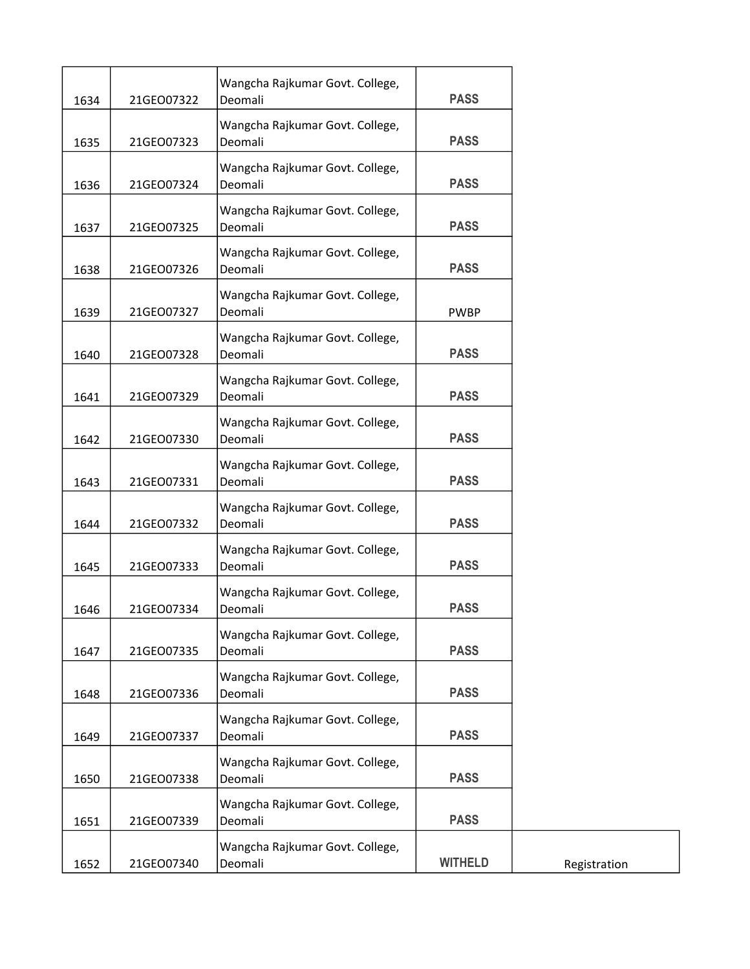| 1634 | 21GEO07322 | Wangcha Rajkumar Govt. College,<br>Deomali | <b>PASS</b>    |
|------|------------|--------------------------------------------|----------------|
| 1635 | 21GEO07323 | Wangcha Rajkumar Govt. College,<br>Deomali | <b>PASS</b>    |
| 1636 | 21GEO07324 | Wangcha Rajkumar Govt. College,<br>Deomali | <b>PASS</b>    |
| 1637 | 21GEO07325 | Wangcha Rajkumar Govt. College,<br>Deomali | <b>PASS</b>    |
| 1638 | 21GEO07326 | Wangcha Rajkumar Govt. College,<br>Deomali | <b>PASS</b>    |
| 1639 | 21GEO07327 | Wangcha Rajkumar Govt. College,<br>Deomali | <b>PWBP</b>    |
| 1640 | 21GEO07328 | Wangcha Rajkumar Govt. College,<br>Deomali | <b>PASS</b>    |
| 1641 | 21GEO07329 | Wangcha Rajkumar Govt. College,<br>Deomali | <b>PASS</b>    |
| 1642 | 21GEO07330 | Wangcha Rajkumar Govt. College,<br>Deomali | <b>PASS</b>    |
| 1643 | 21GEO07331 | Wangcha Rajkumar Govt. College,<br>Deomali | <b>PASS</b>    |
| 1644 | 21GEO07332 | Wangcha Rajkumar Govt. College,<br>Deomali | <b>PASS</b>    |
| 1645 | 21GEO07333 | Wangcha Rajkumar Govt. College,<br>Deomali | <b>PASS</b>    |
| 1646 | 21GEO07334 | Wangcha Rajkumar Govt. College,<br>Deomali | <b>PASS</b>    |
| 1647 | 21GEO07335 | Wangcha Rajkumar Govt. College,<br>Deomali | <b>PASS</b>    |
| 1648 | 21GEO07336 | Wangcha Rajkumar Govt. College,<br>Deomali | <b>PASS</b>    |
| 1649 | 21GEO07337 | Wangcha Rajkumar Govt. College,<br>Deomali | <b>PASS</b>    |
| 1650 | 21GEO07338 | Wangcha Rajkumar Govt. College,<br>Deomali | <b>PASS</b>    |
| 1651 | 21GEO07339 | Wangcha Rajkumar Govt. College,<br>Deomali | <b>PASS</b>    |
| 1652 | 21GEO07340 | Wangcha Rajkumar Govt. College,<br>Deomali | <b>WITHELD</b> |
|      |            |                                            |                |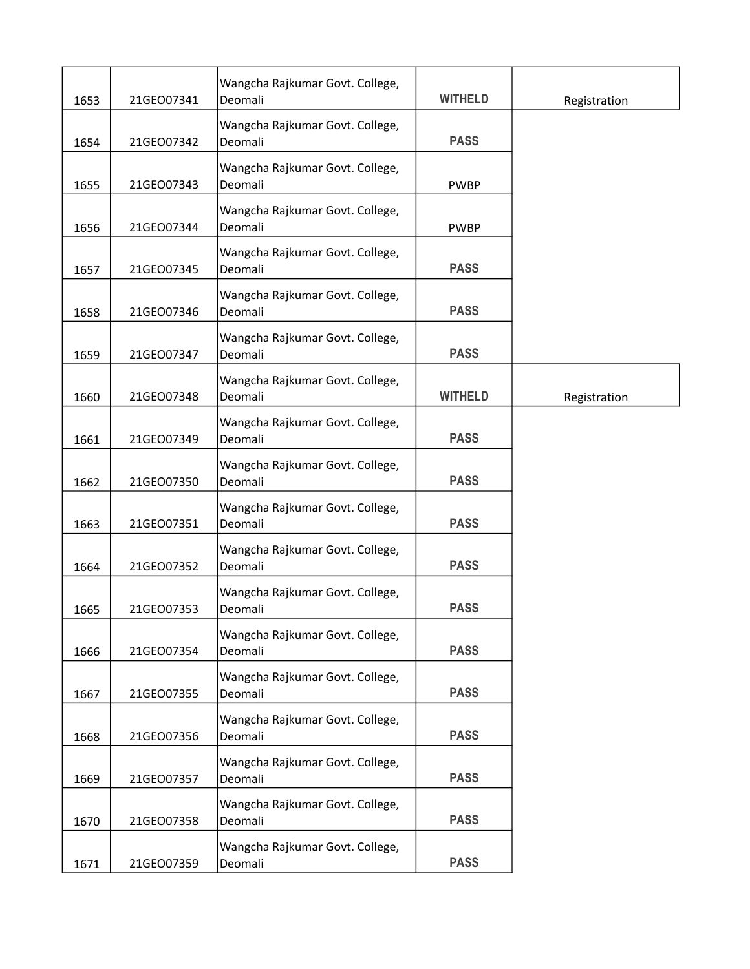| 1653 | 21GEO07341 | Wangcha Rajkumar Govt. College,<br>Deomali | <b>WITHELD</b> | Registration |
|------|------------|--------------------------------------------|----------------|--------------|
| 1654 | 21GEO07342 | Wangcha Rajkumar Govt. College,<br>Deomali | <b>PASS</b>    |              |
| 1655 | 21GEO07343 | Wangcha Rajkumar Govt. College,<br>Deomali | <b>PWBP</b>    |              |
| 1656 | 21GEO07344 | Wangcha Rajkumar Govt. College,<br>Deomali | <b>PWBP</b>    |              |
| 1657 | 21GEO07345 | Wangcha Rajkumar Govt. College,<br>Deomali | <b>PASS</b>    |              |
| 1658 | 21GEO07346 | Wangcha Rajkumar Govt. College,<br>Deomali | <b>PASS</b>    |              |
| 1659 | 21GEO07347 | Wangcha Rajkumar Govt. College,<br>Deomali | <b>PASS</b>    |              |
| 1660 | 21GEO07348 | Wangcha Rajkumar Govt. College,<br>Deomali | <b>WITHELD</b> | Registration |
| 1661 | 21GEO07349 | Wangcha Rajkumar Govt. College,<br>Deomali | <b>PASS</b>    |              |
| 1662 | 21GEO07350 | Wangcha Rajkumar Govt. College,<br>Deomali | <b>PASS</b>    |              |
| 1663 | 21GEO07351 | Wangcha Rajkumar Govt. College,<br>Deomali | <b>PASS</b>    |              |
| 1664 | 21GEO07352 | Wangcha Rajkumar Govt. College,<br>Deomali | <b>PASS</b>    |              |
| 1665 | 21GEO07353 | Wangcha Rajkumar Govt. College,<br>Deomali | <b>PASS</b>    |              |
| 1666 | 21GEO07354 | Wangcha Rajkumar Govt. College,<br>Deomali | <b>PASS</b>    |              |
| 1667 | 21GEO07355 | Wangcha Rajkumar Govt. College,<br>Deomali | <b>PASS</b>    |              |
| 1668 | 21GEO07356 | Wangcha Rajkumar Govt. College,<br>Deomali | <b>PASS</b>    |              |
| 1669 | 21GEO07357 | Wangcha Rajkumar Govt. College,<br>Deomali | <b>PASS</b>    |              |
| 1670 | 21GEO07358 | Wangcha Rajkumar Govt. College,<br>Deomali | <b>PASS</b>    |              |
| 1671 | 21GEO07359 | Wangcha Rajkumar Govt. College,<br>Deomali | <b>PASS</b>    |              |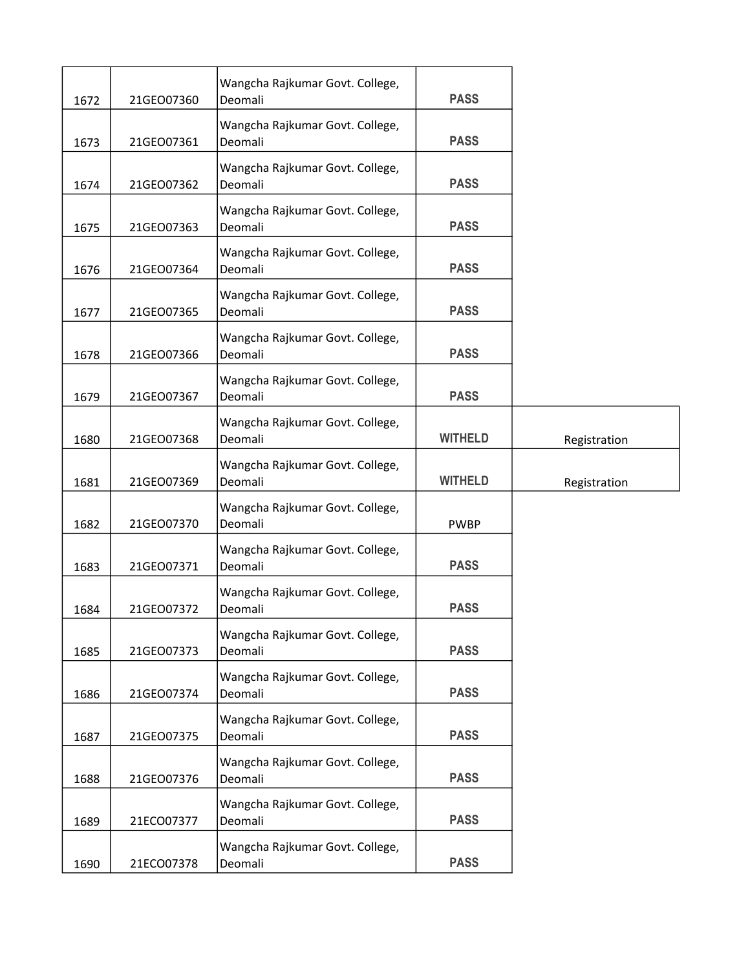| 1672 | 21GEO07360 | Wangcha Rajkumar Govt. College,<br>Deomali | <b>PASS</b>    |              |
|------|------------|--------------------------------------------|----------------|--------------|
| 1673 | 21GEO07361 | Wangcha Rajkumar Govt. College,<br>Deomali | <b>PASS</b>    |              |
| 1674 | 21GEO07362 | Wangcha Rajkumar Govt. College,<br>Deomali | <b>PASS</b>    |              |
| 1675 | 21GEO07363 | Wangcha Rajkumar Govt. College,<br>Deomali | <b>PASS</b>    |              |
| 1676 | 21GEO07364 | Wangcha Rajkumar Govt. College,<br>Deomali | <b>PASS</b>    |              |
| 1677 | 21GEO07365 | Wangcha Rajkumar Govt. College,<br>Deomali | <b>PASS</b>    |              |
| 1678 | 21GEO07366 | Wangcha Rajkumar Govt. College,<br>Deomali | <b>PASS</b>    |              |
| 1679 | 21GEO07367 | Wangcha Rajkumar Govt. College,<br>Deomali | <b>PASS</b>    |              |
| 1680 | 21GEO07368 | Wangcha Rajkumar Govt. College,<br>Deomali | <b>WITHELD</b> | Registration |
| 1681 | 21GEO07369 | Wangcha Rajkumar Govt. College,<br>Deomali | <b>WITHELD</b> | Registration |
| 1682 | 21GEO07370 | Wangcha Rajkumar Govt. College,<br>Deomali | <b>PWBP</b>    |              |
| 1683 | 21GEO07371 | Wangcha Rajkumar Govt. College,<br>Deomali | <b>PASS</b>    |              |
| 1684 | 21GEO07372 | Wangcha Rajkumar Govt. College,<br>Deomali | <b>PASS</b>    |              |
| 1685 | 21GEO07373 | Wangcha Rajkumar Govt. College,<br>Deomali | <b>PASS</b>    |              |
| 1686 | 21GEO07374 | Wangcha Rajkumar Govt. College,<br>Deomali | <b>PASS</b>    |              |
| 1687 | 21GEO07375 | Wangcha Rajkumar Govt. College,<br>Deomali | <b>PASS</b>    |              |
| 1688 |            | Wangcha Rajkumar Govt. College,            | <b>PASS</b>    |              |
|      | 21GEO07376 | Deomali                                    |                |              |
| 1689 | 21ECO07377 | Wangcha Rajkumar Govt. College,<br>Deomali | <b>PASS</b>    |              |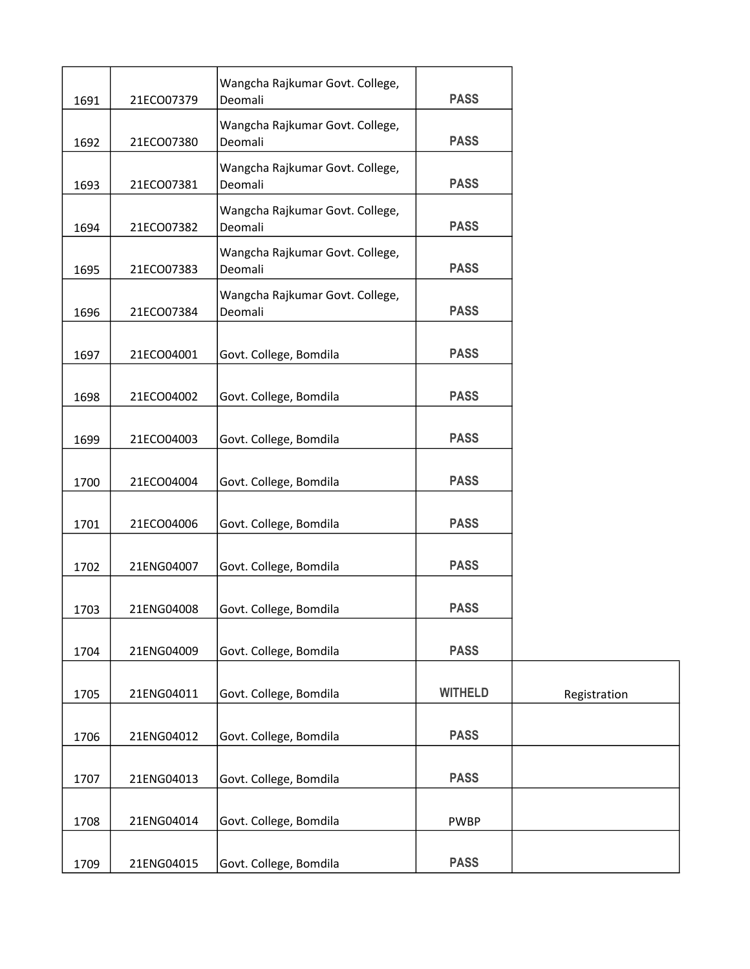| 1691 | 21ECO07379 | Wangcha Rajkumar Govt. College,<br>Deomali | <b>PASS</b>    |              |
|------|------------|--------------------------------------------|----------------|--------------|
| 1692 | 21ECO07380 | Wangcha Rajkumar Govt. College,<br>Deomali | <b>PASS</b>    |              |
| 1693 | 21ECO07381 | Wangcha Rajkumar Govt. College,<br>Deomali | <b>PASS</b>    |              |
| 1694 | 21ECO07382 | Wangcha Rajkumar Govt. College,<br>Deomali | <b>PASS</b>    |              |
| 1695 | 21ECO07383 | Wangcha Rajkumar Govt. College,<br>Deomali | <b>PASS</b>    |              |
| 1696 | 21ECO07384 | Wangcha Rajkumar Govt. College,<br>Deomali | <b>PASS</b>    |              |
| 1697 | 21ECO04001 | Govt. College, Bomdila                     | <b>PASS</b>    |              |
| 1698 | 21ECO04002 | Govt. College, Bomdila                     | <b>PASS</b>    |              |
| 1699 | 21ECO04003 | Govt. College, Bomdila                     | <b>PASS</b>    |              |
| 1700 | 21ECO04004 | Govt. College, Bomdila                     | <b>PASS</b>    |              |
| 1701 | 21ECO04006 | Govt. College, Bomdila                     | <b>PASS</b>    |              |
| 1702 | 21ENG04007 | Govt. College, Bomdila                     | <b>PASS</b>    |              |
| 1703 | 21ENG04008 | Govt. College, Bomdila                     | <b>PASS</b>    |              |
| 1704 | 21ENG04009 | Govt. College, Bomdila                     | <b>PASS</b>    |              |
| 1705 | 21ENG04011 | Govt. College, Bomdila                     | <b>WITHELD</b> | Registration |
| 1706 | 21ENG04012 | Govt. College, Bomdila                     | <b>PASS</b>    |              |
| 1707 | 21ENG04013 | Govt. College, Bomdila                     | <b>PASS</b>    |              |
| 1708 | 21ENG04014 | Govt. College, Bomdila                     | <b>PWBP</b>    |              |
| 1709 | 21ENG04015 | Govt. College, Bomdila                     | <b>PASS</b>    |              |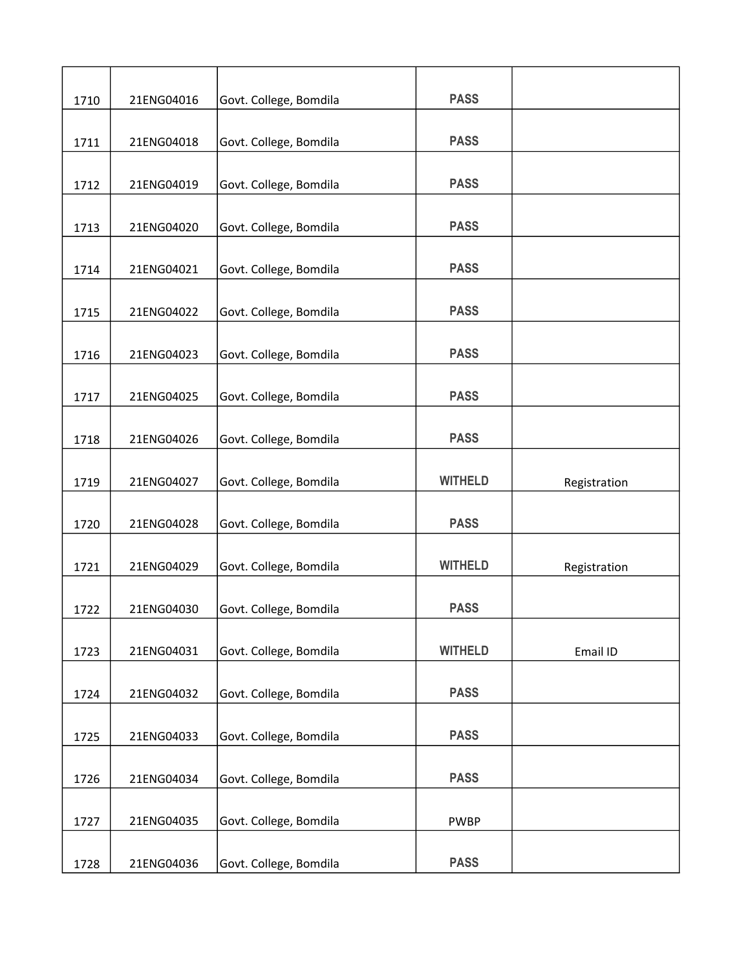| 1710 | 21ENG04016 | Govt. College, Bomdila | <b>PASS</b>    |              |
|------|------------|------------------------|----------------|--------------|
| 1711 | 21ENG04018 | Govt. College, Bomdila | <b>PASS</b>    |              |
|      |            |                        |                |              |
| 1712 | 21ENG04019 | Govt. College, Bomdila | <b>PASS</b>    |              |
|      |            |                        |                |              |
| 1713 | 21ENG04020 | Govt. College, Bomdila | <b>PASS</b>    |              |
| 1714 | 21ENG04021 | Govt. College, Bomdila | <b>PASS</b>    |              |
|      |            |                        |                |              |
| 1715 | 21ENG04022 | Govt. College, Bomdila | <b>PASS</b>    |              |
| 1716 | 21ENG04023 | Govt. College, Bomdila | <b>PASS</b>    |              |
|      |            |                        |                |              |
| 1717 | 21ENG04025 | Govt. College, Bomdila | <b>PASS</b>    |              |
| 1718 | 21ENG04026 | Govt. College, Bomdila | <b>PASS</b>    |              |
|      |            |                        |                |              |
| 1719 | 21ENG04027 | Govt. College, Bomdila | <b>WITHELD</b> | Registration |
| 1720 | 21ENG04028 | Govt. College, Bomdila | <b>PASS</b>    |              |
| 1721 | 21ENG04029 | Govt. College, Bomdila | <b>WITHELD</b> |              |
|      |            |                        |                | Registration |
| 1722 | 21ENG04030 | Govt. College, Bomdila | <b>PASS</b>    |              |
|      |            |                        |                |              |
| 1723 | 21ENG04031 | Govt. College, Bomdila | <b>WITHELD</b> | Email ID     |
| 1724 | 21ENG04032 | Govt. College, Bomdila | <b>PASS</b>    |              |
|      |            |                        | <b>PASS</b>    |              |
| 1725 | 21ENG04033 | Govt. College, Bomdila |                |              |
| 1726 | 21ENG04034 | Govt. College, Bomdila | <b>PASS</b>    |              |
|      |            |                        |                |              |
| 1727 | 21ENG04035 | Govt. College, Bomdila | <b>PWBP</b>    |              |
|      |            |                        |                |              |
| 1728 | 21ENG04036 | Govt. College, Bomdila | <b>PASS</b>    |              |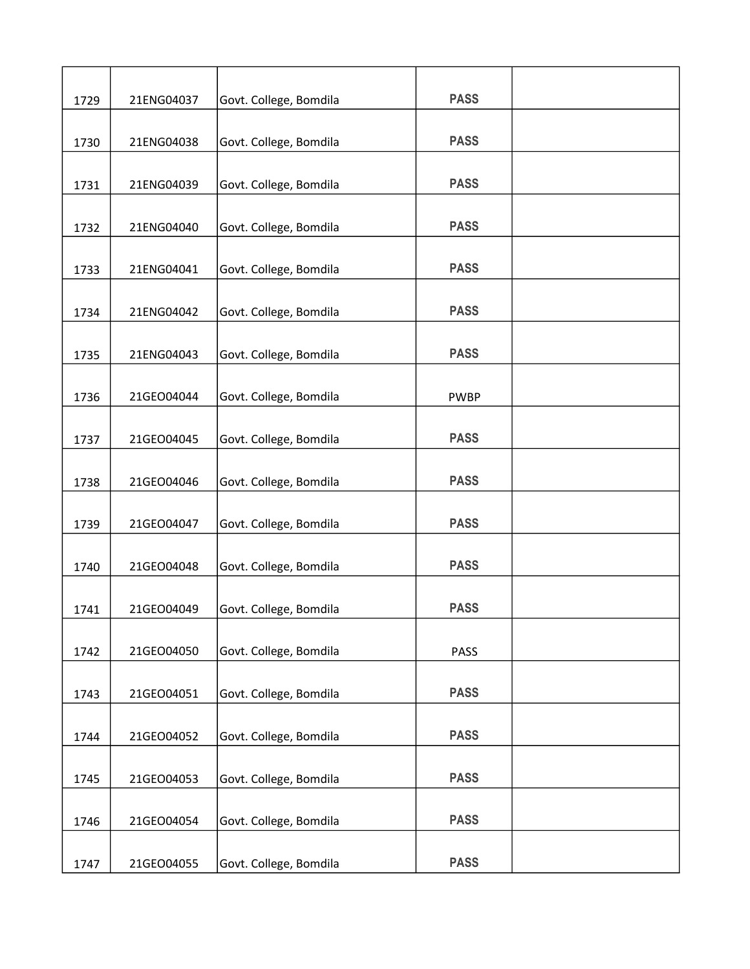| 1729 | 21ENG04037 | Govt. College, Bomdila | <b>PASS</b> |  |
|------|------------|------------------------|-------------|--|
|      | 21ENG04038 |                        | <b>PASS</b> |  |
| 1730 |            | Govt. College, Bomdila |             |  |
| 1731 | 21ENG04039 | Govt. College, Bomdila | <b>PASS</b> |  |
|      |            |                        |             |  |
| 1732 | 21ENG04040 | Govt. College, Bomdila | <b>PASS</b> |  |
|      |            |                        |             |  |
| 1733 | 21ENG04041 | Govt. College, Bomdila | <b>PASS</b> |  |
| 1734 | 21ENG04042 | Govt. College, Bomdila | <b>PASS</b> |  |
|      |            |                        |             |  |
| 1735 | 21ENG04043 | Govt. College, Bomdila | <b>PASS</b> |  |
|      |            |                        |             |  |
| 1736 | 21GEO04044 | Govt. College, Bomdila | <b>PWBP</b> |  |
| 1737 | 21GEO04045 | Govt. College, Bomdila | <b>PASS</b> |  |
|      |            |                        |             |  |
| 1738 | 21GEO04046 | Govt. College, Bomdila | <b>PASS</b> |  |
|      |            |                        |             |  |
| 1739 | 21GEO04047 | Govt. College, Bomdila | <b>PASS</b> |  |
| 1740 | 21GEO04048 | Govt. College, Bomdila | <b>PASS</b> |  |
|      |            |                        |             |  |
| 1741 | 21GEO04049 | Govt. College, Bomdila | <b>PASS</b> |  |
|      |            |                        |             |  |
| 1742 | 21GEO04050 | Govt. College, Bomdila | <b>PASS</b> |  |
| 1743 | 21GEO04051 | Govt. College, Bomdila | <b>PASS</b> |  |
|      |            |                        |             |  |
| 1744 | 21GEO04052 | Govt. College, Bomdila | <b>PASS</b> |  |
|      |            |                        |             |  |
| 1745 | 21GEO04053 | Govt. College, Bomdila | <b>PASS</b> |  |
|      |            |                        |             |  |
| 1746 | 21GEO04054 | Govt. College, Bomdila | <b>PASS</b> |  |
| 1747 | 21GEO04055 | Govt. College, Bomdila | <b>PASS</b> |  |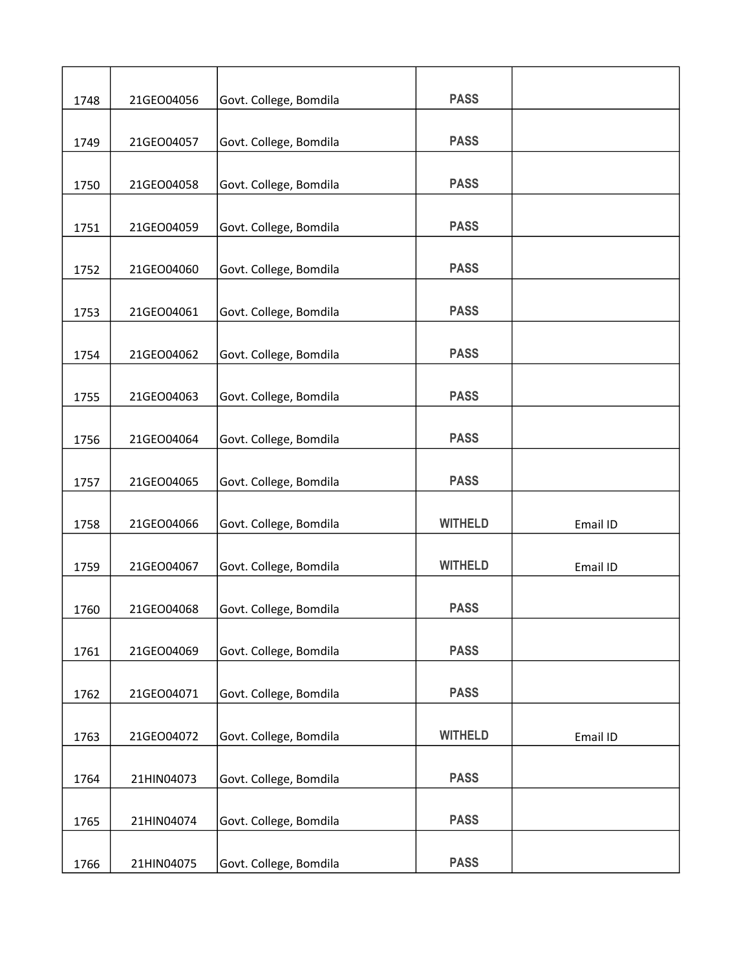| 1748 | 21GEO04056 | Govt. College, Bomdila | <b>PASS</b>    |          |
|------|------------|------------------------|----------------|----------|
| 1749 | 21GEO04057 | Govt. College, Bomdila | <b>PASS</b>    |          |
|      |            |                        |                |          |
| 1750 | 21GEO04058 | Govt. College, Bomdila | <b>PASS</b>    |          |
| 1751 | 21GEO04059 | Govt. College, Bomdila | <b>PASS</b>    |          |
| 1752 | 21GEO04060 | Govt. College, Bomdila | <b>PASS</b>    |          |
|      |            |                        |                |          |
| 1753 | 21GEO04061 | Govt. College, Bomdila | <b>PASS</b>    |          |
| 1754 | 21GEO04062 | Govt. College, Bomdila | <b>PASS</b>    |          |
| 1755 | 21GEO04063 | Govt. College, Bomdila | <b>PASS</b>    |          |
|      |            |                        |                |          |
| 1756 | 21GEO04064 | Govt. College, Bomdila | <b>PASS</b>    |          |
| 1757 | 21GEO04065 | Govt. College, Bomdila | <b>PASS</b>    |          |
| 1758 | 21GEO04066 | Govt. College, Bomdila | <b>WITHELD</b> | Email ID |
|      |            |                        |                |          |
| 1759 | 21GEO04067 | Govt. College, Bomdila | <b>WITHELD</b> | Email ID |
| 1760 | 21GEO04068 | Govt. College, Bomdila | <b>PASS</b>    |          |
|      |            |                        |                |          |
| 1761 | 21GEO04069 | Govt. College, Bomdila | <b>PASS</b>    |          |
| 1762 | 21GEO04071 | Govt. College, Bomdila | <b>PASS</b>    |          |
| 1763 | 21GEO04072 | Govt. College, Bomdila | <b>WITHELD</b> | Email ID |
|      |            |                        |                |          |
| 1764 | 21HIN04073 | Govt. College, Bomdila | <b>PASS</b>    |          |
| 1765 | 21HIN04074 | Govt. College, Bomdila | <b>PASS</b>    |          |
|      |            |                        |                |          |
| 1766 | 21HIN04075 | Govt. College, Bomdila | <b>PASS</b>    |          |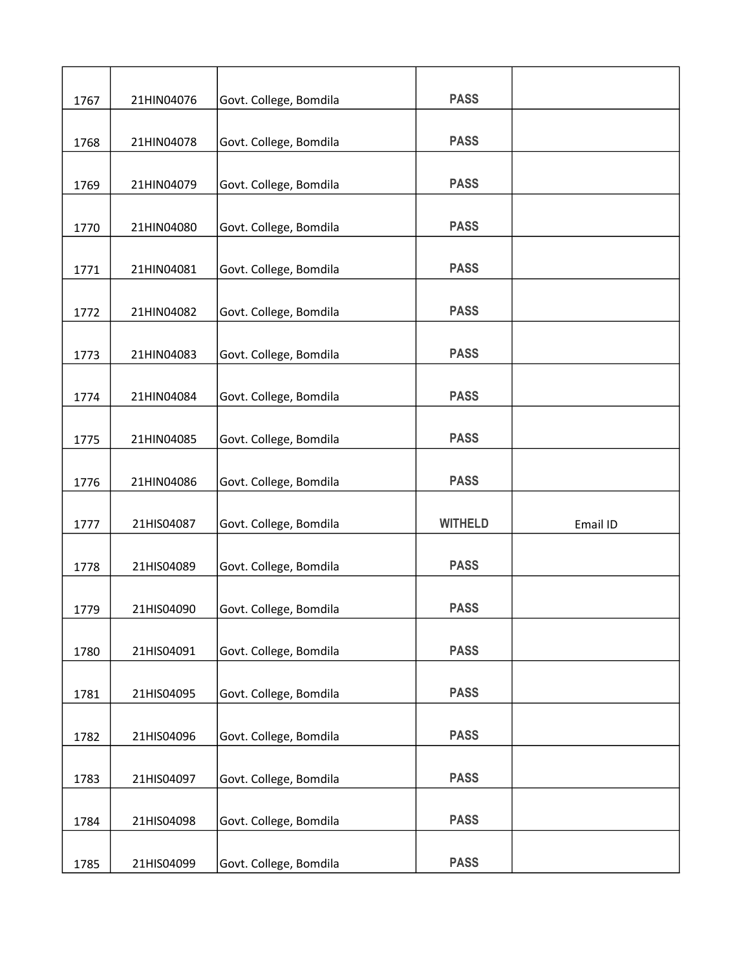| 1767 | 21HIN04076 | Govt. College, Bomdila | <b>PASS</b>    |          |
|------|------------|------------------------|----------------|----------|
| 1768 | 21HIN04078 | Govt. College, Bomdila | <b>PASS</b>    |          |
|      |            |                        |                |          |
| 1769 | 21HIN04079 | Govt. College, Bomdila | <b>PASS</b>    |          |
|      |            |                        |                |          |
| 1770 | 21HIN04080 | Govt. College, Bomdila | <b>PASS</b>    |          |
| 1771 | 21HIN04081 | Govt. College, Bomdila | <b>PASS</b>    |          |
|      |            |                        |                |          |
| 1772 | 21HIN04082 | Govt. College, Bomdila | <b>PASS</b>    |          |
|      |            |                        |                |          |
| 1773 | 21HIN04083 | Govt. College, Bomdila | <b>PASS</b>    |          |
| 1774 | 21HIN04084 | Govt. College, Bomdila | <b>PASS</b>    |          |
|      |            |                        |                |          |
| 1775 | 21HIN04085 | Govt. College, Bomdila | <b>PASS</b>    |          |
|      |            |                        |                |          |
| 1776 | 21HIN04086 | Govt. College, Bomdila | <b>PASS</b>    |          |
| 1777 | 21HIS04087 | Govt. College, Bomdila | <b>WITHELD</b> | Email ID |
|      |            |                        |                |          |
| 1778 | 21HIS04089 | Govt. College, Bomdila | <b>PASS</b>    |          |
|      |            |                        |                |          |
| 1779 | 21HIS04090 | Govt. College, Bomdila | <b>PASS</b>    |          |
| 1780 | 21HIS04091 | Govt. College, Bomdila | <b>PASS</b>    |          |
|      |            |                        |                |          |
| 1781 | 21HIS04095 | Govt. College, Bomdila | <b>PASS</b>    |          |
|      |            |                        |                |          |
| 1782 | 21HIS04096 | Govt. College, Bomdila | <b>PASS</b>    |          |
| 1783 | 21HIS04097 | Govt. College, Bomdila | <b>PASS</b>    |          |
|      |            |                        |                |          |
| 1784 | 21HIS04098 | Govt. College, Bomdila | <b>PASS</b>    |          |
|      |            |                        |                |          |
| 1785 | 21HIS04099 | Govt. College, Bomdila | <b>PASS</b>    |          |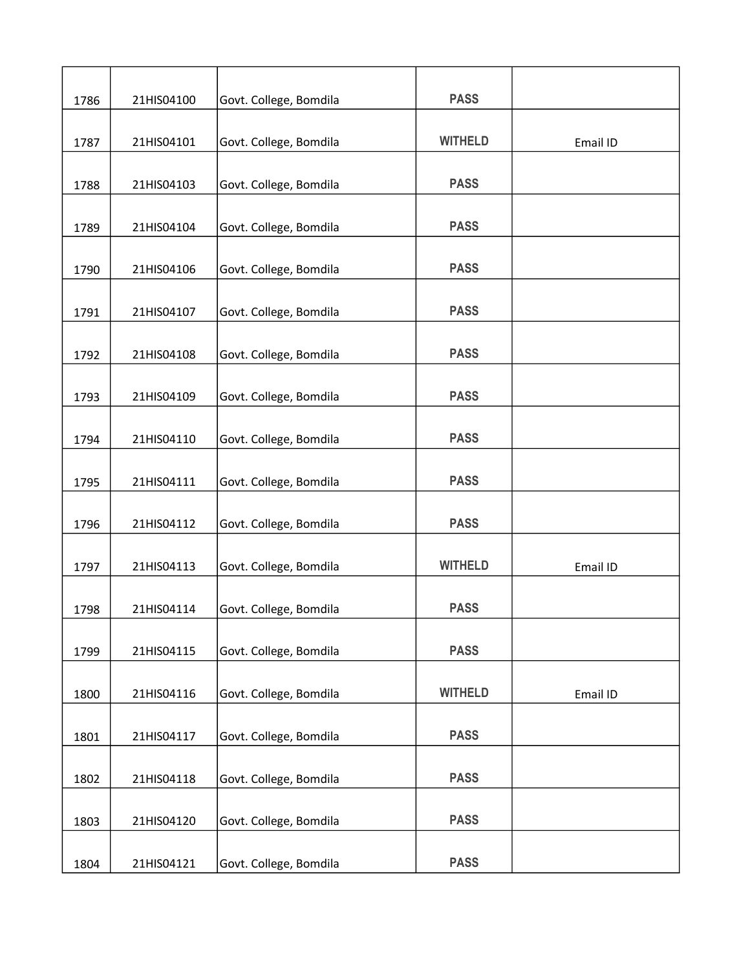|      |            |                        | <b>PASS</b>    |          |
|------|------------|------------------------|----------------|----------|
| 1786 | 21HIS04100 | Govt. College, Bomdila |                |          |
| 1787 | 21HIS04101 | Govt. College, Bomdila | <b>WITHELD</b> | Email ID |
|      |            |                        |                |          |
| 1788 | 21HIS04103 | Govt. College, Bomdila | <b>PASS</b>    |          |
| 1789 | 21HIS04104 | Govt. College, Bomdila | <b>PASS</b>    |          |
| 1790 | 21HIS04106 | Govt. College, Bomdila | <b>PASS</b>    |          |
|      |            |                        |                |          |
| 1791 | 21HIS04107 | Govt. College, Bomdila | <b>PASS</b>    |          |
| 1792 | 21HIS04108 | Govt. College, Bomdila | <b>PASS</b>    |          |
|      |            |                        |                |          |
| 1793 | 21HIS04109 | Govt. College, Bomdila | <b>PASS</b>    |          |
| 1794 | 21HIS04110 | Govt. College, Bomdila | <b>PASS</b>    |          |
| 1795 | 21HIS04111 | Govt. College, Bomdila | <b>PASS</b>    |          |
| 1796 | 21HIS04112 | Govt. College, Bomdila | <b>PASS</b>    |          |
| 1797 | 21HIS04113 | Govt. College, Bomdila | <b>WITHELD</b> | Email ID |
| 1798 | 21HIS04114 | Govt. College, Bomdila | <b>PASS</b>    |          |
|      |            |                        |                |          |
| 1799 | 21HIS04115 | Govt. College, Bomdila | <b>PASS</b>    |          |
| 1800 | 21HIS04116 | Govt. College, Bomdila | <b>WITHELD</b> | Email ID |
| 1801 | 21HIS04117 | Govt. College, Bomdila | <b>PASS</b>    |          |
| 1802 | 21HIS04118 | Govt. College, Bomdila | <b>PASS</b>    |          |
|      |            |                        |                |          |
| 1803 | 21HIS04120 | Govt. College, Bomdila | <b>PASS</b>    |          |
| 1804 | 21HIS04121 | Govt. College, Bomdila | <b>PASS</b>    |          |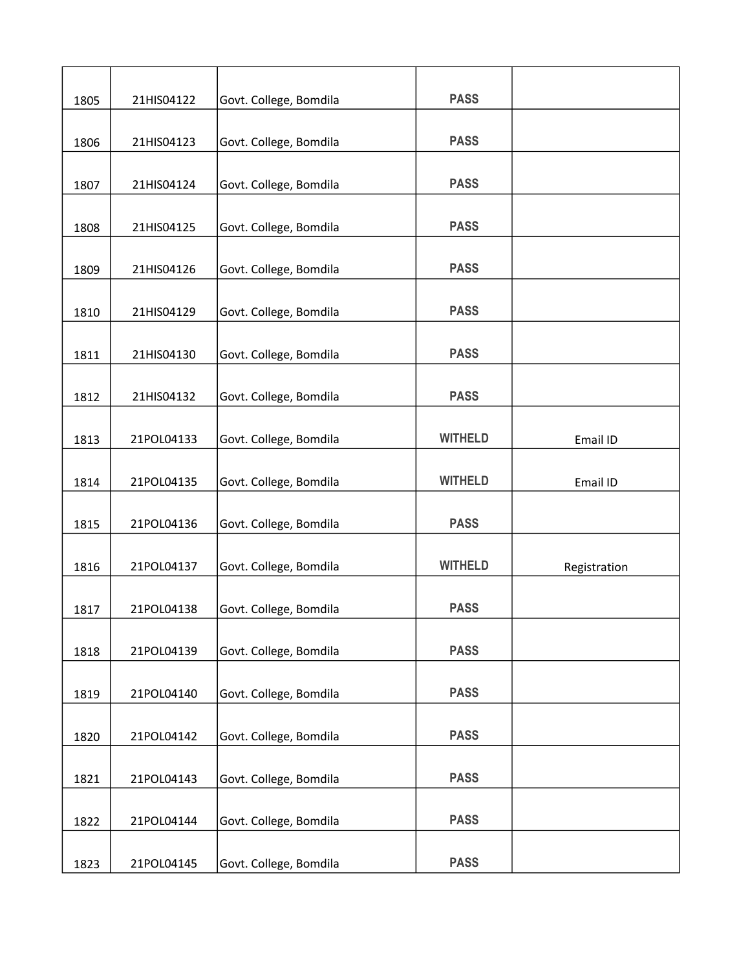| 1805 | 21HIS04122 | Govt. College, Bomdila | <b>PASS</b>    |              |
|------|------------|------------------------|----------------|--------------|
| 1806 | 21HIS04123 | Govt. College, Bomdila | <b>PASS</b>    |              |
|      |            |                        |                |              |
| 1807 | 21HIS04124 | Govt. College, Bomdila | <b>PASS</b>    |              |
| 1808 | 21HIS04125 | Govt. College, Bomdila | <b>PASS</b>    |              |
| 1809 | 21HIS04126 | Govt. College, Bomdila | <b>PASS</b>    |              |
|      |            |                        |                |              |
| 1810 | 21HIS04129 | Govt. College, Bomdila | <b>PASS</b>    |              |
| 1811 | 21HIS04130 | Govt. College, Bomdila | <b>PASS</b>    |              |
| 1812 | 21HIS04132 | Govt. College, Bomdila | <b>PASS</b>    |              |
| 1813 | 21POL04133 | Govt. College, Bomdila | <b>WITHELD</b> | Email ID     |
|      |            |                        |                |              |
| 1814 | 21POL04135 | Govt. College, Bomdila | <b>WITHELD</b> | Email ID     |
| 1815 | 21POL04136 | Govt. College, Bomdila | <b>PASS</b>    |              |
| 1816 | 21POL04137 | Govt. College, Bomdila | <b>WITHELD</b> | Registration |
| 1817 | 21POL04138 | Govt. College, Bomdila | <b>PASS</b>    |              |
| 1818 | 21POL04139 | Govt. College, Bomdila | <b>PASS</b>    |              |
|      |            |                        |                |              |
| 1819 | 21POL04140 | Govt. College, Bomdila | <b>PASS</b>    |              |
| 1820 | 21POL04142 | Govt. College, Bomdila | <b>PASS</b>    |              |
| 1821 | 21POL04143 | Govt. College, Bomdila | <b>PASS</b>    |              |
|      |            |                        |                |              |
| 1822 | 21POL04144 | Govt. College, Bomdila | <b>PASS</b>    |              |
| 1823 | 21POL04145 | Govt. College, Bomdila | <b>PASS</b>    |              |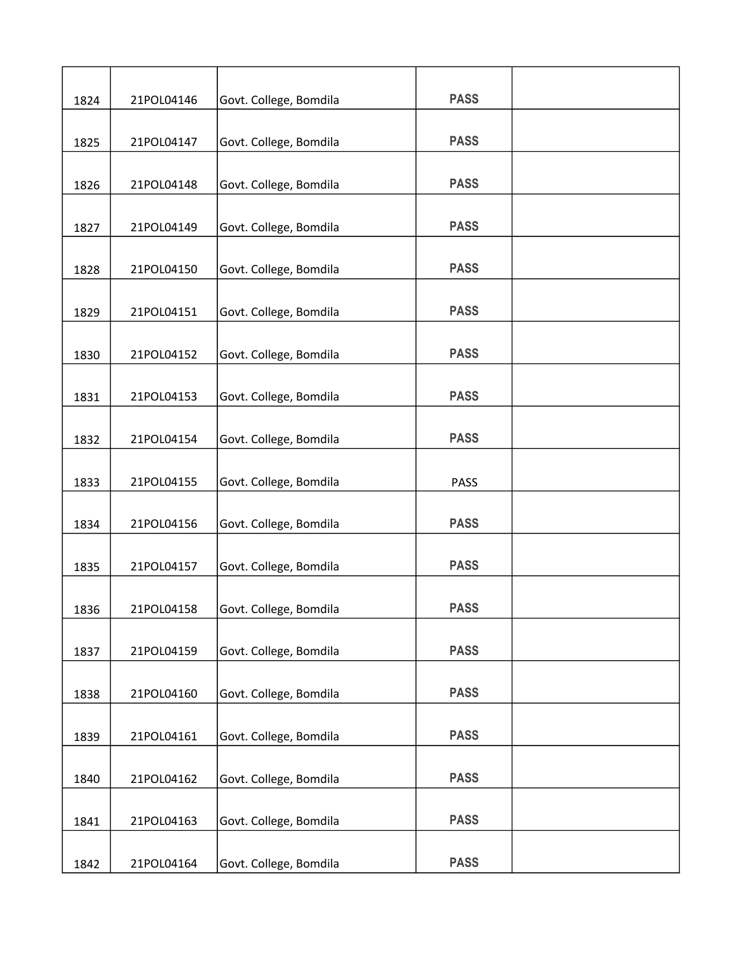|      |            |                        | <b>PASS</b> |  |
|------|------------|------------------------|-------------|--|
| 1824 | 21POL04146 | Govt. College, Bomdila |             |  |
| 1825 | 21POL04147 | Govt. College, Bomdila | <b>PASS</b> |  |
|      |            |                        |             |  |
| 1826 | 21POL04148 | Govt. College, Bomdila | <b>PASS</b> |  |
| 1827 | 21POL04149 | Govt. College, Bomdila | <b>PASS</b> |  |
| 1828 | 21POL04150 | Govt. College, Bomdila | <b>PASS</b> |  |
|      |            |                        |             |  |
| 1829 | 21POL04151 | Govt. College, Bomdila | <b>PASS</b> |  |
| 1830 | 21POL04152 | Govt. College, Bomdila | <b>PASS</b> |  |
| 1831 | 21POL04153 | Govt. College, Bomdila | <b>PASS</b> |  |
|      |            |                        |             |  |
| 1832 | 21POL04154 | Govt. College, Bomdila | <b>PASS</b> |  |
| 1833 | 21POL04155 | Govt. College, Bomdila | <b>PASS</b> |  |
| 1834 | 21POL04156 | Govt. College, Bomdila | <b>PASS</b> |  |
|      |            |                        |             |  |
| 1835 | 21POL04157 | Govt. College, Bomdila | <b>PASS</b> |  |
| 1836 | 21POL04158 | Govt. College, Bomdila | <b>PASS</b> |  |
| 1837 | 21POL04159 | Govt. College, Bomdila | <b>PASS</b> |  |
|      |            |                        |             |  |
| 1838 | 21POL04160 | Govt. College, Bomdila | <b>PASS</b> |  |
| 1839 | 21POL04161 | Govt. College, Bomdila | <b>PASS</b> |  |
|      |            |                        |             |  |
| 1840 | 21POL04162 | Govt. College, Bomdila | <b>PASS</b> |  |
| 1841 | 21POL04163 | Govt. College, Bomdila | <b>PASS</b> |  |
| 1842 | 21POL04164 | Govt. College, Bomdila | <b>PASS</b> |  |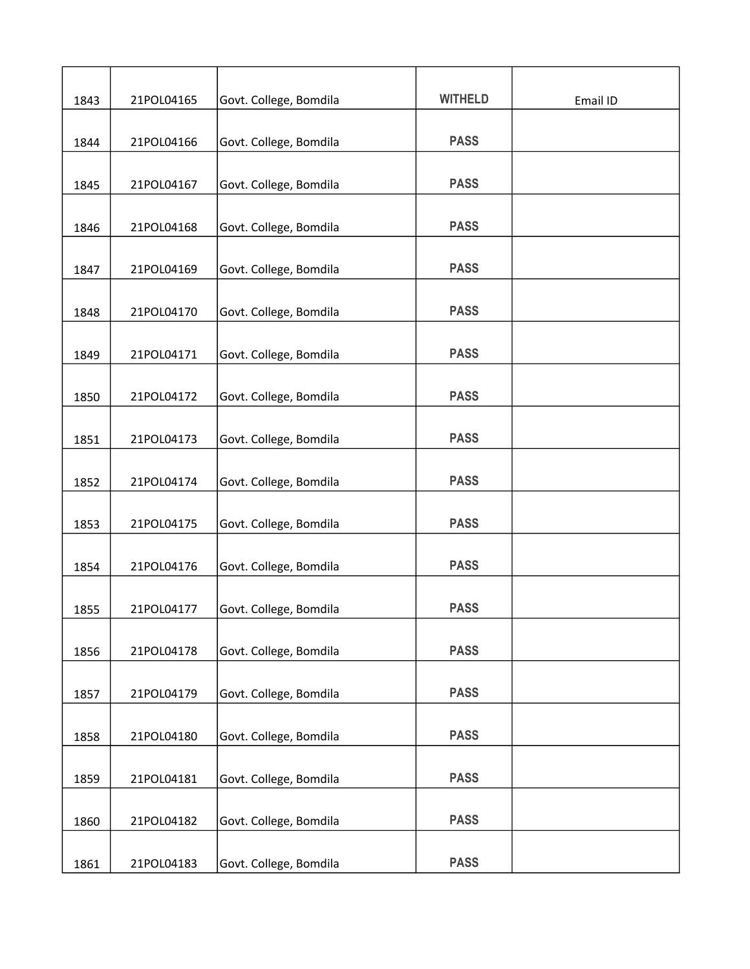| 1843 | 21POL04165 | Govt. College, Bomdila | <b>WITHELD</b> | Email ID |
|------|------------|------------------------|----------------|----------|
|      |            |                        |                |          |
| 1844 | 21POL04166 | Govt. College, Bomdila | <b>PASS</b>    |          |
| 1845 | 21POL04167 | Govt. College, Bomdila | <b>PASS</b>    |          |
| 1846 | 21POL04168 | Govt. College, Bomdila | <b>PASS</b>    |          |
| 1847 | 21POL04169 | Govt. College, Bomdila | <b>PASS</b>    |          |
| 1848 | 21POL04170 | Govt. College, Bomdila | <b>PASS</b>    |          |
| 1849 | 21POL04171 | Govt. College, Bomdila | <b>PASS</b>    |          |
| 1850 | 21POL04172 | Govt. College, Bomdila | <b>PASS</b>    |          |
| 1851 | 21POL04173 | Govt. College, Bomdila | <b>PASS</b>    |          |
|      |            |                        |                |          |
| 1852 | 21POL04174 | Govt. College, Bomdila | <b>PASS</b>    |          |
| 1853 | 21POL04175 | Govt. College, Bomdila | <b>PASS</b>    |          |
| 1854 | 21POL04176 | Govt. College, Bomdila | <b>PASS</b>    |          |
| 1855 | 21POL04177 | Govt. College, Bomdila | <b>PASS</b>    |          |
| 1856 | 21POL04178 | Govt. College, Bomdila | <b>PASS</b>    |          |
| 1857 | 21POL04179 | Govt. College, Bomdila | <b>PASS</b>    |          |
| 1858 | 21POL04180 | Govt. College, Bomdila | <b>PASS</b>    |          |
| 1859 | 21POL04181 | Govt. College, Bomdila | <b>PASS</b>    |          |
| 1860 | 21POL04182 | Govt. College, Bomdila | <b>PASS</b>    |          |
|      |            |                        |                |          |
| 1861 | 21POL04183 | Govt. College, Bomdila | <b>PASS</b>    |          |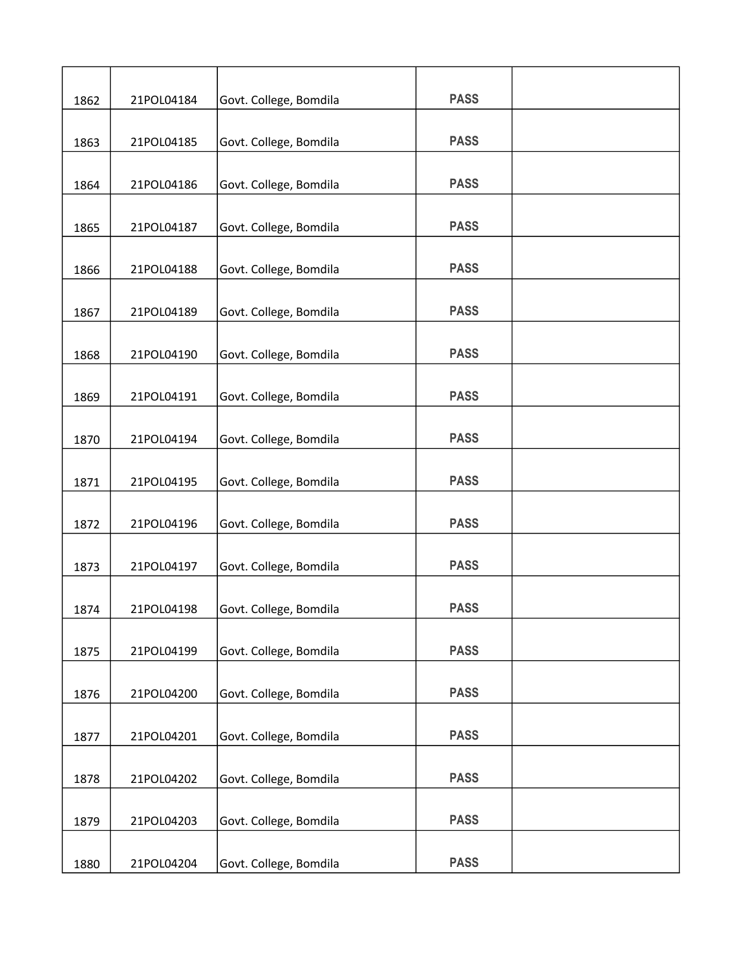| 1862 | 21POL04184 | Govt. College, Bomdila | <b>PASS</b> |  |
|------|------------|------------------------|-------------|--|
| 1863 | 21POL04185 | Govt. College, Bomdila | <b>PASS</b> |  |
|      |            |                        |             |  |
| 1864 | 21POL04186 | Govt. College, Bomdila | <b>PASS</b> |  |
| 1865 | 21POL04187 | Govt. College, Bomdila | <b>PASS</b> |  |
| 1866 | 21POL04188 | Govt. College, Bomdila | <b>PASS</b> |  |
|      |            |                        |             |  |
| 1867 | 21POL04189 | Govt. College, Bomdila | <b>PASS</b> |  |
| 1868 | 21POL04190 | Govt. College, Bomdila | <b>PASS</b> |  |
| 1869 | 21POL04191 | Govt. College, Bomdila | <b>PASS</b> |  |
|      |            |                        |             |  |
| 1870 | 21POL04194 | Govt. College, Bomdila | <b>PASS</b> |  |
| 1871 | 21POL04195 | Govt. College, Bomdila | <b>PASS</b> |  |
|      |            |                        |             |  |
| 1872 | 21POL04196 | Govt. College, Bomdila | <b>PASS</b> |  |
| 1873 | 21POL04197 | Govt. College, Bomdila | <b>PASS</b> |  |
| 1874 | 21POL04198 | Govt. College, Bomdila | <b>PASS</b> |  |
|      |            |                        |             |  |
| 1875 | 21POL04199 | Govt. College, Bomdila | <b>PASS</b> |  |
| 1876 | 21POL04200 | Govt. College, Bomdila | <b>PASS</b> |  |
|      |            |                        |             |  |
| 1877 | 21POL04201 | Govt. College, Bomdila | <b>PASS</b> |  |
| 1878 | 21POL04202 | Govt. College, Bomdila | <b>PASS</b> |  |
|      |            |                        |             |  |
| 1879 | 21POL04203 | Govt. College, Bomdila | <b>PASS</b> |  |
| 1880 | 21POL04204 | Govt. College, Bomdila | <b>PASS</b> |  |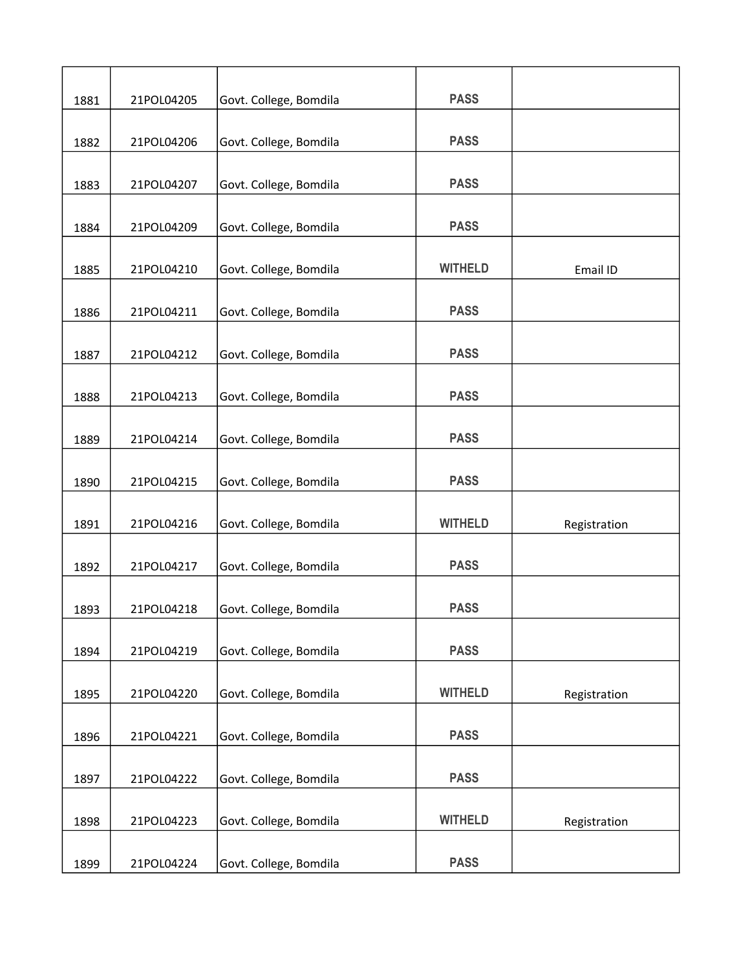| 1881 | 21POL04205 | Govt. College, Bomdila | <b>PASS</b>    |              |
|------|------------|------------------------|----------------|--------------|
|      |            |                        |                |              |
| 1882 | 21POL04206 | Govt. College, Bomdila | <b>PASS</b>    |              |
| 1883 | 21POL04207 | Govt. College, Bomdila | <b>PASS</b>    |              |
| 1884 | 21POL04209 | Govt. College, Bomdila | <b>PASS</b>    |              |
| 1885 | 21POL04210 | Govt. College, Bomdila | <b>WITHELD</b> | Email ID     |
| 1886 | 21POL04211 | Govt. College, Bomdila | <b>PASS</b>    |              |
| 1887 | 21POL04212 | Govt. College, Bomdila | <b>PASS</b>    |              |
| 1888 | 21POL04213 | Govt. College, Bomdila | <b>PASS</b>    |              |
| 1889 | 21POL04214 | Govt. College, Bomdila | <b>PASS</b>    |              |
| 1890 | 21POL04215 | Govt. College, Bomdila | <b>PASS</b>    |              |
| 1891 | 21POL04216 | Govt. College, Bomdila | <b>WITHELD</b> | Registration |
| 1892 | 21POL04217 | Govt. College, Bomdila | <b>PASS</b>    |              |
| 1893 | 21POL04218 | Govt. College, Bomdila | <b>PASS</b>    |              |
| 1894 | 21POL04219 | Govt. College, Bomdila | <b>PASS</b>    |              |
| 1895 | 21POL04220 | Govt. College, Bomdila | <b>WITHELD</b> | Registration |
| 1896 | 21POL04221 | Govt. College, Bomdila | <b>PASS</b>    |              |
| 1897 | 21POL04222 | Govt. College, Bomdila | <b>PASS</b>    |              |
| 1898 | 21POL04223 | Govt. College, Bomdila | <b>WITHELD</b> | Registration |
| 1899 | 21POL04224 | Govt. College, Bomdila | <b>PASS</b>    |              |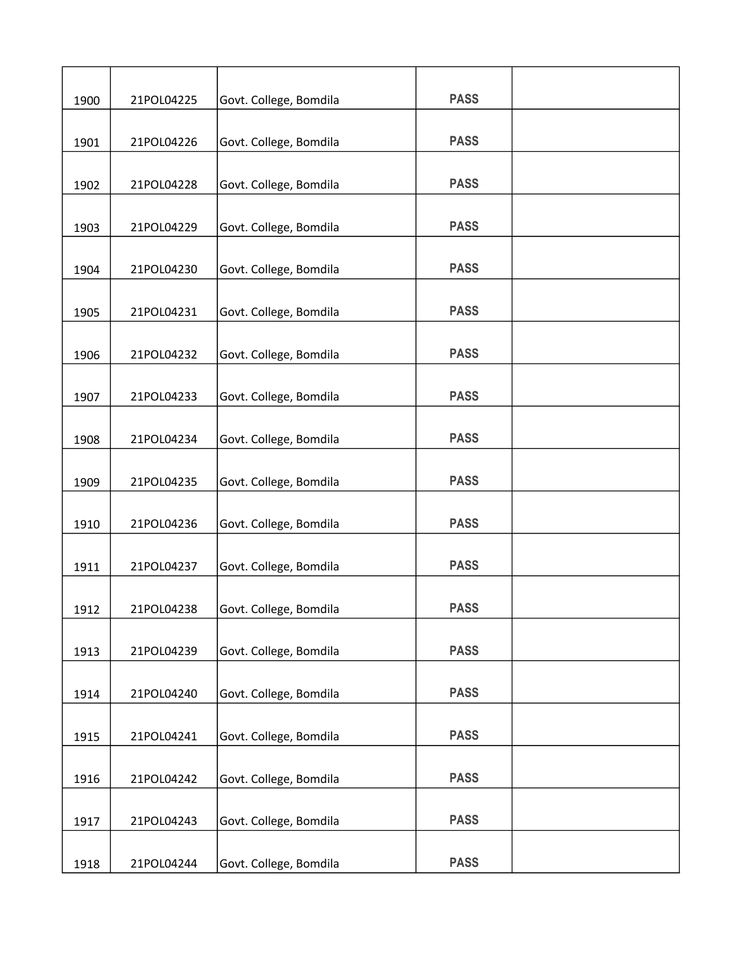| 1900 | 21POL04225 | Govt. College, Bomdila | <b>PASS</b> |  |
|------|------------|------------------------|-------------|--|
|      |            |                        |             |  |
| 1901 | 21POL04226 | Govt. College, Bomdila | <b>PASS</b> |  |
| 1902 | 21POL04228 | Govt. College, Bomdila | <b>PASS</b> |  |
| 1903 | 21POL04229 | Govt. College, Bomdila | <b>PASS</b> |  |
| 1904 | 21POL04230 | Govt. College, Bomdila | <b>PASS</b> |  |
|      |            |                        |             |  |
| 1905 | 21POL04231 | Govt. College, Bomdila | <b>PASS</b> |  |
| 1906 | 21POL04232 | Govt. College, Bomdila | <b>PASS</b> |  |
| 1907 | 21POL04233 | Govt. College, Bomdila | <b>PASS</b> |  |
| 1908 | 21POL04234 | Govt. College, Bomdila | <b>PASS</b> |  |
|      |            |                        |             |  |
| 1909 | 21POL04235 | Govt. College, Bomdila | <b>PASS</b> |  |
| 1910 | 21POL04236 | Govt. College, Bomdila | <b>PASS</b> |  |
| 1911 | 21POL04237 | Govt. College, Bomdila | <b>PASS</b> |  |
| 1912 | 21POL04238 | Govt. College, Bomdila | <b>PASS</b> |  |
| 1913 | 21POL04239 | Govt. College, Bomdila | <b>PASS</b> |  |
| 1914 | 21POL04240 | Govt. College, Bomdila | <b>PASS</b> |  |
| 1915 | 21POL04241 | Govt. College, Bomdila | <b>PASS</b> |  |
|      |            |                        |             |  |
| 1916 | 21POL04242 | Govt. College, Bomdila | <b>PASS</b> |  |
| 1917 | 21POL04243 | Govt. College, Bomdila | <b>PASS</b> |  |
| 1918 | 21POL04244 | Govt. College, Bomdila | <b>PASS</b> |  |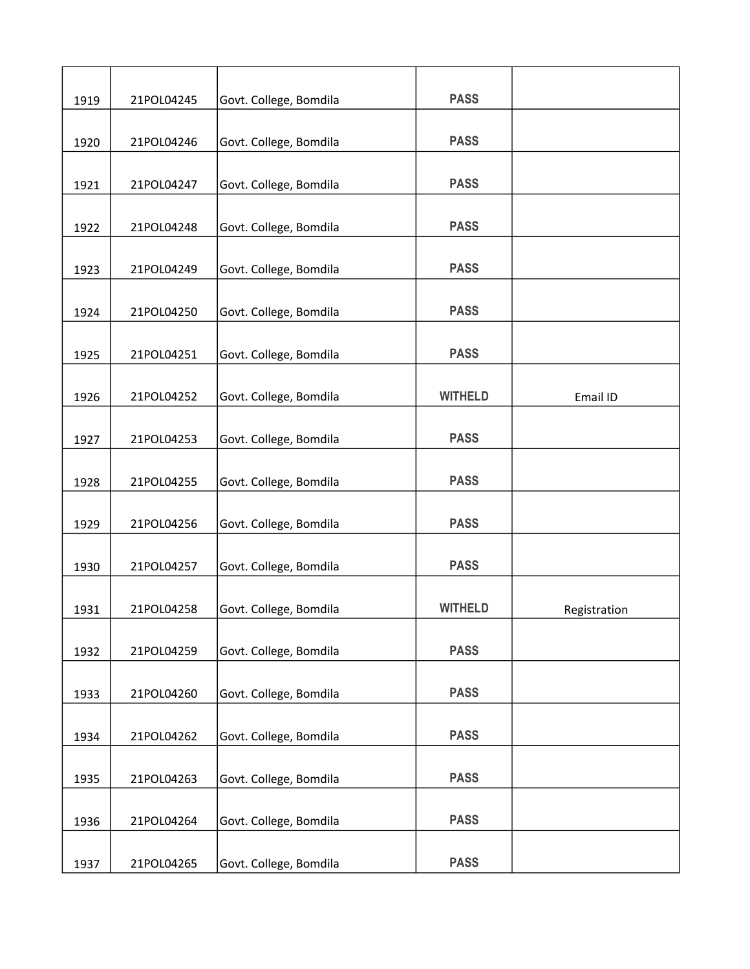| 1919 | 21POL04245 | Govt. College, Bomdila | <b>PASS</b>    |              |
|------|------------|------------------------|----------------|--------------|
| 1920 | 21POL04246 | Govt. College, Bomdila | <b>PASS</b>    |              |
| 1921 | 21POL04247 | Govt. College, Bomdila | <b>PASS</b>    |              |
| 1922 | 21POL04248 | Govt. College, Bomdila | <b>PASS</b>    |              |
| 1923 | 21POL04249 | Govt. College, Bomdila | <b>PASS</b>    |              |
| 1924 | 21POL04250 | Govt. College, Bomdila | <b>PASS</b>    |              |
| 1925 | 21POL04251 | Govt. College, Bomdila | <b>PASS</b>    |              |
| 1926 | 21POL04252 | Govt. College, Bomdila | <b>WITHELD</b> | Email ID     |
| 1927 | 21POL04253 | Govt. College, Bomdila | <b>PASS</b>    |              |
| 1928 | 21POL04255 | Govt. College, Bomdila | <b>PASS</b>    |              |
| 1929 | 21POL04256 | Govt. College, Bomdila | <b>PASS</b>    |              |
| 1930 | 21POL04257 | Govt. College, Bomdila | <b>PASS</b>    |              |
| 1931 | 21POL04258 | Govt. College, Bomdila | <b>WITHELD</b> | Registration |
| 1932 | 21POL04259 | Govt. College, Bomdila | <b>PASS</b>    |              |
| 1933 | 21POL04260 | Govt. College, Bomdila | <b>PASS</b>    |              |
| 1934 | 21POL04262 | Govt. College, Bomdila | <b>PASS</b>    |              |
| 1935 | 21POL04263 | Govt. College, Bomdila | <b>PASS</b>    |              |
| 1936 | 21POL04264 | Govt. College, Bomdila | <b>PASS</b>    |              |
| 1937 | 21POL04265 | Govt. College, Bomdila | <b>PASS</b>    |              |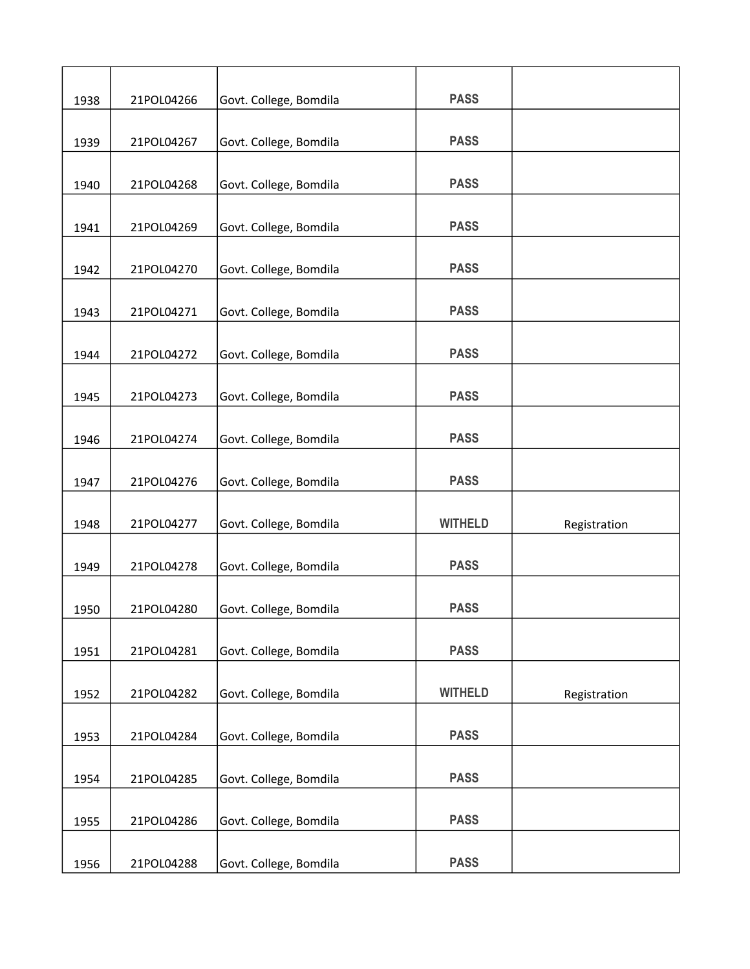|      |            |                        | <b>PASS</b>    |              |
|------|------------|------------------------|----------------|--------------|
| 1938 | 21POL04266 | Govt. College, Bomdila |                |              |
| 1939 | 21POL04267 | Govt. College, Bomdila | <b>PASS</b>    |              |
|      |            |                        |                |              |
| 1940 | 21POL04268 | Govt. College, Bomdila | <b>PASS</b>    |              |
| 1941 | 21POL04269 | Govt. College, Bomdila | <b>PASS</b>    |              |
| 1942 | 21POL04270 | Govt. College, Bomdila | <b>PASS</b>    |              |
|      |            |                        |                |              |
| 1943 | 21POL04271 | Govt. College, Bomdila | <b>PASS</b>    |              |
| 1944 | 21POL04272 | Govt. College, Bomdila | <b>PASS</b>    |              |
| 1945 | 21POL04273 | Govt. College, Bomdila | <b>PASS</b>    |              |
|      |            |                        |                |              |
| 1946 | 21POL04274 | Govt. College, Bomdila | <b>PASS</b>    |              |
| 1947 | 21POL04276 | Govt. College, Bomdila | <b>PASS</b>    |              |
| 1948 | 21POL04277 | Govt. College, Bomdila | <b>WITHELD</b> | Registration |
| 1949 | 21POL04278 | Govt. College, Bomdila | <b>PASS</b>    |              |
| 1950 | 21POL04280 | Govt. College, Bomdila | <b>PASS</b>    |              |
|      |            |                        |                |              |
| 1951 | 21POL04281 | Govt. College, Bomdila | <b>PASS</b>    |              |
| 1952 | 21POL04282 | Govt. College, Bomdila | <b>WITHELD</b> | Registration |
| 1953 | 21POL04284 | Govt. College, Bomdila | <b>PASS</b>    |              |
|      |            |                        |                |              |
| 1954 | 21POL04285 | Govt. College, Bomdila | <b>PASS</b>    |              |
| 1955 | 21POL04286 | Govt. College, Bomdila | <b>PASS</b>    |              |
| 1956 | 21POL04288 | Govt. College, Bomdila | <b>PASS</b>    |              |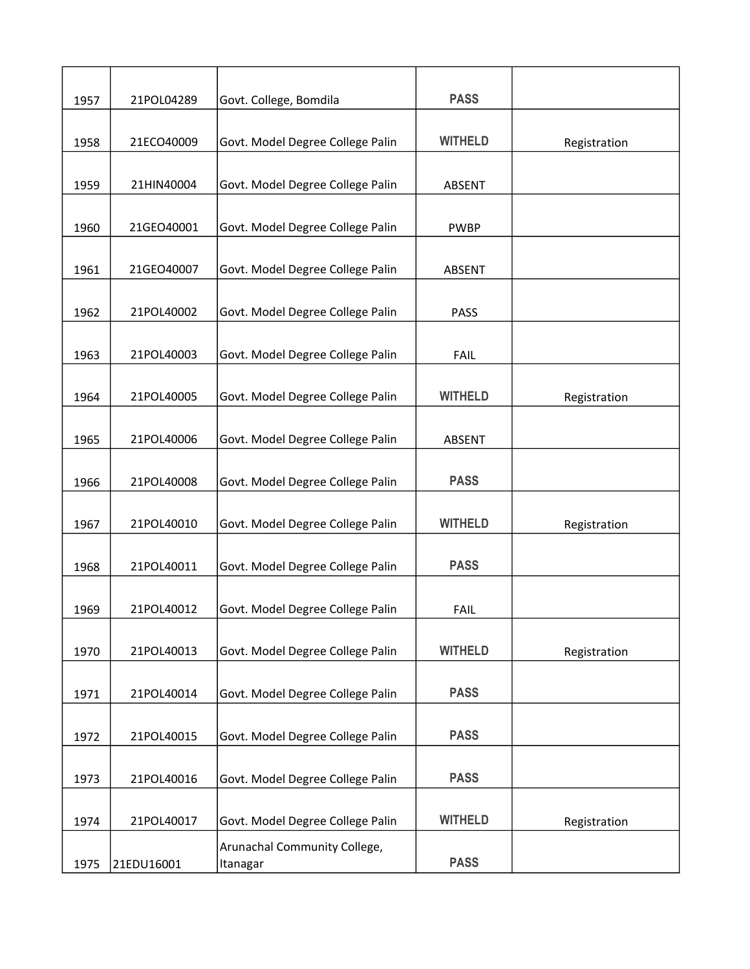| 1957 | 21POL04289 | Govt. College, Bomdila           | <b>PASS</b>    |              |
|------|------------|----------------------------------|----------------|--------------|
| 1958 | 21ECO40009 | Govt. Model Degree College Palin | <b>WITHELD</b> |              |
|      |            |                                  |                | Registration |
| 1959 | 21HIN40004 | Govt. Model Degree College Palin | <b>ABSENT</b>  |              |
|      |            |                                  |                |              |
| 1960 | 21GEO40001 | Govt. Model Degree College Palin | <b>PWBP</b>    |              |
|      |            |                                  |                |              |
| 1961 | 21GEO40007 | Govt. Model Degree College Palin | ABSENT         |              |
| 1962 | 21POL40002 | Govt. Model Degree College Palin | <b>PASS</b>    |              |
|      |            |                                  |                |              |
| 1963 | 21POL40003 | Govt. Model Degree College Palin | <b>FAIL</b>    |              |
|      |            |                                  |                |              |
| 1964 | 21POL40005 | Govt. Model Degree College Palin | <b>WITHELD</b> | Registration |
| 1965 | 21POL40006 | Govt. Model Degree College Palin | ABSENT         |              |
|      |            |                                  |                |              |
| 1966 | 21POL40008 | Govt. Model Degree College Palin | <b>PASS</b>    |              |
|      |            |                                  |                |              |
| 1967 | 21POL40010 | Govt. Model Degree College Palin | <b>WITHELD</b> | Registration |
| 1968 | 21POL40011 | Govt. Model Degree College Palin | <b>PASS</b>    |              |
|      |            |                                  |                |              |
| 1969 | 21POL40012 | Govt. Model Degree College Palin | <b>FAIL</b>    |              |
|      |            |                                  |                |              |
| 1970 | 21POL40013 | Govt. Model Degree College Palin | <b>WITHELD</b> | Registration |
| 1971 | 21POL40014 | Govt. Model Degree College Palin | <b>PASS</b>    |              |
|      |            |                                  |                |              |
| 1972 | 21POL40015 | Govt. Model Degree College Palin | <b>PASS</b>    |              |
|      |            |                                  |                |              |
| 1973 | 21POL40016 | Govt. Model Degree College Palin | <b>PASS</b>    |              |
| 1974 | 21POL40017 | Govt. Model Degree College Palin | <b>WITHELD</b> | Registration |
|      |            | Arunachal Community College,     |                |              |
| 1975 | 21EDU16001 | Itanagar                         | <b>PASS</b>    |              |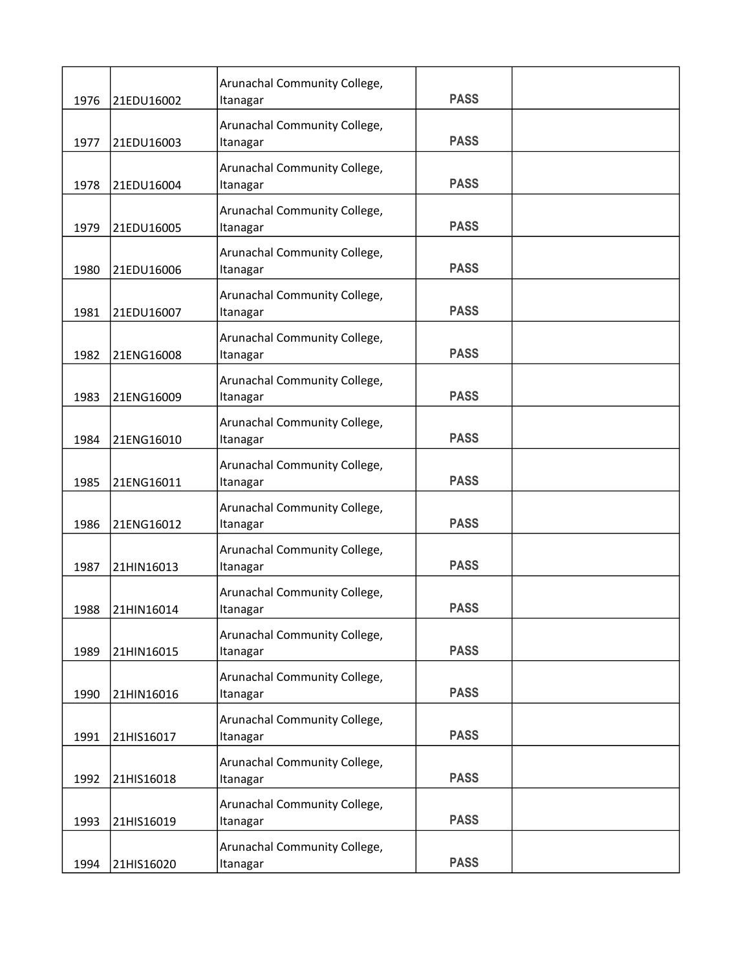| 1976 | 21EDU16002 | Arunachal Community College,<br>Itanagar | <b>PASS</b> |  |
|------|------------|------------------------------------------|-------------|--|
|      |            | Arunachal Community College,             |             |  |
| 1977 | 21EDU16003 | Itanagar                                 | <b>PASS</b> |  |
| 1978 | 21EDU16004 | Arunachal Community College,<br>Itanagar | <b>PASS</b> |  |
| 1979 | 21EDU16005 | Arunachal Community College,<br>Itanagar | <b>PASS</b> |  |
| 1980 | 21EDU16006 | Arunachal Community College,<br>Itanagar | <b>PASS</b> |  |
| 1981 | 21EDU16007 | Arunachal Community College,<br>Itanagar | <b>PASS</b> |  |
| 1982 | 21ENG16008 | Arunachal Community College,<br>Itanagar | <b>PASS</b> |  |
| 1983 | 21ENG16009 | Arunachal Community College,<br>Itanagar | <b>PASS</b> |  |
| 1984 | 21ENG16010 | Arunachal Community College,<br>Itanagar | <b>PASS</b> |  |
| 1985 | 21ENG16011 | Arunachal Community College,<br>Itanagar | <b>PASS</b> |  |
| 1986 | 21ENG16012 | Arunachal Community College,<br>Itanagar | <b>PASS</b> |  |
| 1987 | 21HIN16013 | Arunachal Community College,<br>Itanagar | <b>PASS</b> |  |
| 1988 | 21HIN16014 | Arunachal Community College,<br>Itanagar | <b>PASS</b> |  |
| 1989 | 21HIN16015 | Arunachal Community College,<br>Itanagar | <b>PASS</b> |  |
| 1990 | 21HIN16016 | Arunachal Community College,<br>Itanagar | <b>PASS</b> |  |
| 1991 | 21HIS16017 | Arunachal Community College,<br>Itanagar | <b>PASS</b> |  |
| 1992 | 21HIS16018 | Arunachal Community College,<br>Itanagar | <b>PASS</b> |  |
| 1993 | 21HIS16019 | Arunachal Community College,<br>Itanagar | <b>PASS</b> |  |
| 1994 | 21HIS16020 | Arunachal Community College,<br>Itanagar | <b>PASS</b> |  |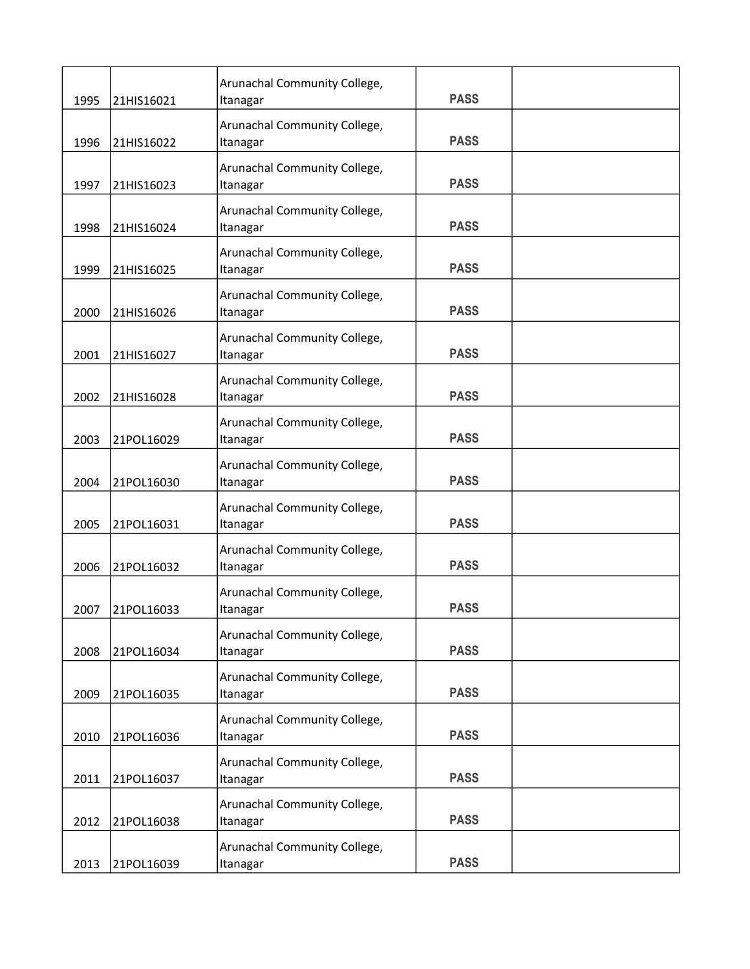|      |            | Arunachal Community College,             | <b>PASS</b> |  |
|------|------------|------------------------------------------|-------------|--|
| 1995 | 21HIS16021 | Itanagar                                 |             |  |
|      |            | Arunachal Community College,             |             |  |
| 1996 | 21HIS16022 | Itanagar                                 | <b>PASS</b> |  |
|      |            | Arunachal Community College,             |             |  |
| 1997 | 21HIS16023 | Itanagar                                 | <b>PASS</b> |  |
|      |            | Arunachal Community College,             |             |  |
| 1998 | 21HIS16024 | Itanagar                                 | <b>PASS</b> |  |
|      |            | Arunachal Community College,             |             |  |
| 1999 | 21HIS16025 | Itanagar                                 | <b>PASS</b> |  |
|      |            | Arunachal Community College,             |             |  |
| 2000 | 21HIS16026 | Itanagar                                 | <b>PASS</b> |  |
|      |            | Arunachal Community College,             |             |  |
| 2001 | 21HIS16027 | Itanagar                                 | <b>PASS</b> |  |
|      |            |                                          |             |  |
| 2002 | 21HIS16028 | Arunachal Community College,<br>Itanagar | <b>PASS</b> |  |
|      |            |                                          |             |  |
|      |            | Arunachal Community College,             | <b>PASS</b> |  |
| 2003 | 21POL16029 | Itanagar                                 |             |  |
|      |            | Arunachal Community College,             |             |  |
| 2004 | 21POL16030 | Itanagar                                 | <b>PASS</b> |  |
|      |            | Arunachal Community College,             |             |  |
| 2005 | 21POL16031 | Itanagar                                 | <b>PASS</b> |  |
|      |            | Arunachal Community College,             |             |  |
| 2006 | 21POL16032 | Itanagar                                 | <b>PASS</b> |  |
|      |            | Arunachal Community College,             |             |  |
| 2007 | 21POL16033 | Itanagar                                 | <b>PASS</b> |  |
|      |            | Arunachal Community College,             |             |  |
| 2008 | 21POL16034 | Itanagar                                 | <b>PASS</b> |  |
|      |            |                                          |             |  |
| 2009 | 21POL16035 | Arunachal Community College,<br>Itanagar | <b>PASS</b> |  |
|      |            |                                          |             |  |
|      |            | Arunachal Community College,             | <b>PASS</b> |  |
| 2010 | 21POL16036 | Itanagar                                 |             |  |
|      |            | Arunachal Community College,             |             |  |
| 2011 | 21POL16037 | Itanagar                                 | <b>PASS</b> |  |
|      |            | Arunachal Community College,             |             |  |
| 2012 | 21POL16038 | Itanagar                                 | <b>PASS</b> |  |
|      |            | Arunachal Community College,             |             |  |
| 2013 | 21POL16039 | Itanagar                                 | <b>PASS</b> |  |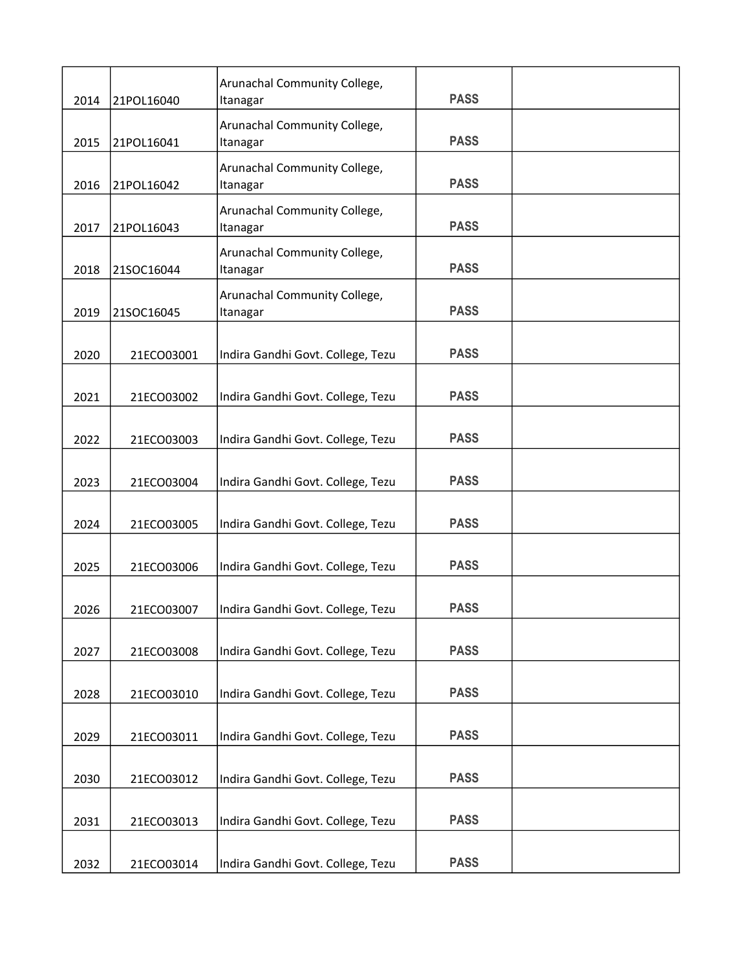| 2014 | 21POL16040 | Arunachal Community College,<br>Itanagar | <b>PASS</b> |  |
|------|------------|------------------------------------------|-------------|--|
| 2015 | 21POL16041 | Arunachal Community College,<br>Itanagar | <b>PASS</b> |  |
| 2016 | 21POL16042 | Arunachal Community College,<br>Itanagar | <b>PASS</b> |  |
| 2017 | 21POL16043 | Arunachal Community College,<br>Itanagar | <b>PASS</b> |  |
| 2018 | 21SOC16044 | Arunachal Community College,<br>Itanagar | <b>PASS</b> |  |
| 2019 | 21SOC16045 | Arunachal Community College,<br>Itanagar | <b>PASS</b> |  |
| 2020 | 21ECO03001 | Indira Gandhi Govt. College, Tezu        | <b>PASS</b> |  |
| 2021 | 21ECO03002 | Indira Gandhi Govt. College, Tezu        | <b>PASS</b> |  |
| 2022 | 21ECO03003 | Indira Gandhi Govt. College, Tezu        | <b>PASS</b> |  |
| 2023 | 21ECO03004 | Indira Gandhi Govt. College, Tezu        | <b>PASS</b> |  |
| 2024 | 21ECO03005 | Indira Gandhi Govt. College, Tezu        | <b>PASS</b> |  |
| 2025 | 21ECO03006 | Indira Gandhi Govt. College, Tezu        | <b>PASS</b> |  |
| 2026 | 21ECO03007 | Indira Gandhi Govt. College, Tezu        | <b>PASS</b> |  |
| 2027 | 21ECO03008 | Indira Gandhi Govt. College, Tezu        | <b>PASS</b> |  |
| 2028 | 21ECO03010 | Indira Gandhi Govt. College, Tezu        | <b>PASS</b> |  |
| 2029 | 21ECO03011 | Indira Gandhi Govt. College, Tezu        | <b>PASS</b> |  |
| 2030 | 21ECO03012 | Indira Gandhi Govt. College, Tezu        | <b>PASS</b> |  |
| 2031 | 21ECO03013 | Indira Gandhi Govt. College, Tezu        | <b>PASS</b> |  |
| 2032 | 21ECO03014 | Indira Gandhi Govt. College, Tezu        | <b>PASS</b> |  |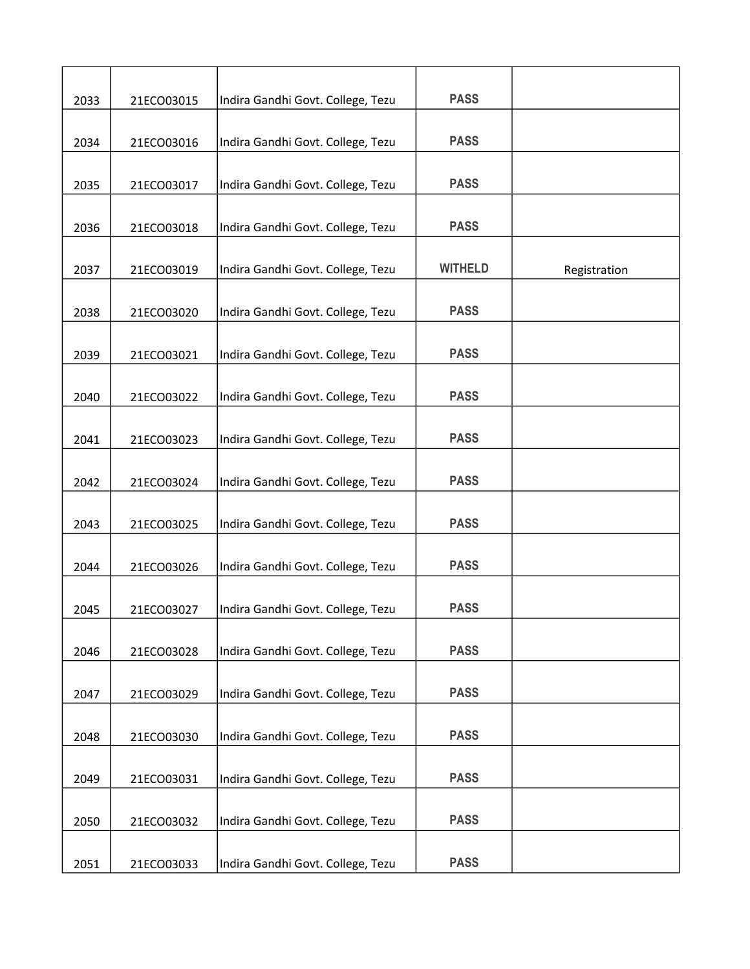| 2033 | 21ECO03015 | Indira Gandhi Govt. College, Tezu | <b>PASS</b>    |              |
|------|------------|-----------------------------------|----------------|--------------|
|      |            |                                   |                |              |
| 2034 | 21ECO03016 | Indira Gandhi Govt. College, Tezu | <b>PASS</b>    |              |
| 2035 | 21ECO03017 | Indira Gandhi Govt. College, Tezu | <b>PASS</b>    |              |
| 2036 | 21ECO03018 | Indira Gandhi Govt. College, Tezu | <b>PASS</b>    |              |
| 2037 | 21ECO03019 | Indira Gandhi Govt. College, Tezu | <b>WITHELD</b> | Registration |
| 2038 | 21ECO03020 | Indira Gandhi Govt. College, Tezu | <b>PASS</b>    |              |
| 2039 | 21ECO03021 | Indira Gandhi Govt. College, Tezu | <b>PASS</b>    |              |
| 2040 | 21ECO03022 | Indira Gandhi Govt. College, Tezu | <b>PASS</b>    |              |
| 2041 | 21ECO03023 | Indira Gandhi Govt. College, Tezu | <b>PASS</b>    |              |
| 2042 | 21ECO03024 | Indira Gandhi Govt. College, Tezu | <b>PASS</b>    |              |
| 2043 | 21ECO03025 | Indira Gandhi Govt. College, Tezu | <b>PASS</b>    |              |
| 2044 | 21ECO03026 | Indira Gandhi Govt. College, Tezu | <b>PASS</b>    |              |
| 2045 | 21ECO03027 | Indira Gandhi Govt. College, Tezu | <b>PASS</b>    |              |
| 2046 | 21ECO03028 | Indira Gandhi Govt. College, Tezu | <b>PASS</b>    |              |
| 2047 | 21ECO03029 | Indira Gandhi Govt. College, Tezu | <b>PASS</b>    |              |
| 2048 | 21ECO03030 | Indira Gandhi Govt. College, Tezu | <b>PASS</b>    |              |
| 2049 | 21ECO03031 | Indira Gandhi Govt. College, Tezu | <b>PASS</b>    |              |
| 2050 | 21ECO03032 | Indira Gandhi Govt. College, Tezu | <b>PASS</b>    |              |
| 2051 | 21ECO03033 | Indira Gandhi Govt. College, Tezu | <b>PASS</b>    |              |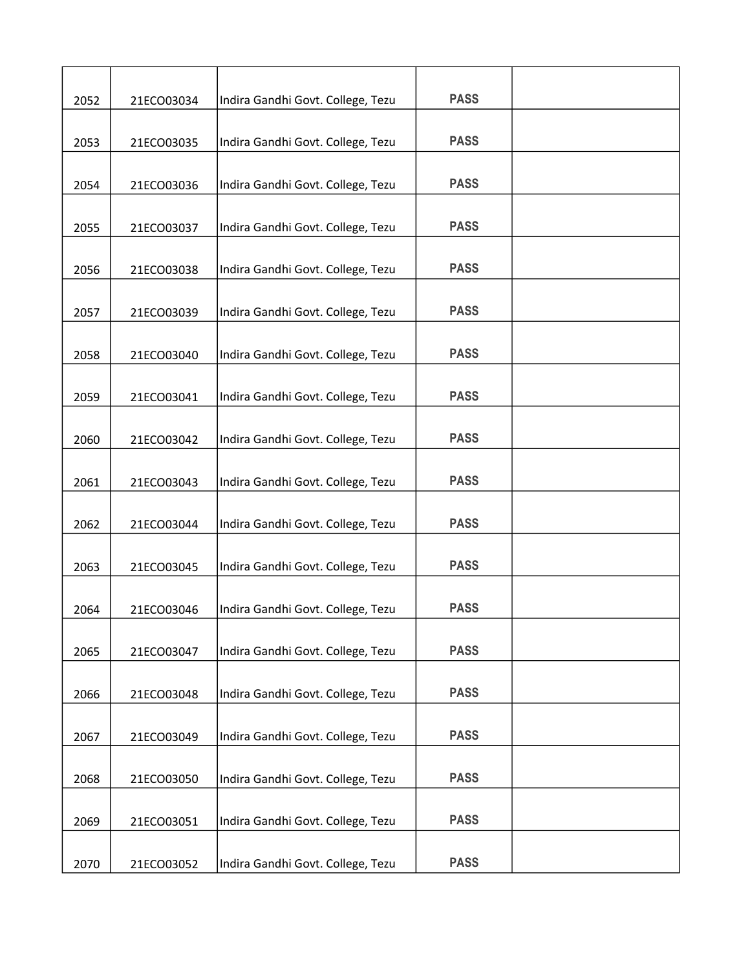| 2052 | 21ECO03034 | Indira Gandhi Govt. College, Tezu | <b>PASS</b> |  |
|------|------------|-----------------------------------|-------------|--|
|      |            |                                   | <b>PASS</b> |  |
| 2053 | 21ECO03035 | Indira Gandhi Govt. College, Tezu |             |  |
| 2054 | 21ECO03036 | Indira Gandhi Govt. College, Tezu | <b>PASS</b> |  |
| 2055 | 21ECO03037 | Indira Gandhi Govt. College, Tezu | <b>PASS</b> |  |
| 2056 | 21ECO03038 | Indira Gandhi Govt. College, Tezu | <b>PASS</b> |  |
|      |            |                                   |             |  |
| 2057 | 21ECO03039 | Indira Gandhi Govt. College, Tezu | <b>PASS</b> |  |
| 2058 | 21ECO03040 | Indira Gandhi Govt. College, Tezu | <b>PASS</b> |  |
| 2059 | 21ECO03041 | Indira Gandhi Govt. College, Tezu | <b>PASS</b> |  |
| 2060 | 21ECO03042 | Indira Gandhi Govt. College, Tezu | <b>PASS</b> |  |
|      |            |                                   |             |  |
| 2061 | 21ECO03043 | Indira Gandhi Govt. College, Tezu | <b>PASS</b> |  |
| 2062 | 21ECO03044 | Indira Gandhi Govt. College, Tezu | <b>PASS</b> |  |
| 2063 | 21ECO03045 | Indira Gandhi Govt. College, Tezu | <b>PASS</b> |  |
|      |            |                                   | <b>PASS</b> |  |
| 2064 | 21ECO03046 | Indira Gandhi Govt. College, Tezu |             |  |
| 2065 | 21ECO03047 | Indira Gandhi Govt. College, Tezu | <b>PASS</b> |  |
| 2066 | 21ECO03048 | Indira Gandhi Govt. College, Tezu | <b>PASS</b> |  |
| 2067 | 21ECO03049 | Indira Gandhi Govt. College, Tezu | <b>PASS</b> |  |
|      |            |                                   | <b>PASS</b> |  |
| 2068 | 21ECO03050 | Indira Gandhi Govt. College, Tezu |             |  |
| 2069 | 21ECO03051 | Indira Gandhi Govt. College, Tezu | <b>PASS</b> |  |
| 2070 | 21ECO03052 | Indira Gandhi Govt. College, Tezu | <b>PASS</b> |  |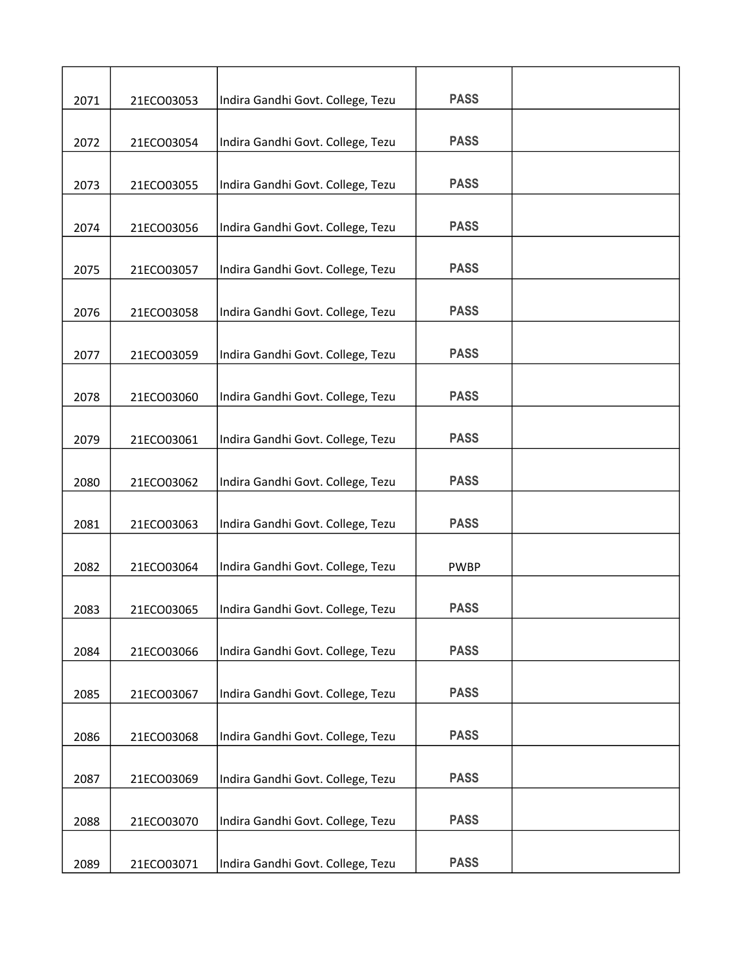| 2071 | 21ECO03053 | Indira Gandhi Govt. College, Tezu | <b>PASS</b> |  |
|------|------------|-----------------------------------|-------------|--|
|      |            |                                   |             |  |
| 2072 | 21ECO03054 | Indira Gandhi Govt. College, Tezu | <b>PASS</b> |  |
| 2073 | 21ECO03055 | Indira Gandhi Govt. College, Tezu | <b>PASS</b> |  |
| 2074 | 21ECO03056 | Indira Gandhi Govt. College, Tezu | <b>PASS</b> |  |
| 2075 | 21ECO03057 | Indira Gandhi Govt. College, Tezu | <b>PASS</b> |  |
|      |            |                                   |             |  |
| 2076 | 21ECO03058 | Indira Gandhi Govt. College, Tezu | <b>PASS</b> |  |
| 2077 | 21ECO03059 | Indira Gandhi Govt. College, Tezu | <b>PASS</b> |  |
| 2078 | 21ECO03060 | Indira Gandhi Govt. College, Tezu | <b>PASS</b> |  |
|      |            |                                   | <b>PASS</b> |  |
| 2079 | 21ECO03061 | Indira Gandhi Govt. College, Tezu |             |  |
| 2080 | 21ECO03062 | Indira Gandhi Govt. College, Tezu | <b>PASS</b> |  |
| 2081 | 21ECO03063 | Indira Gandhi Govt. College, Tezu | <b>PASS</b> |  |
| 2082 | 21ECO03064 | Indira Gandhi Govt. College, Tezu | <b>PWBP</b> |  |
| 2083 | 21ECO03065 | Indira Gandhi Govt. College, Tezu | <b>PASS</b> |  |
|      |            |                                   |             |  |
| 2084 | 21ECO03066 | Indira Gandhi Govt. College, Tezu | <b>PASS</b> |  |
| 2085 | 21ECO03067 | Indira Gandhi Govt. College, Tezu | <b>PASS</b> |  |
| 2086 | 21ECO03068 | Indira Gandhi Govt. College, Tezu | <b>PASS</b> |  |
| 2087 | 21ECO03069 | Indira Gandhi Govt. College, Tezu | <b>PASS</b> |  |
|      |            |                                   |             |  |
| 2088 | 21ECO03070 | Indira Gandhi Govt. College, Tezu | <b>PASS</b> |  |
| 2089 | 21ECO03071 | Indira Gandhi Govt. College, Tezu | <b>PASS</b> |  |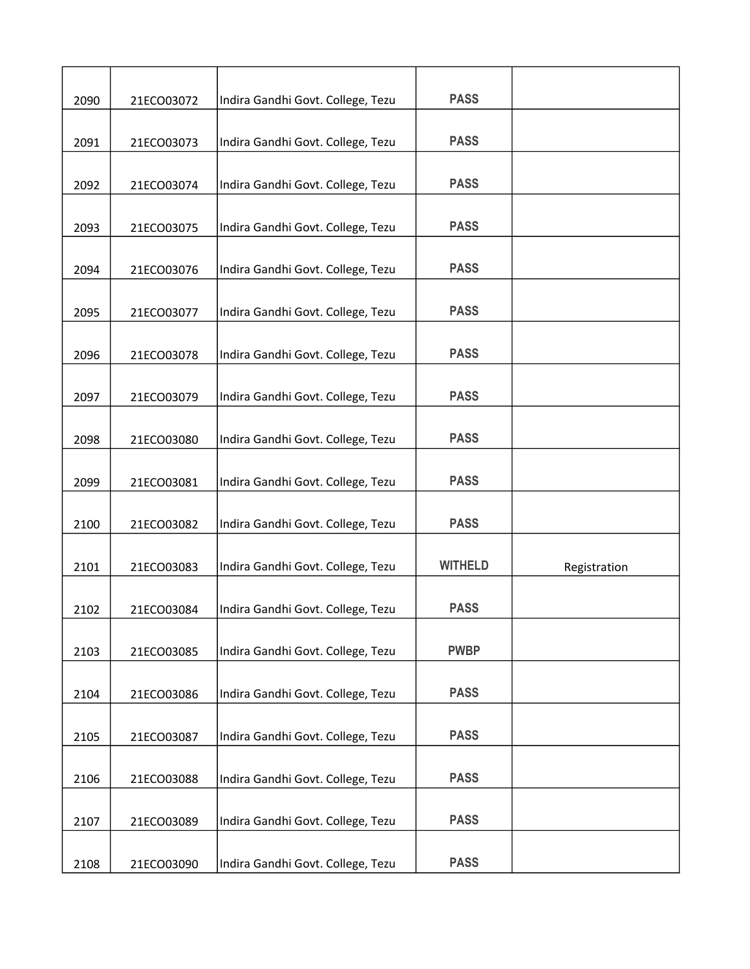| 2090 | 21ECO03072 | Indira Gandhi Govt. College, Tezu | <b>PASS</b>    |              |
|------|------------|-----------------------------------|----------------|--------------|
|      |            |                                   |                |              |
| 2091 | 21ECO03073 | Indira Gandhi Govt. College, Tezu | <b>PASS</b>    |              |
| 2092 | 21ECO03074 | Indira Gandhi Govt. College, Tezu | <b>PASS</b>    |              |
| 2093 | 21ECO03075 | Indira Gandhi Govt. College, Tezu | <b>PASS</b>    |              |
| 2094 | 21ECO03076 | Indira Gandhi Govt. College, Tezu | <b>PASS</b>    |              |
|      |            |                                   |                |              |
| 2095 | 21ECO03077 | Indira Gandhi Govt. College, Tezu | <b>PASS</b>    |              |
| 2096 | 21ECO03078 | Indira Gandhi Govt. College, Tezu | <b>PASS</b>    |              |
| 2097 | 21ECO03079 | Indira Gandhi Govt. College, Tezu | <b>PASS</b>    |              |
| 2098 | 21ECO03080 | Indira Gandhi Govt. College, Tezu | <b>PASS</b>    |              |
|      |            |                                   |                |              |
| 2099 | 21ECO03081 | Indira Gandhi Govt. College, Tezu | <b>PASS</b>    |              |
| 2100 | 21ECO03082 | Indira Gandhi Govt. College, Tezu | <b>PASS</b>    |              |
| 2101 | 21ECO03083 | Indira Gandhi Govt. College, Tezu | <b>WITHELD</b> | Registration |
| 2102 | 21ECO03084 | Indira Gandhi Govt. College, Tezu | <b>PASS</b>    |              |
|      |            |                                   |                |              |
| 2103 | 21ECO03085 | Indira Gandhi Govt. College, Tezu | <b>PWBP</b>    |              |
| 2104 | 21ECO03086 | Indira Gandhi Govt. College, Tezu | <b>PASS</b>    |              |
| 2105 | 21ECO03087 | Indira Gandhi Govt. College, Tezu | <b>PASS</b>    |              |
| 2106 | 21ECO03088 | Indira Gandhi Govt. College, Tezu | <b>PASS</b>    |              |
|      |            |                                   |                |              |
| 2107 | 21ECO03089 | Indira Gandhi Govt. College, Tezu | <b>PASS</b>    |              |
| 2108 | 21ECO03090 | Indira Gandhi Govt. College, Tezu | <b>PASS</b>    |              |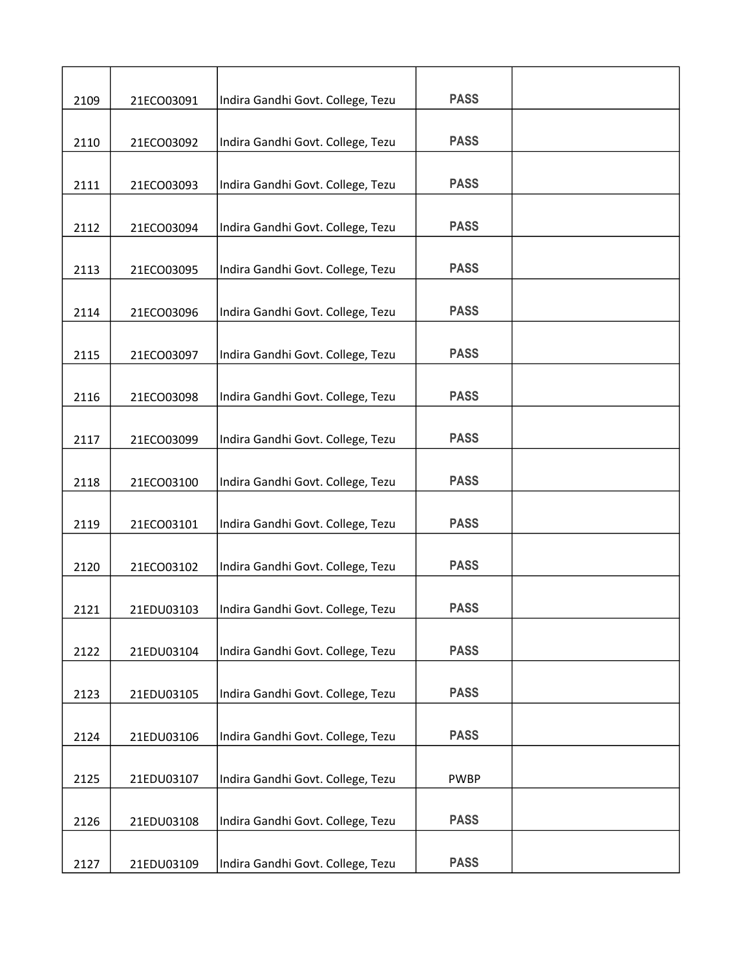| 2109 | 21ECO03091 | Indira Gandhi Govt. College, Tezu | <b>PASS</b> |  |
|------|------------|-----------------------------------|-------------|--|
|      |            |                                   |             |  |
| 2110 | 21ECO03092 | Indira Gandhi Govt. College, Tezu | <b>PASS</b> |  |
| 2111 | 21ECO03093 | Indira Gandhi Govt. College, Tezu | <b>PASS</b> |  |
| 2112 | 21ECO03094 | Indira Gandhi Govt. College, Tezu | <b>PASS</b> |  |
| 2113 | 21ECO03095 | Indira Gandhi Govt. College, Tezu | <b>PASS</b> |  |
|      |            |                                   |             |  |
| 2114 | 21ECO03096 | Indira Gandhi Govt. College, Tezu | <b>PASS</b> |  |
| 2115 | 21ECO03097 | Indira Gandhi Govt. College, Tezu | <b>PASS</b> |  |
| 2116 | 21ECO03098 | Indira Gandhi Govt. College, Tezu | <b>PASS</b> |  |
| 2117 | 21ECO03099 | Indira Gandhi Govt. College, Tezu | <b>PASS</b> |  |
|      |            |                                   |             |  |
| 2118 | 21ECO03100 | Indira Gandhi Govt. College, Tezu | <b>PASS</b> |  |
| 2119 | 21ECO03101 | Indira Gandhi Govt. College, Tezu | <b>PASS</b> |  |
| 2120 | 21ECO03102 | Indira Gandhi Govt. College, Tezu | <b>PASS</b> |  |
| 2121 | 21EDU03103 | Indira Gandhi Govt. College, Tezu | <b>PASS</b> |  |
|      |            |                                   |             |  |
| 2122 | 21EDU03104 | Indira Gandhi Govt. College, Tezu | <b>PASS</b> |  |
| 2123 | 21EDU03105 | Indira Gandhi Govt. College, Tezu | <b>PASS</b> |  |
| 2124 | 21EDU03106 | Indira Gandhi Govt. College, Tezu | <b>PASS</b> |  |
| 2125 | 21EDU03107 | Indira Gandhi Govt. College, Tezu | <b>PWBP</b> |  |
|      |            |                                   |             |  |
| 2126 | 21EDU03108 | Indira Gandhi Govt. College, Tezu | <b>PASS</b> |  |
| 2127 | 21EDU03109 | Indira Gandhi Govt. College, Tezu | <b>PASS</b> |  |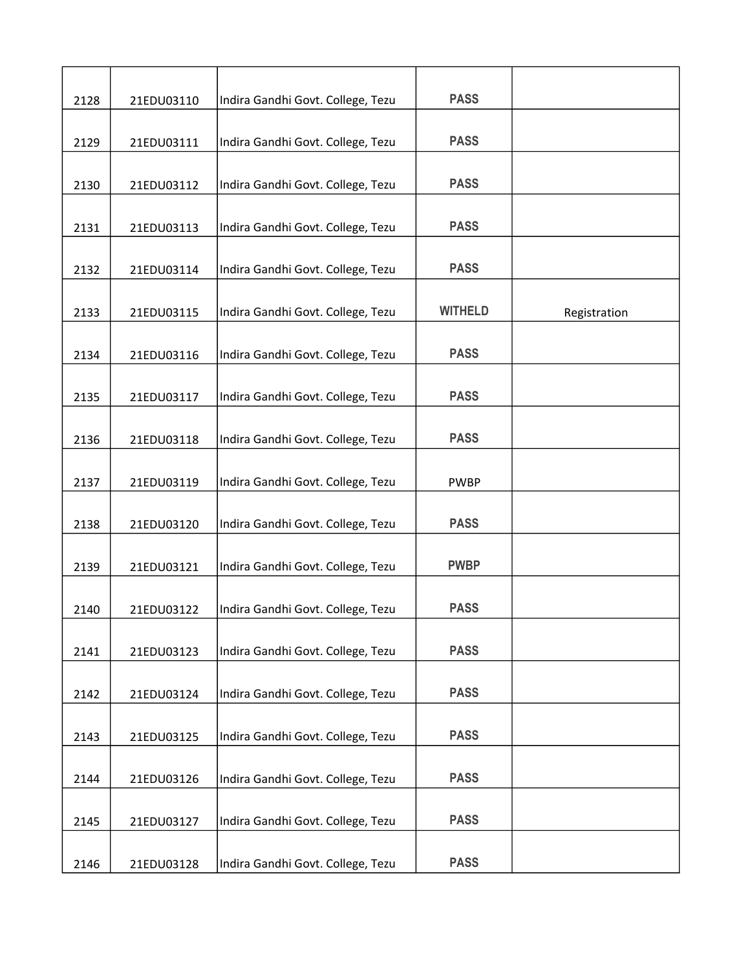| 2128 | 21EDU03110 | Indira Gandhi Govt. College, Tezu | <b>PASS</b>    |              |
|------|------------|-----------------------------------|----------------|--------------|
|      |            |                                   |                |              |
| 2129 | 21EDU03111 | Indira Gandhi Govt. College, Tezu | <b>PASS</b>    |              |
| 2130 | 21EDU03112 | Indira Gandhi Govt. College, Tezu | <b>PASS</b>    |              |
| 2131 | 21EDU03113 | Indira Gandhi Govt. College, Tezu | <b>PASS</b>    |              |
| 2132 | 21EDU03114 | Indira Gandhi Govt. College, Tezu | <b>PASS</b>    |              |
|      |            |                                   |                |              |
| 2133 | 21EDU03115 | Indira Gandhi Govt. College, Tezu | <b>WITHELD</b> | Registration |
| 2134 | 21EDU03116 | Indira Gandhi Govt. College, Tezu | <b>PASS</b>    |              |
| 2135 | 21EDU03117 | Indira Gandhi Govt. College, Tezu | <b>PASS</b>    |              |
| 2136 | 21EDU03118 | Indira Gandhi Govt. College, Tezu | <b>PASS</b>    |              |
|      |            |                                   |                |              |
| 2137 | 21EDU03119 | Indira Gandhi Govt. College, Tezu | <b>PWBP</b>    |              |
| 2138 | 21EDU03120 | Indira Gandhi Govt. College, Tezu | <b>PASS</b>    |              |
| 2139 | 21EDU03121 | Indira Gandhi Govt. College, Tezu | <b>PWBP</b>    |              |
| 2140 | 21EDU03122 | Indira Gandhi Govt. College, Tezu | <b>PASS</b>    |              |
| 2141 | 21EDU03123 | Indira Gandhi Govt. College, Tezu | <b>PASS</b>    |              |
| 2142 | 21EDU03124 | Indira Gandhi Govt. College, Tezu | <b>PASS</b>    |              |
|      |            |                                   |                |              |
| 2143 | 21EDU03125 | Indira Gandhi Govt. College, Tezu | <b>PASS</b>    |              |
| 2144 | 21EDU03126 | Indira Gandhi Govt. College, Tezu | <b>PASS</b>    |              |
| 2145 | 21EDU03127 | Indira Gandhi Govt. College, Tezu | <b>PASS</b>    |              |
| 2146 | 21EDU03128 | Indira Gandhi Govt. College, Tezu | <b>PASS</b>    |              |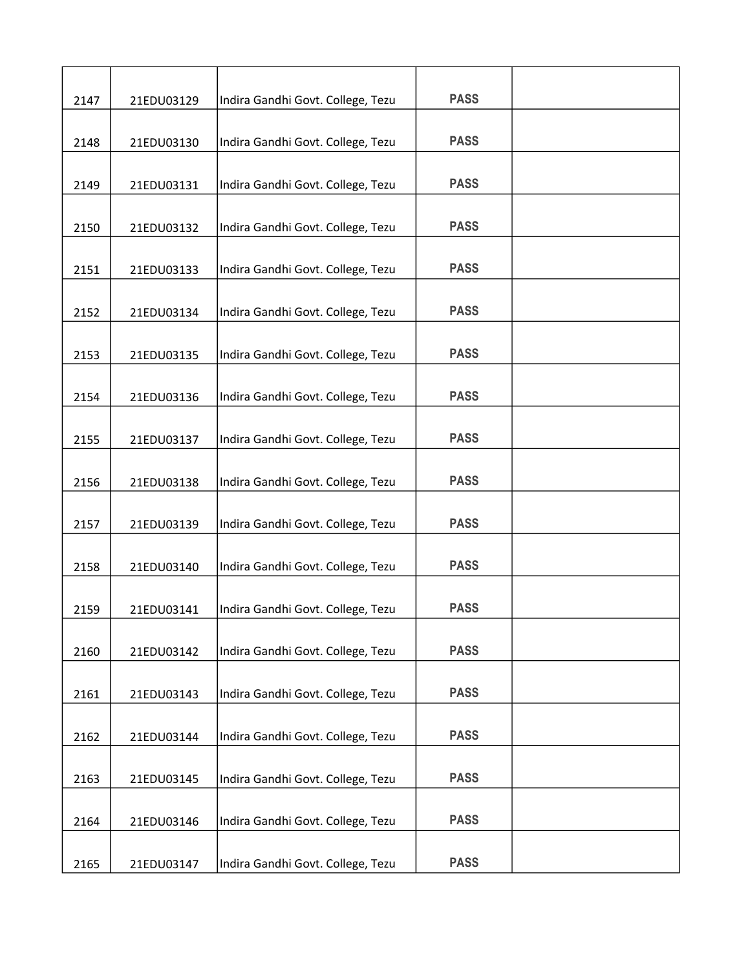| 2147 | 21EDU03129 | Indira Gandhi Govt. College, Tezu | <b>PASS</b> |  |
|------|------------|-----------------------------------|-------------|--|
|      |            | Indira Gandhi Govt. College, Tezu | <b>PASS</b> |  |
| 2148 | 21EDU03130 |                                   |             |  |
| 2149 | 21EDU03131 | Indira Gandhi Govt. College, Tezu | <b>PASS</b> |  |
| 2150 | 21EDU03132 | Indira Gandhi Govt. College, Tezu | <b>PASS</b> |  |
| 2151 | 21EDU03133 | Indira Gandhi Govt. College, Tezu | <b>PASS</b> |  |
| 2152 | 21EDU03134 | Indira Gandhi Govt. College, Tezu | <b>PASS</b> |  |
| 2153 | 21EDU03135 | Indira Gandhi Govt. College, Tezu | <b>PASS</b> |  |
| 2154 | 21EDU03136 | Indira Gandhi Govt. College, Tezu | <b>PASS</b> |  |
| 2155 | 21EDU03137 | Indira Gandhi Govt. College, Tezu | <b>PASS</b> |  |
|      |            |                                   |             |  |
| 2156 | 21EDU03138 | Indira Gandhi Govt. College, Tezu | <b>PASS</b> |  |
| 2157 | 21EDU03139 | Indira Gandhi Govt. College, Tezu | <b>PASS</b> |  |
| 2158 | 21EDU03140 | Indira Gandhi Govt. College, Tezu | <b>PASS</b> |  |
| 2159 | 21EDU03141 | Indira Gandhi Govt. College, Tezu | <b>PASS</b> |  |
| 2160 | 21EDU03142 | Indira Gandhi Govt. College, Tezu | <b>PASS</b> |  |
| 2161 | 21EDU03143 | Indira Gandhi Govt. College, Tezu | <b>PASS</b> |  |
| 2162 | 21EDU03144 | Indira Gandhi Govt. College, Tezu | <b>PASS</b> |  |
| 2163 | 21EDU03145 | Indira Gandhi Govt. College, Tezu | <b>PASS</b> |  |
| 2164 | 21EDU03146 | Indira Gandhi Govt. College, Tezu | <b>PASS</b> |  |
|      |            |                                   |             |  |
| 2165 | 21EDU03147 | Indira Gandhi Govt. College, Tezu | <b>PASS</b> |  |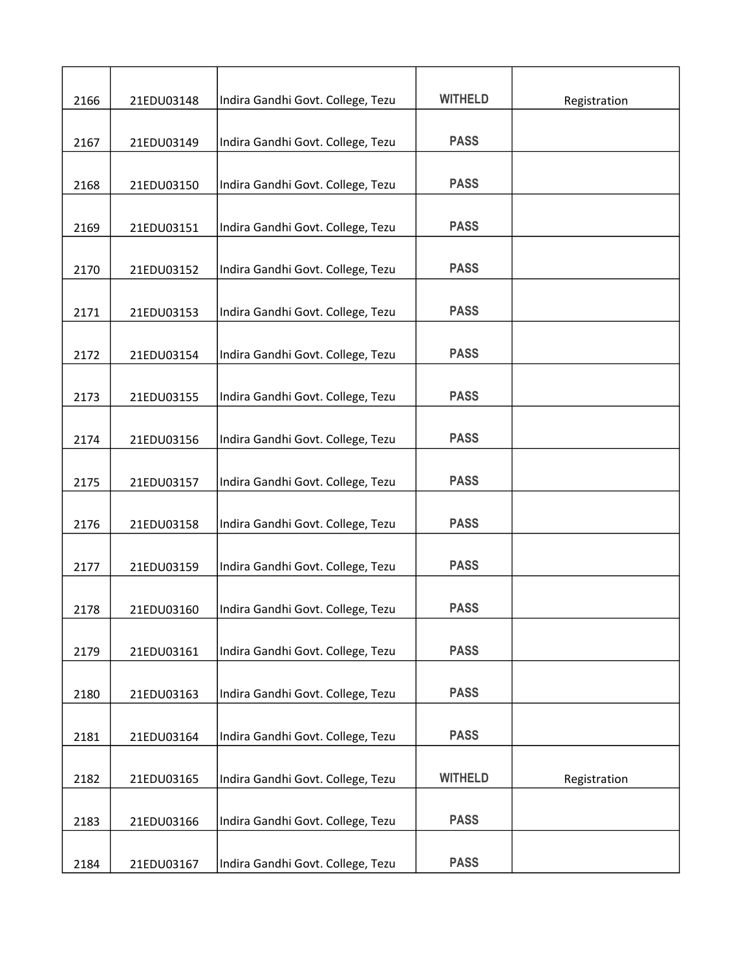| 2166 | 21EDU03148 | Indira Gandhi Govt. College, Tezu | <b>WITHELD</b> | Registration |
|------|------------|-----------------------------------|----------------|--------------|
|      |            |                                   | <b>PASS</b>    |              |
| 2167 | 21EDU03149 | Indira Gandhi Govt. College, Tezu |                |              |
| 2168 | 21EDU03150 | Indira Gandhi Govt. College, Tezu | <b>PASS</b>    |              |
|      |            |                                   |                |              |
| 2169 | 21EDU03151 | Indira Gandhi Govt. College, Tezu | <b>PASS</b>    |              |
|      |            |                                   |                |              |
| 2170 | 21EDU03152 | Indira Gandhi Govt. College, Tezu | <b>PASS</b>    |              |
|      |            |                                   | <b>PASS</b>    |              |
| 2171 | 21EDU03153 | Indira Gandhi Govt. College, Tezu |                |              |
| 2172 | 21EDU03154 | Indira Gandhi Govt. College, Tezu | <b>PASS</b>    |              |
|      |            |                                   |                |              |
| 2173 | 21EDU03155 | Indira Gandhi Govt. College, Tezu | <b>PASS</b>    |              |
|      |            |                                   |                |              |
| 2174 | 21EDU03156 | Indira Gandhi Govt. College, Tezu | <b>PASS</b>    |              |
|      |            |                                   | <b>PASS</b>    |              |
| 2175 | 21EDU03157 | Indira Gandhi Govt. College, Tezu |                |              |
| 2176 | 21EDU03158 | Indira Gandhi Govt. College, Tezu | <b>PASS</b>    |              |
|      |            |                                   |                |              |
| 2177 | 21EDU03159 | Indira Gandhi Govt. College, Tezu | <b>PASS</b>    |              |
|      |            |                                   |                |              |
| 2178 | 21EDU03160 | Indira Gandhi Govt. College, Tezu | <b>PASS</b>    |              |
|      |            |                                   | <b>PASS</b>    |              |
| 2179 | 21EDU03161 | Indira Gandhi Govt. College, Tezu |                |              |
| 2180 | 21EDU03163 | Indira Gandhi Govt. College, Tezu | <b>PASS</b>    |              |
|      |            |                                   |                |              |
| 2181 | 21EDU03164 | Indira Gandhi Govt. College, Tezu | <b>PASS</b>    |              |
|      |            |                                   |                |              |
| 2182 | 21EDU03165 | Indira Gandhi Govt. College, Tezu | <b>WITHELD</b> | Registration |
|      |            |                                   |                |              |
| 2183 | 21EDU03166 | Indira Gandhi Govt. College, Tezu | <b>PASS</b>    |              |
| 2184 | 21EDU03167 | Indira Gandhi Govt. College, Tezu | <b>PASS</b>    |              |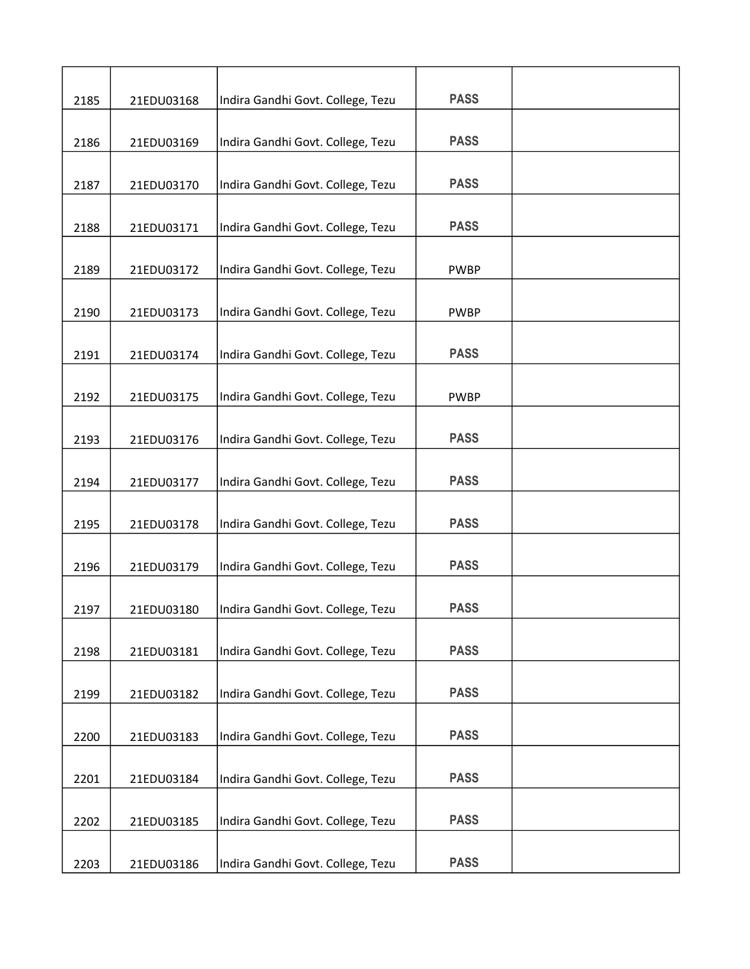| 2185 | 21EDU03168 | Indira Gandhi Govt. College, Tezu | <b>PASS</b> |  |
|------|------------|-----------------------------------|-------------|--|
|      |            |                                   | <b>PASS</b> |  |
| 2186 | 21EDU03169 | Indira Gandhi Govt. College, Tezu |             |  |
| 2187 | 21EDU03170 | Indira Gandhi Govt. College, Tezu | <b>PASS</b> |  |
| 2188 | 21EDU03171 | Indira Gandhi Govt. College, Tezu | <b>PASS</b> |  |
| 2189 | 21EDU03172 | Indira Gandhi Govt. College, Tezu | <b>PWBP</b> |  |
|      |            |                                   |             |  |
| 2190 | 21EDU03173 | Indira Gandhi Govt. College, Tezu | <b>PWBP</b> |  |
| 2191 | 21EDU03174 | Indira Gandhi Govt. College, Tezu | <b>PASS</b> |  |
| 2192 | 21EDU03175 | Indira Gandhi Govt. College, Tezu | <b>PWBP</b> |  |
| 2193 | 21EDU03176 | Indira Gandhi Govt. College, Tezu | <b>PASS</b> |  |
|      |            |                                   |             |  |
| 2194 | 21EDU03177 | Indira Gandhi Govt. College, Tezu | <b>PASS</b> |  |
| 2195 | 21EDU03178 | Indira Gandhi Govt. College, Tezu | <b>PASS</b> |  |
| 2196 | 21EDU03179 | Indira Gandhi Govt. College, Tezu | <b>PASS</b> |  |
| 2197 | 21EDU03180 | Indira Gandhi Govt. College, Tezu | <b>PASS</b> |  |
| 2198 | 21EDU03181 | Indira Gandhi Govt. College, Tezu | <b>PASS</b> |  |
| 2199 | 21EDU03182 | Indira Gandhi Govt. College, Tezu | <b>PASS</b> |  |
|      |            |                                   |             |  |
| 2200 | 21EDU03183 | Indira Gandhi Govt. College, Tezu | <b>PASS</b> |  |
| 2201 | 21EDU03184 | Indira Gandhi Govt. College, Tezu | <b>PASS</b> |  |
| 2202 | 21EDU03185 | Indira Gandhi Govt. College, Tezu | <b>PASS</b> |  |
|      |            |                                   |             |  |
| 2203 | 21EDU03186 | Indira Gandhi Govt. College, Tezu | <b>PASS</b> |  |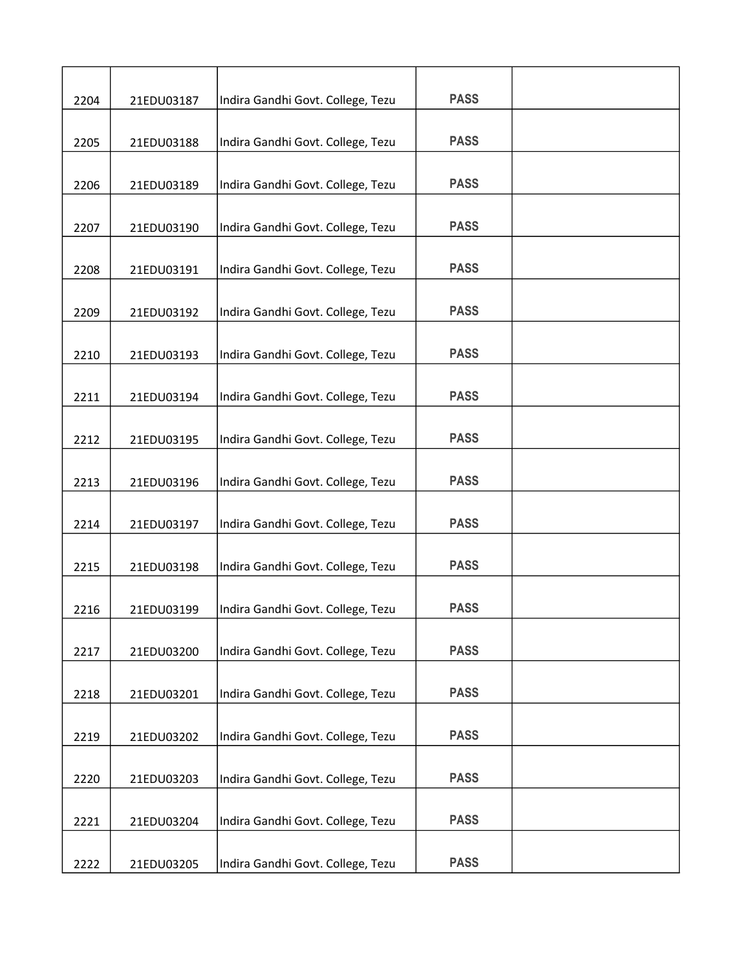| 2204 | 21EDU03187 | Indira Gandhi Govt. College, Tezu | <b>PASS</b> |  |
|------|------------|-----------------------------------|-------------|--|
|      |            |                                   |             |  |
| 2205 | 21EDU03188 | Indira Gandhi Govt. College, Tezu | <b>PASS</b> |  |
| 2206 | 21EDU03189 | Indira Gandhi Govt. College, Tezu | <b>PASS</b> |  |
| 2207 | 21EDU03190 | Indira Gandhi Govt. College, Tezu | <b>PASS</b> |  |
| 2208 | 21EDU03191 | Indira Gandhi Govt. College, Tezu | <b>PASS</b> |  |
| 2209 | 21EDU03192 | Indira Gandhi Govt. College, Tezu | <b>PASS</b> |  |
| 2210 | 21EDU03193 | Indira Gandhi Govt. College, Tezu | <b>PASS</b> |  |
| 2211 | 21EDU03194 | Indira Gandhi Govt. College, Tezu | <b>PASS</b> |  |
| 2212 | 21EDU03195 | Indira Gandhi Govt. College, Tezu | <b>PASS</b> |  |
| 2213 | 21EDU03196 | Indira Gandhi Govt. College, Tezu | <b>PASS</b> |  |
| 2214 | 21EDU03197 | Indira Gandhi Govt. College, Tezu | <b>PASS</b> |  |
| 2215 | 21EDU03198 | Indira Gandhi Govt. College, Tezu | <b>PASS</b> |  |
| 2216 | 21EDU03199 | Indira Gandhi Govt. College, Tezu | <b>PASS</b> |  |
| 2217 | 21EDU03200 | Indira Gandhi Govt. College, Tezu | <b>PASS</b> |  |
| 2218 | 21EDU03201 | Indira Gandhi Govt. College, Tezu | <b>PASS</b> |  |
| 2219 | 21EDU03202 | Indira Gandhi Govt. College, Tezu | <b>PASS</b> |  |
| 2220 | 21EDU03203 | Indira Gandhi Govt. College, Tezu | <b>PASS</b> |  |
| 2221 | 21EDU03204 | Indira Gandhi Govt. College, Tezu | <b>PASS</b> |  |
| 2222 | 21EDU03205 | Indira Gandhi Govt. College, Tezu | <b>PASS</b> |  |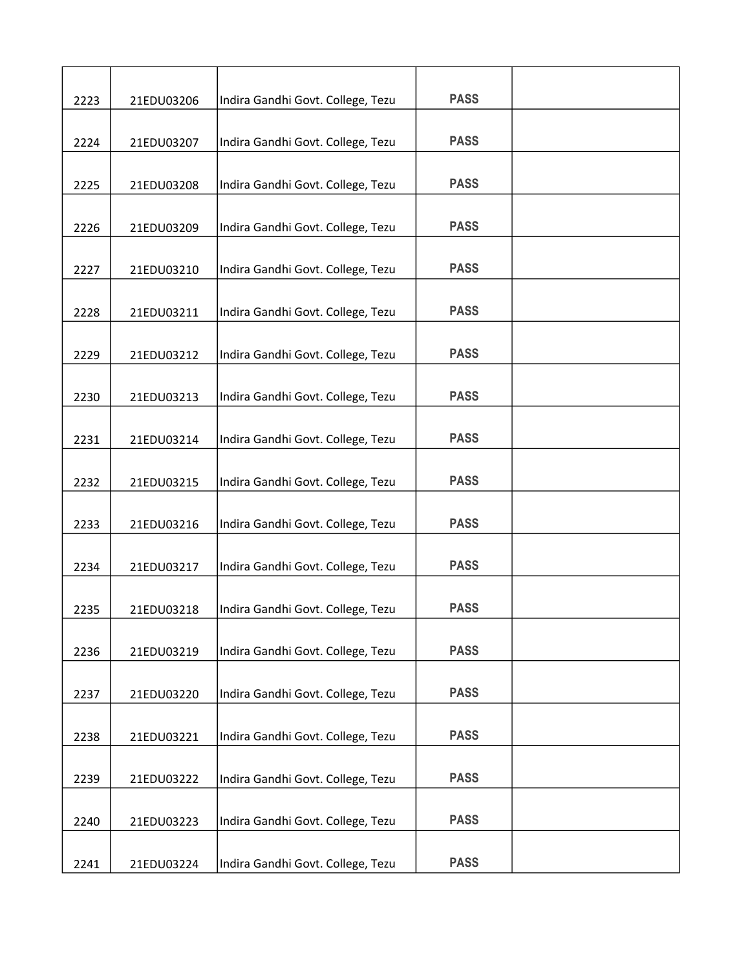| 2223 | 21EDU03206 | Indira Gandhi Govt. College, Tezu | <b>PASS</b> |  |
|------|------------|-----------------------------------|-------------|--|
|      |            |                                   |             |  |
| 2224 | 21EDU03207 | Indira Gandhi Govt. College, Tezu | <b>PASS</b> |  |
|      |            |                                   |             |  |
| 2225 | 21EDU03208 | Indira Gandhi Govt. College, Tezu | <b>PASS</b> |  |
| 2226 | 21EDU03209 | Indira Gandhi Govt. College, Tezu | <b>PASS</b> |  |
| 2227 | 21EDU03210 | Indira Gandhi Govt. College, Tezu | <b>PASS</b> |  |
|      |            |                                   |             |  |
| 2228 | 21EDU03211 | Indira Gandhi Govt. College, Tezu | <b>PASS</b> |  |
| 2229 | 21EDU03212 | Indira Gandhi Govt. College, Tezu | <b>PASS</b> |  |
|      |            |                                   |             |  |
| 2230 | 21EDU03213 | Indira Gandhi Govt. College, Tezu | <b>PASS</b> |  |
| 2231 | 21EDU03214 | Indira Gandhi Govt. College, Tezu | <b>PASS</b> |  |
| 2232 | 21EDU03215 | Indira Gandhi Govt. College, Tezu | <b>PASS</b> |  |
|      |            |                                   |             |  |
| 2233 | 21EDU03216 | Indira Gandhi Govt. College, Tezu | <b>PASS</b> |  |
| 2234 | 21EDU03217 | Indira Gandhi Govt. College, Tezu | <b>PASS</b> |  |
|      |            |                                   |             |  |
| 2235 | 21EDU03218 | Indira Gandhi Govt. College, Tezu | <b>PASS</b> |  |
| 2236 | 21EDU03219 | Indira Gandhi Govt. College, Tezu | <b>PASS</b> |  |
| 2237 | 21EDU03220 | Indira Gandhi Govt. College, Tezu | <b>PASS</b> |  |
|      |            |                                   | <b>PASS</b> |  |
| 2238 | 21EDU03221 | Indira Gandhi Govt. College, Tezu |             |  |
| 2239 | 21EDU03222 | Indira Gandhi Govt. College, Tezu | <b>PASS</b> |  |
|      |            |                                   |             |  |
| 2240 | 21EDU03223 | Indira Gandhi Govt. College, Tezu | <b>PASS</b> |  |
| 2241 | 21EDU03224 | Indira Gandhi Govt. College, Tezu | <b>PASS</b> |  |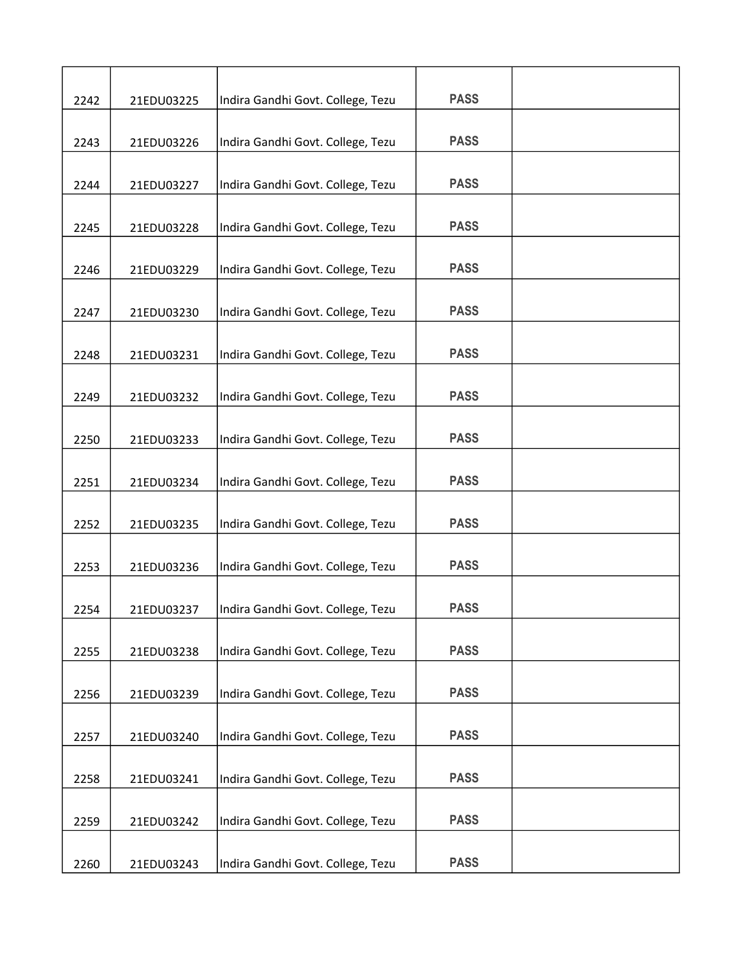| 2242 | 21EDU03225 | Indira Gandhi Govt. College, Tezu | <b>PASS</b> |  |
|------|------------|-----------------------------------|-------------|--|
|      |            |                                   |             |  |
| 2243 | 21EDU03226 | Indira Gandhi Govt. College, Tezu | <b>PASS</b> |  |
| 2244 | 21EDU03227 | Indira Gandhi Govt. College, Tezu | <b>PASS</b> |  |
|      |            |                                   |             |  |
| 2245 | 21EDU03228 | Indira Gandhi Govt. College, Tezu | <b>PASS</b> |  |
| 2246 | 21EDU03229 | Indira Gandhi Govt. College, Tezu | <b>PASS</b> |  |
|      |            |                                   |             |  |
| 2247 | 21EDU03230 | Indira Gandhi Govt. College, Tezu | <b>PASS</b> |  |
| 2248 | 21EDU03231 | Indira Gandhi Govt. College, Tezu | <b>PASS</b> |  |
| 2249 | 21EDU03232 | Indira Gandhi Govt. College, Tezu | <b>PASS</b> |  |
|      |            |                                   | <b>PASS</b> |  |
| 2250 | 21EDU03233 | Indira Gandhi Govt. College, Tezu |             |  |
| 2251 | 21EDU03234 | Indira Gandhi Govt. College, Tezu | <b>PASS</b> |  |
| 2252 | 21EDU03235 | Indira Gandhi Govt. College, Tezu | <b>PASS</b> |  |
| 2253 | 21EDU03236 | Indira Gandhi Govt. College, Tezu | <b>PASS</b> |  |
|      |            |                                   |             |  |
| 2254 | 21EDU03237 | Indira Gandhi Govt. College, Tezu | <b>PASS</b> |  |
| 2255 | 21EDU03238 | Indira Gandhi Govt. College, Tezu | <b>PASS</b> |  |
| 2256 | 21EDU03239 | Indira Gandhi Govt. College, Tezu | <b>PASS</b> |  |
|      |            |                                   |             |  |
| 2257 | 21EDU03240 | Indira Gandhi Govt. College, Tezu | <b>PASS</b> |  |
|      |            |                                   | <b>PASS</b> |  |
| 2258 | 21EDU03241 | Indira Gandhi Govt. College, Tezu |             |  |
| 2259 | 21EDU03242 | Indira Gandhi Govt. College, Tezu | <b>PASS</b> |  |
| 2260 | 21EDU03243 | Indira Gandhi Govt. College, Tezu | <b>PASS</b> |  |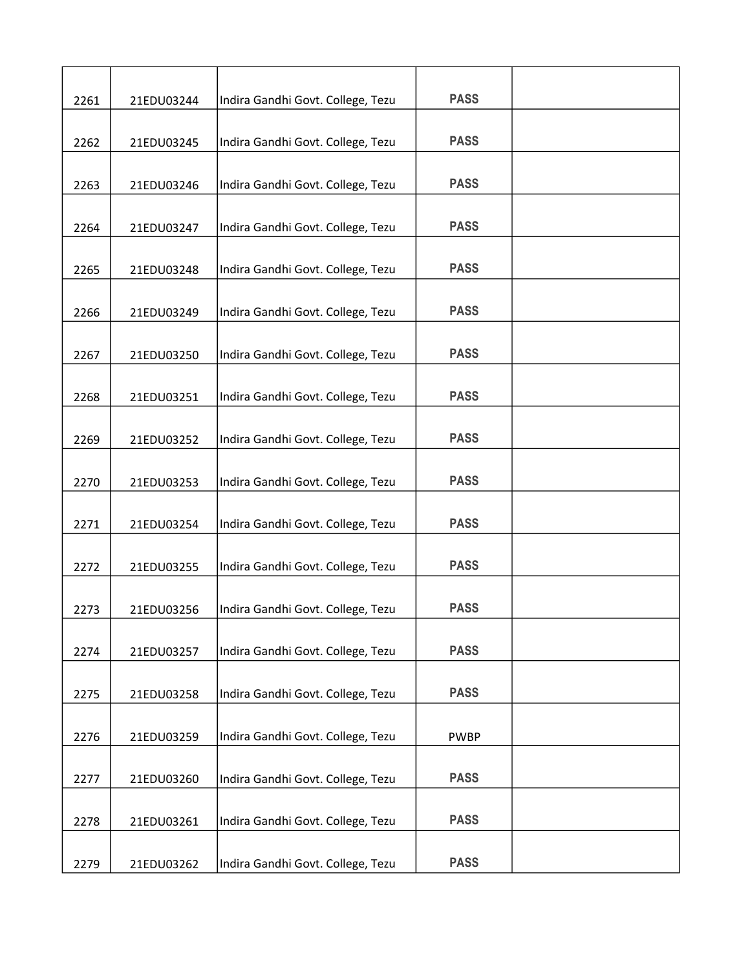| 2261 | 21EDU03244 | Indira Gandhi Govt. College, Tezu | <b>PASS</b> |  |
|------|------------|-----------------------------------|-------------|--|
|      |            |                                   |             |  |
| 2262 | 21EDU03245 | Indira Gandhi Govt. College, Tezu | <b>PASS</b> |  |
|      |            |                                   |             |  |
| 2263 | 21EDU03246 | Indira Gandhi Govt. College, Tezu | <b>PASS</b> |  |
| 2264 | 21EDU03247 | Indira Gandhi Govt. College, Tezu | <b>PASS</b> |  |
| 2265 | 21EDU03248 | Indira Gandhi Govt. College, Tezu | <b>PASS</b> |  |
|      |            |                                   |             |  |
| 2266 | 21EDU03249 | Indira Gandhi Govt. College, Tezu | <b>PASS</b> |  |
| 2267 | 21EDU03250 | Indira Gandhi Govt. College, Tezu | <b>PASS</b> |  |
|      |            |                                   |             |  |
| 2268 | 21EDU03251 | Indira Gandhi Govt. College, Tezu | <b>PASS</b> |  |
| 2269 | 21EDU03252 | Indira Gandhi Govt. College, Tezu | <b>PASS</b> |  |
| 2270 | 21EDU03253 | Indira Gandhi Govt. College, Tezu | <b>PASS</b> |  |
|      |            |                                   |             |  |
| 2271 | 21EDU03254 | Indira Gandhi Govt. College, Tezu | <b>PASS</b> |  |
| 2272 | 21EDU03255 | Indira Gandhi Govt. College, Tezu | <b>PASS</b> |  |
|      |            |                                   |             |  |
| 2273 | 21EDU03256 | Indira Gandhi Govt. College, Tezu | <b>PASS</b> |  |
| 2274 | 21EDU03257 | Indira Gandhi Govt. College, Tezu | <b>PASS</b> |  |
|      |            |                                   |             |  |
| 2275 | 21EDU03258 | Indira Gandhi Govt. College, Tezu | <b>PASS</b> |  |
| 2276 | 21EDU03259 | Indira Gandhi Govt. College, Tezu | <b>PWBP</b> |  |
|      |            |                                   |             |  |
| 2277 | 21EDU03260 | Indira Gandhi Govt. College, Tezu | <b>PASS</b> |  |
| 2278 | 21EDU03261 | Indira Gandhi Govt. College, Tezu | <b>PASS</b> |  |
| 2279 | 21EDU03262 | Indira Gandhi Govt. College, Tezu | <b>PASS</b> |  |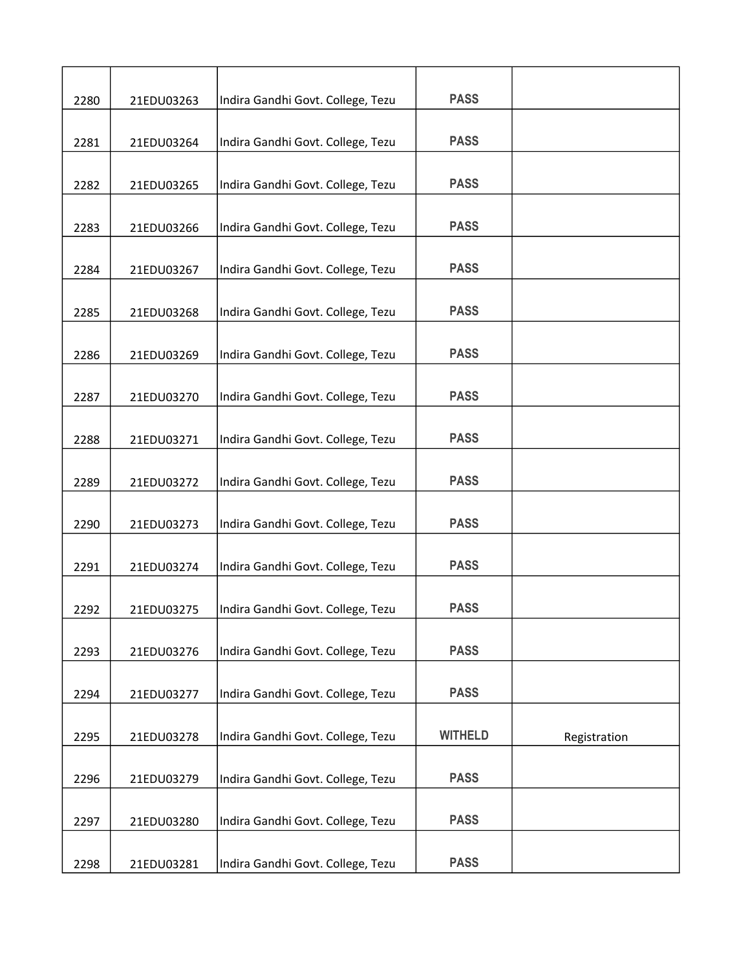| 2280 | 21EDU03263 | Indira Gandhi Govt. College, Tezu | <b>PASS</b>    |              |
|------|------------|-----------------------------------|----------------|--------------|
| 2281 | 21EDU03264 | Indira Gandhi Govt. College, Tezu | <b>PASS</b>    |              |
| 2282 | 21EDU03265 | Indira Gandhi Govt. College, Tezu | <b>PASS</b>    |              |
| 2283 | 21EDU03266 | Indira Gandhi Govt. College, Tezu | <b>PASS</b>    |              |
| 2284 | 21EDU03267 | Indira Gandhi Govt. College, Tezu | <b>PASS</b>    |              |
| 2285 | 21EDU03268 | Indira Gandhi Govt. College, Tezu | <b>PASS</b>    |              |
|      | 21EDU03269 |                                   | <b>PASS</b>    |              |
| 2286 |            | Indira Gandhi Govt. College, Tezu | <b>PASS</b>    |              |
| 2287 | 21EDU03270 | Indira Gandhi Govt. College, Tezu | <b>PASS</b>    |              |
| 2288 | 21EDU03271 | Indira Gandhi Govt. College, Tezu | <b>PASS</b>    |              |
| 2289 | 21EDU03272 | Indira Gandhi Govt. College, Tezu |                |              |
| 2290 | 21EDU03273 | Indira Gandhi Govt. College, Tezu | <b>PASS</b>    |              |
| 2291 | 21EDU03274 | Indira Gandhi Govt. College, Tezu | <b>PASS</b>    |              |
| 2292 | 21EDU03275 | Indira Gandhi Govt. College, Tezu | <b>PASS</b>    |              |
| 2293 | 21EDU03276 | Indira Gandhi Govt. College, Tezu | <b>PASS</b>    |              |
| 2294 | 21EDU03277 | Indira Gandhi Govt. College, Tezu | <b>PASS</b>    |              |
| 2295 | 21EDU03278 | Indira Gandhi Govt. College, Tezu | <b>WITHELD</b> | Registration |
| 2296 | 21EDU03279 | Indira Gandhi Govt. College, Tezu | <b>PASS</b>    |              |
| 2297 | 21EDU03280 | Indira Gandhi Govt. College, Tezu | <b>PASS</b>    |              |
| 2298 | 21EDU03281 | Indira Gandhi Govt. College, Tezu | <b>PASS</b>    |              |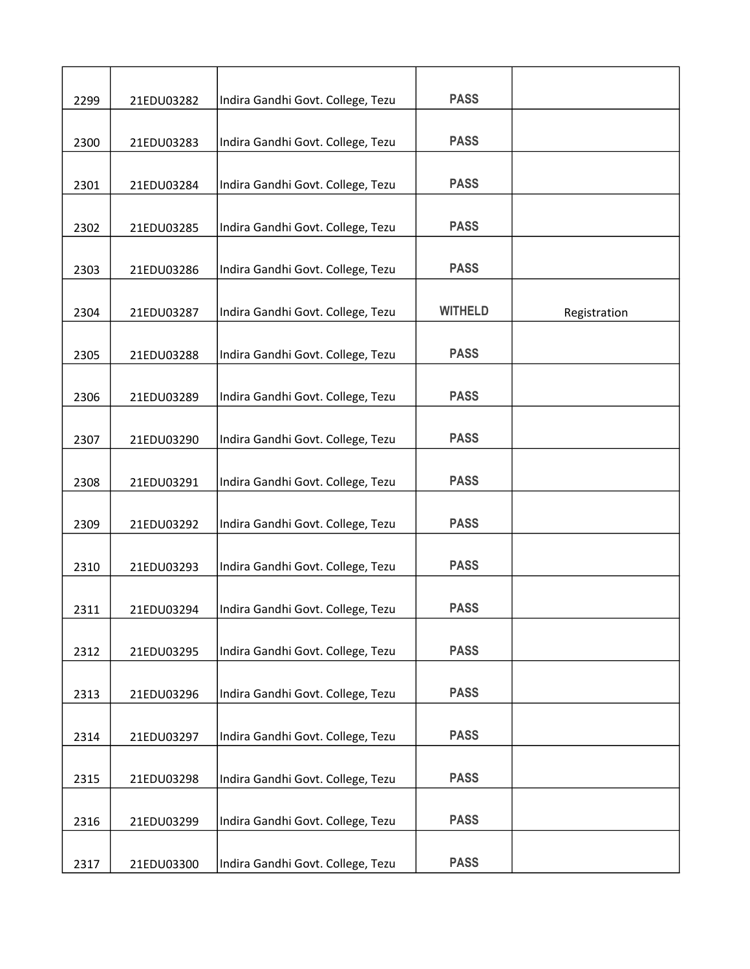| 2299 | 21EDU03282 | Indira Gandhi Govt. College, Tezu | <b>PASS</b>    |              |
|------|------------|-----------------------------------|----------------|--------------|
| 2300 | 21EDU03283 | Indira Gandhi Govt. College, Tezu | <b>PASS</b>    |              |
| 2301 | 21EDU03284 | Indira Gandhi Govt. College, Tezu | <b>PASS</b>    |              |
|      |            |                                   |                |              |
| 2302 | 21EDU03285 | Indira Gandhi Govt. College, Tezu | <b>PASS</b>    |              |
| 2303 | 21EDU03286 | Indira Gandhi Govt. College, Tezu | <b>PASS</b>    |              |
| 2304 | 21EDU03287 | Indira Gandhi Govt. College, Tezu | <b>WITHELD</b> | Registration |
| 2305 | 21EDU03288 | Indira Gandhi Govt. College, Tezu | <b>PASS</b>    |              |
| 2306 | 21EDU03289 | Indira Gandhi Govt. College, Tezu | <b>PASS</b>    |              |
| 2307 | 21EDU03290 | Indira Gandhi Govt. College, Tezu | <b>PASS</b>    |              |
| 2308 | 21EDU03291 | Indira Gandhi Govt. College, Tezu | <b>PASS</b>    |              |
|      |            |                                   |                |              |
| 2309 | 21EDU03292 | Indira Gandhi Govt. College, Tezu | <b>PASS</b>    |              |
| 2310 | 21EDU03293 | Indira Gandhi Govt. College, Tezu | <b>PASS</b>    |              |
| 2311 | 21EDU03294 | Indira Gandhi Govt. College, Tezu | <b>PASS</b>    |              |
| 2312 | 21EDU03295 | Indira Gandhi Govt. College, Tezu | <b>PASS</b>    |              |
| 2313 | 21EDU03296 | Indira Gandhi Govt. College, Tezu | <b>PASS</b>    |              |
| 2314 | 21EDU03297 | Indira Gandhi Govt. College, Tezu | <b>PASS</b>    |              |
|      |            |                                   |                |              |
| 2315 | 21EDU03298 | Indira Gandhi Govt. College, Tezu | <b>PASS</b>    |              |
| 2316 | 21EDU03299 | Indira Gandhi Govt. College, Tezu | <b>PASS</b>    |              |
| 2317 | 21EDU03300 | Indira Gandhi Govt. College, Tezu | <b>PASS</b>    |              |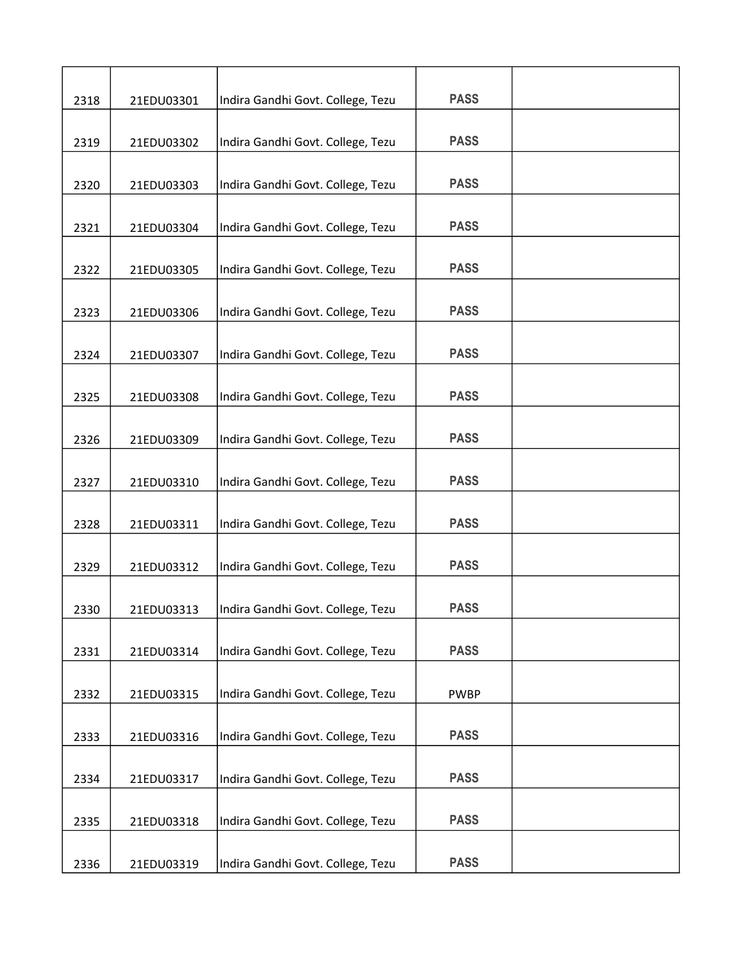| 2318 | 21EDU03301 | Indira Gandhi Govt. College, Tezu | <b>PASS</b> |  |
|------|------------|-----------------------------------|-------------|--|
| 2319 | 21EDU03302 | Indira Gandhi Govt. College, Tezu | <b>PASS</b> |  |
|      |            |                                   |             |  |
| 2320 | 21EDU03303 | Indira Gandhi Govt. College, Tezu | <b>PASS</b> |  |
| 2321 | 21EDU03304 | Indira Gandhi Govt. College, Tezu | <b>PASS</b> |  |
| 2322 | 21EDU03305 | Indira Gandhi Govt. College, Tezu | <b>PASS</b> |  |
| 2323 | 21EDU03306 | Indira Gandhi Govt. College, Tezu | <b>PASS</b> |  |
| 2324 | 21EDU03307 | Indira Gandhi Govt. College, Tezu | <b>PASS</b> |  |
| 2325 | 21EDU03308 | Indira Gandhi Govt. College, Tezu | <b>PASS</b> |  |
| 2326 | 21EDU03309 | Indira Gandhi Govt. College, Tezu | <b>PASS</b> |  |
| 2327 | 21EDU03310 | Indira Gandhi Govt. College, Tezu | <b>PASS</b> |  |
| 2328 | 21EDU03311 | Indira Gandhi Govt. College, Tezu | <b>PASS</b> |  |
| 2329 | 21EDU03312 | Indira Gandhi Govt. College, Tezu | <b>PASS</b> |  |
| 2330 | 21EDU03313 | Indira Gandhi Govt. College, Tezu | <b>PASS</b> |  |
| 2331 | 21EDU03314 | Indira Gandhi Govt. College, Tezu | <b>PASS</b> |  |
| 2332 | 21EDU03315 | Indira Gandhi Govt. College, Tezu | <b>PWBP</b> |  |
| 2333 | 21EDU03316 | Indira Gandhi Govt. College, Tezu | <b>PASS</b> |  |
| 2334 | 21EDU03317 | Indira Gandhi Govt. College, Tezu | <b>PASS</b> |  |
| 2335 | 21EDU03318 | Indira Gandhi Govt. College, Tezu | <b>PASS</b> |  |
| 2336 | 21EDU03319 | Indira Gandhi Govt. College, Tezu | <b>PASS</b> |  |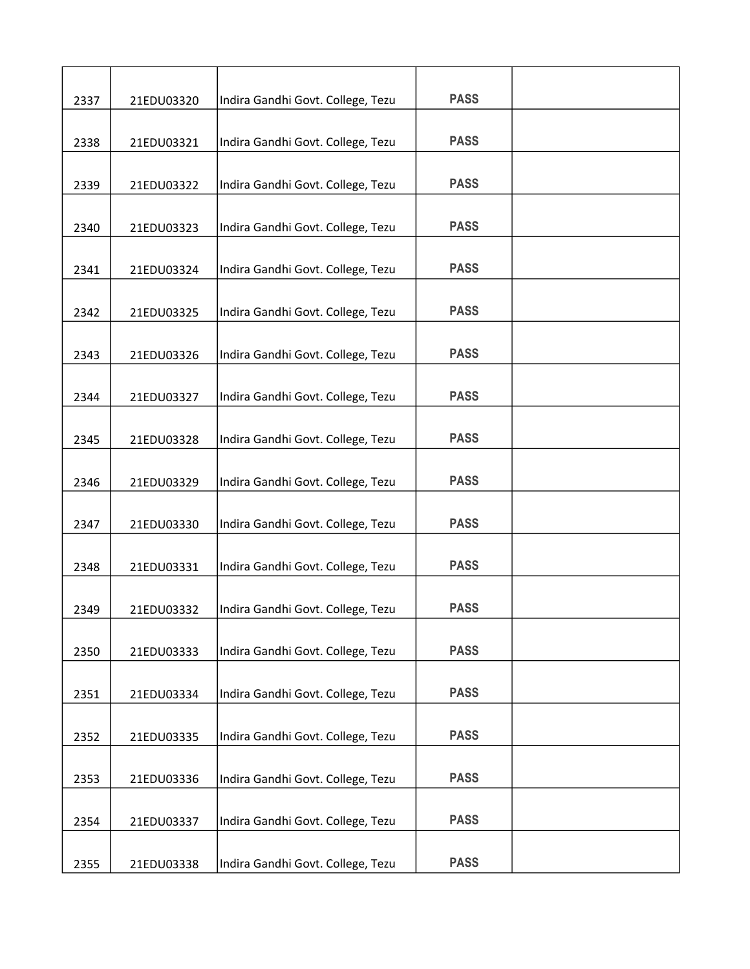| 2337 | 21EDU03320 | Indira Gandhi Govt. College, Tezu | <b>PASS</b> |  |
|------|------------|-----------------------------------|-------------|--|
|      |            |                                   |             |  |
| 2338 | 21EDU03321 | Indira Gandhi Govt. College, Tezu | <b>PASS</b> |  |
| 2339 | 21EDU03322 | Indira Gandhi Govt. College, Tezu | <b>PASS</b> |  |
| 2340 | 21EDU03323 | Indira Gandhi Govt. College, Tezu | <b>PASS</b> |  |
| 2341 | 21EDU03324 | Indira Gandhi Govt. College, Tezu | <b>PASS</b> |  |
| 2342 | 21EDU03325 | Indira Gandhi Govt. College, Tezu | <b>PASS</b> |  |
| 2343 | 21EDU03326 | Indira Gandhi Govt. College, Tezu | <b>PASS</b> |  |
| 2344 | 21EDU03327 | Indira Gandhi Govt. College, Tezu | <b>PASS</b> |  |
| 2345 | 21EDU03328 | Indira Gandhi Govt. College, Tezu | <b>PASS</b> |  |
| 2346 | 21EDU03329 | Indira Gandhi Govt. College, Tezu | <b>PASS</b> |  |
| 2347 | 21EDU03330 | Indira Gandhi Govt. College, Tezu | <b>PASS</b> |  |
| 2348 | 21EDU03331 | Indira Gandhi Govt. College, Tezu | <b>PASS</b> |  |
| 2349 | 21EDU03332 | Indira Gandhi Govt. College, Tezu | <b>PASS</b> |  |
| 2350 | 21EDU03333 | Indira Gandhi Govt. College, Tezu | <b>PASS</b> |  |
| 2351 | 21EDU03334 | Indira Gandhi Govt. College, Tezu | <b>PASS</b> |  |
| 2352 | 21EDU03335 | Indira Gandhi Govt. College, Tezu | <b>PASS</b> |  |
| 2353 | 21EDU03336 | Indira Gandhi Govt. College, Tezu | <b>PASS</b> |  |
| 2354 | 21EDU03337 | Indira Gandhi Govt. College, Tezu | <b>PASS</b> |  |
| 2355 | 21EDU03338 | Indira Gandhi Govt. College, Tezu | <b>PASS</b> |  |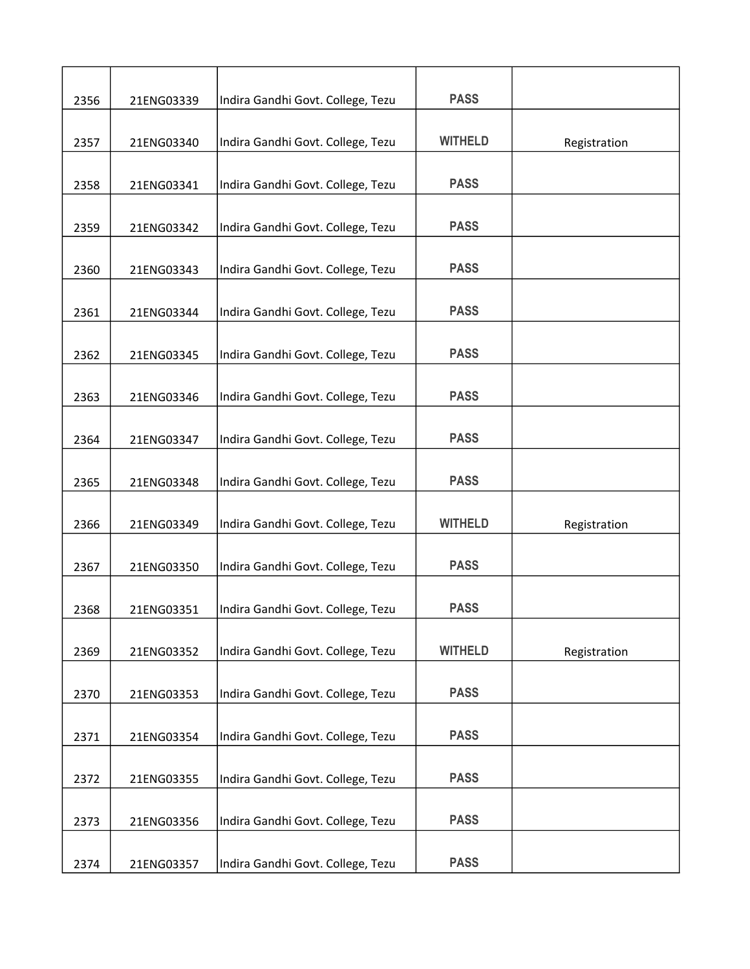| 2356 | 21ENG03339 | Indira Gandhi Govt. College, Tezu | <b>PASS</b>    |              |
|------|------------|-----------------------------------|----------------|--------------|
|      |            |                                   |                |              |
| 2357 | 21ENG03340 | Indira Gandhi Govt. College, Tezu | <b>WITHELD</b> | Registration |
| 2358 | 21ENG03341 | Indira Gandhi Govt. College, Tezu | <b>PASS</b>    |              |
|      |            |                                   |                |              |
| 2359 | 21ENG03342 | Indira Gandhi Govt. College, Tezu | <b>PASS</b>    |              |
| 2360 | 21ENG03343 | Indira Gandhi Govt. College, Tezu | <b>PASS</b>    |              |
|      |            |                                   |                |              |
| 2361 | 21ENG03344 | Indira Gandhi Govt. College, Tezu | <b>PASS</b>    |              |
| 2362 | 21ENG03345 | Indira Gandhi Govt. College, Tezu | <b>PASS</b>    |              |
|      |            |                                   |                |              |
| 2363 | 21ENG03346 | Indira Gandhi Govt. College, Tezu | <b>PASS</b>    |              |
| 2364 | 21ENG03347 | Indira Gandhi Govt. College, Tezu | <b>PASS</b>    |              |
|      |            |                                   |                |              |
| 2365 | 21ENG03348 | Indira Gandhi Govt. College, Tezu | <b>PASS</b>    |              |
| 2366 | 21ENG03349 | Indira Gandhi Govt. College, Tezu | <b>WITHELD</b> | Registration |
|      |            |                                   |                |              |
| 2367 | 21ENG03350 | Indira Gandhi Govt. College, Tezu | <b>PASS</b>    |              |
| 2368 | 21ENG03351 | Indira Gandhi Govt. College, Tezu | <b>PASS</b>    |              |
|      |            |                                   |                |              |
| 2369 | 21ENG03352 | Indira Gandhi Govt. College, Tezu | <b>WITHELD</b> | Registration |
|      |            |                                   | <b>PASS</b>    |              |
| 2370 | 21ENG03353 | Indira Gandhi Govt. College, Tezu |                |              |
| 2371 | 21ENG03354 | Indira Gandhi Govt. College, Tezu | <b>PASS</b>    |              |
|      |            |                                   | <b>PASS</b>    |              |
| 2372 | 21ENG03355 | Indira Gandhi Govt. College, Tezu |                |              |
| 2373 | 21ENG03356 | Indira Gandhi Govt. College, Tezu | <b>PASS</b>    |              |
|      |            |                                   |                |              |
| 2374 | 21ENG03357 | Indira Gandhi Govt. College, Tezu | <b>PASS</b>    |              |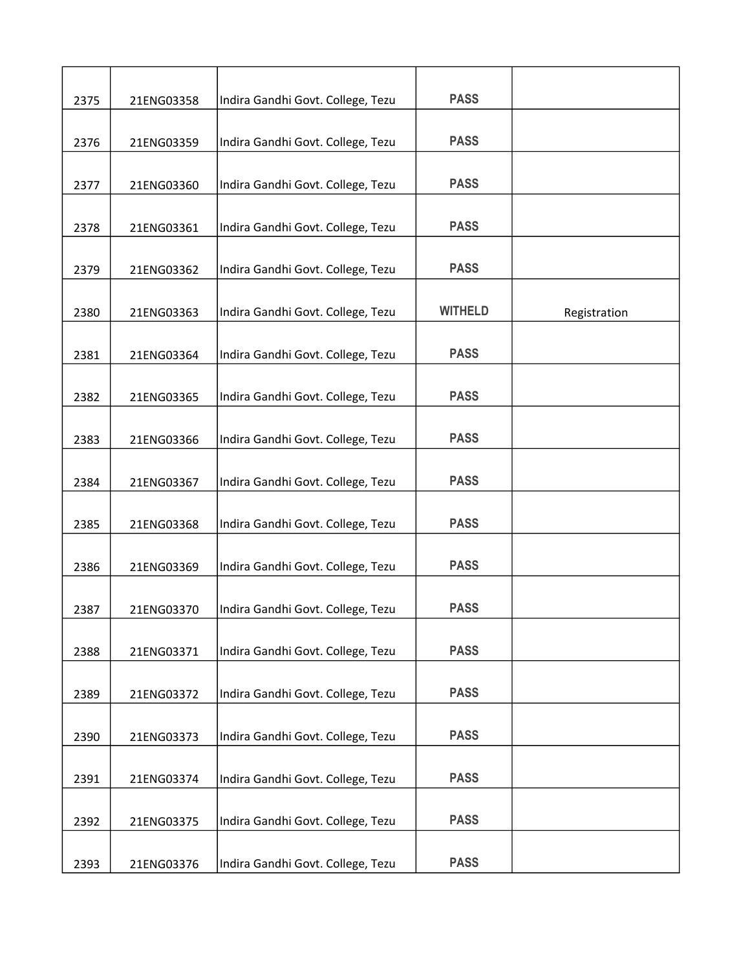| 2375 | 21ENG03358 | Indira Gandhi Govt. College, Tezu | <b>PASS</b>    |              |
|------|------------|-----------------------------------|----------------|--------------|
| 2376 | 21ENG03359 | Indira Gandhi Govt. College, Tezu | <b>PASS</b>    |              |
| 2377 | 21ENG03360 | Indira Gandhi Govt. College, Tezu | <b>PASS</b>    |              |
| 2378 | 21ENG03361 | Indira Gandhi Govt. College, Tezu | <b>PASS</b>    |              |
| 2379 | 21ENG03362 | Indira Gandhi Govt. College, Tezu | <b>PASS</b>    |              |
|      |            |                                   |                |              |
| 2380 | 21ENG03363 | Indira Gandhi Govt. College, Tezu | <b>WITHELD</b> | Registration |
| 2381 | 21ENG03364 | Indira Gandhi Govt. College, Tezu | <b>PASS</b>    |              |
| 2382 | 21ENG03365 | Indira Gandhi Govt. College, Tezu | <b>PASS</b>    |              |
| 2383 | 21ENG03366 | Indira Gandhi Govt. College, Tezu | <b>PASS</b>    |              |
| 2384 | 21ENG03367 | Indira Gandhi Govt. College, Tezu | <b>PASS</b>    |              |
| 2385 | 21ENG03368 | Indira Gandhi Govt. College, Tezu | <b>PASS</b>    |              |
| 2386 | 21ENG03369 | Indira Gandhi Govt. College, Tezu | <b>PASS</b>    |              |
| 2387 | 21ENG03370 | Indira Gandhi Govt. College, Tezu | <b>PASS</b>    |              |
|      |            |                                   |                |              |
| 2388 | 21ENG03371 | Indira Gandhi Govt. College, Tezu | <b>PASS</b>    |              |
| 2389 | 21ENG03372 | Indira Gandhi Govt. College, Tezu | <b>PASS</b>    |              |
| 2390 | 21ENG03373 | Indira Gandhi Govt. College, Tezu | <b>PASS</b>    |              |
| 2391 | 21ENG03374 | Indira Gandhi Govt. College, Tezu | <b>PASS</b>    |              |
| 2392 | 21ENG03375 | Indira Gandhi Govt. College, Tezu | <b>PASS</b>    |              |
| 2393 | 21ENG03376 | Indira Gandhi Govt. College, Tezu | <b>PASS</b>    |              |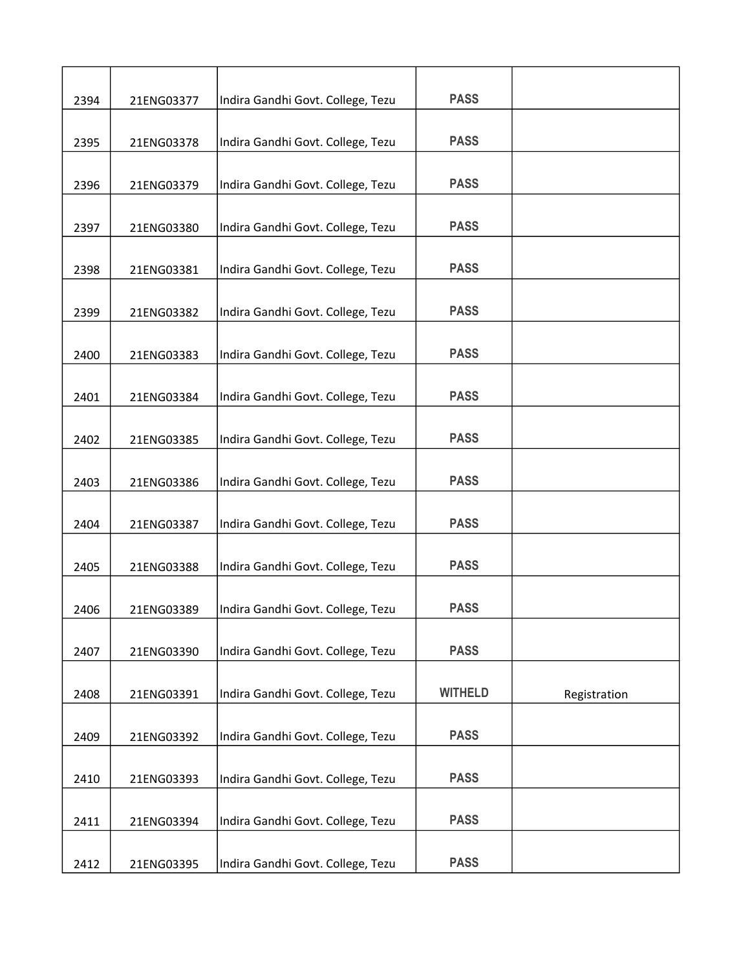| 2394 | 21ENG03377 | Indira Gandhi Govt. College, Tezu | <b>PASS</b>    |              |
|------|------------|-----------------------------------|----------------|--------------|
|      |            |                                   |                |              |
| 2395 | 21ENG03378 | Indira Gandhi Govt. College, Tezu | <b>PASS</b>    |              |
| 2396 | 21ENG03379 | Indira Gandhi Govt. College, Tezu | <b>PASS</b>    |              |
| 2397 | 21ENG03380 | Indira Gandhi Govt. College, Tezu | <b>PASS</b>    |              |
| 2398 | 21ENG03381 | Indira Gandhi Govt. College, Tezu | <b>PASS</b>    |              |
|      |            |                                   |                |              |
| 2399 | 21ENG03382 | Indira Gandhi Govt. College, Tezu | <b>PASS</b>    |              |
| 2400 | 21ENG03383 | Indira Gandhi Govt. College, Tezu | <b>PASS</b>    |              |
| 2401 | 21ENG03384 | Indira Gandhi Govt. College, Tezu | <b>PASS</b>    |              |
|      |            |                                   |                |              |
| 2402 | 21ENG03385 | Indira Gandhi Govt. College, Tezu | <b>PASS</b>    |              |
| 2403 | 21ENG03386 | Indira Gandhi Govt. College, Tezu | <b>PASS</b>    |              |
| 2404 | 21ENG03387 | Indira Gandhi Govt. College, Tezu | <b>PASS</b>    |              |
| 2405 | 21ENG03388 | Indira Gandhi Govt. College, Tezu | <b>PASS</b>    |              |
|      |            |                                   | <b>PASS</b>    |              |
| 2406 | 21ENG03389 | Indira Gandhi Govt. College, Tezu |                |              |
| 2407 | 21ENG03390 | Indira Gandhi Govt. College, Tezu | <b>PASS</b>    |              |
| 2408 | 21ENG03391 | Indira Gandhi Govt. College, Tezu | <b>WITHELD</b> | Registration |
|      |            |                                   |                |              |
| 2409 | 21ENG03392 | Indira Gandhi Govt. College, Tezu | <b>PASS</b>    |              |
| 2410 | 21ENG03393 | Indira Gandhi Govt. College, Tezu | <b>PASS</b>    |              |
|      |            |                                   |                |              |
| 2411 | 21ENG03394 | Indira Gandhi Govt. College, Tezu | <b>PASS</b>    |              |
| 2412 | 21ENG03395 | Indira Gandhi Govt. College, Tezu | <b>PASS</b>    |              |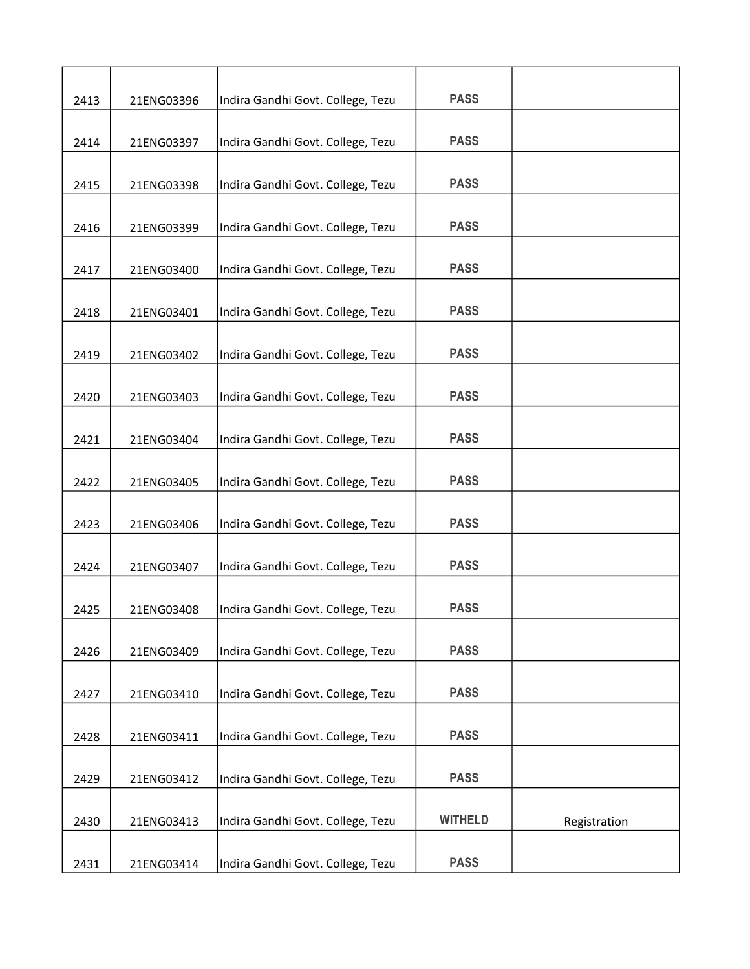| 2413 | 21ENG03396 | Indira Gandhi Govt. College, Tezu | <b>PASS</b>    |              |
|------|------------|-----------------------------------|----------------|--------------|
| 2414 | 21ENG03397 | Indira Gandhi Govt. College, Tezu | <b>PASS</b>    |              |
|      |            |                                   | <b>PASS</b>    |              |
| 2415 | 21ENG03398 | Indira Gandhi Govt. College, Tezu |                |              |
| 2416 | 21ENG03399 | Indira Gandhi Govt. College, Tezu | <b>PASS</b>    |              |
| 2417 | 21ENG03400 | Indira Gandhi Govt. College, Tezu | <b>PASS</b>    |              |
| 2418 | 21ENG03401 | Indira Gandhi Govt. College, Tezu | <b>PASS</b>    |              |
| 2419 | 21ENG03402 | Indira Gandhi Govt. College, Tezu | <b>PASS</b>    |              |
| 2420 | 21ENG03403 | Indira Gandhi Govt. College, Tezu | <b>PASS</b>    |              |
| 2421 | 21ENG03404 | Indira Gandhi Govt. College, Tezu | <b>PASS</b>    |              |
| 2422 | 21ENG03405 | Indira Gandhi Govt. College, Tezu | <b>PASS</b>    |              |
| 2423 | 21ENG03406 | Indira Gandhi Govt. College, Tezu | <b>PASS</b>    |              |
| 2424 | 21ENG03407 | Indira Gandhi Govt. College, Tezu | <b>PASS</b>    |              |
| 2425 | 21ENG03408 | Indira Gandhi Govt. College, Tezu | <b>PASS</b>    |              |
| 2426 | 21ENG03409 | Indira Gandhi Govt. College, Tezu | <b>PASS</b>    |              |
| 2427 | 21ENG03410 | Indira Gandhi Govt. College, Tezu | <b>PASS</b>    |              |
| 2428 | 21ENG03411 | Indira Gandhi Govt. College, Tezu | <b>PASS</b>    |              |
| 2429 | 21ENG03412 | Indira Gandhi Govt. College, Tezu | <b>PASS</b>    |              |
| 2430 | 21ENG03413 | Indira Gandhi Govt. College, Tezu | <b>WITHELD</b> | Registration |
| 2431 | 21ENG03414 | Indira Gandhi Govt. College, Tezu | <b>PASS</b>    |              |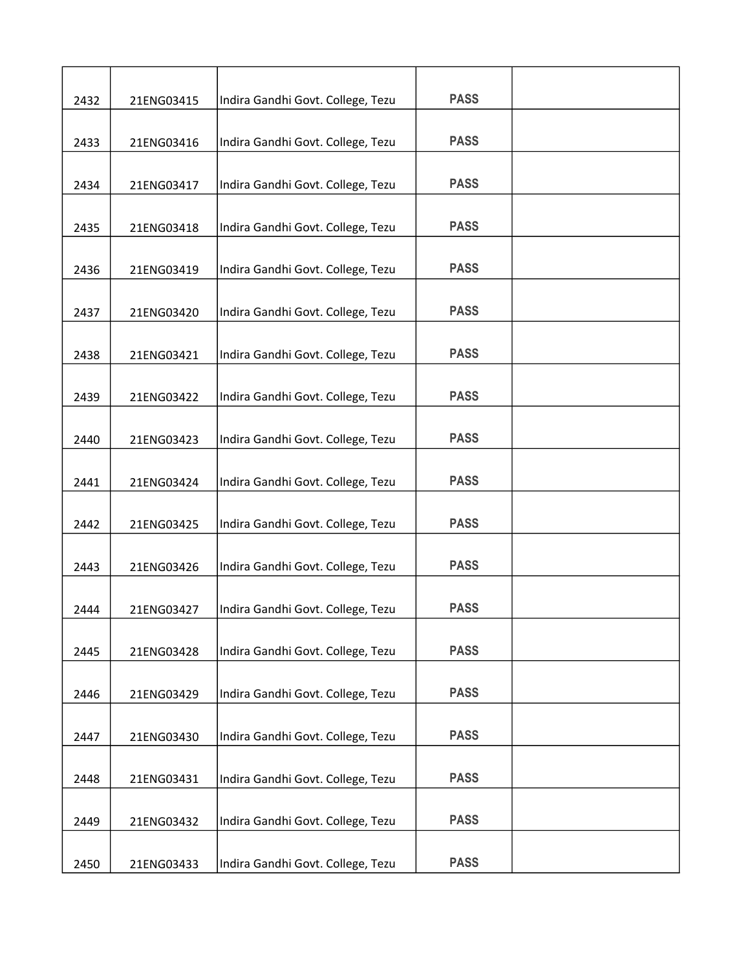| 2432 | 21ENG03415 | Indira Gandhi Govt. College, Tezu | <b>PASS</b> |  |
|------|------------|-----------------------------------|-------------|--|
|      |            |                                   |             |  |
| 2433 | 21ENG03416 | Indira Gandhi Govt. College, Tezu | <b>PASS</b> |  |
| 2434 | 21ENG03417 | Indira Gandhi Govt. College, Tezu | <b>PASS</b> |  |
| 2435 | 21ENG03418 | Indira Gandhi Govt. College, Tezu | <b>PASS</b> |  |
| 2436 | 21ENG03419 | Indira Gandhi Govt. College, Tezu | <b>PASS</b> |  |
|      |            |                                   |             |  |
| 2437 | 21ENG03420 | Indira Gandhi Govt. College, Tezu | <b>PASS</b> |  |
| 2438 | 21ENG03421 | Indira Gandhi Govt. College, Tezu | <b>PASS</b> |  |
| 2439 | 21ENG03422 | Indira Gandhi Govt. College, Tezu | <b>PASS</b> |  |
|      |            |                                   | <b>PASS</b> |  |
| 2440 | 21ENG03423 | Indira Gandhi Govt. College, Tezu |             |  |
| 2441 | 21ENG03424 | Indira Gandhi Govt. College, Tezu | <b>PASS</b> |  |
| 2442 | 21ENG03425 | Indira Gandhi Govt. College, Tezu | <b>PASS</b> |  |
| 2443 | 21ENG03426 | Indira Gandhi Govt. College, Tezu | <b>PASS</b> |  |
| 2444 | 21ENG03427 | Indira Gandhi Govt. College, Tezu | <b>PASS</b> |  |
|      |            | Indira Gandhi Govt. College, Tezu | <b>PASS</b> |  |
| 2445 | 21ENG03428 |                                   |             |  |
| 2446 | 21ENG03429 | Indira Gandhi Govt. College, Tezu | <b>PASS</b> |  |
| 2447 | 21ENG03430 | Indira Gandhi Govt. College, Tezu | <b>PASS</b> |  |
| 2448 | 21ENG03431 | Indira Gandhi Govt. College, Tezu | <b>PASS</b> |  |
|      |            |                                   |             |  |
| 2449 | 21ENG03432 | Indira Gandhi Govt. College, Tezu | <b>PASS</b> |  |
| 2450 | 21ENG03433 | Indira Gandhi Govt. College, Tezu | <b>PASS</b> |  |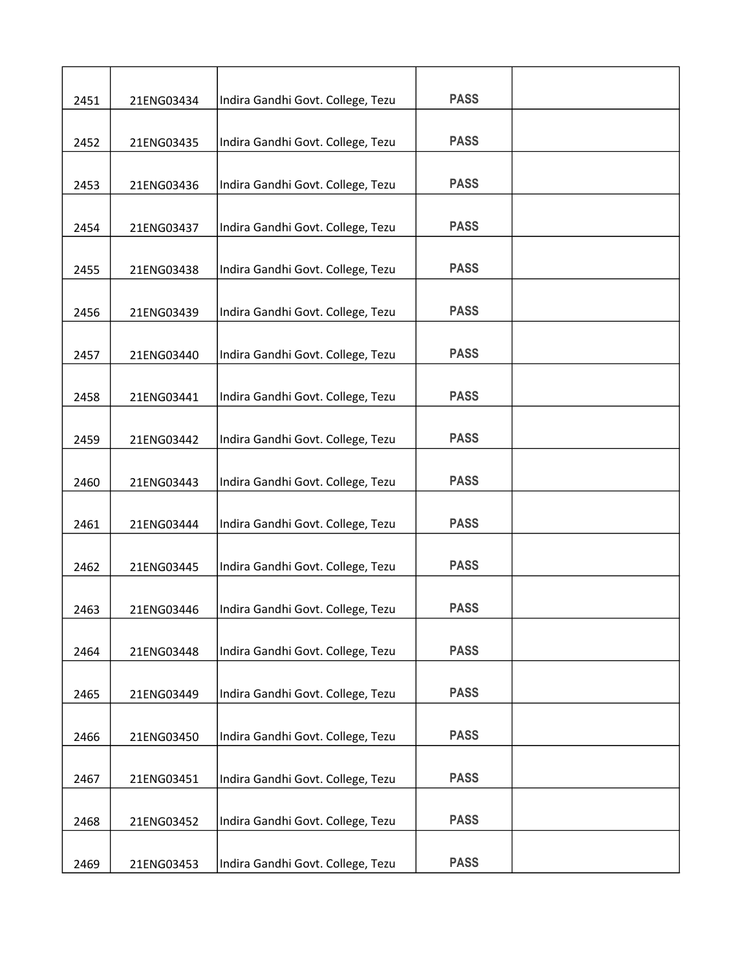| 2451 | 21ENG03434 | Indira Gandhi Govt. College, Tezu | <b>PASS</b> |  |
|------|------------|-----------------------------------|-------------|--|
| 2452 | 21ENG03435 | Indira Gandhi Govt. College, Tezu | <b>PASS</b> |  |
|      |            |                                   |             |  |
| 2453 | 21ENG03436 | Indira Gandhi Govt. College, Tezu | <b>PASS</b> |  |
| 2454 | 21ENG03437 | Indira Gandhi Govt. College, Tezu | <b>PASS</b> |  |
| 2455 | 21ENG03438 | Indira Gandhi Govt. College, Tezu | <b>PASS</b> |  |
| 2456 | 21ENG03439 | Indira Gandhi Govt. College, Tezu | <b>PASS</b> |  |
| 2457 | 21ENG03440 | Indira Gandhi Govt. College, Tezu | <b>PASS</b> |  |
| 2458 | 21ENG03441 | Indira Gandhi Govt. College, Tezu | <b>PASS</b> |  |
| 2459 | 21ENG03442 | Indira Gandhi Govt. College, Tezu | <b>PASS</b> |  |
| 2460 | 21ENG03443 | Indira Gandhi Govt. College, Tezu | <b>PASS</b> |  |
| 2461 | 21ENG03444 | Indira Gandhi Govt. College, Tezu | <b>PASS</b> |  |
| 2462 | 21ENG03445 | Indira Gandhi Govt. College, Tezu | <b>PASS</b> |  |
| 2463 | 21ENG03446 | Indira Gandhi Govt. College, Tezu | <b>PASS</b> |  |
| 2464 | 21ENG03448 | Indira Gandhi Govt. College, Tezu | <b>PASS</b> |  |
| 2465 | 21ENG03449 | Indira Gandhi Govt. College, Tezu | <b>PASS</b> |  |
| 2466 | 21ENG03450 | Indira Gandhi Govt. College, Tezu | <b>PASS</b> |  |
| 2467 | 21ENG03451 | Indira Gandhi Govt. College, Tezu | <b>PASS</b> |  |
| 2468 | 21ENG03452 | Indira Gandhi Govt. College, Tezu | <b>PASS</b> |  |
| 2469 | 21ENG03453 | Indira Gandhi Govt. College, Tezu | <b>PASS</b> |  |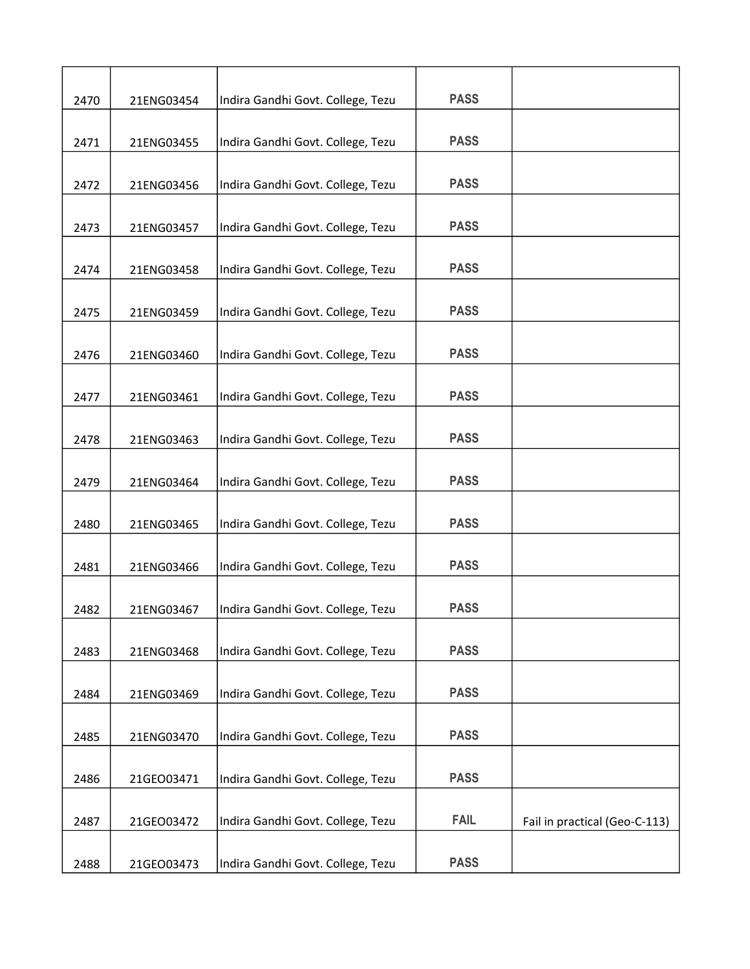| 2470 | 21ENG03454 | Indira Gandhi Govt. College, Tezu | <b>PASS</b> |                               |
|------|------------|-----------------------------------|-------------|-------------------------------|
|      |            |                                   |             |                               |
| 2471 | 21ENG03455 | Indira Gandhi Govt. College, Tezu | <b>PASS</b> |                               |
| 2472 | 21ENG03456 | Indira Gandhi Govt. College, Tezu | <b>PASS</b> |                               |
| 2473 | 21ENG03457 | Indira Gandhi Govt. College, Tezu | <b>PASS</b> |                               |
| 2474 | 21ENG03458 | Indira Gandhi Govt. College, Tezu | <b>PASS</b> |                               |
|      |            |                                   |             |                               |
| 2475 | 21ENG03459 | Indira Gandhi Govt. College, Tezu | <b>PASS</b> |                               |
| 2476 | 21ENG03460 | Indira Gandhi Govt. College, Tezu | <b>PASS</b> |                               |
| 2477 | 21ENG03461 | Indira Gandhi Govt. College, Tezu | <b>PASS</b> |                               |
| 2478 | 21ENG03463 | Indira Gandhi Govt. College, Tezu | <b>PASS</b> |                               |
|      |            |                                   |             |                               |
| 2479 | 21ENG03464 | Indira Gandhi Govt. College, Tezu | <b>PASS</b> |                               |
| 2480 | 21ENG03465 | Indira Gandhi Govt. College, Tezu | <b>PASS</b> |                               |
| 2481 | 21ENG03466 | Indira Gandhi Govt. College, Tezu | <b>PASS</b> |                               |
| 2482 | 21ENG03467 | Indira Gandhi Govt. College, Tezu | <b>PASS</b> |                               |
| 2483 | 21ENG03468 | Indira Gandhi Govt. College, Tezu | <b>PASS</b> |                               |
| 2484 | 21ENG03469 | Indira Gandhi Govt. College, Tezu | <b>PASS</b> |                               |
|      |            |                                   |             |                               |
| 2485 | 21ENG03470 | Indira Gandhi Govt. College, Tezu | <b>PASS</b> |                               |
| 2486 | 21GEO03471 | Indira Gandhi Govt. College, Tezu | <b>PASS</b> |                               |
|      |            |                                   |             |                               |
| 2487 | 21GEO03472 | Indira Gandhi Govt. College, Tezu | <b>FAIL</b> | Fail in practical (Geo-C-113) |
| 2488 | 21GEO03473 | Indira Gandhi Govt. College, Tezu | <b>PASS</b> |                               |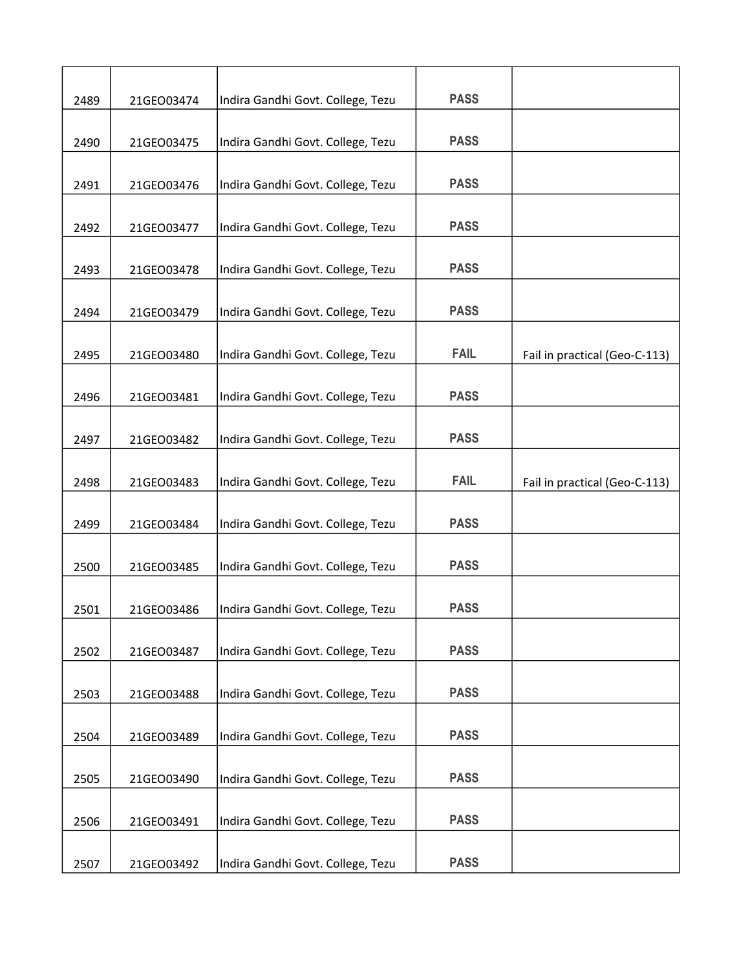| 2489 | 21GEO03474 | Indira Gandhi Govt. College, Tezu | <b>PASS</b> |                               |
|------|------------|-----------------------------------|-------------|-------------------------------|
|      |            |                                   |             |                               |
| 2490 | 21GEO03475 | Indira Gandhi Govt. College, Tezu | <b>PASS</b> |                               |
| 2491 | 21GEO03476 | Indira Gandhi Govt. College, Tezu | <b>PASS</b> |                               |
| 2492 | 21GEO03477 | Indira Gandhi Govt. College, Tezu | <b>PASS</b> |                               |
| 2493 | 21GEO03478 | Indira Gandhi Govt. College, Tezu | <b>PASS</b> |                               |
|      |            |                                   |             |                               |
| 2494 | 21GEO03479 | Indira Gandhi Govt. College, Tezu | <b>PASS</b> |                               |
| 2495 | 21GEO03480 | Indira Gandhi Govt. College, Tezu | <b>FAIL</b> | Fail in practical (Geo-C-113) |
| 2496 | 21GEO03481 | Indira Gandhi Govt. College, Tezu | <b>PASS</b> |                               |
| 2497 | 21GEO03482 | Indira Gandhi Govt. College, Tezu | <b>PASS</b> |                               |
| 2498 | 21GEO03483 | Indira Gandhi Govt. College, Tezu | <b>FAIL</b> | Fail in practical (Geo-C-113) |
| 2499 | 21GEO03484 | Indira Gandhi Govt. College, Tezu | <b>PASS</b> |                               |
| 2500 | 21GEO03485 | Indira Gandhi Govt. College, Tezu | <b>PASS</b> |                               |
| 2501 | 21GEO03486 | Indira Gandhi Govt. College, Tezu | <b>PASS</b> |                               |
| 2502 | 21GEO03487 | Indira Gandhi Govt. College, Tezu | <b>PASS</b> |                               |
| 2503 | 21GEO03488 | Indira Gandhi Govt. College, Tezu | <b>PASS</b> |                               |
| 2504 | 21GEO03489 | Indira Gandhi Govt. College, Tezu | <b>PASS</b> |                               |
| 2505 | 21GEO03490 | Indira Gandhi Govt. College, Tezu | <b>PASS</b> |                               |
| 2506 | 21GEO03491 | Indira Gandhi Govt. College, Tezu | <b>PASS</b> |                               |
| 2507 | 21GEO03492 | Indira Gandhi Govt. College, Tezu | <b>PASS</b> |                               |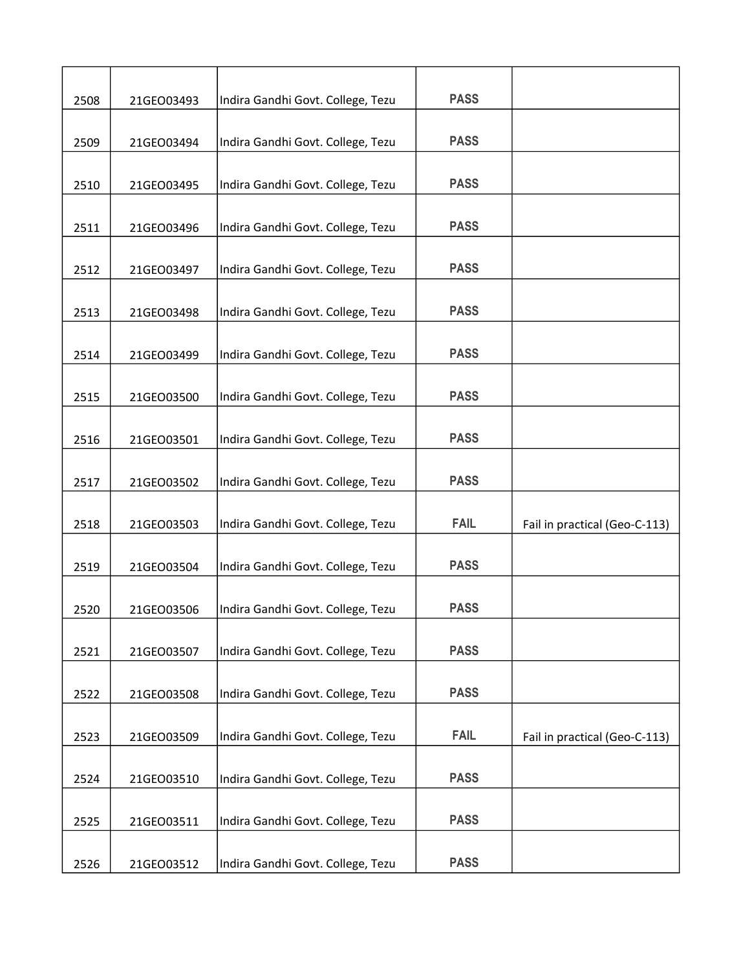| 2508 | 21GEO03493 | Indira Gandhi Govt. College, Tezu | <b>PASS</b> |                               |
|------|------------|-----------------------------------|-------------|-------------------------------|
| 2509 | 21GEO03494 | Indira Gandhi Govt. College, Tezu | <b>PASS</b> |                               |
| 2510 | 21GEO03495 | Indira Gandhi Govt. College, Tezu | <b>PASS</b> |                               |
| 2511 | 21GEO03496 | Indira Gandhi Govt. College, Tezu | <b>PASS</b> |                               |
| 2512 | 21GEO03497 | Indira Gandhi Govt. College, Tezu | <b>PASS</b> |                               |
| 2513 | 21GEO03498 | Indira Gandhi Govt. College, Tezu | <b>PASS</b> |                               |
| 2514 | 21GEO03499 | Indira Gandhi Govt. College, Tezu | <b>PASS</b> |                               |
| 2515 | 21GEO03500 | Indira Gandhi Govt. College, Tezu | <b>PASS</b> |                               |
| 2516 | 21GEO03501 | Indira Gandhi Govt. College, Tezu | <b>PASS</b> |                               |
| 2517 | 21GEO03502 | Indira Gandhi Govt. College, Tezu | <b>PASS</b> |                               |
| 2518 | 21GEO03503 | Indira Gandhi Govt. College, Tezu | <b>FAIL</b> | Fail in practical (Geo-C-113) |
| 2519 | 21GEO03504 | Indira Gandhi Govt. College, Tezu | <b>PASS</b> |                               |
| 2520 | 21GEO03506 | Indira Gandhi Govt. College, Tezu | <b>PASS</b> |                               |
| 2521 | 21GEO03507 | Indira Gandhi Govt. College, Tezu | <b>PASS</b> |                               |
| 2522 | 21GEO03508 | Indira Gandhi Govt. College, Tezu | <b>PASS</b> |                               |
| 2523 | 21GEO03509 | Indira Gandhi Govt. College, Tezu | <b>FAIL</b> | Fail in practical (Geo-C-113) |
| 2524 | 21GEO03510 | Indira Gandhi Govt. College, Tezu | <b>PASS</b> |                               |
| 2525 | 21GEO03511 | Indira Gandhi Govt. College, Tezu | <b>PASS</b> |                               |
| 2526 | 21GEO03512 | Indira Gandhi Govt. College, Tezu | <b>PASS</b> |                               |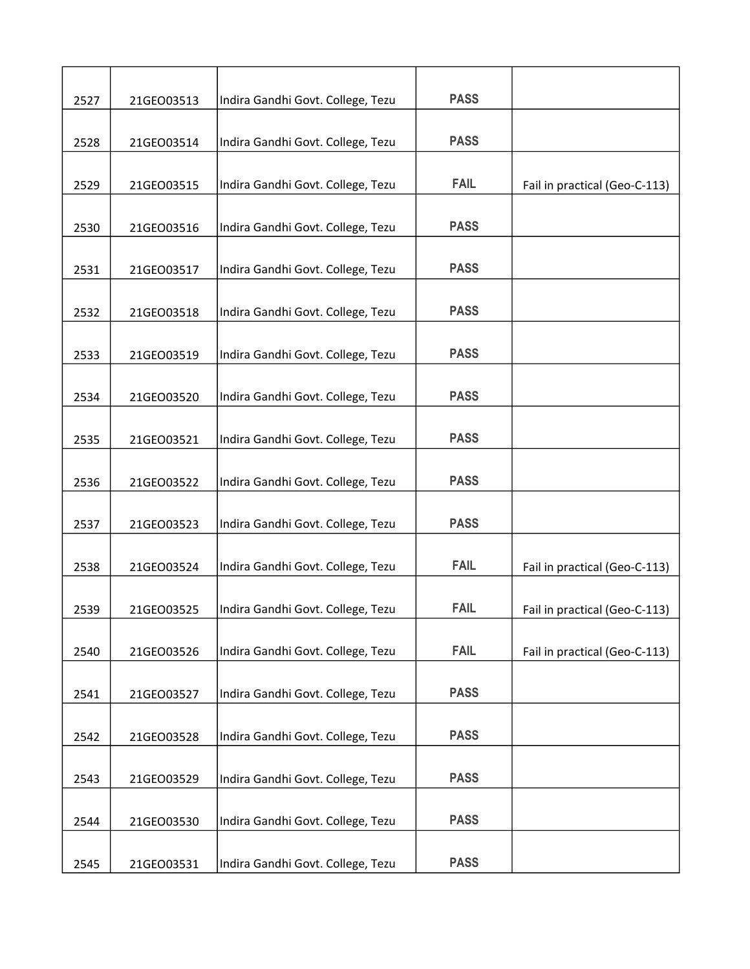| 2527 | 21GEO03513 | Indira Gandhi Govt. College, Tezu | <b>PASS</b> |                               |
|------|------------|-----------------------------------|-------------|-------------------------------|
|      |            | Indira Gandhi Govt. College, Tezu | <b>PASS</b> |                               |
| 2528 | 21GEO03514 |                                   |             |                               |
| 2529 | 21GEO03515 | Indira Gandhi Govt. College, Tezu | <b>FAIL</b> | Fail in practical (Geo-C-113) |
| 2530 | 21GEO03516 | Indira Gandhi Govt. College, Tezu | <b>PASS</b> |                               |
| 2531 | 21GEO03517 | Indira Gandhi Govt. College, Tezu | <b>PASS</b> |                               |
|      |            |                                   |             |                               |
| 2532 | 21GEO03518 | Indira Gandhi Govt. College, Tezu | <b>PASS</b> |                               |
| 2533 | 21GEO03519 | Indira Gandhi Govt. College, Tezu | <b>PASS</b> |                               |
| 2534 | 21GEO03520 | Indira Gandhi Govt. College, Tezu | <b>PASS</b> |                               |
|      |            |                                   |             |                               |
| 2535 | 21GEO03521 | Indira Gandhi Govt. College, Tezu | <b>PASS</b> |                               |
| 2536 | 21GEO03522 | Indira Gandhi Govt. College, Tezu | <b>PASS</b> |                               |
| 2537 | 21GEO03523 | Indira Gandhi Govt. College, Tezu | <b>PASS</b> |                               |
|      |            |                                   |             |                               |
| 2538 | 21GEO03524 | Indira Gandhi Govt. College, Tezu | <b>FAIL</b> | Fail in practical (Geo-C-113) |
| 2539 | 21GEO03525 | Indira Gandhi Govt. College, Tezu | <b>FAIL</b> | Fail in practical (Geo-C-113) |
|      |            |                                   |             |                               |
| 2540 | 21GEO03526 | Indira Gandhi Govt. College, Tezu | <b>FAIL</b> | Fail in practical (Geo-C-113) |
| 2541 | 21GEO03527 | Indira Gandhi Govt. College, Tezu | <b>PASS</b> |                               |
| 2542 | 21GEO03528 | Indira Gandhi Govt. College, Tezu | <b>PASS</b> |                               |
|      |            |                                   |             |                               |
| 2543 | 21GEO03529 | Indira Gandhi Govt. College, Tezu | <b>PASS</b> |                               |
| 2544 | 21GEO03530 | Indira Gandhi Govt. College, Tezu | <b>PASS</b> |                               |
|      |            |                                   |             |                               |
| 2545 | 21GEO03531 | Indira Gandhi Govt. College, Tezu | <b>PASS</b> |                               |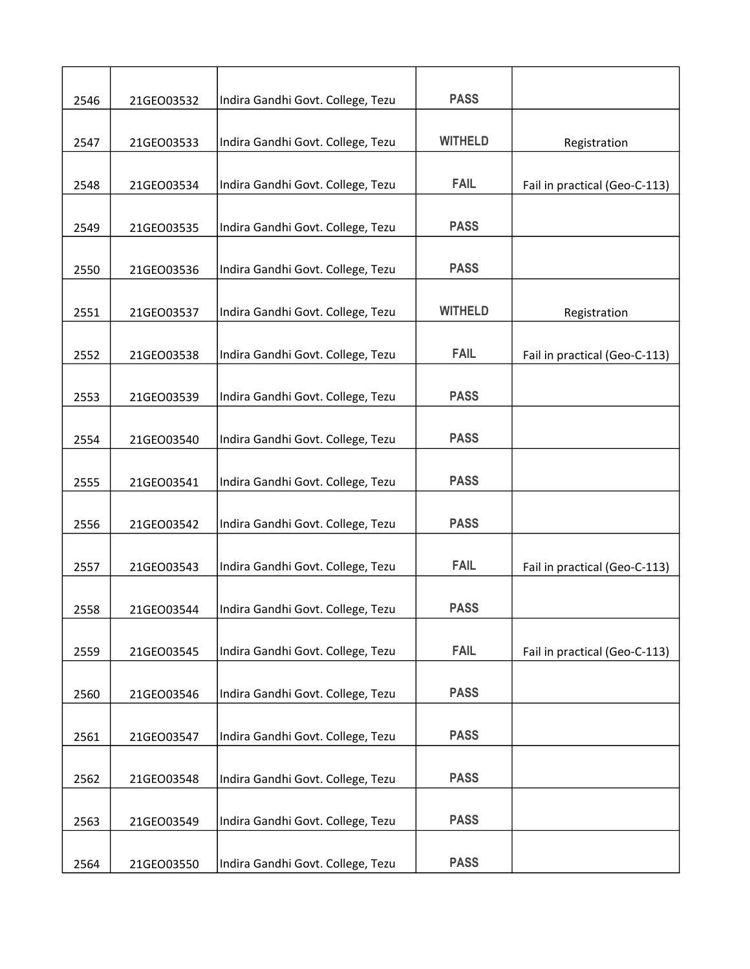| 2546 | 21GEO03532 | Indira Gandhi Govt. College, Tezu | <b>PASS</b>    |                               |
|------|------------|-----------------------------------|----------------|-------------------------------|
|      |            |                                   |                |                               |
| 2547 | 21GEO03533 | Indira Gandhi Govt. College, Tezu | <b>WITHELD</b> | Registration                  |
|      |            |                                   |                |                               |
| 2548 | 21GEO03534 | Indira Gandhi Govt. College, Tezu | <b>FAIL</b>    | Fail in practical (Geo-C-113) |
| 2549 | 21GEO03535 | Indira Gandhi Govt. College, Tezu | <b>PASS</b>    |                               |
| 2550 | 21GEO03536 | Indira Gandhi Govt. College, Tezu | <b>PASS</b>    |                               |
|      |            |                                   |                |                               |
| 2551 | 21GEO03537 | Indira Gandhi Govt. College, Tezu | <b>WITHELD</b> | Registration                  |
| 2552 | 21GEO03538 | Indira Gandhi Govt. College, Tezu | <b>FAIL</b>    | Fail in practical (Geo-C-113) |
| 2553 | 21GEO03539 | Indira Gandhi Govt. College, Tezu | <b>PASS</b>    |                               |
|      |            |                                   |                |                               |
| 2554 | 21GEO03540 | Indira Gandhi Govt. College, Tezu | <b>PASS</b>    |                               |
| 2555 | 21GEO03541 | Indira Gandhi Govt. College, Tezu | <b>PASS</b>    |                               |
| 2556 | 21GEO03542 | Indira Gandhi Govt. College, Tezu | <b>PASS</b>    |                               |
|      |            |                                   |                |                               |
| 2557 | 21GEO03543 | Indira Gandhi Govt. College, Tezu | <b>FAIL</b>    | Fail in practical (Geo-C-113) |
| 2558 | 21GEO03544 | Indira Gandhi Govt. College, Tezu | <b>PASS</b>    |                               |
| 2559 | 21GEO03545 | Indira Gandhi Govt. College, Tezu | <b>FAIL</b>    | Fail in practical (Geo-C-113) |
|      |            |                                   |                |                               |
| 2560 | 21GEO03546 | Indira Gandhi Govt. College, Tezu | <b>PASS</b>    |                               |
| 2561 | 21GEO03547 | Indira Gandhi Govt. College, Tezu | <b>PASS</b>    |                               |
| 2562 | 21GEO03548 | Indira Gandhi Govt. College, Tezu | <b>PASS</b>    |                               |
|      |            |                                   |                |                               |
| 2563 | 21GEO03549 | Indira Gandhi Govt. College, Tezu | <b>PASS</b>    |                               |
| 2564 | 21GEO03550 | Indira Gandhi Govt. College, Tezu | <b>PASS</b>    |                               |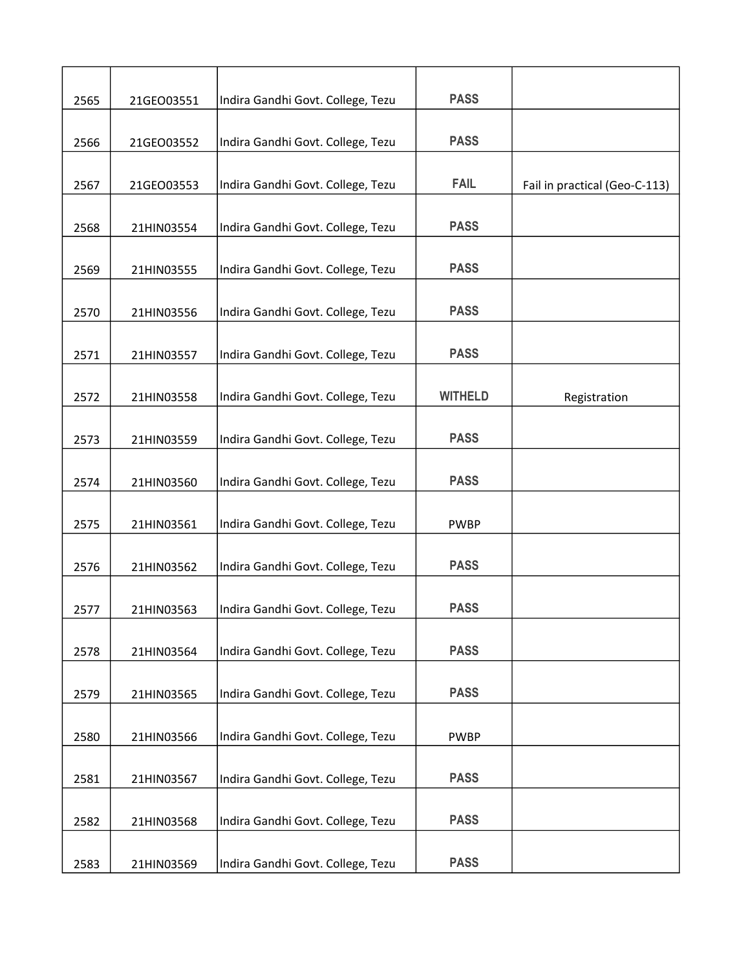| 2565 | 21GEO03551 | Indira Gandhi Govt. College, Tezu | <b>PASS</b>    |                               |
|------|------------|-----------------------------------|----------------|-------------------------------|
|      |            |                                   |                |                               |
| 2566 | 21GEO03552 | Indira Gandhi Govt. College, Tezu | <b>PASS</b>    |                               |
| 2567 | 21GEO03553 | Indira Gandhi Govt. College, Tezu | <b>FAIL</b>    | Fail in practical (Geo-C-113) |
| 2568 | 21HIN03554 | Indira Gandhi Govt. College, Tezu | <b>PASS</b>    |                               |
| 2569 | 21HIN03555 | Indira Gandhi Govt. College, Tezu | <b>PASS</b>    |                               |
| 2570 | 21HIN03556 | Indira Gandhi Govt. College, Tezu | <b>PASS</b>    |                               |
| 2571 | 21HIN03557 | Indira Gandhi Govt. College, Tezu | <b>PASS</b>    |                               |
| 2572 | 21HIN03558 | Indira Gandhi Govt. College, Tezu | <b>WITHELD</b> | Registration                  |
| 2573 | 21HIN03559 | Indira Gandhi Govt. College, Tezu | <b>PASS</b>    |                               |
| 2574 | 21HIN03560 | Indira Gandhi Govt. College, Tezu | <b>PASS</b>    |                               |
| 2575 | 21HIN03561 | Indira Gandhi Govt. College, Tezu | <b>PWBP</b>    |                               |
| 2576 | 21HIN03562 | Indira Gandhi Govt. College, Tezu | <b>PASS</b>    |                               |
| 2577 | 21HIN03563 | Indira Gandhi Govt. College, Tezu | <b>PASS</b>    |                               |
| 2578 | 21HIN03564 | Indira Gandhi Govt. College, Tezu | <b>PASS</b>    |                               |
| 2579 | 21HIN03565 | Indira Gandhi Govt. College, Tezu | <b>PASS</b>    |                               |
| 2580 | 21HIN03566 | Indira Gandhi Govt. College, Tezu | <b>PWBP</b>    |                               |
| 2581 | 21HIN03567 | Indira Gandhi Govt. College, Tezu | <b>PASS</b>    |                               |
| 2582 | 21HIN03568 | Indira Gandhi Govt. College, Tezu | <b>PASS</b>    |                               |
| 2583 | 21HIN03569 | Indira Gandhi Govt. College, Tezu | <b>PASS</b>    |                               |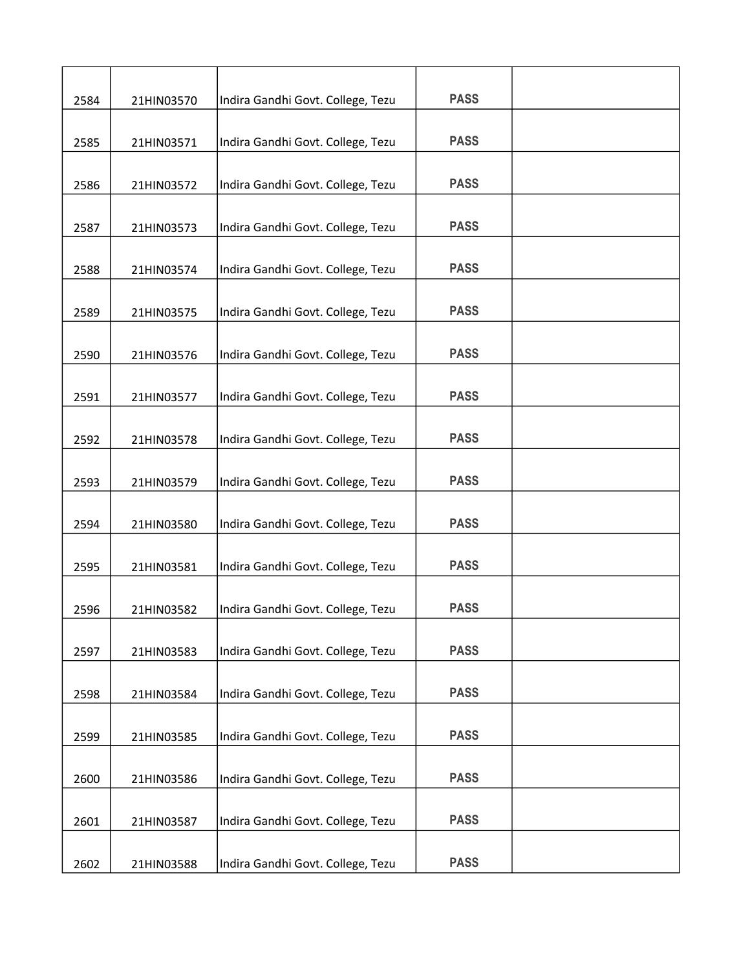| 2584 | 21HIN03570 | Indira Gandhi Govt. College, Tezu | <b>PASS</b> |  |
|------|------------|-----------------------------------|-------------|--|
|      |            |                                   |             |  |
| 2585 | 21HIN03571 | Indira Gandhi Govt. College, Tezu | <b>PASS</b> |  |
| 2586 | 21HIN03572 | Indira Gandhi Govt. College, Tezu | <b>PASS</b> |  |
| 2587 | 21HIN03573 | Indira Gandhi Govt. College, Tezu | <b>PASS</b> |  |
| 2588 | 21HIN03574 | Indira Gandhi Govt. College, Tezu | <b>PASS</b> |  |
| 2589 | 21HIN03575 | Indira Gandhi Govt. College, Tezu | <b>PASS</b> |  |
| 2590 | 21HIN03576 | Indira Gandhi Govt. College, Tezu | <b>PASS</b> |  |
| 2591 | 21HIN03577 | Indira Gandhi Govt. College, Tezu | <b>PASS</b> |  |
| 2592 | 21HIN03578 | Indira Gandhi Govt. College, Tezu | <b>PASS</b> |  |
| 2593 | 21HIN03579 | Indira Gandhi Govt. College, Tezu | <b>PASS</b> |  |
| 2594 | 21HIN03580 | Indira Gandhi Govt. College, Tezu | <b>PASS</b> |  |
| 2595 | 21HIN03581 | Indira Gandhi Govt. College, Tezu | <b>PASS</b> |  |
| 2596 | 21HIN03582 | Indira Gandhi Govt. College, Tezu | <b>PASS</b> |  |
| 2597 | 21HIN03583 | Indira Gandhi Govt. College, Tezu | <b>PASS</b> |  |
| 2598 | 21HIN03584 | Indira Gandhi Govt. College, Tezu | <b>PASS</b> |  |
| 2599 | 21HIN03585 | Indira Gandhi Govt. College, Tezu | <b>PASS</b> |  |
| 2600 | 21HIN03586 | Indira Gandhi Govt. College, Tezu | <b>PASS</b> |  |
| 2601 | 21HIN03587 | Indira Gandhi Govt. College, Tezu | <b>PASS</b> |  |
| 2602 | 21HIN03588 | Indira Gandhi Govt. College, Tezu | <b>PASS</b> |  |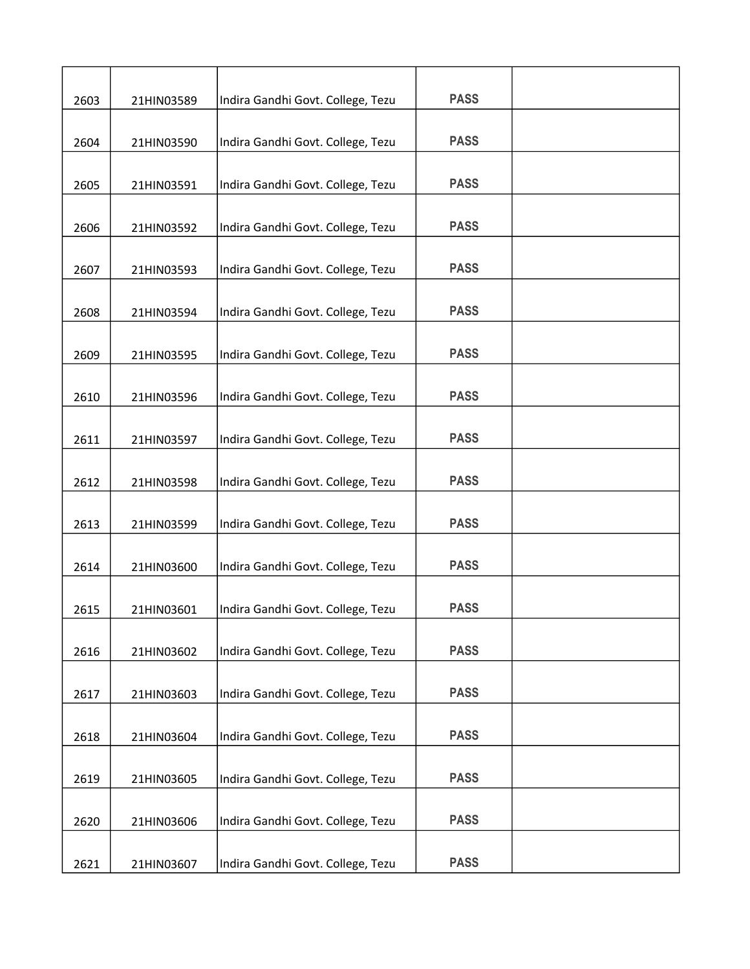| 2603 | 21HIN03589 | Indira Gandhi Govt. College, Tezu | <b>PASS</b> |  |
|------|------------|-----------------------------------|-------------|--|
| 2604 | 21HIN03590 | Indira Gandhi Govt. College, Tezu | <b>PASS</b> |  |
| 2605 | 21HIN03591 | Indira Gandhi Govt. College, Tezu | <b>PASS</b> |  |
|      |            |                                   |             |  |
| 2606 | 21HIN03592 | Indira Gandhi Govt. College, Tezu | <b>PASS</b> |  |
| 2607 | 21HIN03593 | Indira Gandhi Govt. College, Tezu | <b>PASS</b> |  |
| 2608 | 21HIN03594 | Indira Gandhi Govt. College, Tezu | <b>PASS</b> |  |
| 2609 | 21HIN03595 | Indira Gandhi Govt. College, Tezu | <b>PASS</b> |  |
| 2610 | 21HIN03596 | Indira Gandhi Govt. College, Tezu | <b>PASS</b> |  |
| 2611 | 21HIN03597 | Indira Gandhi Govt. College, Tezu | <b>PASS</b> |  |
| 2612 | 21HIN03598 | Indira Gandhi Govt. College, Tezu | <b>PASS</b> |  |
|      |            |                                   |             |  |
| 2613 | 21HIN03599 | Indira Gandhi Govt. College, Tezu | <b>PASS</b> |  |
| 2614 | 21HIN03600 | Indira Gandhi Govt. College, Tezu | <b>PASS</b> |  |
| 2615 | 21HIN03601 | Indira Gandhi Govt. College, Tezu | <b>PASS</b> |  |
| 2616 | 21HIN03602 | Indira Gandhi Govt. College, Tezu | <b>PASS</b> |  |
| 2617 | 21HIN03603 | Indira Gandhi Govt. College, Tezu | <b>PASS</b> |  |
|      |            |                                   |             |  |
| 2618 | 21HIN03604 | Indira Gandhi Govt. College, Tezu | <b>PASS</b> |  |
| 2619 | 21HIN03605 | Indira Gandhi Govt. College, Tezu | <b>PASS</b> |  |
| 2620 | 21HIN03606 | Indira Gandhi Govt. College, Tezu | <b>PASS</b> |  |
| 2621 | 21HIN03607 | Indira Gandhi Govt. College, Tezu | <b>PASS</b> |  |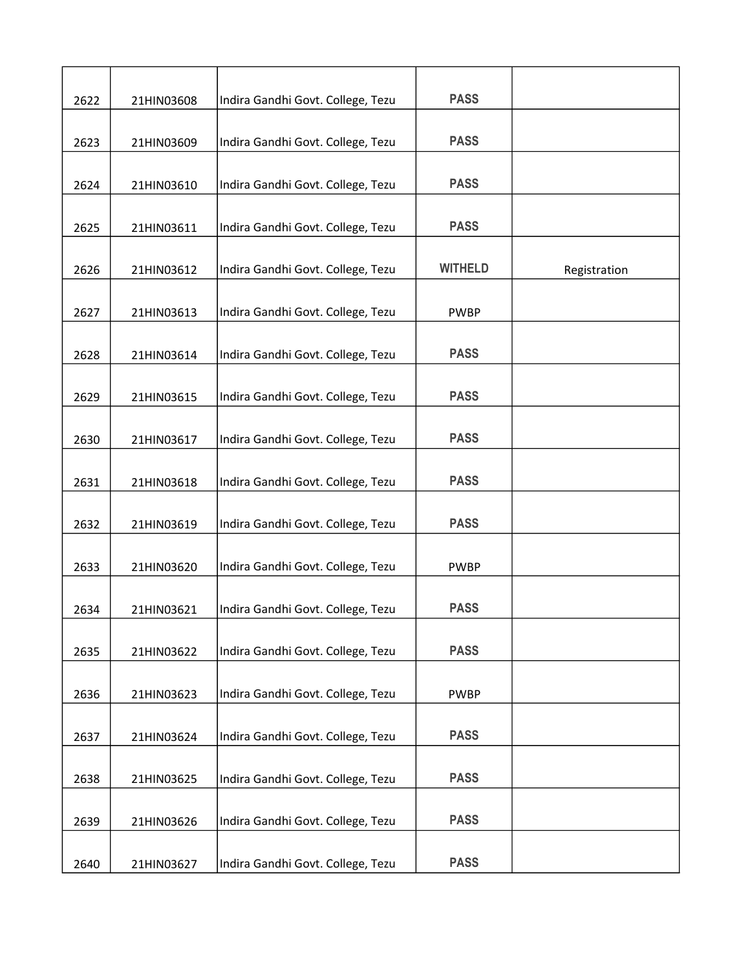| 2622 | 21HIN03608 | Indira Gandhi Govt. College, Tezu | <b>PASS</b>    |              |
|------|------------|-----------------------------------|----------------|--------------|
|      |            |                                   |                |              |
| 2623 | 21HIN03609 | Indira Gandhi Govt. College, Tezu | <b>PASS</b>    |              |
| 2624 | 21HIN03610 | Indira Gandhi Govt. College, Tezu | <b>PASS</b>    |              |
| 2625 | 21HIN03611 | Indira Gandhi Govt. College, Tezu | <b>PASS</b>    |              |
| 2626 | 21HIN03612 | Indira Gandhi Govt. College, Tezu | <b>WITHELD</b> | Registration |
| 2627 | 21HIN03613 | Indira Gandhi Govt. College, Tezu | <b>PWBP</b>    |              |
| 2628 | 21HIN03614 | Indira Gandhi Govt. College, Tezu | <b>PASS</b>    |              |
| 2629 | 21HIN03615 | Indira Gandhi Govt. College, Tezu | <b>PASS</b>    |              |
| 2630 | 21HIN03617 | Indira Gandhi Govt. College, Tezu | <b>PASS</b>    |              |
| 2631 | 21HIN03618 | Indira Gandhi Govt. College, Tezu | <b>PASS</b>    |              |
| 2632 | 21HIN03619 | Indira Gandhi Govt. College, Tezu | <b>PASS</b>    |              |
| 2633 | 21HIN03620 | Indira Gandhi Govt. College, Tezu | <b>PWBP</b>    |              |
| 2634 | 21HIN03621 | Indira Gandhi Govt. College, Tezu | <b>PASS</b>    |              |
| 2635 | 21HIN03622 | Indira Gandhi Govt. College, Tezu | <b>PASS</b>    |              |
| 2636 | 21HIN03623 | Indira Gandhi Govt. College, Tezu | <b>PWBP</b>    |              |
| 2637 | 21HIN03624 | Indira Gandhi Govt. College, Tezu | <b>PASS</b>    |              |
| 2638 | 21HIN03625 | Indira Gandhi Govt. College, Tezu | <b>PASS</b>    |              |
| 2639 | 21HIN03626 | Indira Gandhi Govt. College, Tezu | <b>PASS</b>    |              |
| 2640 | 21HIN03627 | Indira Gandhi Govt. College, Tezu | <b>PASS</b>    |              |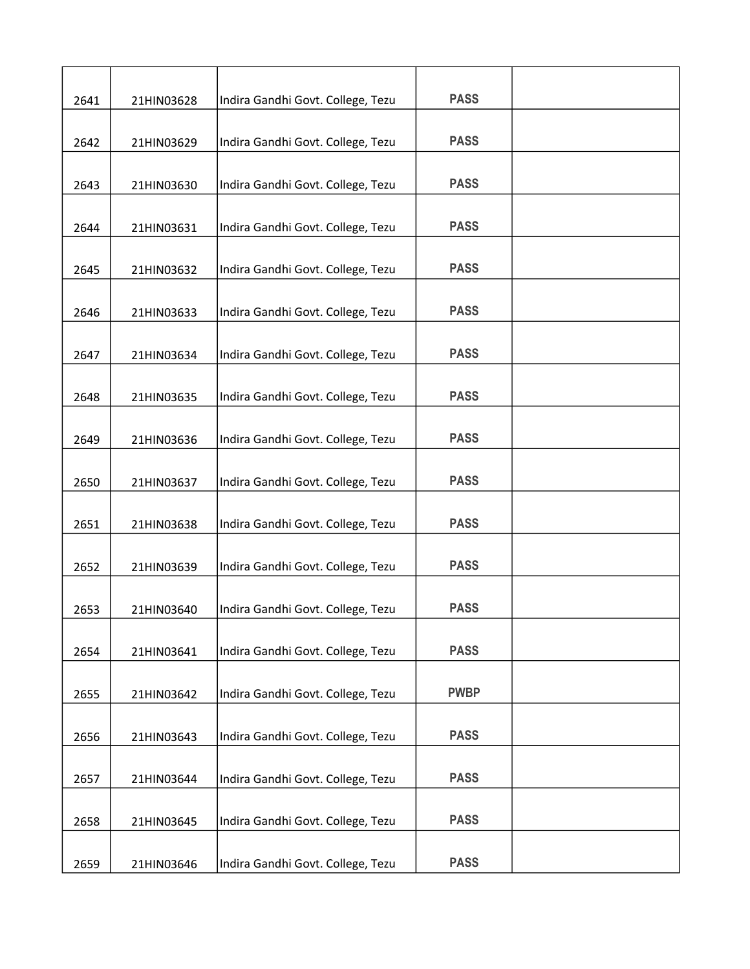| 2641 | 21HIN03628 | Indira Gandhi Govt. College, Tezu | <b>PASS</b> |  |
|------|------------|-----------------------------------|-------------|--|
|      |            |                                   |             |  |
| 2642 | 21HIN03629 | Indira Gandhi Govt. College, Tezu | <b>PASS</b> |  |
|      |            |                                   |             |  |
| 2643 | 21HIN03630 | Indira Gandhi Govt. College, Tezu | <b>PASS</b> |  |
| 2644 | 21HIN03631 | Indira Gandhi Govt. College, Tezu | <b>PASS</b> |  |
| 2645 | 21HIN03632 | Indira Gandhi Govt. College, Tezu | <b>PASS</b> |  |
|      |            |                                   |             |  |
| 2646 | 21HIN03633 | Indira Gandhi Govt. College, Tezu | <b>PASS</b> |  |
| 2647 | 21HIN03634 | Indira Gandhi Govt. College, Tezu | <b>PASS</b> |  |
|      |            |                                   |             |  |
| 2648 | 21HIN03635 | Indira Gandhi Govt. College, Tezu | <b>PASS</b> |  |
| 2649 | 21HIN03636 | Indira Gandhi Govt. College, Tezu | <b>PASS</b> |  |
| 2650 | 21HIN03637 | Indira Gandhi Govt. College, Tezu | <b>PASS</b> |  |
|      |            |                                   |             |  |
| 2651 | 21HIN03638 | Indira Gandhi Govt. College, Tezu | <b>PASS</b> |  |
| 2652 | 21HIN03639 | Indira Gandhi Govt. College, Tezu | <b>PASS</b> |  |
|      |            |                                   |             |  |
| 2653 | 21HIN03640 | Indira Gandhi Govt. College, Tezu | <b>PASS</b> |  |
| 2654 | 21HIN03641 | Indira Gandhi Govt. College, Tezu | <b>PASS</b> |  |
| 2655 | 21HIN03642 | Indira Gandhi Govt. College, Tezu | <b>PWBP</b> |  |
|      |            |                                   | <b>PASS</b> |  |
| 2656 | 21HIN03643 | Indira Gandhi Govt. College, Tezu |             |  |
| 2657 | 21HIN03644 | Indira Gandhi Govt. College, Tezu | <b>PASS</b> |  |
|      |            |                                   |             |  |
| 2658 | 21HIN03645 | Indira Gandhi Govt. College, Tezu | <b>PASS</b> |  |
| 2659 | 21HIN03646 | Indira Gandhi Govt. College, Tezu | <b>PASS</b> |  |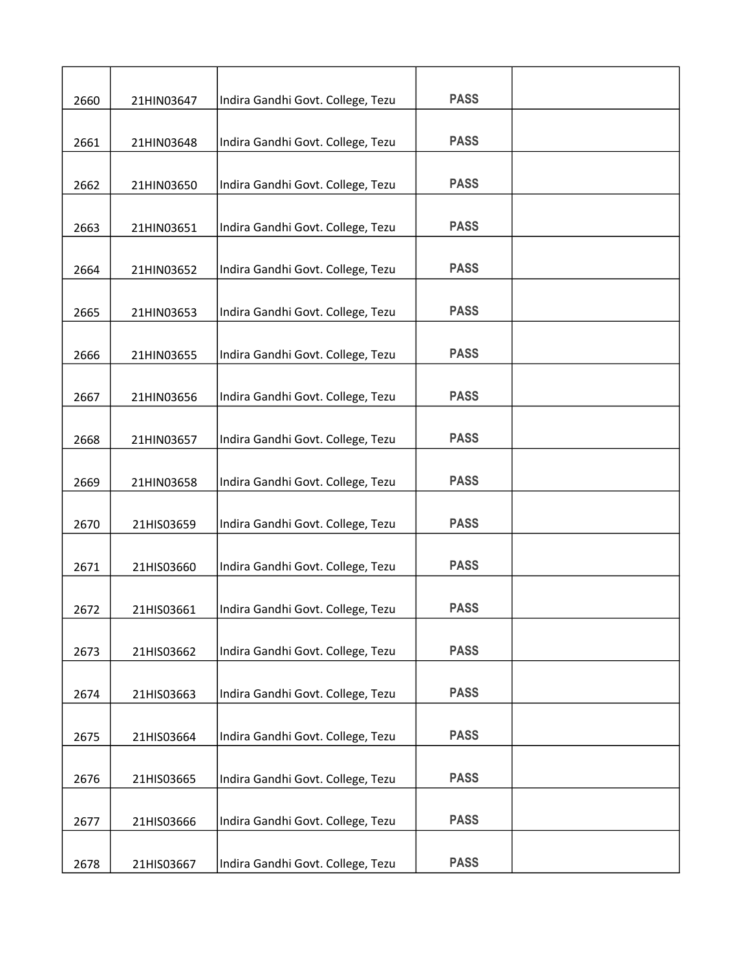| 2660 | 21HIN03647 | Indira Gandhi Govt. College, Tezu | <b>PASS</b> |  |
|------|------------|-----------------------------------|-------------|--|
|      |            |                                   |             |  |
| 2661 | 21HIN03648 | Indira Gandhi Govt. College, Tezu | <b>PASS</b> |  |
| 2662 | 21HIN03650 | Indira Gandhi Govt. College, Tezu | <b>PASS</b> |  |
| 2663 | 21HIN03651 | Indira Gandhi Govt. College, Tezu | <b>PASS</b> |  |
| 2664 | 21HIN03652 | Indira Gandhi Govt. College, Tezu | <b>PASS</b> |  |
|      |            |                                   |             |  |
| 2665 | 21HIN03653 | Indira Gandhi Govt. College, Tezu | <b>PASS</b> |  |
| 2666 | 21HIN03655 | Indira Gandhi Govt. College, Tezu | <b>PASS</b> |  |
| 2667 | 21HIN03656 | Indira Gandhi Govt. College, Tezu | <b>PASS</b> |  |
| 2668 | 21HIN03657 | Indira Gandhi Govt. College, Tezu | <b>PASS</b> |  |
|      |            |                                   |             |  |
| 2669 | 21HIN03658 | Indira Gandhi Govt. College, Tezu | <b>PASS</b> |  |
| 2670 | 21HIS03659 | Indira Gandhi Govt. College, Tezu | <b>PASS</b> |  |
| 2671 | 21HIS03660 | Indira Gandhi Govt. College, Tezu | <b>PASS</b> |  |
| 2672 | 21HIS03661 | Indira Gandhi Govt. College, Tezu | <b>PASS</b> |  |
| 2673 | 21HIS03662 | Indira Gandhi Govt. College, Tezu | <b>PASS</b> |  |
| 2674 | 21HIS03663 | Indira Gandhi Govt. College, Tezu | <b>PASS</b> |  |
|      |            |                                   |             |  |
| 2675 | 21HIS03664 | Indira Gandhi Govt. College, Tezu | <b>PASS</b> |  |
| 2676 | 21HIS03665 | Indira Gandhi Govt. College, Tezu | <b>PASS</b> |  |
| 2677 | 21HIS03666 | Indira Gandhi Govt. College, Tezu | <b>PASS</b> |  |
| 2678 | 21HIS03667 | Indira Gandhi Govt. College, Tezu | <b>PASS</b> |  |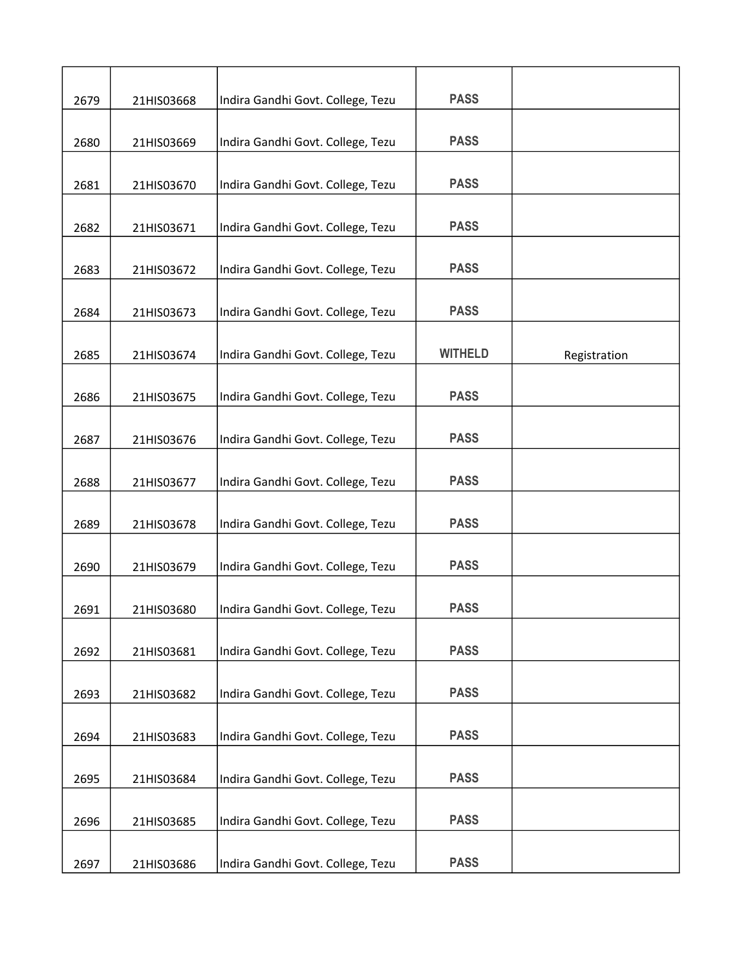| 2679 | 21HIS03668 | Indira Gandhi Govt. College, Tezu | <b>PASS</b>    |              |
|------|------------|-----------------------------------|----------------|--------------|
|      |            |                                   |                |              |
| 2680 | 21HIS03669 | Indira Gandhi Govt. College, Tezu | <b>PASS</b>    |              |
| 2681 | 21HIS03670 | Indira Gandhi Govt. College, Tezu | <b>PASS</b>    |              |
| 2682 | 21HIS03671 | Indira Gandhi Govt. College, Tezu | <b>PASS</b>    |              |
| 2683 | 21HIS03672 | Indira Gandhi Govt. College, Tezu | <b>PASS</b>    |              |
| 2684 | 21HIS03673 | Indira Gandhi Govt. College, Tezu | <b>PASS</b>    |              |
| 2685 | 21HIS03674 | Indira Gandhi Govt. College, Tezu | <b>WITHELD</b> | Registration |
| 2686 | 21HIS03675 | Indira Gandhi Govt. College, Tezu | <b>PASS</b>    |              |
| 2687 | 21HIS03676 | Indira Gandhi Govt. College, Tezu | <b>PASS</b>    |              |
| 2688 | 21HIS03677 | Indira Gandhi Govt. College, Tezu | <b>PASS</b>    |              |
| 2689 | 21HIS03678 | Indira Gandhi Govt. College, Tezu | <b>PASS</b>    |              |
| 2690 | 21HIS03679 | Indira Gandhi Govt. College, Tezu | <b>PASS</b>    |              |
| 2691 | 21HIS03680 | Indira Gandhi Govt. College, Tezu | <b>PASS</b>    |              |
| 2692 | 21HIS03681 | Indira Gandhi Govt. College, Tezu | <b>PASS</b>    |              |
| 2693 | 21HIS03682 | Indira Gandhi Govt. College, Tezu | <b>PASS</b>    |              |
| 2694 | 21HIS03683 | Indira Gandhi Govt. College, Tezu | <b>PASS</b>    |              |
| 2695 | 21HIS03684 | Indira Gandhi Govt. College, Tezu | <b>PASS</b>    |              |
| 2696 | 21HIS03685 | Indira Gandhi Govt. College, Tezu | <b>PASS</b>    |              |
| 2697 | 21HIS03686 | Indira Gandhi Govt. College, Tezu | <b>PASS</b>    |              |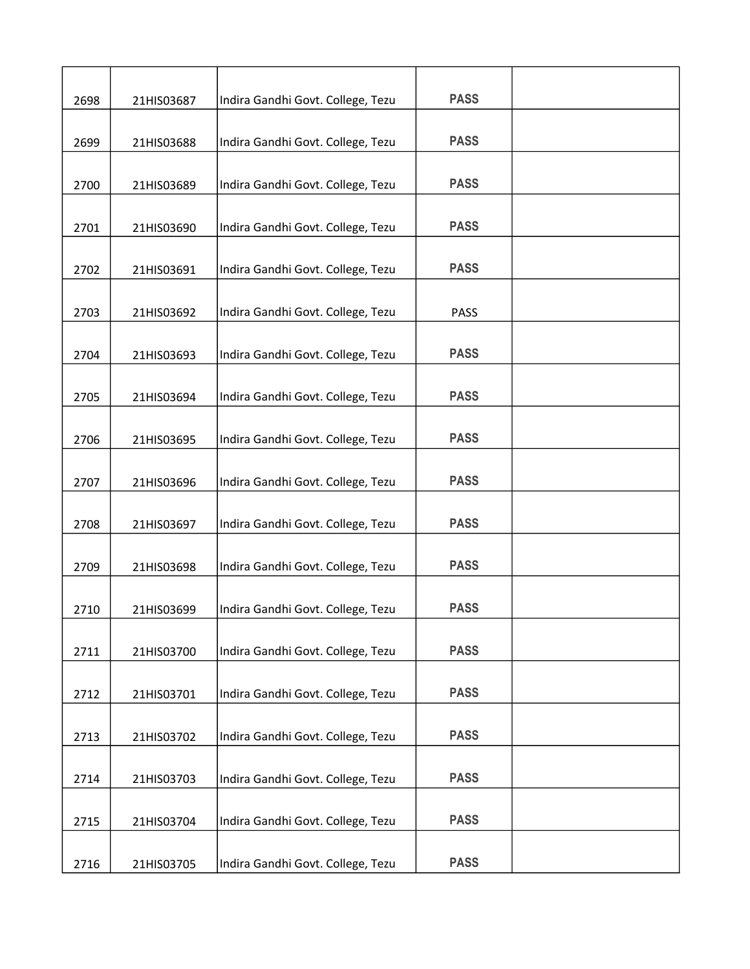| 2698 | 21HIS03687 | Indira Gandhi Govt. College, Tezu | <b>PASS</b> |  |
|------|------------|-----------------------------------|-------------|--|
| 2699 | 21HIS03688 | Indira Gandhi Govt. College, Tezu | <b>PASS</b> |  |
|      |            |                                   |             |  |
| 2700 | 21HIS03689 | Indira Gandhi Govt. College, Tezu | <b>PASS</b> |  |
| 2701 | 21HIS03690 | Indira Gandhi Govt. College, Tezu | <b>PASS</b> |  |
| 2702 | 21HIS03691 | Indira Gandhi Govt. College, Tezu | <b>PASS</b> |  |
| 2703 | 21HIS03692 | Indira Gandhi Govt. College, Tezu | <b>PASS</b> |  |
| 2704 | 21HIS03693 | Indira Gandhi Govt. College, Tezu | <b>PASS</b> |  |
| 2705 | 21HIS03694 | Indira Gandhi Govt. College, Tezu | <b>PASS</b> |  |
| 2706 | 21HIS03695 | Indira Gandhi Govt. College, Tezu | <b>PASS</b> |  |
| 2707 | 21HIS03696 | Indira Gandhi Govt. College, Tezu | <b>PASS</b> |  |
| 2708 | 21HIS03697 | Indira Gandhi Govt. College, Tezu | <b>PASS</b> |  |
| 2709 | 21HIS03698 | Indira Gandhi Govt. College, Tezu | <b>PASS</b> |  |
| 2710 | 21HIS03699 | Indira Gandhi Govt. College, Tezu | <b>PASS</b> |  |
| 2711 | 21HIS03700 | Indira Gandhi Govt. College, Tezu | <b>PASS</b> |  |
| 2712 | 21HIS03701 | Indira Gandhi Govt. College, Tezu | <b>PASS</b> |  |
| 2713 | 21HIS03702 | Indira Gandhi Govt. College, Tezu | <b>PASS</b> |  |
| 2714 | 21HIS03703 | Indira Gandhi Govt. College, Tezu | <b>PASS</b> |  |
| 2715 | 21HIS03704 | Indira Gandhi Govt. College, Tezu | <b>PASS</b> |  |
| 2716 | 21HIS03705 | Indira Gandhi Govt. College, Tezu | <b>PASS</b> |  |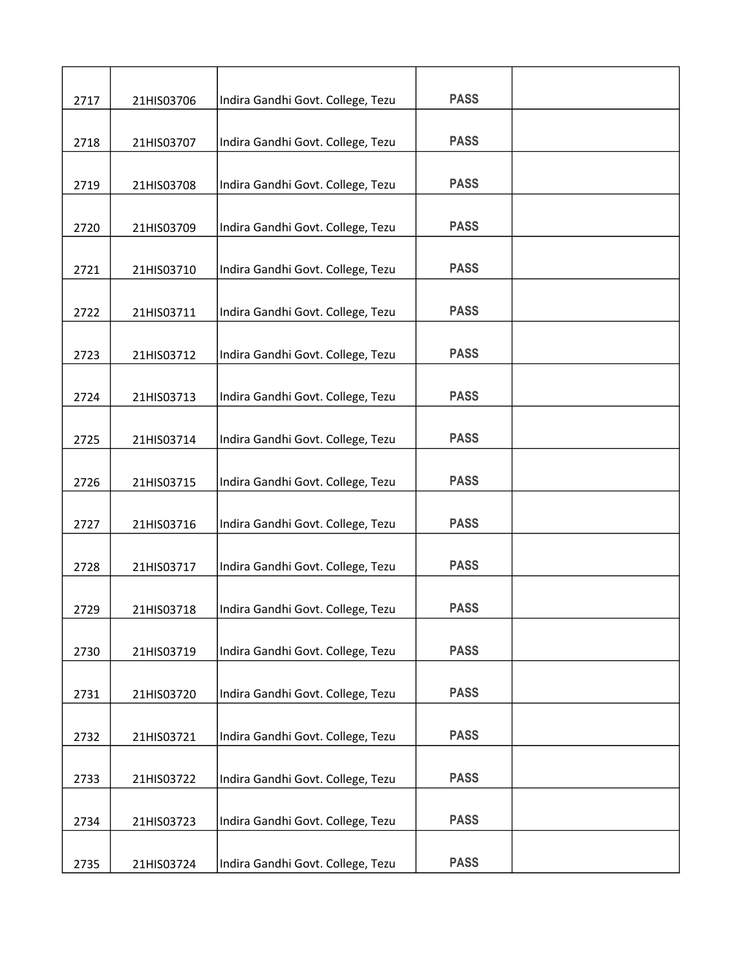| 2717 | 21HIS03706 | Indira Gandhi Govt. College, Tezu | <b>PASS</b> |  |
|------|------------|-----------------------------------|-------------|--|
|      |            |                                   |             |  |
| 2718 | 21HIS03707 | Indira Gandhi Govt. College, Tezu | <b>PASS</b> |  |
| 2719 | 21HIS03708 | Indira Gandhi Govt. College, Tezu | <b>PASS</b> |  |
| 2720 | 21HIS03709 | Indira Gandhi Govt. College, Tezu | <b>PASS</b> |  |
| 2721 | 21HIS03710 | Indira Gandhi Govt. College, Tezu | <b>PASS</b> |  |
|      |            |                                   |             |  |
| 2722 | 21HIS03711 | Indira Gandhi Govt. College, Tezu | <b>PASS</b> |  |
| 2723 | 21HIS03712 | Indira Gandhi Govt. College, Tezu | <b>PASS</b> |  |
| 2724 | 21HIS03713 | Indira Gandhi Govt. College, Tezu | <b>PASS</b> |  |
| 2725 | 21HIS03714 | Indira Gandhi Govt. College, Tezu | <b>PASS</b> |  |
|      |            |                                   |             |  |
| 2726 | 21HIS03715 | Indira Gandhi Govt. College, Tezu | <b>PASS</b> |  |
| 2727 | 21HIS03716 | Indira Gandhi Govt. College, Tezu | <b>PASS</b> |  |
| 2728 | 21HIS03717 | Indira Gandhi Govt. College, Tezu | <b>PASS</b> |  |
| 2729 | 21HIS03718 | Indira Gandhi Govt. College, Tezu | <b>PASS</b> |  |
| 2730 | 21HIS03719 | Indira Gandhi Govt. College, Tezu | <b>PASS</b> |  |
| 2731 | 21HIS03720 | Indira Gandhi Govt. College, Tezu | <b>PASS</b> |  |
|      |            |                                   |             |  |
| 2732 | 21HIS03721 | Indira Gandhi Govt. College, Tezu | <b>PASS</b> |  |
| 2733 | 21HIS03722 | Indira Gandhi Govt. College, Tezu | <b>PASS</b> |  |
| 2734 | 21HIS03723 | Indira Gandhi Govt. College, Tezu | <b>PASS</b> |  |
| 2735 | 21HIS03724 | Indira Gandhi Govt. College, Tezu | <b>PASS</b> |  |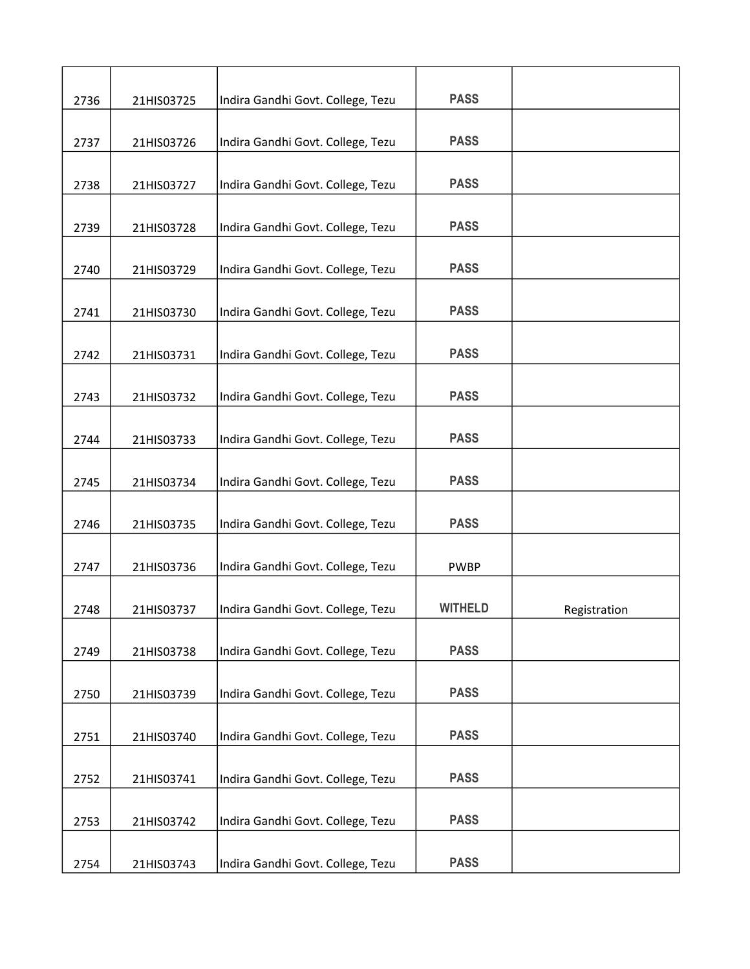| 2736 | 21HIS03725 | Indira Gandhi Govt. College, Tezu | <b>PASS</b>    |              |
|------|------------|-----------------------------------|----------------|--------------|
| 2737 | 21HIS03726 | Indira Gandhi Govt. College, Tezu | <b>PASS</b>    |              |
|      |            |                                   |                |              |
| 2738 | 21HIS03727 | Indira Gandhi Govt. College, Tezu | <b>PASS</b>    |              |
| 2739 | 21HIS03728 | Indira Gandhi Govt. College, Tezu | <b>PASS</b>    |              |
| 2740 | 21HIS03729 | Indira Gandhi Govt. College, Tezu | <b>PASS</b>    |              |
| 2741 | 21HIS03730 | Indira Gandhi Govt. College, Tezu | <b>PASS</b>    |              |
| 2742 | 21HIS03731 | Indira Gandhi Govt. College, Tezu | <b>PASS</b>    |              |
| 2743 | 21HIS03732 | Indira Gandhi Govt. College, Tezu | <b>PASS</b>    |              |
| 2744 | 21HIS03733 | Indira Gandhi Govt. College, Tezu | <b>PASS</b>    |              |
| 2745 | 21HIS03734 | Indira Gandhi Govt. College, Tezu | <b>PASS</b>    |              |
| 2746 | 21HIS03735 | Indira Gandhi Govt. College, Tezu | <b>PASS</b>    |              |
| 2747 | 21HIS03736 | Indira Gandhi Govt. College, Tezu | <b>PWBP</b>    |              |
| 2748 | 21HIS03737 | Indira Gandhi Govt. College, Tezu | <b>WITHELD</b> | Registration |
| 2749 | 21HIS03738 | Indira Gandhi Govt. College, Tezu | <b>PASS</b>    |              |
| 2750 | 21HIS03739 | Indira Gandhi Govt. College, Tezu | <b>PASS</b>    |              |
| 2751 | 21HIS03740 | Indira Gandhi Govt. College, Tezu | <b>PASS</b>    |              |
| 2752 | 21HIS03741 | Indira Gandhi Govt. College, Tezu | <b>PASS</b>    |              |
| 2753 | 21HIS03742 | Indira Gandhi Govt. College, Tezu | <b>PASS</b>    |              |
| 2754 | 21HIS03743 | Indira Gandhi Govt. College, Tezu | <b>PASS</b>    |              |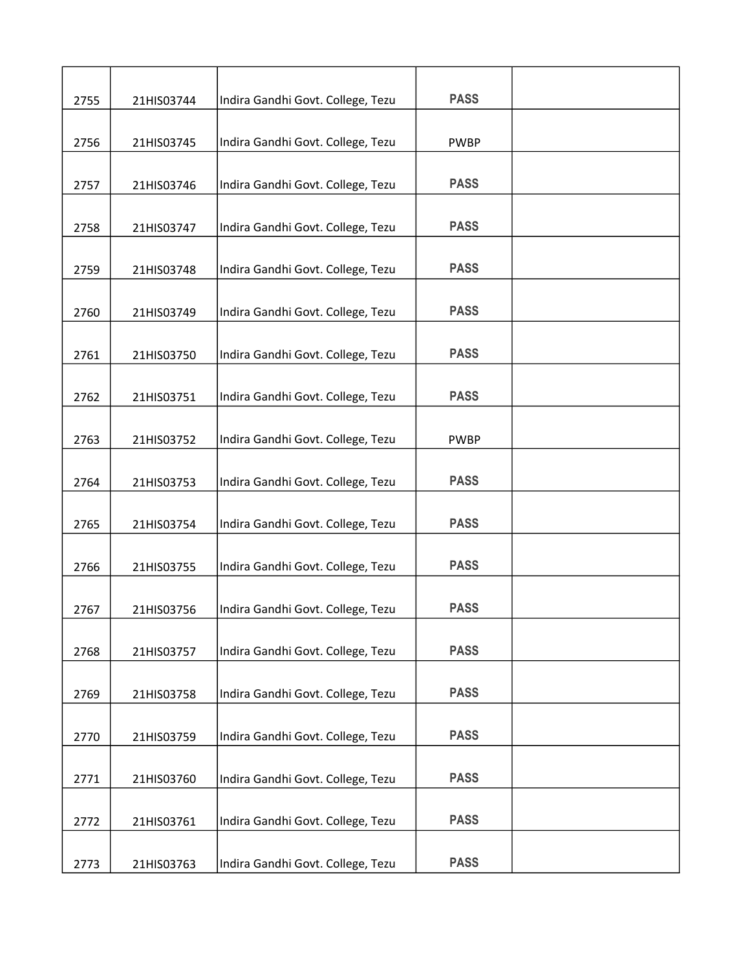| 2755 | 21HIS03744 | Indira Gandhi Govt. College, Tezu | <b>PASS</b> |  |
|------|------------|-----------------------------------|-------------|--|
| 2756 | 21HIS03745 | Indira Gandhi Govt. College, Tezu | <b>PWBP</b> |  |
| 2757 | 21HIS03746 | Indira Gandhi Govt. College, Tezu | <b>PASS</b> |  |
| 2758 | 21HIS03747 | Indira Gandhi Govt. College, Tezu | <b>PASS</b> |  |
| 2759 | 21HIS03748 | Indira Gandhi Govt. College, Tezu | <b>PASS</b> |  |
| 2760 | 21HIS03749 | Indira Gandhi Govt. College, Tezu | <b>PASS</b> |  |
| 2761 | 21HIS03750 | Indira Gandhi Govt. College, Tezu | <b>PASS</b> |  |
| 2762 | 21HIS03751 | Indira Gandhi Govt. College, Tezu | <b>PASS</b> |  |
| 2763 | 21HIS03752 | Indira Gandhi Govt. College, Tezu | <b>PWBP</b> |  |
| 2764 | 21HIS03753 | Indira Gandhi Govt. College, Tezu | <b>PASS</b> |  |
| 2765 | 21HIS03754 | Indira Gandhi Govt. College, Tezu | <b>PASS</b> |  |
| 2766 | 21HIS03755 | Indira Gandhi Govt. College, Tezu | <b>PASS</b> |  |
| 2767 | 21HIS03756 | Indira Gandhi Govt. College, Tezu | <b>PASS</b> |  |
| 2768 | 21HIS03757 | Indira Gandhi Govt. College, Tezu | <b>PASS</b> |  |
| 2769 | 21HIS03758 | Indira Gandhi Govt. College, Tezu | <b>PASS</b> |  |
| 2770 | 21HIS03759 | Indira Gandhi Govt. College, Tezu | <b>PASS</b> |  |
| 2771 | 21HIS03760 | Indira Gandhi Govt. College, Tezu | <b>PASS</b> |  |
| 2772 | 21HIS03761 | Indira Gandhi Govt. College, Tezu | <b>PASS</b> |  |
| 2773 | 21HIS03763 | Indira Gandhi Govt. College, Tezu | <b>PASS</b> |  |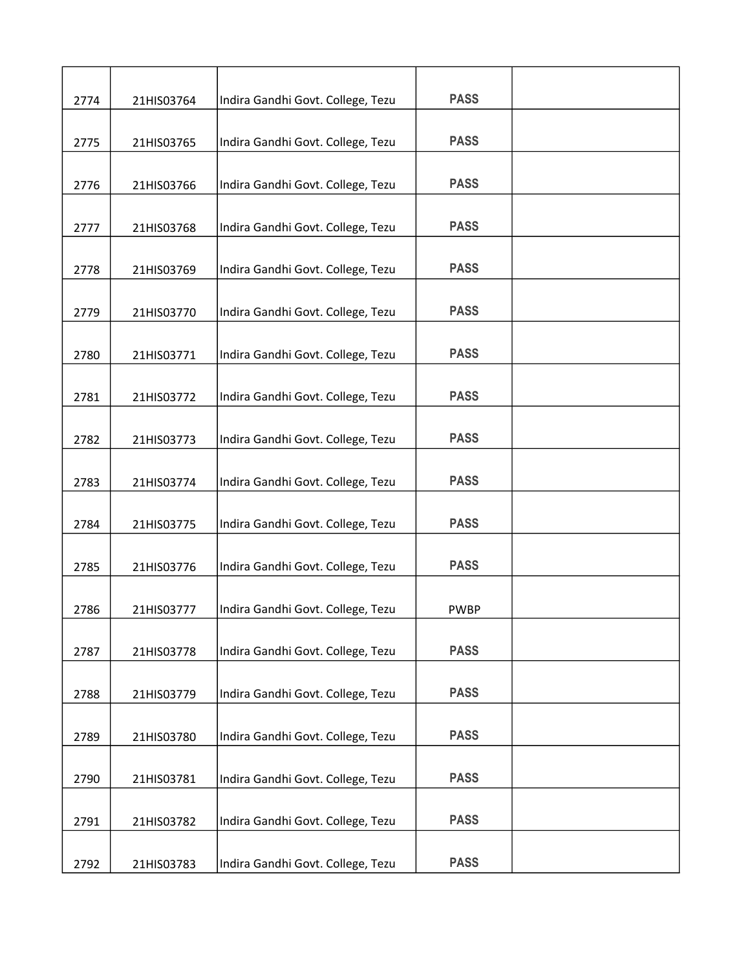| 2774 | 21HIS03764 | Indira Gandhi Govt. College, Tezu | <b>PASS</b> |  |
|------|------------|-----------------------------------|-------------|--|
| 2775 | 21HIS03765 | Indira Gandhi Govt. College, Tezu | <b>PASS</b> |  |
| 2776 | 21HIS03766 | Indira Gandhi Govt. College, Tezu | <b>PASS</b> |  |
|      |            |                                   | <b>PASS</b> |  |
| 2777 | 21HIS03768 | Indira Gandhi Govt. College, Tezu |             |  |
| 2778 | 21HIS03769 | Indira Gandhi Govt. College, Tezu | <b>PASS</b> |  |
| 2779 | 21HIS03770 | Indira Gandhi Govt. College, Tezu | <b>PASS</b> |  |
| 2780 | 21HIS03771 | Indira Gandhi Govt. College, Tezu | <b>PASS</b> |  |
| 2781 | 21HIS03772 | Indira Gandhi Govt. College, Tezu | <b>PASS</b> |  |
| 2782 | 21HIS03773 | Indira Gandhi Govt. College, Tezu | <b>PASS</b> |  |
| 2783 | 21HIS03774 | Indira Gandhi Govt. College, Tezu | <b>PASS</b> |  |
| 2784 | 21HIS03775 | Indira Gandhi Govt. College, Tezu | <b>PASS</b> |  |
| 2785 | 21HIS03776 | Indira Gandhi Govt. College, Tezu | <b>PASS</b> |  |
|      |            |                                   | <b>PWBP</b> |  |
| 2786 | 21HIS03777 | Indira Gandhi Govt. College, Tezu |             |  |
| 2787 | 21HIS03778 | Indira Gandhi Govt. College, Tezu | <b>PASS</b> |  |
| 2788 | 21HIS03779 | Indira Gandhi Govt. College, Tezu | <b>PASS</b> |  |
| 2789 | 21HIS03780 | Indira Gandhi Govt. College, Tezu | <b>PASS</b> |  |
| 2790 | 21HIS03781 | Indira Gandhi Govt. College, Tezu | <b>PASS</b> |  |
| 2791 | 21HIS03782 | Indira Gandhi Govt. College, Tezu | <b>PASS</b> |  |
| 2792 | 21HIS03783 | Indira Gandhi Govt. College, Tezu | <b>PASS</b> |  |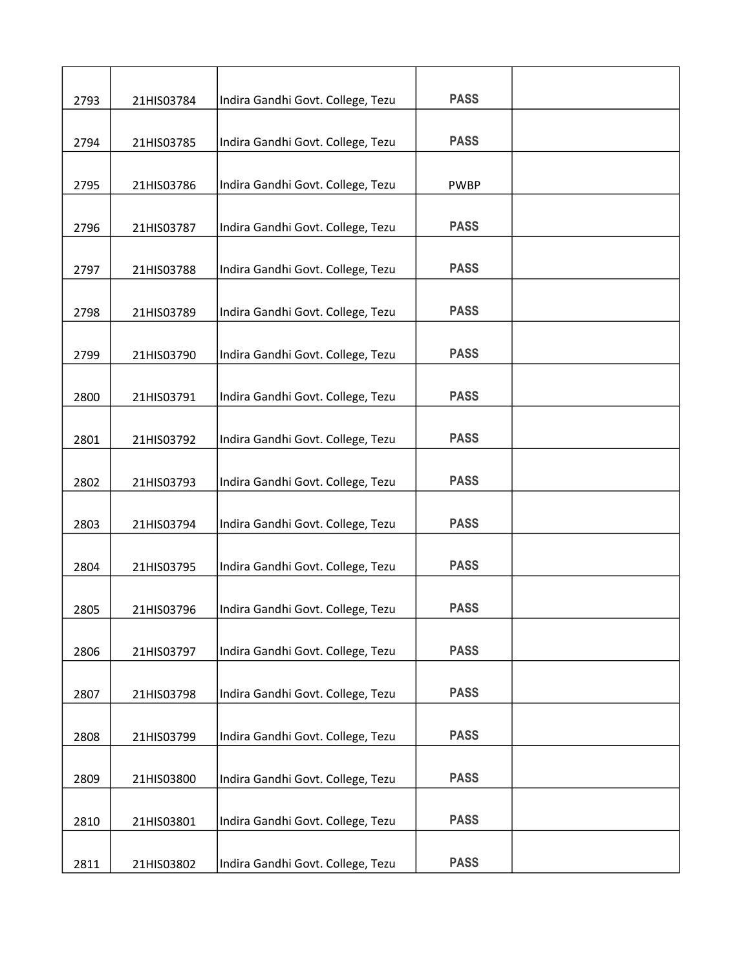| 2793 | 21HIS03784 | Indira Gandhi Govt. College, Tezu | <b>PASS</b> |  |
|------|------------|-----------------------------------|-------------|--|
|      |            |                                   |             |  |
| 2794 | 21HIS03785 | Indira Gandhi Govt. College, Tezu | <b>PASS</b> |  |
| 2795 | 21HIS03786 | Indira Gandhi Govt. College, Tezu | <b>PWBP</b> |  |
| 2796 | 21HIS03787 | Indira Gandhi Govt. College, Tezu | <b>PASS</b> |  |
| 2797 | 21HIS03788 | Indira Gandhi Govt. College, Tezu | <b>PASS</b> |  |
| 2798 | 21HIS03789 | Indira Gandhi Govt. College, Tezu | <b>PASS</b> |  |
|      |            |                                   |             |  |
| 2799 | 21HIS03790 | Indira Gandhi Govt. College, Tezu | <b>PASS</b> |  |
| 2800 | 21HIS03791 | Indira Gandhi Govt. College, Tezu | <b>PASS</b> |  |
| 2801 | 21HIS03792 | Indira Gandhi Govt. College, Tezu | <b>PASS</b> |  |
| 2802 | 21HIS03793 | Indira Gandhi Govt. College, Tezu | <b>PASS</b> |  |
|      |            |                                   |             |  |
| 2803 | 21HIS03794 | Indira Gandhi Govt. College, Tezu | <b>PASS</b> |  |
| 2804 | 21HIS03795 | Indira Gandhi Govt. College, Tezu | <b>PASS</b> |  |
| 2805 | 21HIS03796 | Indira Gandhi Govt. College, Tezu | <b>PASS</b> |  |
| 2806 | 21HIS03797 | Indira Gandhi Govt. College, Tezu | <b>PASS</b> |  |
|      |            |                                   |             |  |
| 2807 | 21HIS03798 | Indira Gandhi Govt. College, Tezu | <b>PASS</b> |  |
| 2808 | 21HIS03799 | Indira Gandhi Govt. College, Tezu | <b>PASS</b> |  |
| 2809 | 21HIS03800 | Indira Gandhi Govt. College, Tezu | <b>PASS</b> |  |
| 2810 | 21HIS03801 | Indira Gandhi Govt. College, Tezu | <b>PASS</b> |  |
|      |            |                                   |             |  |
| 2811 | 21HIS03802 | Indira Gandhi Govt. College, Tezu | <b>PASS</b> |  |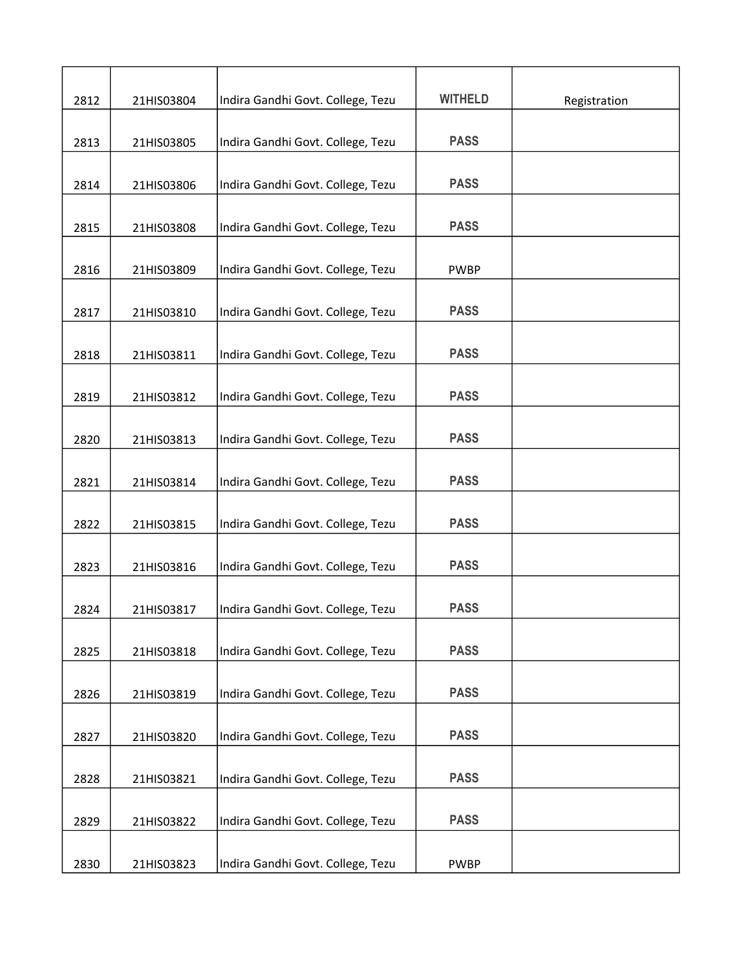|      |            |                                   | <b>WITHELD</b> |              |
|------|------------|-----------------------------------|----------------|--------------|
| 2812 | 21HIS03804 | Indira Gandhi Govt. College, Tezu |                | Registration |
| 2813 | 21HIS03805 | Indira Gandhi Govt. College, Tezu | <b>PASS</b>    |              |
|      |            |                                   |                |              |
| 2814 | 21HIS03806 | Indira Gandhi Govt. College, Tezu | <b>PASS</b>    |              |
| 2815 | 21HIS03808 | Indira Gandhi Govt. College, Tezu | <b>PASS</b>    |              |
| 2816 | 21HIS03809 | Indira Gandhi Govt. College, Tezu | <b>PWBP</b>    |              |
|      |            |                                   |                |              |
| 2817 | 21HIS03810 | Indira Gandhi Govt. College, Tezu | <b>PASS</b>    |              |
| 2818 | 21HIS03811 | Indira Gandhi Govt. College, Tezu | <b>PASS</b>    |              |
| 2819 | 21HIS03812 | Indira Gandhi Govt. College, Tezu | <b>PASS</b>    |              |
|      |            |                                   |                |              |
| 2820 | 21HIS03813 | Indira Gandhi Govt. College, Tezu | <b>PASS</b>    |              |
| 2821 | 21HIS03814 | Indira Gandhi Govt. College, Tezu | <b>PASS</b>    |              |
| 2822 | 21HIS03815 | Indira Gandhi Govt. College, Tezu | <b>PASS</b>    |              |
|      |            |                                   |                |              |
| 2823 | 21HIS03816 | Indira Gandhi Govt. College, Tezu | <b>PASS</b>    |              |
| 2824 | 21HIS03817 | Indira Gandhi Govt. College, Tezu | <b>PASS</b>    |              |
|      |            | Indira Gandhi Govt. College, Tezu | <b>PASS</b>    |              |
| 2825 | 21HIS03818 |                                   |                |              |
| 2826 | 21HIS03819 | Indira Gandhi Govt. College, Tezu | <b>PASS</b>    |              |
| 2827 | 21HIS03820 | Indira Gandhi Govt. College, Tezu | <b>PASS</b>    |              |
|      |            |                                   |                |              |
| 2828 | 21HIS03821 | Indira Gandhi Govt. College, Tezu | <b>PASS</b>    |              |
| 2829 | 21HIS03822 | Indira Gandhi Govt. College, Tezu | <b>PASS</b>    |              |
| 2830 | 21HIS03823 | Indira Gandhi Govt. College, Tezu | <b>PWBP</b>    |              |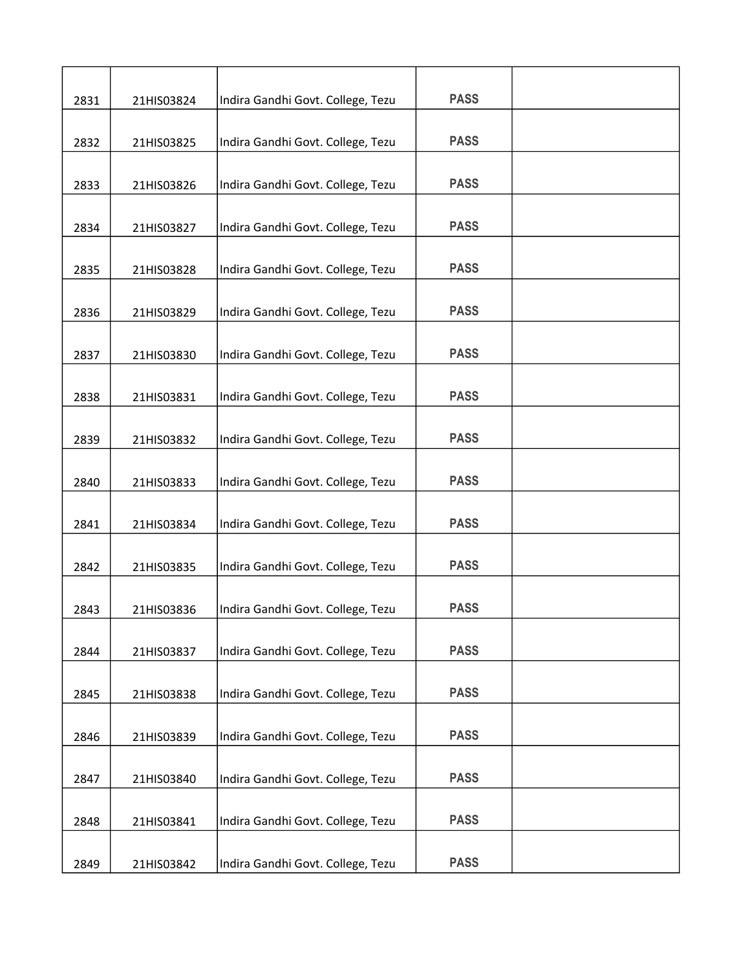| 2831 | 21HIS03824 | Indira Gandhi Govt. College, Tezu | <b>PASS</b> |  |
|------|------------|-----------------------------------|-------------|--|
| 2832 | 21HIS03825 | Indira Gandhi Govt. College, Tezu | <b>PASS</b> |  |
|      |            |                                   |             |  |
| 2833 | 21HIS03826 | Indira Gandhi Govt. College, Tezu | <b>PASS</b> |  |
| 2834 | 21HIS03827 | Indira Gandhi Govt. College, Tezu | <b>PASS</b> |  |
| 2835 | 21HIS03828 | Indira Gandhi Govt. College, Tezu | <b>PASS</b> |  |
|      |            |                                   |             |  |
| 2836 | 21HIS03829 | Indira Gandhi Govt. College, Tezu | <b>PASS</b> |  |
| 2837 | 21HIS03830 | Indira Gandhi Govt. College, Tezu | <b>PASS</b> |  |
|      |            |                                   |             |  |
| 2838 | 21HIS03831 | Indira Gandhi Govt. College, Tezu | <b>PASS</b> |  |
| 2839 | 21HIS03832 | Indira Gandhi Govt. College, Tezu | <b>PASS</b> |  |
| 2840 | 21HIS03833 | Indira Gandhi Govt. College, Tezu | <b>PASS</b> |  |
|      |            |                                   |             |  |
| 2841 | 21HIS03834 | Indira Gandhi Govt. College, Tezu | <b>PASS</b> |  |
| 2842 | 21HIS03835 | Indira Gandhi Govt. College, Tezu | <b>PASS</b> |  |
| 2843 | 21HIS03836 | Indira Gandhi Govt. College, Tezu | <b>PASS</b> |  |
|      |            |                                   |             |  |
| 2844 | 21HIS03837 | Indira Gandhi Govt. College, Tezu | <b>PASS</b> |  |
| 2845 | 21HIS03838 | Indira Gandhi Govt. College, Tezu | <b>PASS</b> |  |
|      |            |                                   |             |  |
| 2846 | 21HIS03839 | Indira Gandhi Govt. College, Tezu | <b>PASS</b> |  |
| 2847 | 21HIS03840 | Indira Gandhi Govt. College, Tezu | <b>PASS</b> |  |
|      |            |                                   |             |  |
| 2848 | 21HIS03841 | Indira Gandhi Govt. College, Tezu | <b>PASS</b> |  |
| 2849 | 21HIS03842 | Indira Gandhi Govt. College, Tezu | <b>PASS</b> |  |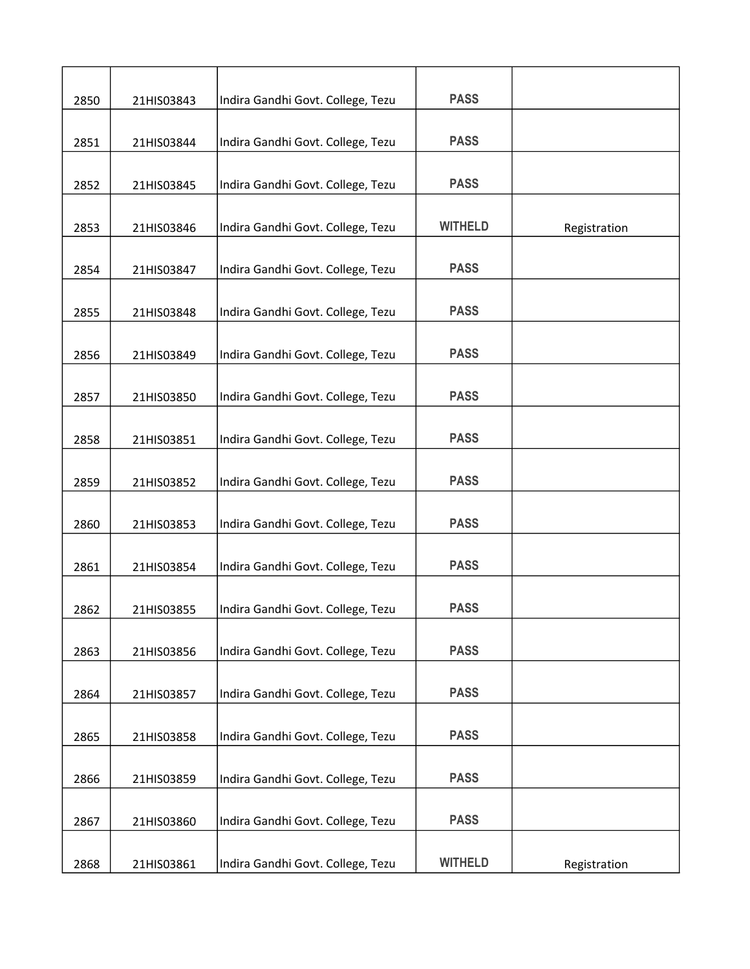| 2850 | 21HIS03843 | Indira Gandhi Govt. College, Tezu | <b>PASS</b>    |              |
|------|------------|-----------------------------------|----------------|--------------|
|      |            |                                   |                |              |
| 2851 | 21HIS03844 | Indira Gandhi Govt. College, Tezu | <b>PASS</b>    |              |
| 2852 | 21HIS03845 | Indira Gandhi Govt. College, Tezu | <b>PASS</b>    |              |
| 2853 | 21HIS03846 | Indira Gandhi Govt. College, Tezu | <b>WITHELD</b> | Registration |
| 2854 | 21HIS03847 | Indira Gandhi Govt. College, Tezu | <b>PASS</b>    |              |
|      |            |                                   |                |              |
| 2855 | 21HIS03848 | Indira Gandhi Govt. College, Tezu | <b>PASS</b>    |              |
| 2856 | 21HIS03849 | Indira Gandhi Govt. College, Tezu | <b>PASS</b>    |              |
| 2857 | 21HIS03850 | Indira Gandhi Govt. College, Tezu | <b>PASS</b>    |              |
| 2858 | 21HIS03851 | Indira Gandhi Govt. College, Tezu | <b>PASS</b>    |              |
|      |            |                                   |                |              |
| 2859 | 21HIS03852 | Indira Gandhi Govt. College, Tezu | <b>PASS</b>    |              |
| 2860 | 21HIS03853 | Indira Gandhi Govt. College, Tezu | <b>PASS</b>    |              |
| 2861 | 21HIS03854 | Indira Gandhi Govt. College, Tezu | <b>PASS</b>    |              |
| 2862 | 21HIS03855 | Indira Gandhi Govt. College, Tezu | <b>PASS</b>    |              |
| 2863 | 21HIS03856 | Indira Gandhi Govt. College, Tezu | <b>PASS</b>    |              |
| 2864 | 21HIS03857 | Indira Gandhi Govt. College, Tezu | <b>PASS</b>    |              |
| 2865 | 21HIS03858 | Indira Gandhi Govt. College, Tezu | <b>PASS</b>    |              |
| 2866 | 21HIS03859 | Indira Gandhi Govt. College, Tezu | <b>PASS</b>    |              |
|      |            |                                   |                |              |
| 2867 | 21HIS03860 | Indira Gandhi Govt. College, Tezu | <b>PASS</b>    |              |
| 2868 | 21HIS03861 | Indira Gandhi Govt. College, Tezu | <b>WITHELD</b> | Registration |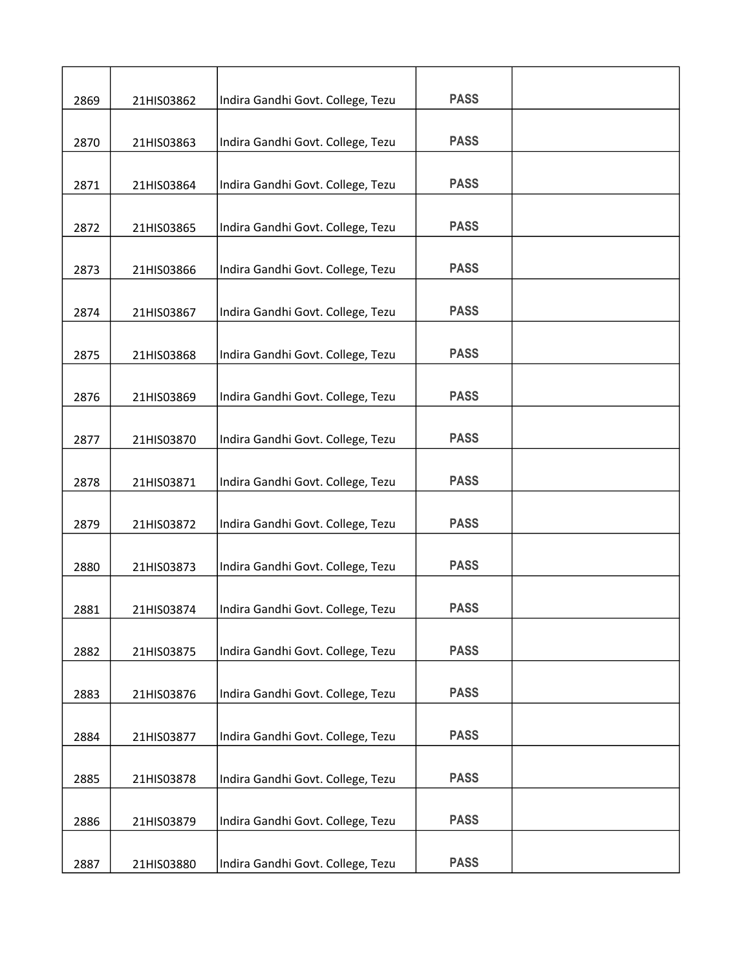| 2869 | 21HIS03862 | Indira Gandhi Govt. College, Tezu | <b>PASS</b> |  |
|------|------------|-----------------------------------|-------------|--|
|      |            |                                   |             |  |
| 2870 | 21HIS03863 | Indira Gandhi Govt. College, Tezu | <b>PASS</b> |  |
| 2871 | 21HIS03864 | Indira Gandhi Govt. College, Tezu | <b>PASS</b> |  |
| 2872 | 21HIS03865 | Indira Gandhi Govt. College, Tezu | <b>PASS</b> |  |
| 2873 | 21HIS03866 | Indira Gandhi Govt. College, Tezu | <b>PASS</b> |  |
| 2874 | 21HIS03867 | Indira Gandhi Govt. College, Tezu | <b>PASS</b> |  |
| 2875 | 21HIS03868 | Indira Gandhi Govt. College, Tezu | <b>PASS</b> |  |
| 2876 | 21HIS03869 | Indira Gandhi Govt. College, Tezu | <b>PASS</b> |  |
| 2877 | 21HIS03870 | Indira Gandhi Govt. College, Tezu | <b>PASS</b> |  |
| 2878 | 21HIS03871 | Indira Gandhi Govt. College, Tezu | <b>PASS</b> |  |
| 2879 | 21HIS03872 | Indira Gandhi Govt. College, Tezu | <b>PASS</b> |  |
| 2880 | 21HIS03873 | Indira Gandhi Govt. College, Tezu | <b>PASS</b> |  |
| 2881 | 21HIS03874 | Indira Gandhi Govt. College, Tezu | <b>PASS</b> |  |
| 2882 | 21HIS03875 | Indira Gandhi Govt. College, Tezu | <b>PASS</b> |  |
| 2883 | 21HIS03876 | Indira Gandhi Govt. College, Tezu | <b>PASS</b> |  |
| 2884 | 21HIS03877 | Indira Gandhi Govt. College, Tezu | <b>PASS</b> |  |
| 2885 | 21HIS03878 | Indira Gandhi Govt. College, Tezu | <b>PASS</b> |  |
| 2886 | 21HIS03879 | Indira Gandhi Govt. College, Tezu | <b>PASS</b> |  |
| 2887 | 21HIS03880 | Indira Gandhi Govt. College, Tezu | <b>PASS</b> |  |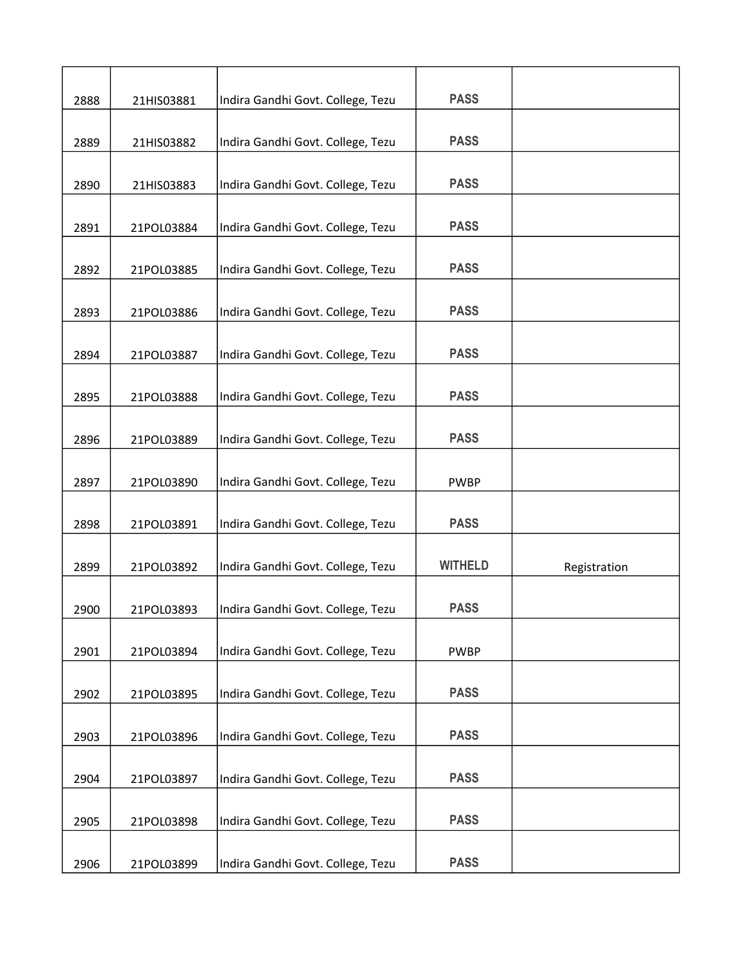| 2888 | 21HIS03881 | Indira Gandhi Govt. College, Tezu | <b>PASS</b>    |              |
|------|------------|-----------------------------------|----------------|--------------|
| 2889 | 21HIS03882 | Indira Gandhi Govt. College, Tezu | <b>PASS</b>    |              |
| 2890 | 21HIS03883 | Indira Gandhi Govt. College, Tezu | <b>PASS</b>    |              |
| 2891 | 21POL03884 | Indira Gandhi Govt. College, Tezu | <b>PASS</b>    |              |
| 2892 | 21POL03885 | Indira Gandhi Govt. College, Tezu | <b>PASS</b>    |              |
| 2893 | 21POL03886 | Indira Gandhi Govt. College, Tezu | <b>PASS</b>    |              |
| 2894 | 21POL03887 | Indira Gandhi Govt. College, Tezu | <b>PASS</b>    |              |
| 2895 | 21POL03888 | Indira Gandhi Govt. College, Tezu | <b>PASS</b>    |              |
| 2896 | 21POL03889 | Indira Gandhi Govt. College, Tezu | <b>PASS</b>    |              |
| 2897 | 21POL03890 | Indira Gandhi Govt. College, Tezu | <b>PWBP</b>    |              |
| 2898 | 21POL03891 | Indira Gandhi Govt. College, Tezu | <b>PASS</b>    |              |
| 2899 | 21POL03892 | Indira Gandhi Govt. College, Tezu | <b>WITHELD</b> | Registration |
| 2900 | 21POL03893 | Indira Gandhi Govt. College, Tezu | <b>PASS</b>    |              |
| 2901 | 21POL03894 | Indira Gandhi Govt. College, Tezu | <b>PWBP</b>    |              |
| 2902 | 21POL03895 | Indira Gandhi Govt. College, Tezu | <b>PASS</b>    |              |
| 2903 | 21POL03896 | Indira Gandhi Govt. College, Tezu | <b>PASS</b>    |              |
| 2904 | 21POL03897 | Indira Gandhi Govt. College, Tezu | <b>PASS</b>    |              |
| 2905 | 21POL03898 | Indira Gandhi Govt. College, Tezu | <b>PASS</b>    |              |
| 2906 | 21POL03899 | Indira Gandhi Govt. College, Tezu | <b>PASS</b>    |              |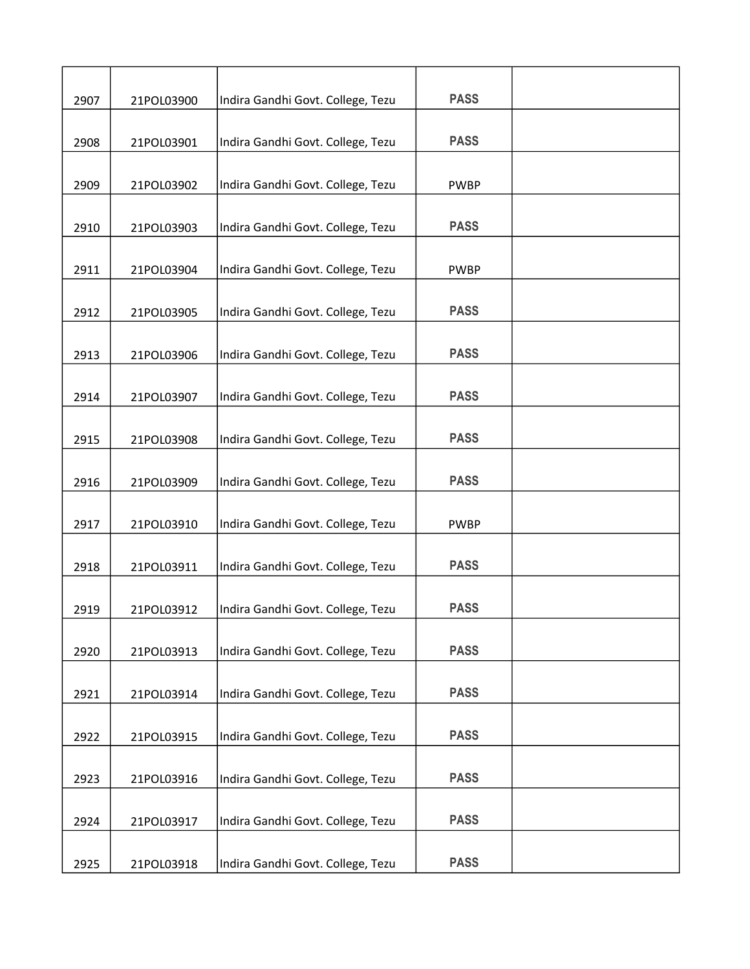| 2907 | 21POL03900 | Indira Gandhi Govt. College, Tezu | <b>PASS</b> |  |
|------|------------|-----------------------------------|-------------|--|
| 2908 | 21POL03901 | Indira Gandhi Govt. College, Tezu | <b>PASS</b> |  |
| 2909 | 21POL03902 | Indira Gandhi Govt. College, Tezu | <b>PWBP</b> |  |
|      |            | Indira Gandhi Govt. College, Tezu | <b>PASS</b> |  |
| 2910 | 21POL03903 |                                   |             |  |
| 2911 | 21POL03904 | Indira Gandhi Govt. College, Tezu | <b>PWBP</b> |  |
| 2912 | 21POL03905 | Indira Gandhi Govt. College, Tezu | <b>PASS</b> |  |
| 2913 | 21POL03906 | Indira Gandhi Govt. College, Tezu | <b>PASS</b> |  |
| 2914 | 21POL03907 | Indira Gandhi Govt. College, Tezu | <b>PASS</b> |  |
| 2915 | 21POL03908 | Indira Gandhi Govt. College, Tezu | <b>PASS</b> |  |
| 2916 | 21POL03909 | Indira Gandhi Govt. College, Tezu | <b>PASS</b> |  |
| 2917 | 21POL03910 | Indira Gandhi Govt. College, Tezu | <b>PWBP</b> |  |
| 2918 | 21POL03911 | Indira Gandhi Govt. College, Tezu | <b>PASS</b> |  |
|      |            |                                   |             |  |
| 2919 | 21POL03912 | Indira Gandhi Govt. College, Tezu | <b>PASS</b> |  |
| 2920 | 21POL03913 | Indira Gandhi Govt. College, Tezu | <b>PASS</b> |  |
| 2921 | 21POL03914 | Indira Gandhi Govt. College, Tezu | <b>PASS</b> |  |
| 2922 | 21POL03915 | Indira Gandhi Govt. College, Tezu | <b>PASS</b> |  |
| 2923 | 21POL03916 | Indira Gandhi Govt. College, Tezu | <b>PASS</b> |  |
| 2924 | 21POL03917 | Indira Gandhi Govt. College, Tezu | <b>PASS</b> |  |
| 2925 | 21POL03918 | Indira Gandhi Govt. College, Tezu | <b>PASS</b> |  |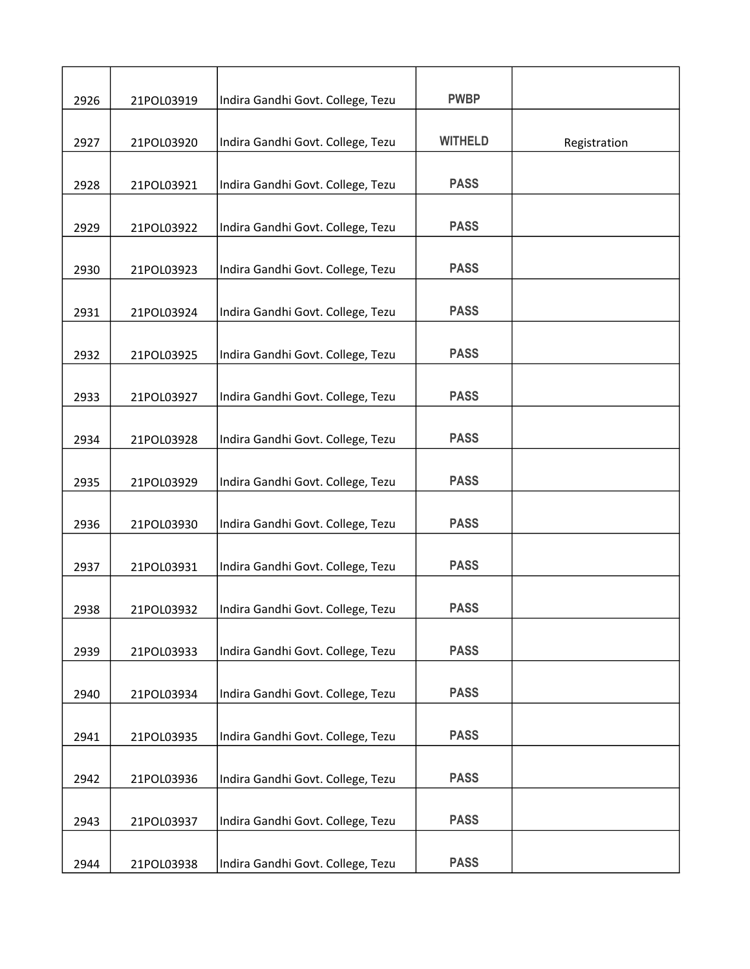| 2926 | 21POL03919 | Indira Gandhi Govt. College, Tezu | <b>PWBP</b>    |              |
|------|------------|-----------------------------------|----------------|--------------|
|      |            |                                   |                |              |
| 2927 | 21POL03920 | Indira Gandhi Govt. College, Tezu | <b>WITHELD</b> | Registration |
| 2928 | 21POL03921 | Indira Gandhi Govt. College, Tezu | <b>PASS</b>    |              |
| 2929 | 21POL03922 | Indira Gandhi Govt. College, Tezu | <b>PASS</b>    |              |
| 2930 | 21POL03923 | Indira Gandhi Govt. College, Tezu | <b>PASS</b>    |              |
| 2931 | 21POL03924 | Indira Gandhi Govt. College, Tezu | <b>PASS</b>    |              |
| 2932 | 21POL03925 | Indira Gandhi Govt. College, Tezu | <b>PASS</b>    |              |
| 2933 | 21POL03927 | Indira Gandhi Govt. College, Tezu | <b>PASS</b>    |              |
| 2934 | 21POL03928 | Indira Gandhi Govt. College, Tezu | <b>PASS</b>    |              |
| 2935 | 21POL03929 | Indira Gandhi Govt. College, Tezu | <b>PASS</b>    |              |
| 2936 | 21POL03930 | Indira Gandhi Govt. College, Tezu | <b>PASS</b>    |              |
| 2937 | 21POL03931 | Indira Gandhi Govt. College, Tezu | <b>PASS</b>    |              |
| 2938 | 21POL03932 | Indira Gandhi Govt. College, Tezu | <b>PASS</b>    |              |
| 2939 | 21POL03933 | Indira Gandhi Govt. College, Tezu | <b>PASS</b>    |              |
| 2940 | 21POL03934 | Indira Gandhi Govt. College, Tezu | <b>PASS</b>    |              |
| 2941 | 21POL03935 | Indira Gandhi Govt. College, Tezu | <b>PASS</b>    |              |
| 2942 | 21POL03936 | Indira Gandhi Govt. College, Tezu | <b>PASS</b>    |              |
| 2943 | 21POL03937 | Indira Gandhi Govt. College, Tezu | <b>PASS</b>    |              |
| 2944 | 21POL03938 | Indira Gandhi Govt. College, Tezu | <b>PASS</b>    |              |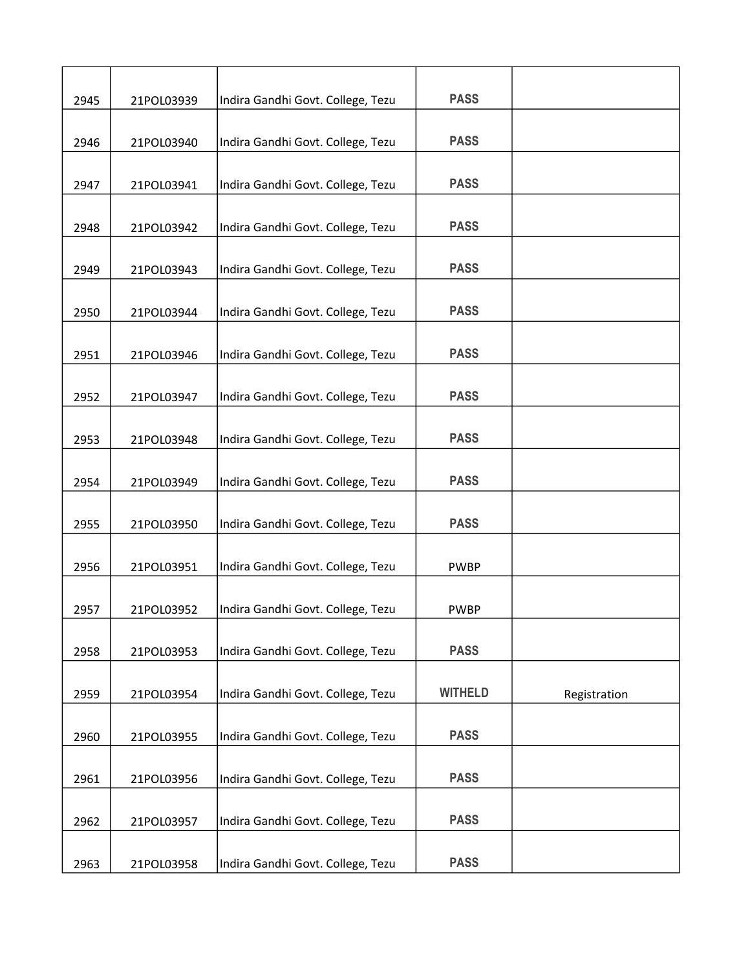| 2945 | 21POL03939 | Indira Gandhi Govt. College, Tezu | <b>PASS</b>    |              |
|------|------------|-----------------------------------|----------------|--------------|
| 2946 | 21POL03940 | Indira Gandhi Govt. College, Tezu | <b>PASS</b>    |              |
| 2947 | 21POL03941 | Indira Gandhi Govt. College, Tezu | <b>PASS</b>    |              |
| 2948 | 21POL03942 | Indira Gandhi Govt. College, Tezu | <b>PASS</b>    |              |
| 2949 | 21POL03943 | Indira Gandhi Govt. College, Tezu | <b>PASS</b>    |              |
| 2950 | 21POL03944 | Indira Gandhi Govt. College, Tezu | <b>PASS</b>    |              |
|      |            |                                   | <b>PASS</b>    |              |
| 2951 | 21POL03946 | Indira Gandhi Govt. College, Tezu | <b>PASS</b>    |              |
| 2952 | 21POL03947 | Indira Gandhi Govt. College, Tezu |                |              |
| 2953 | 21POL03948 | Indira Gandhi Govt. College, Tezu | <b>PASS</b>    |              |
| 2954 | 21POL03949 | Indira Gandhi Govt. College, Tezu | <b>PASS</b>    |              |
| 2955 | 21POL03950 | Indira Gandhi Govt. College, Tezu | <b>PASS</b>    |              |
| 2956 | 21POL03951 | Indira Gandhi Govt. College, Tezu | <b>PWBP</b>    |              |
| 2957 | 21POL03952 | Indira Gandhi Govt. College, Tezu | <b>PWBP</b>    |              |
| 2958 | 21POL03953 | Indira Gandhi Govt. College, Tezu | <b>PASS</b>    |              |
| 2959 | 21POL03954 | Indira Gandhi Govt. College, Tezu | <b>WITHELD</b> | Registration |
| 2960 | 21POL03955 | Indira Gandhi Govt. College, Tezu | <b>PASS</b>    |              |
| 2961 | 21POL03956 | Indira Gandhi Govt. College, Tezu | <b>PASS</b>    |              |
| 2962 | 21POL03957 | Indira Gandhi Govt. College, Tezu | <b>PASS</b>    |              |
| 2963 | 21POL03958 | Indira Gandhi Govt. College, Tezu | <b>PASS</b>    |              |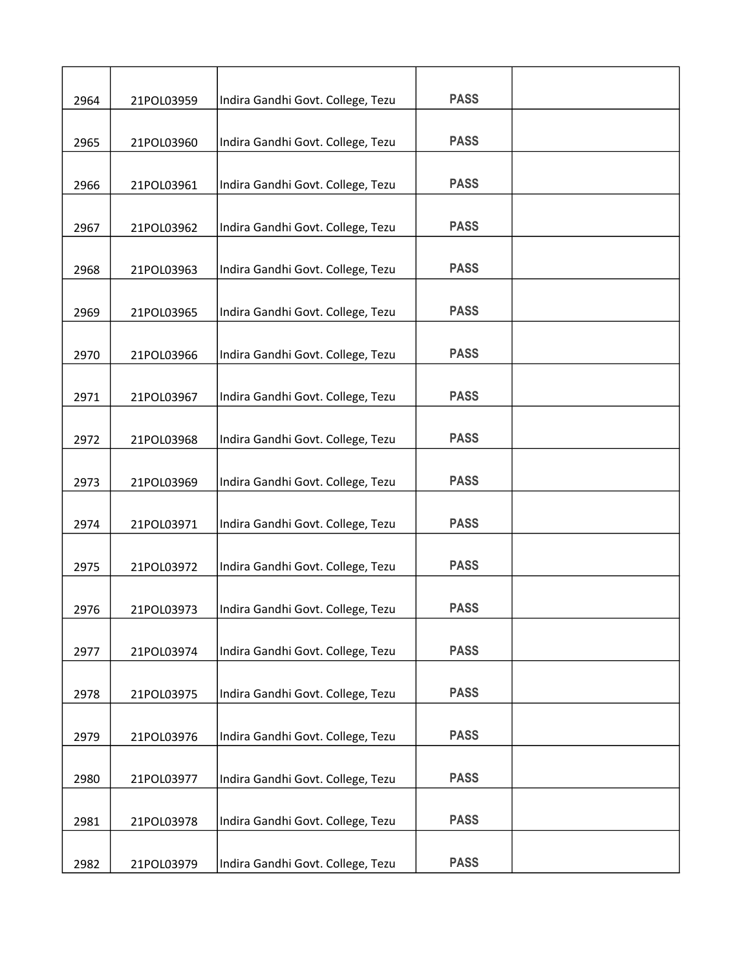| 2964 | 21POL03959 | Indira Gandhi Govt. College, Tezu | <b>PASS</b> |  |
|------|------------|-----------------------------------|-------------|--|
| 2965 | 21POL03960 | Indira Gandhi Govt. College, Tezu | <b>PASS</b> |  |
| 2966 | 21POL03961 | Indira Gandhi Govt. College, Tezu | <b>PASS</b> |  |
| 2967 | 21POL03962 | Indira Gandhi Govt. College, Tezu | <b>PASS</b> |  |
| 2968 | 21POL03963 | Indira Gandhi Govt. College, Tezu | <b>PASS</b> |  |
| 2969 | 21POL03965 | Indira Gandhi Govt. College, Tezu | <b>PASS</b> |  |
|      |            |                                   | <b>PASS</b> |  |
| 2970 | 21POL03966 | Indira Gandhi Govt. College, Tezu | <b>PASS</b> |  |
| 2971 | 21POL03967 | Indira Gandhi Govt. College, Tezu | <b>PASS</b> |  |
| 2972 | 21POL03968 | Indira Gandhi Govt. College, Tezu |             |  |
| 2973 | 21POL03969 | Indira Gandhi Govt. College, Tezu | <b>PASS</b> |  |
| 2974 | 21POL03971 | Indira Gandhi Govt. College, Tezu | <b>PASS</b> |  |
| 2975 | 21POL03972 | Indira Gandhi Govt. College, Tezu | <b>PASS</b> |  |
| 2976 | 21POL03973 | Indira Gandhi Govt. College, Tezu | <b>PASS</b> |  |
| 2977 | 21POL03974 | Indira Gandhi Govt. College, Tezu | <b>PASS</b> |  |
| 2978 | 21POL03975 | Indira Gandhi Govt. College, Tezu | <b>PASS</b> |  |
| 2979 | 21POL03976 | Indira Gandhi Govt. College, Tezu | <b>PASS</b> |  |
| 2980 | 21POL03977 | Indira Gandhi Govt. College, Tezu | <b>PASS</b> |  |
| 2981 | 21POL03978 | Indira Gandhi Govt. College, Tezu | <b>PASS</b> |  |
| 2982 | 21POL03979 | Indira Gandhi Govt. College, Tezu | <b>PASS</b> |  |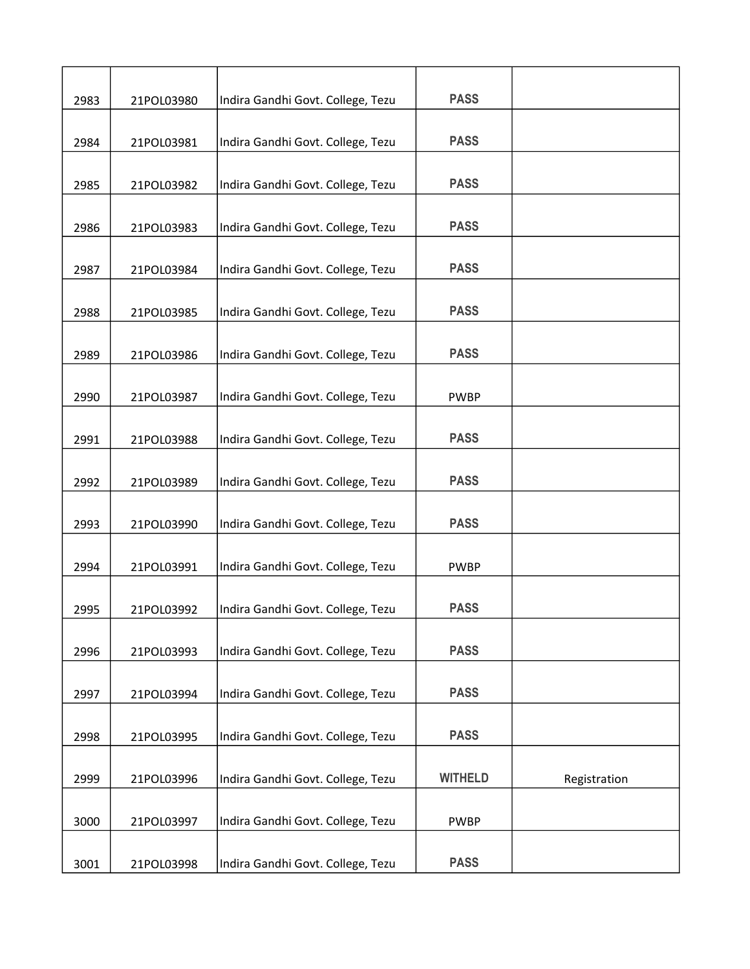| 2983 | 21POL03980 | Indira Gandhi Govt. College, Tezu | <b>PASS</b>    |              |
|------|------------|-----------------------------------|----------------|--------------|
| 2984 | 21POL03981 | Indira Gandhi Govt. College, Tezu | <b>PASS</b>    |              |
| 2985 | 21POL03982 | Indira Gandhi Govt. College, Tezu | <b>PASS</b>    |              |
| 2986 | 21POL03983 | Indira Gandhi Govt. College, Tezu | <b>PASS</b>    |              |
| 2987 | 21POL03984 | Indira Gandhi Govt. College, Tezu | <b>PASS</b>    |              |
| 2988 | 21POL03985 | Indira Gandhi Govt. College, Tezu | <b>PASS</b>    |              |
| 2989 | 21POL03986 | Indira Gandhi Govt. College, Tezu | <b>PASS</b>    |              |
| 2990 | 21POL03987 | Indira Gandhi Govt. College, Tezu | <b>PWBP</b>    |              |
| 2991 | 21POL03988 | Indira Gandhi Govt. College, Tezu | <b>PASS</b>    |              |
| 2992 | 21POL03989 | Indira Gandhi Govt. College, Tezu | <b>PASS</b>    |              |
| 2993 | 21POL03990 | Indira Gandhi Govt. College, Tezu | <b>PASS</b>    |              |
| 2994 | 21POL03991 | Indira Gandhi Govt. College, Tezu | <b>PWBP</b>    |              |
| 2995 | 21POL03992 | Indira Gandhi Govt. College, Tezu | <b>PASS</b>    |              |
| 2996 | 21POL03993 | Indira Gandhi Govt. College, Tezu | <b>PASS</b>    |              |
| 2997 | 21POL03994 | Indira Gandhi Govt. College, Tezu | <b>PASS</b>    |              |
| 2998 | 21POL03995 | Indira Gandhi Govt. College, Tezu | <b>PASS</b>    |              |
| 2999 | 21POL03996 | Indira Gandhi Govt. College, Tezu | <b>WITHELD</b> | Registration |
| 3000 | 21POL03997 | Indira Gandhi Govt. College, Tezu | <b>PWBP</b>    |              |
| 3001 | 21POL03998 | Indira Gandhi Govt. College, Tezu | <b>PASS</b>    |              |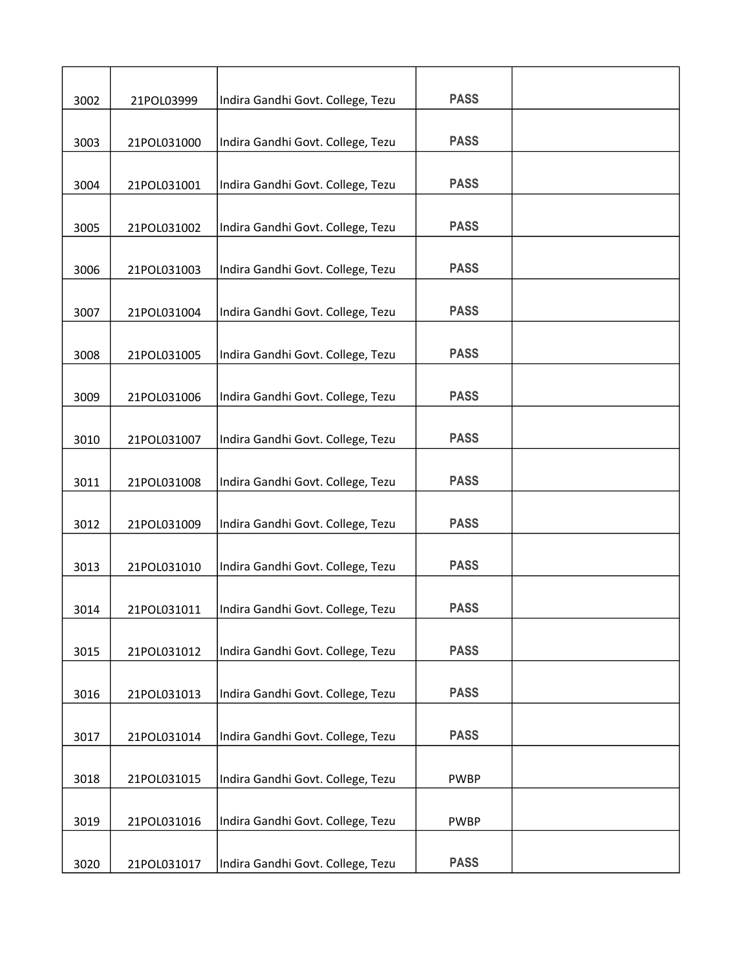| 3002 | 21POL03999  | Indira Gandhi Govt. College, Tezu | <b>PASS</b> |  |
|------|-------------|-----------------------------------|-------------|--|
| 3003 | 21POL031000 | Indira Gandhi Govt. College, Tezu | <b>PASS</b> |  |
| 3004 | 21POL031001 | Indira Gandhi Govt. College, Tezu | <b>PASS</b> |  |
| 3005 | 21POL031002 | Indira Gandhi Govt. College, Tezu | <b>PASS</b> |  |
| 3006 | 21POL031003 | Indira Gandhi Govt. College, Tezu | <b>PASS</b> |  |
|      |             |                                   | <b>PASS</b> |  |
| 3007 | 21POL031004 | Indira Gandhi Govt. College, Tezu | <b>PASS</b> |  |
| 3008 | 21POL031005 | Indira Gandhi Govt. College, Tezu |             |  |
| 3009 | 21POL031006 | Indira Gandhi Govt. College, Tezu | <b>PASS</b> |  |
| 3010 | 21POL031007 | Indira Gandhi Govt. College, Tezu | <b>PASS</b> |  |
| 3011 | 21POL031008 | Indira Gandhi Govt. College, Tezu | <b>PASS</b> |  |
| 3012 | 21POL031009 | Indira Gandhi Govt. College, Tezu | <b>PASS</b> |  |
| 3013 | 21POL031010 | Indira Gandhi Govt. College, Tezu | <b>PASS</b> |  |
| 3014 | 21POL031011 | Indira Gandhi Govt. College, Tezu | <b>PASS</b> |  |
| 3015 | 21POL031012 | Indira Gandhi Govt. College, Tezu | <b>PASS</b> |  |
| 3016 | 21POL031013 | Indira Gandhi Govt. College, Tezu | <b>PASS</b> |  |
| 3017 | 21POL031014 | Indira Gandhi Govt. College, Tezu | <b>PASS</b> |  |
| 3018 | 21POL031015 | Indira Gandhi Govt. College, Tezu | <b>PWBP</b> |  |
| 3019 | 21POL031016 | Indira Gandhi Govt. College, Tezu | <b>PWBP</b> |  |
| 3020 | 21POL031017 | Indira Gandhi Govt. College, Tezu | <b>PASS</b> |  |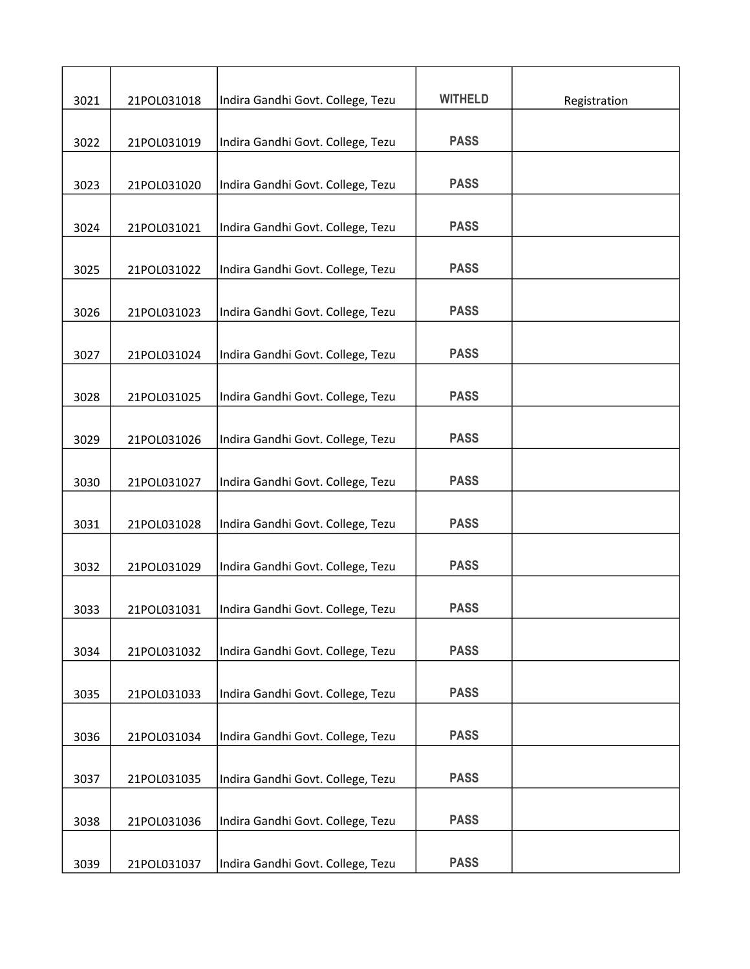| 3021 | 21POL031018 | Indira Gandhi Govt. College, Tezu | <b>WITHELD</b> | Registration |
|------|-------------|-----------------------------------|----------------|--------------|
|      |             |                                   |                |              |
| 3022 | 21POL031019 | Indira Gandhi Govt. College, Tezu | <b>PASS</b>    |              |
|      |             |                                   |                |              |
| 3023 | 21POL031020 | Indira Gandhi Govt. College, Tezu | <b>PASS</b>    |              |
| 3024 | 21POL031021 | Indira Gandhi Govt. College, Tezu | <b>PASS</b>    |              |
| 3025 | 21POL031022 | Indira Gandhi Govt. College, Tezu | <b>PASS</b>    |              |
|      |             |                                   |                |              |
| 3026 | 21POL031023 | Indira Gandhi Govt. College, Tezu | <b>PASS</b>    |              |
| 3027 | 21POL031024 | Indira Gandhi Govt. College, Tezu | <b>PASS</b>    |              |
| 3028 | 21POL031025 | Indira Gandhi Govt. College, Tezu | <b>PASS</b>    |              |
|      |             |                                   |                |              |
| 3029 | 21POL031026 | Indira Gandhi Govt. College, Tezu | <b>PASS</b>    |              |
| 3030 | 21POL031027 | Indira Gandhi Govt. College, Tezu | <b>PASS</b>    |              |
|      |             |                                   |                |              |
| 3031 | 21POL031028 | Indira Gandhi Govt. College, Tezu | <b>PASS</b>    |              |
| 3032 | 21POL031029 | Indira Gandhi Govt. College, Tezu | <b>PASS</b>    |              |
| 3033 | 21POL031031 | Indira Gandhi Govt. College, Tezu | <b>PASS</b>    |              |
|      |             |                                   |                |              |
| 3034 | 21POL031032 | Indira Gandhi Govt. College, Tezu | <b>PASS</b>    |              |
| 3035 | 21POL031033 | Indira Gandhi Govt. College, Tezu | <b>PASS</b>    |              |
| 3036 | 21POL031034 | Indira Gandhi Govt. College, Tezu | <b>PASS</b>    |              |
|      |             |                                   |                |              |
| 3037 | 21POL031035 | Indira Gandhi Govt. College, Tezu | <b>PASS</b>    |              |
| 3038 | 21POL031036 | Indira Gandhi Govt. College, Tezu | <b>PASS</b>    |              |
| 3039 | 21POL031037 | Indira Gandhi Govt. College, Tezu | <b>PASS</b>    |              |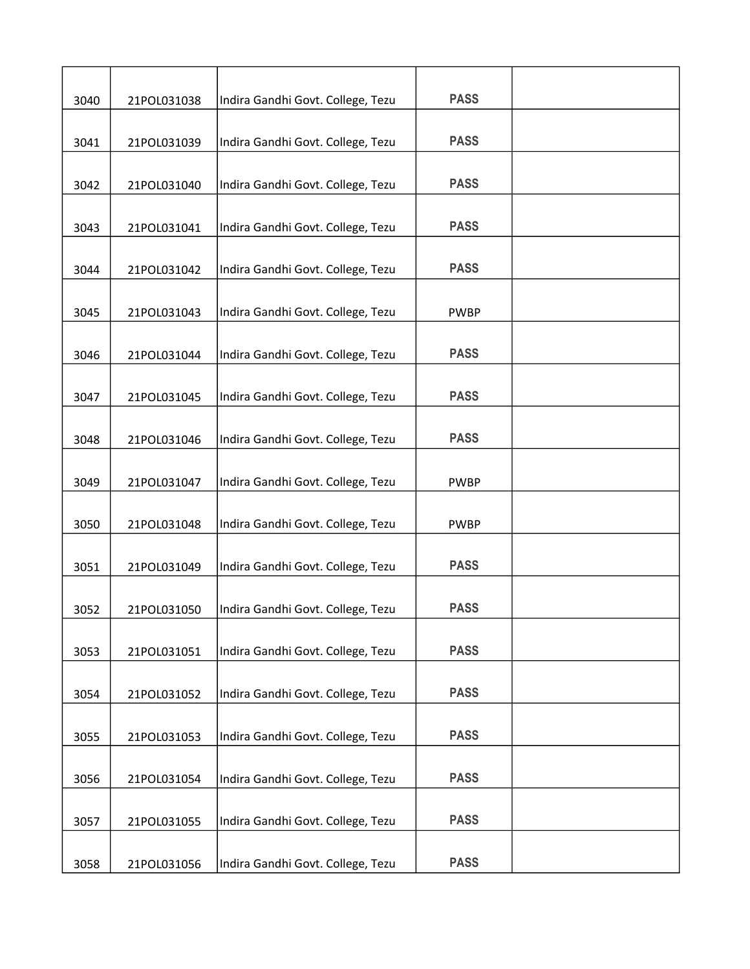| 3040 | 21POL031038 | Indira Gandhi Govt. College, Tezu | <b>PASS</b> |  |
|------|-------------|-----------------------------------|-------------|--|
| 3041 | 21POL031039 | Indira Gandhi Govt. College, Tezu | <b>PASS</b> |  |
| 3042 | 21POL031040 | Indira Gandhi Govt. College, Tezu | <b>PASS</b> |  |
| 3043 | 21POL031041 | Indira Gandhi Govt. College, Tezu | <b>PASS</b> |  |
| 3044 | 21POL031042 | Indira Gandhi Govt. College, Tezu | <b>PASS</b> |  |
| 3045 | 21POL031043 | Indira Gandhi Govt. College, Tezu | <b>PWBP</b> |  |
| 3046 | 21POL031044 | Indira Gandhi Govt. College, Tezu | <b>PASS</b> |  |
| 3047 | 21POL031045 | Indira Gandhi Govt. College, Tezu | <b>PASS</b> |  |
|      |             |                                   | <b>PASS</b> |  |
| 3048 | 21POL031046 | Indira Gandhi Govt. College, Tezu |             |  |
| 3049 | 21POL031047 | Indira Gandhi Govt. College, Tezu | <b>PWBP</b> |  |
| 3050 | 21POL031048 | Indira Gandhi Govt. College, Tezu | <b>PWBP</b> |  |
| 3051 | 21POL031049 | Indira Gandhi Govt. College, Tezu | <b>PASS</b> |  |
| 3052 | 21POL031050 | Indira Gandhi Govt. College, Tezu | <b>PASS</b> |  |
| 3053 | 21POL031051 | Indira Gandhi Govt. College, Tezu | <b>PASS</b> |  |
| 3054 | 21POL031052 | Indira Gandhi Govt. College, Tezu | <b>PASS</b> |  |
| 3055 | 21POL031053 | Indira Gandhi Govt. College, Tezu | <b>PASS</b> |  |
| 3056 | 21POL031054 | Indira Gandhi Govt. College, Tezu | <b>PASS</b> |  |
| 3057 | 21POL031055 | Indira Gandhi Govt. College, Tezu | <b>PASS</b> |  |
| 3058 | 21POL031056 | Indira Gandhi Govt. College, Tezu | <b>PASS</b> |  |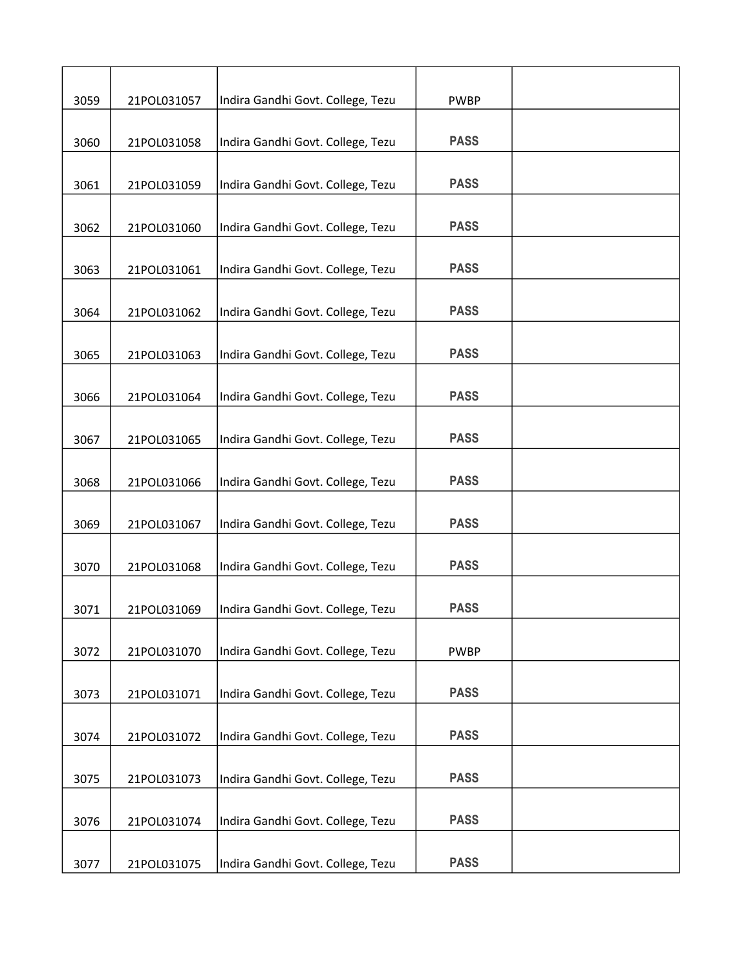| 3059 | 21POL031057 | Indira Gandhi Govt. College, Tezu | <b>PWBP</b> |  |
|------|-------------|-----------------------------------|-------------|--|
|      |             |                                   |             |  |
| 3060 | 21POL031058 | Indira Gandhi Govt. College, Tezu | <b>PASS</b> |  |
| 3061 | 21POL031059 | Indira Gandhi Govt. College, Tezu | <b>PASS</b> |  |
| 3062 | 21POL031060 | Indira Gandhi Govt. College, Tezu | <b>PASS</b> |  |
| 3063 | 21POL031061 | Indira Gandhi Govt. College, Tezu | <b>PASS</b> |  |
|      |             |                                   |             |  |
| 3064 | 21POL031062 | Indira Gandhi Govt. College, Tezu | <b>PASS</b> |  |
| 3065 | 21POL031063 | Indira Gandhi Govt. College, Tezu | <b>PASS</b> |  |
| 3066 | 21POL031064 | Indira Gandhi Govt. College, Tezu | <b>PASS</b> |  |
| 3067 | 21POL031065 | Indira Gandhi Govt. College, Tezu | <b>PASS</b> |  |
| 3068 | 21POL031066 | Indira Gandhi Govt. College, Tezu | <b>PASS</b> |  |
| 3069 | 21POL031067 | Indira Gandhi Govt. College, Tezu | <b>PASS</b> |  |
| 3070 | 21POL031068 | Indira Gandhi Govt. College, Tezu | <b>PASS</b> |  |
| 3071 | 21POL031069 | Indira Gandhi Govt. College, Tezu | <b>PASS</b> |  |
|      |             |                                   |             |  |
| 3072 | 21POL031070 | Indira Gandhi Govt. College, Tezu | <b>PWBP</b> |  |
| 3073 | 21POL031071 | Indira Gandhi Govt. College, Tezu | <b>PASS</b> |  |
| 3074 | 21POL031072 | Indira Gandhi Govt. College, Tezu | <b>PASS</b> |  |
| 3075 | 21POL031073 | Indira Gandhi Govt. College, Tezu | <b>PASS</b> |  |
| 3076 | 21POL031074 | Indira Gandhi Govt. College, Tezu | <b>PASS</b> |  |
| 3077 | 21POL031075 | Indira Gandhi Govt. College, Tezu | <b>PASS</b> |  |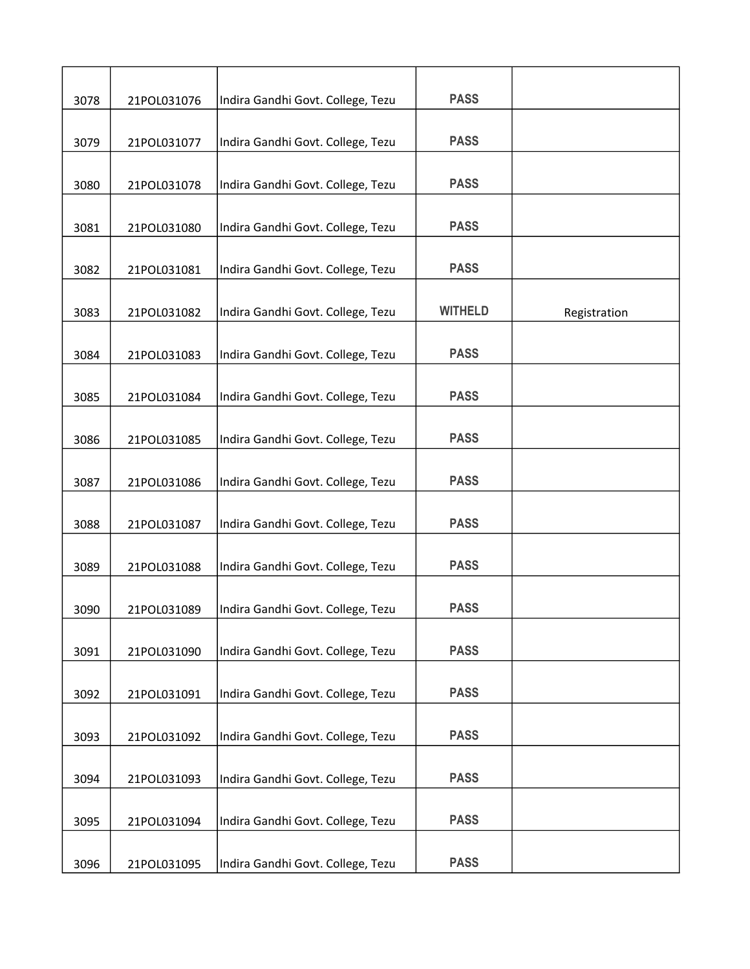| 3078 | 21POL031076 | Indira Gandhi Govt. College, Tezu | <b>PASS</b>    |              |
|------|-------------|-----------------------------------|----------------|--------------|
| 3079 | 21POL031077 | Indira Gandhi Govt. College, Tezu | <b>PASS</b>    |              |
| 3080 | 21POL031078 | Indira Gandhi Govt. College, Tezu | <b>PASS</b>    |              |
| 3081 | 21POL031080 | Indira Gandhi Govt. College, Tezu | <b>PASS</b>    |              |
| 3082 | 21POL031081 | Indira Gandhi Govt. College, Tezu | <b>PASS</b>    |              |
| 3083 | 21POL031082 | Indira Gandhi Govt. College, Tezu | <b>WITHELD</b> | Registration |
| 3084 | 21POL031083 | Indira Gandhi Govt. College, Tezu | <b>PASS</b>    |              |
| 3085 | 21POL031084 | Indira Gandhi Govt. College, Tezu | <b>PASS</b>    |              |
| 3086 | 21POL031085 | Indira Gandhi Govt. College, Tezu | <b>PASS</b>    |              |
| 3087 | 21POL031086 | Indira Gandhi Govt. College, Tezu | <b>PASS</b>    |              |
| 3088 | 21POL031087 | Indira Gandhi Govt. College, Tezu | <b>PASS</b>    |              |
| 3089 | 21POL031088 | Indira Gandhi Govt. College, Tezu | <b>PASS</b>    |              |
| 3090 | 21POL031089 | Indira Gandhi Govt. College, Tezu | <b>PASS</b>    |              |
| 3091 | 21POL031090 | Indira Gandhi Govt. College, Tezu | <b>PASS</b>    |              |
| 3092 | 21POL031091 | Indira Gandhi Govt. College, Tezu | <b>PASS</b>    |              |
| 3093 | 21POL031092 | Indira Gandhi Govt. College, Tezu | <b>PASS</b>    |              |
| 3094 | 21POL031093 | Indira Gandhi Govt. College, Tezu | <b>PASS</b>    |              |
| 3095 | 21POL031094 | Indira Gandhi Govt. College, Tezu | <b>PASS</b>    |              |
| 3096 | 21POL031095 | Indira Gandhi Govt. College, Tezu | <b>PASS</b>    |              |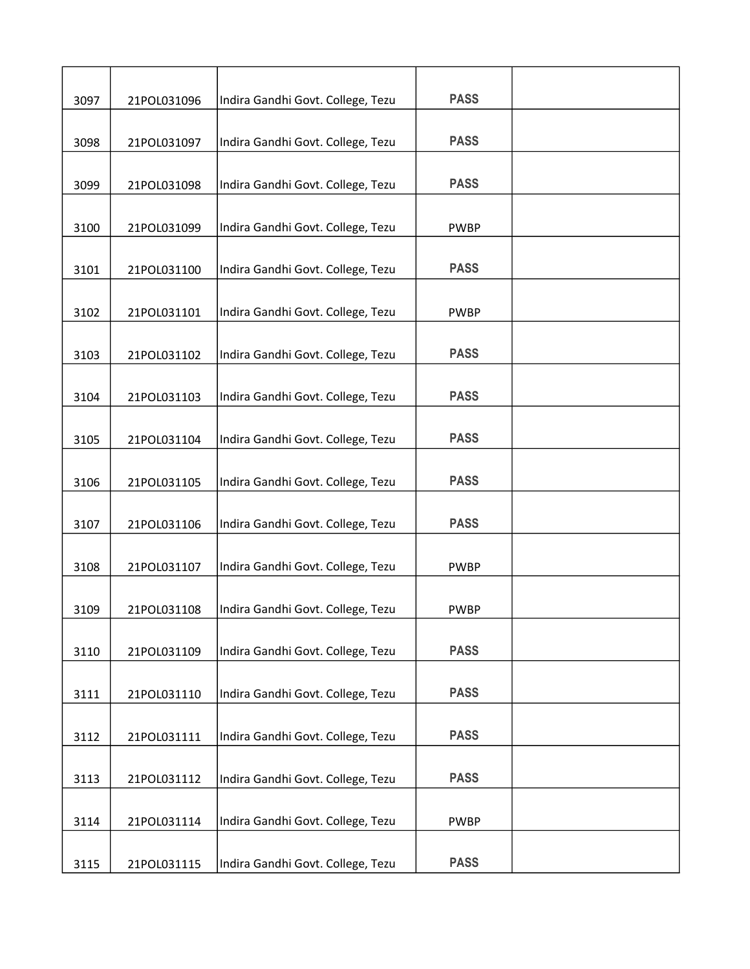| 3097 | 21POL031096 | Indira Gandhi Govt. College, Tezu | <b>PASS</b> |  |
|------|-------------|-----------------------------------|-------------|--|
|      |             | Indira Gandhi Govt. College, Tezu | <b>PASS</b> |  |
| 3098 | 21POL031097 |                                   |             |  |
| 3099 | 21POL031098 | Indira Gandhi Govt. College, Tezu | <b>PASS</b> |  |
| 3100 | 21POL031099 | Indira Gandhi Govt. College, Tezu | <b>PWBP</b> |  |
| 3101 | 21POL031100 | Indira Gandhi Govt. College, Tezu | <b>PASS</b> |  |
| 3102 | 21POL031101 | Indira Gandhi Govt. College, Tezu | <b>PWBP</b> |  |
| 3103 | 21POL031102 | Indira Gandhi Govt. College, Tezu | <b>PASS</b> |  |
| 3104 | 21POL031103 | Indira Gandhi Govt. College, Tezu | <b>PASS</b> |  |
| 3105 | 21POL031104 | Indira Gandhi Govt. College, Tezu | <b>PASS</b> |  |
| 3106 | 21POL031105 | Indira Gandhi Govt. College, Tezu | <b>PASS</b> |  |
|      |             |                                   |             |  |
| 3107 | 21POL031106 | Indira Gandhi Govt. College, Tezu | <b>PASS</b> |  |
| 3108 | 21POL031107 | Indira Gandhi Govt. College, Tezu | <b>PWBP</b> |  |
| 3109 | 21POL031108 | Indira Gandhi Govt. College, Tezu | <b>PWBP</b> |  |
| 3110 | 21POL031109 | Indira Gandhi Govt. College, Tezu | <b>PASS</b> |  |
| 3111 | 21POL031110 | Indira Gandhi Govt. College, Tezu | <b>PASS</b> |  |
| 3112 | 21POL031111 | Indira Gandhi Govt. College, Tezu | <b>PASS</b> |  |
| 3113 | 21POL031112 | Indira Gandhi Govt. College, Tezu | <b>PASS</b> |  |
| 3114 | 21POL031114 | Indira Gandhi Govt. College, Tezu | <b>PWBP</b> |  |
|      |             |                                   |             |  |
| 3115 | 21POL031115 | Indira Gandhi Govt. College, Tezu | <b>PASS</b> |  |